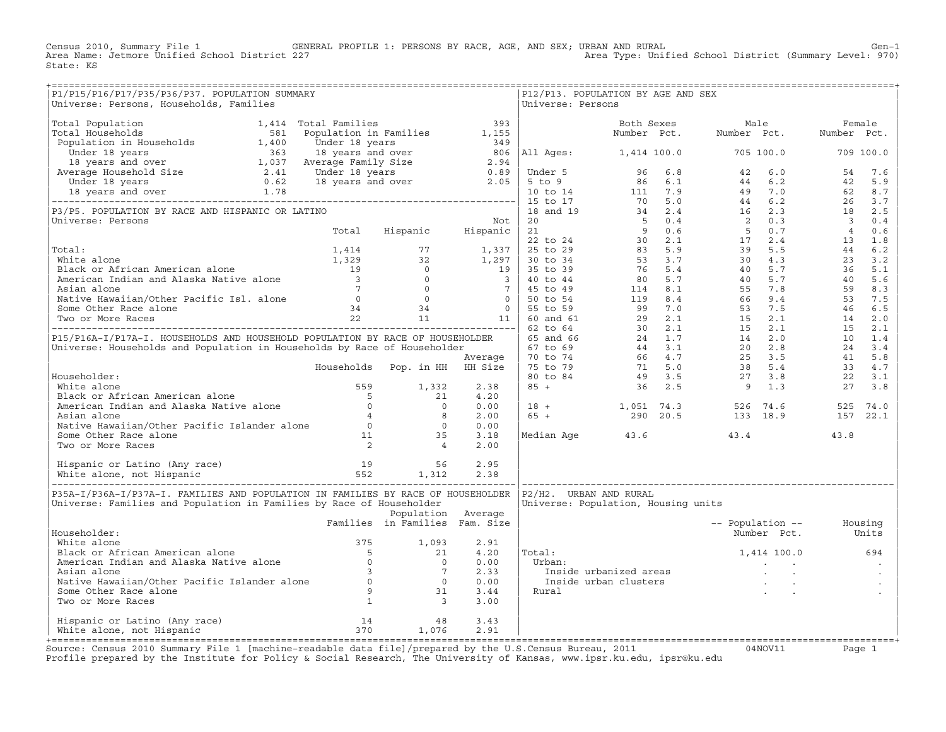Census 2010, Summary File 1 GENERAL PROFILE 1: PERSONS BY RACE, AGE, AND SEX; URBAN AND RURAL Gen−1<br>Area Name: Jetmore Unified School District 227 Area Type: Unified School District (Summary Level: 970) State: KS

| P1/P15/P16/P17/P35/P36/P37. POPULATION SUMMARY<br>Universe: Persons, Households, Families                                                                                                                                                          |                                |                    | Universe: Persons | P12/P13. POPULATION BY AGE AND SEX                                          |                          |                   |
|----------------------------------------------------------------------------------------------------------------------------------------------------------------------------------------------------------------------------------------------------|--------------------------------|--------------------|-------------------|-----------------------------------------------------------------------------|--------------------------|-------------------|
|                                                                                                                                                                                                                                                    |                                |                    |                   |                                                                             |                          |                   |
|                                                                                                                                                                                                                                                    |                                |                    |                   |                                                                             |                          |                   |
|                                                                                                                                                                                                                                                    |                                |                    |                   |                                                                             |                          |                   |
|                                                                                                                                                                                                                                                    |                                |                    |                   |                                                                             |                          |                   |
|                                                                                                                                                                                                                                                    |                                |                    |                   |                                                                             |                          |                   |
|                                                                                                                                                                                                                                                    |                                |                    |                   |                                                                             |                          |                   |
|                                                                                                                                                                                                                                                    |                                |                    |                   |                                                                             |                          |                   |
|                                                                                                                                                                                                                                                    |                                |                    |                   |                                                                             |                          |                   |
|                                                                                                                                                                                                                                                    |                                |                    |                   |                                                                             |                          |                   |
|                                                                                                                                                                                                                                                    |                                |                    |                   |                                                                             |                          |                   |
|                                                                                                                                                                                                                                                    |                                |                    |                   |                                                                             |                          |                   |
|                                                                                                                                                                                                                                                    |                                |                    |                   |                                                                             |                          |                   |
|                                                                                                                                                                                                                                                    |                                |                    |                   |                                                                             |                          |                   |
|                                                                                                                                                                                                                                                    |                                |                    |                   |                                                                             |                          |                   |
|                                                                                                                                                                                                                                                    |                                |                    |                   |                                                                             |                          |                   |
|                                                                                                                                                                                                                                                    |                                |                    |                   |                                                                             |                          |                   |
|                                                                                                                                                                                                                                                    |                                |                    |                   |                                                                             |                          |                   |
|                                                                                                                                                                                                                                                    |                                |                    |                   |                                                                             |                          |                   |
|                                                                                                                                                                                                                                                    |                                |                    |                   |                                                                             |                          |                   |
|                                                                                                                                                                                                                                                    |                                |                    |                   |                                                                             |                          |                   |
|                                                                                                                                                                                                                                                    |                                |                    |                   |                                                                             |                          |                   |
|                                                                                                                                                                                                                                                    |                                |                    |                   |                                                                             |                          |                   |
|                                                                                                                                                                                                                                                    |                                |                    |                   |                                                                             |                          |                   |
|                                                                                                                                                                                                                                                    |                                |                    |                   |                                                                             |                          |                   |
|                                                                                                                                                                                                                                                    |                                |                    |                   |                                                                             |                          |                   |
|                                                                                                                                                                                                                                                    |                                |                    |                   |                                                                             |                          |                   |
|                                                                                                                                                                                                                                                    |                                |                    |                   |                                                                             |                          |                   |
|                                                                                                                                                                                                                                                    |                                |                    |                   |                                                                             |                          |                   |
| Mousehouter:<br>White alone 5<br>Black or African American alone 5<br>American Indian and Alaska Native alone 5<br>Asian alone 6<br>Asian alone 4<br>8<br>2.00<br>Native Hawaiian/Other Pacific Islander alone 6<br>Some Other Race alone 11<br>Tw |                                |                    |                   |                                                                             |                          |                   |
|                                                                                                                                                                                                                                                    |                                |                    |                   |                                                                             |                          | 43.8              |
|                                                                                                                                                                                                                                                    |                                |                    |                   | Median Age 43.6 43.4                                                        |                          |                   |
|                                                                                                                                                                                                                                                    |                                |                    |                   |                                                                             |                          |                   |
|                                                                                                                                                                                                                                                    |                                |                    |                   |                                                                             |                          |                   |
|                                                                                                                                                                                                                                                    |                                |                    |                   |                                                                             |                          |                   |
| P35A-I/P36A-I/P37A-I. FAMILIES AND POPULATION IN FAMILIES BY RACE OF HOUSEHOLDER   P2/H2. URBAN AND RURAL<br>Universe: Families and Population in Families by Race of Householder                                                                  |                                |                    |                   | Universe: Population, Housing units                                         |                          |                   |
|                                                                                                                                                                                                                                                    | Families in Families Fam. Size | Population Average |                   |                                                                             |                          |                   |
| Householder:                                                                                                                                                                                                                                       |                                |                    |                   |                                                                             | -- Population -- Housing | Number Pct. Units |
|                                                                                                                                                                                                                                                    |                                |                    |                   |                                                                             |                          |                   |
|                                                                                                                                                                                                                                                    |                                |                    | Total:            |                                                                             | 1,414 100.0 694          |                   |
|                                                                                                                                                                                                                                                    |                                |                    |                   |                                                                             |                          |                   |
|                                                                                                                                                                                                                                                    |                                |                    |                   |                                                                             |                          |                   |
|                                                                                                                                                                                                                                                    |                                |                    |                   | orban:<br>Inside urbanized areas<br>Inside urban clusters<br>Rural<br>Rural |                          |                   |
|                                                                                                                                                                                                                                                    |                                |                    |                   |                                                                             |                          |                   |
| Householder:<br>White alone<br>Black or African American alone<br>American Indian and Alaska Native alone<br>Asian alone<br>Native Hawaiian/Other Pacific Islander alone<br>Some Other Race alone<br>Two or More Races<br>1 3 3.00                 |                                |                    |                   |                                                                             |                          |                   |
|                                                                                                                                                                                                                                                    |                                |                    |                   |                                                                             |                          |                   |
|                                                                                                                                                                                                                                                    |                                |                    |                   |                                                                             |                          |                   |
|                                                                                                                                                                                                                                                    |                                |                    |                   |                                                                             |                          |                   |

+===================================================================================================================================================+Source: Census 2010 Summary File 1 [machine−readable data file]/prepared by the U.S.Census Bureau, 2011 04NOV11 Page 1 Profile prepared by the Institute for Policy & Social Research, The University of Kansas, www.ipsr.ku.edu, ipsr@ku.edu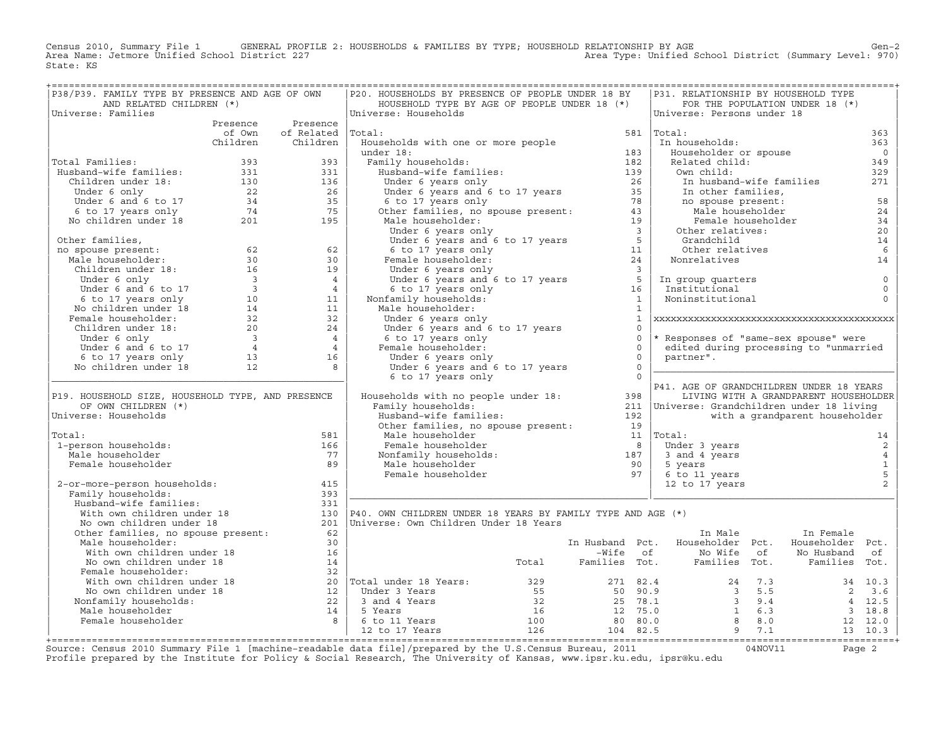Census 2010, Summary File 1 GENERAL PROFILE 2: HOUSEHOLDS & FAMILIES BY TYPE; HOUSEHOLD RELATIONSHIP BY AGE GEN<br>Area Name: Jetmore Unified School District 227 Area Type: Unified School District (Summary Level: 970) State: KS

| P38/P39. FAMILY TYPE BY PRESENCE AND AGE OF OWN                                                                                                                                                                                                                                                              |     | P20. HOUSEHOLDS BY PRESENCE OF PEOPLE UNDER 18 BY                                                                                                                                                                                |                |                | P31. RELATIONSHIP BY HOUSEHOLD TYPE                                                                                                              |                                       |                |
|--------------------------------------------------------------------------------------------------------------------------------------------------------------------------------------------------------------------------------------------------------------------------------------------------------------|-----|----------------------------------------------------------------------------------------------------------------------------------------------------------------------------------------------------------------------------------|----------------|----------------|--------------------------------------------------------------------------------------------------------------------------------------------------|---------------------------------------|----------------|
| AND RELATED CHILDREN (*)                                                                                                                                                                                                                                                                                     |     | HOUSEHOLD TYPE BY AGE OF PEOPLE UNDER 18 (*)                                                                                                                                                                                     |                |                |                                                                                                                                                  | FOR THE POPULATION UNDER 18 (*)       |                |
| Universe: Families                                                                                                                                                                                                                                                                                           |     | Universe: Households                                                                                                                                                                                                             |                |                | Universe: Persons under 18                                                                                                                       |                                       |                |
| Presence Presence                                                                                                                                                                                                                                                                                            |     |                                                                                                                                                                                                                                  |                |                | $581$ Total:                                                                                                                                     |                                       |                |
| of Own of Related Total:<br>Children Children                                                                                                                                                                                                                                                                |     | Households with one or more people                                                                                                                                                                                               |                |                | In households:                                                                                                                                   |                                       | 363<br>363     |
|                                                                                                                                                                                                                                                                                                              |     |                                                                                                                                                                                                                                  |                |                | Householder or spouse                                                                                                                            |                                       | $\overline{0}$ |
| Total Families:                                                                                                                                                                                                                                                                                              |     |                                                                                                                                                                                                                                  |                |                | Related child:                                                                                                                                   |                                       | 349            |
|                                                                                                                                                                                                                                                                                                              |     |                                                                                                                                                                                                                                  |                |                | Own child:                                                                                                                                       |                                       | 329            |
|                                                                                                                                                                                                                                                                                                              |     |                                                                                                                                                                                                                                  |                |                |                                                                                                                                                  |                                       | 271            |
|                                                                                                                                                                                                                                                                                                              |     |                                                                                                                                                                                                                                  |                |                |                                                                                                                                                  |                                       |                |
|                                                                                                                                                                                                                                                                                                              |     |                                                                                                                                                                                                                                  |                |                |                                                                                                                                                  |                                       | 58             |
|                                                                                                                                                                                                                                                                                                              |     |                                                                                                                                                                                                                                  |                |                |                                                                                                                                                  |                                       | 24             |
| Total Families: $\begin{array}{cccc} 393 & 393 \\ \text{Husband-wife families:} & 331 & 331 \\ \text{Children under 18:} & 130 & 136 \\ \text{Under 6 only} & 22 & 26 \\ \text{Under 6 and 6 to 17} & 34 & 35 \\ \text{6 to 17 years only} & 74 & 75 \\ \text{No children under 18} & 201 & 195 \end{array}$ |     | University of the control of the control of the control of the control of the control of the control of the control of the control of the control of the control of the control of the control of the control of the control o   |                |                | In husband-wife families<br>In other families,<br>no spouse present:<br>Male householder<br>Female householder<br>Other relatives:<br>Grandchild |                                       | 34             |
|                                                                                                                                                                                                                                                                                                              |     |                                                                                                                                                                                                                                  |                |                |                                                                                                                                                  |                                       | 20             |
|                                                                                                                                                                                                                                                                                                              |     |                                                                                                                                                                                                                                  |                |                |                                                                                                                                                  |                                       | 14             |
|                                                                                                                                                                                                                                                                                                              |     |                                                                                                                                                                                                                                  |                |                | Grandchild<br>Other relatives                                                                                                                    |                                       | 6              |
|                                                                                                                                                                                                                                                                                                              |     |                                                                                                                                                                                                                                  |                |                | Other relati<br>Nonrelatives                                                                                                                     |                                       | 14             |
|                                                                                                                                                                                                                                                                                                              |     |                                                                                                                                                                                                                                  |                |                |                                                                                                                                                  |                                       |                |
|                                                                                                                                                                                                                                                                                                              |     |                                                                                                                                                                                                                                  |                |                |                                                                                                                                                  |                                       | $\mathbb O$    |
|                                                                                                                                                                                                                                                                                                              |     |                                                                                                                                                                                                                                  |                |                | In group quarters<br>Institutional<br>Noninstitutional                                                                                           |                                       | $\mathbf 0$    |
|                                                                                                                                                                                                                                                                                                              |     |                                                                                                                                                                                                                                  |                |                |                                                                                                                                                  |                                       | $\Omega$       |
|                                                                                                                                                                                                                                                                                                              |     |                                                                                                                                                                                                                                  |                |                |                                                                                                                                                  |                                       |                |
|                                                                                                                                                                                                                                                                                                              |     | Under 6 years only                                                                                                                                                                                                               |                | $\mathbf{1}$   |                                                                                                                                                  |                                       |                |
|                                                                                                                                                                                                                                                                                                              |     |                                                                                                                                                                                                                                  |                | $\Omega$       |                                                                                                                                                  |                                       |                |
|                                                                                                                                                                                                                                                                                                              |     |                                                                                                                                                                                                                                  | $\overline{0}$ |                | * Responses of "same-sex spouse" were                                                                                                            |                                       |                |
|                                                                                                                                                                                                                                                                                                              |     |                                                                                                                                                                                                                                  |                | $\Omega$       | edited during processing to "unmarried                                                                                                           |                                       |                |
|                                                                                                                                                                                                                                                                                                              |     | Under 6 years and 6 to 17 years<br>6 to 17 years and 6 to 17 years<br>6 to 17 years only<br>Under 6 years only<br>Under 6 years only                                                                                             |                | $\overline{0}$ | partner".                                                                                                                                        |                                       |                |
|                                                                                                                                                                                                                                                                                                              |     | Under 6 years and 6 to 17 years                                                                                                                                                                                                  | $\overline{0}$ |                |                                                                                                                                                  |                                       |                |
|                                                                                                                                                                                                                                                                                                              |     | 6 to 17 years only                                                                                                                                                                                                               | $\overline{0}$ |                |                                                                                                                                                  |                                       |                |
|                                                                                                                                                                                                                                                                                                              |     | Households with no people under 18: 398                                                                                                                                                                                          |                |                | P41. AGE OF GRANDCHILDREN UNDER 18 YEARS                                                                                                         |                                       |                |
| P19. HOUSEHOLD SIZE, HOUSEHOLD TYPE, AND PRESENCE<br>OF OWN CHILDREN (*)                                                                                                                                                                                                                                     |     | Family households:                                                                                                                                                                                                               |                |                | 211   Universe: Grandchildren under 18 living                                                                                                    | LIVING WITH A GRANDPARENT HOUSEHOLDER |                |
| Universe: Households                                                                                                                                                                                                                                                                                         |     | Family households:<br>Husband-wife families:<br>Other families, no spouse present:<br>Male householder<br>Female householder a<br>Nonfamily households:<br>Male householder 90<br>Female householder 97<br>Pemale householder 97 |                |                |                                                                                                                                                  | with a grandparent householder        |                |
|                                                                                                                                                                                                                                                                                                              |     |                                                                                                                                                                                                                                  |                |                |                                                                                                                                                  |                                       |                |
| Total:                                                                                                                                                                                                                                                                                                       | 581 |                                                                                                                                                                                                                                  |                |                | $11$ Total:                                                                                                                                      |                                       | 14             |
| 1-person households:                                                                                                                                                                                                                                                                                         | 166 |                                                                                                                                                                                                                                  |                |                | Under 3 years                                                                                                                                    |                                       | $\overline{c}$ |
| Male householder                                                                                                                                                                                                                                                                                             | 77  |                                                                                                                                                                                                                                  |                |                | 3 and 4 years                                                                                                                                    |                                       | $\overline{4}$ |
| Female householder                                                                                                                                                                                                                                                                                           | 89  |                                                                                                                                                                                                                                  |                |                | 5 years                                                                                                                                          |                                       | $\mathbf{1}$   |
|                                                                                                                                                                                                                                                                                                              |     |                                                                                                                                                                                                                                  |                |                | 6 to 11 years                                                                                                                                    |                                       | 5              |
| 2-or-more-person households:                                                                                                                                                                                                                                                                                 | 415 |                                                                                                                                                                                                                                  |                |                | 12 to 17 years                                                                                                                                   |                                       | 2              |
| Family households:                                                                                                                                                                                                                                                                                           | 393 |                                                                                                                                                                                                                                  |                |                |                                                                                                                                                  |                                       |                |
| Husband-wife families:                                                                                                                                                                                                                                                                                       | 331 |                                                                                                                                                                                                                                  |                |                |                                                                                                                                                  |                                       |                |
| Husband-wife families: 331<br>With own children under 18 130<br>No own children under 18 201<br>Other families, no spouse present: 62                                                                                                                                                                        |     | 130   P40. OWN CHILDREN UNDER 18 YEARS BY FAMILY TYPE AND AGE $(*)$                                                                                                                                                              |                |                |                                                                                                                                                  |                                       |                |
|                                                                                                                                                                                                                                                                                                              |     | 201   Universe: Own Children Under 18 Years                                                                                                                                                                                      |                |                |                                                                                                                                                  |                                       |                |
|                                                                                                                                                                                                                                                                                                              |     |                                                                                                                                                                                                                                  |                |                | In Male                                                                                                                                          | In Female                             |                |
| Male householder:                                                                                                                                                                                                                                                                                            | 30  |                                                                                                                                                                                                                                  |                |                | In Husband Pct. Householder Pct.                                                                                                                 | Householder Pct.                      |                |
|                                                                                                                                                                                                                                                                                                              |     |                                                                                                                                                                                                                                  |                |                |                                                                                                                                                  |                                       |                |
|                                                                                                                                                                                                                                                                                                              |     |                                                                                                                                                                                                                                  |                |                |                                                                                                                                                  |                                       |                |
|                                                                                                                                                                                                                                                                                                              |     |                                                                                                                                                                                                                                  |                |                |                                                                                                                                                  |                                       |                |
|                                                                                                                                                                                                                                                                                                              |     |                                                                                                                                                                                                                                  |                |                |                                                                                                                                                  |                                       |                |
|                                                                                                                                                                                                                                                                                                              |     |                                                                                                                                                                                                                                  |                |                |                                                                                                                                                  |                                       |                |
|                                                                                                                                                                                                                                                                                                              |     |                                                                                                                                                                                                                                  |                |                |                                                                                                                                                  |                                       |                |
|                                                                                                                                                                                                                                                                                                              |     |                                                                                                                                                                                                                                  |                |                |                                                                                                                                                  |                                       |                |
| Male householder:<br>Mich own children under 18<br>With own children under 18<br>Moown children under 18<br>Pemale householder:<br>With own children under 18<br>Pemale householder:<br>With own children under 18<br>Pemale households:<br>Male                                                             |     |                                                                                                                                                                                                                                  |                |                |                                                                                                                                                  |                                       |                |
|                                                                                                                                                                                                                                                                                                              |     |                                                                                                                                                                                                                                  |                |                |                                                                                                                                                  |                                       |                |

+===================================================================================================================================================+Source: Census 2010 Summary File 1 [machine−readable data file]/prepared by the U.S.Census Bureau, 2011 04NOV11 Page 2 Profile prepared by the Institute for Policy & Social Research, The University of Kansas, www.ipsr.ku.edu, ipsr@ku.edu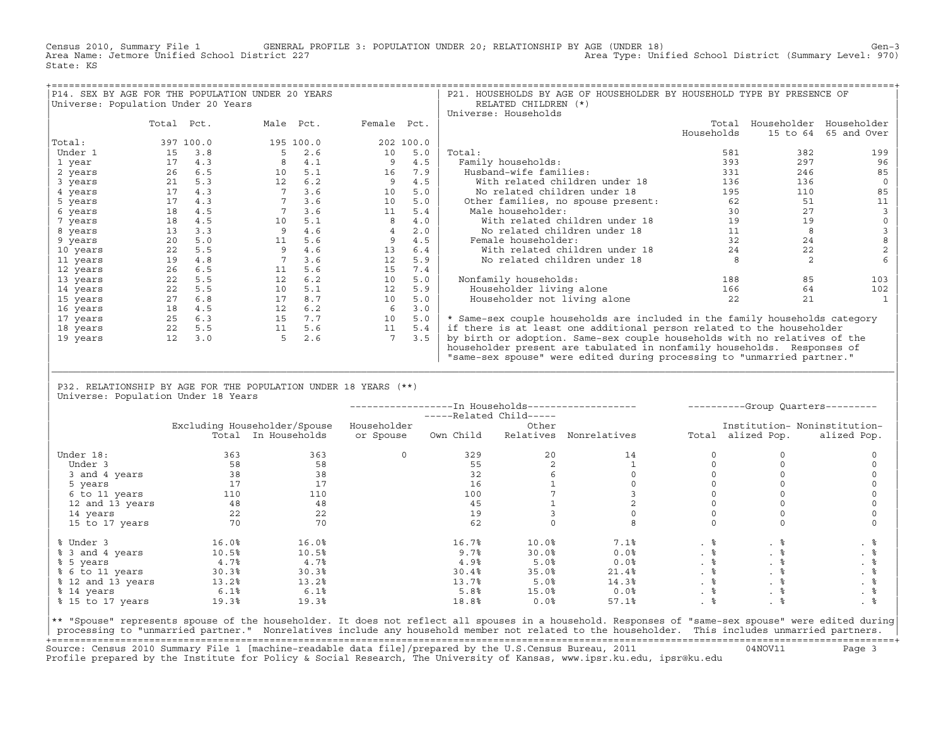Census 2010, Summary File 1 GENERAL PROFILE 3: POPULATION UNDER 20; RELATIONSHIP BY AGE (UNDER 18) Gen−3<br>Area Name: Jetmore Unified School District 227 Area Type: Unified School District (Summary Level: 970) State: KS

|                                     |            |           | P14. SEX BY AGE FOR THE POPULATION UNDER 20 YEARS |     |                |           | P21. HOUSEHOLDS BY AGE OF HOUSEHOLDER BY HOUSEHOLD TYPE BY PRESENCE OF      |            |          |                         |
|-------------------------------------|------------|-----------|---------------------------------------------------|-----|----------------|-----------|-----------------------------------------------------------------------------|------------|----------|-------------------------|
| Universe: Population Under 20 Years |            |           |                                                   |     |                |           | RELATED CHILDREN (*)                                                        |            |          |                         |
|                                     |            |           |                                                   |     |                |           | Universe: Households                                                        |            |          |                         |
|                                     | Total Pct. |           | Male Pct.                                         |     | Female Pct.    |           |                                                                             | Total      |          | Householder Householder |
|                                     |            |           |                                                   |     |                |           |                                                                             | Households | 15 to 64 | 65 and Over             |
| Total:                              |            | 397 100.0 | 195 100.0                                         |     |                | 202 100.0 |                                                                             |            |          |                         |
| Under 1                             | 15         | 3.8       |                                                   | 2.6 | 10             | 5.0       | Total:                                                                      | 581        | 382      | 199                     |
| 1 year                              | 17         | 4.3       |                                                   | 4.1 |                | 4.5       | Family households:                                                          | 393        | 297      | 96                      |
| 2 years                             | 26         | 6.5       | 10                                                | 5.1 | 16             | 7.9       | Husband-wife families:                                                      | 331        | 246      | 85                      |
| 3 years                             | 21         | 5.3       | 12                                                | 6.2 | 9              | 4.5       | With related children under 18                                              | 136        | 136      |                         |
| 4 years                             | 17         | 4.3       |                                                   | 3.6 | 10             | 5.0       | No related children under 18                                                | 195        | 110      | 85                      |
| 5 years                             | 17         | 4.3       |                                                   | 3.6 | 10             | 5.0       | Other families, no spouse present:                                          | 62         | 51       | 11                      |
| 6 years                             | 18         | 4.5       |                                                   | 3.6 | 11             | 5.4       | Male householder:                                                           | 30         | 27       |                         |
| 7 years                             | 18         | 4.5       | 10                                                | 5.1 |                | 4.0       | With related children under 18                                              | 19         | 19       |                         |
| 8 years                             | 13         | 3.3       |                                                   | 4.6 | $\overline{4}$ | 2.0       | No related children under 18                                                | 11         | 8        |                         |
| 9 years                             | 20         | 5.0       | 11                                                | 5.6 | 9              | 4.5       | Female householder:                                                         | 32         | 24       |                         |
| 10 years                            | 22         | 5.5       |                                                   | 4.6 | 13             | 6.4       | With related children under 18                                              | 24         | 22       |                         |
| 11 years                            | 19         | 4.8       |                                                   | 3.6 | 12             | 5.9       | No related children under 18                                                |            |          |                         |
| 12 years                            | 26         | 6.5       | 11                                                | 5.6 | 15             | 7.4       |                                                                             |            |          |                         |
| 13 years                            | 22         | 5.5       | 12                                                | 6.2 | 10             | 5.0       | Nonfamily households:                                                       | 188        | 85       | 103                     |
| 14 years                            | 22         | 5.5       | 10                                                | 5.1 | 12             | 5.9       | Householder living alone                                                    | 166        | 64       | 102                     |
| 15 years                            | 27         | 6.8       | 17                                                | 8.7 | 10             | 5.0       | Householder not living alone                                                | 22         | 21       |                         |
| 16 years                            | 18         | 4.5       | 12                                                | 6.2 | -6             | 3.0       |                                                                             |            |          |                         |
| 17 years                            | 25         | 6.3       | 15                                                | 7.7 | 10             | 5.0       | * Same-sex couple households are included in the family households category |            |          |                         |
| 18 years                            | 22         | 5.5       | 11                                                | 5.6 | 11             | 5.4       | if there is at least one additional person related to the householder       |            |          |                         |
| 19 years                            | 12         | 3.0       |                                                   | 2.6 |                | 3.5       | by birth or adoption. Same-sex couple households with no relatives of the   |            |          |                         |
|                                     |            |           |                                                   |     |                |           | householder present are tabulated in nonfamily households. Responses of     |            |          |                         |
|                                     |            |           |                                                   |     |                |           | "same-sex spouse" were edited during processing to "unmarried partner."     |            |          |                         |

| P32. RELATIONSHIP BY AGE FOR THE POPULATION UNDER 18 YEARS (\*\*) | Universe: Population Under 18 Years

|                   |       |                              |             | -----Related Child----- |       |                        |           |                   | ----------Group Quarters--------- |
|-------------------|-------|------------------------------|-------------|-------------------------|-------|------------------------|-----------|-------------------|-----------------------------------|
|                   |       | Excluding Householder/Spouse | Householder |                         | Other |                        |           |                   | Institution- Noninstitution-      |
|                   |       | Total In Households          | or Spouse   | Own Child               |       | Relatives Nonrelatives |           | Total alized Pop. | alized Pop.                       |
| Under 18:         | 363   | 363                          | $\Omega$    | 329                     | 20    | 14                     |           |                   |                                   |
| Under 3           | 58    | 58                           |             | 55                      |       |                        |           |                   |                                   |
| 3 and 4 years     | 38    | 38                           |             | 32                      |       |                        |           |                   |                                   |
| 5 years           | 17    | 17                           |             | 16                      |       |                        |           |                   |                                   |
| 6 to 11 years     | 110   | 110                          |             | 100                     |       |                        |           |                   |                                   |
| 12 and 13 years   | 48    | 48                           |             | 45                      |       |                        |           |                   |                                   |
| 14 years          | 22    | 22                           |             | 19                      |       |                        |           |                   |                                   |
| 15 to 17 years    | 70    | 70                           |             | 62                      |       |                        |           |                   |                                   |
| % Under 3         | 16.0% | 16.0%                        |             | 16.7%                   | 10.0% | 7.1%                   | . 응       | . 응               | . 응                               |
| % 3 and 4 years   | 10.5% | 10.5%                        |             | 9.7%                    | 30.0% | 0.0%                   | $. \circ$ | . ៖               | . 응                               |
| % 5 years         | 4.7%  | 4.7%                         |             | 4.9%                    | 5.0%  | 0.0%                   | . 응       | . 응               | . 응                               |
| % 6 to 11 years   | 30.3% | 30.3%                        |             | 30.4%                   | 35.0% | 21.4%                  | . 응       | . 응               | . 응                               |
| % 12 and 13 years | 13.2% | 13.2%                        |             | 13.7%                   | 5.0%  | 14.3%                  | . 응       |                   | . 응                               |
| % 14 years        | 6.1%  | 6.1%                         |             | 5.8%                    | 15.0% | 0.0%                   | . 응       | . 응               | . 응                               |
| % 15 to 17 years  | 19.3% | 19.3%                        |             | 18.8%                   | 0.0%  | 57.1%                  | .  응      |                   |                                   |

|\_\_\_\_\_\_\_\_\_\_\_\_\_\_\_\_\_\_\_\_\_\_\_\_\_\_\_\_\_\_\_\_\_\_\_\_\_\_\_\_\_\_\_\_\_\_\_\_\_\_\_\_\_\_\_\_\_\_\_\_\_\_\_\_\_\_\_\_\_\_\_\_\_\_\_\_\_\_\_\_\_\_\_\_\_\_\_\_\_\_\_\_\_\_\_\_\_\_\_\_\_\_\_\_\_\_\_\_\_\_\_\_\_\_\_\_\_\_\_\_\_\_\_\_\_\_\_\_\_\_\_\_\_\_\_\_\_\_\_\_\_\_\_\_\_\_\_| | |

|\*\* "Spouse" represents spouse of the householder. It does not reflect all spouses in a household. Responses of "same−sex spouse" were edited during| processing to "unmarried partner." Nonrelatives include any household member not related to the householder. This includes unmarried partners. +===================================================================================================================================================+ Source: Census 2010 Summary File 1 [machine−readable data file]/prepared by the U.S.Census Bureau, 2011 04NOV11 Page 3 Profile prepared by the Institute for Policy & Social Research, The University of Kansas, www.ipsr.ku.edu, ipsr@ku.edu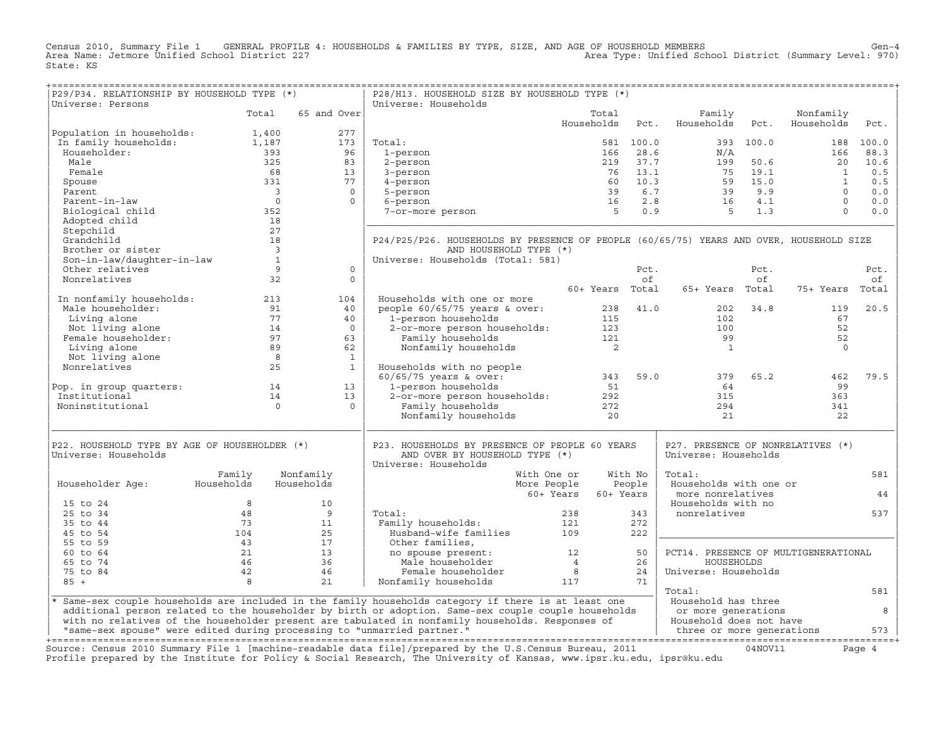Census 2010, Summary File 1 GENERAL PROFILE 4: HOUSEHOLDS & FAMILIES BY TYPE, SIZE, AND AGE OF HOUSEHOLD MEMBERS<br>Area Name: Jetmore Unified School District 227 State: KS

| P29/P34. RELATIONSHIP BY HOUSEHOLD TYPE (*)                                                                                        |                                         |                | P28/H13. HOUSEHOLD SIZE BY HOUSEHOLD TYPE (*)                                                                          |                                              |            |                                      |           |                         |           |
|------------------------------------------------------------------------------------------------------------------------------------|-----------------------------------------|----------------|------------------------------------------------------------------------------------------------------------------------|----------------------------------------------|------------|--------------------------------------|-----------|-------------------------|-----------|
| Universe: Persons                                                                                                                  |                                         |                | Universe: Households                                                                                                   |                                              |            |                                      |           |                         |           |
|                                                                                                                                    | Total                                   | 65 and Over    |                                                                                                                        | Total<br>Households                          | Pct.       | Family<br>Households                 | Pct.      | Nonfamily<br>Households | Pct.      |
|                                                                                                                                    |                                         | 277            |                                                                                                                        |                                              |            |                                      |           |                         |           |
| Population in households: 1,400<br>In family households: 1,187<br>1,187                                                            |                                         | 173            | Total:                                                                                                                 |                                              | 581 100.0  |                                      | 393 100.0 |                         | 188 100.0 |
| Householder:                                                                                                                       |                                         | 96             | 1-person                                                                                                               |                                              |            |                                      |           | 166                     | 88.3      |
| Male                                                                                                                               | $393$<br>$325$                          | 83             | 2-person                                                                                                               |                                              |            |                                      |           | 20                      | 10.6      |
| Female                                                                                                                             | 68                                      | 13             | 3-person                                                                                                               |                                              |            |                                      |           | $\overline{\mathbf{1}}$ | 0.5       |
| Spouse                                                                                                                             | 331                                     | 77             | 4-person                                                                                                               |                                              |            |                                      |           | $\overline{1}$          | 0.5       |
| Parent                                                                                                                             | $\overline{\mathbf{3}}$                 | $\overline{0}$ | 5-person                                                                                                               |                                              |            |                                      |           | $\overline{0}$          | 0.0       |
| Parent-in-law                                                                                                                      | $\overline{0}$                          | $\Omega$       | 6-person                                                                                                               |                                              |            |                                      |           | $\overline{0}$          | 0.0       |
| Biological child                                                                                                                   | 352                                     |                | 7-or-more person                                                                                                       |                                              |            |                                      |           | $\Omega$                | 0.0       |
| Adopted child                                                                                                                      |                                         |                |                                                                                                                        |                                              |            |                                      |           |                         |           |
| Stepchild                                                                                                                          | $\begin{array}{c} 18 \\ 27 \end{array}$ |                |                                                                                                                        |                                              |            |                                      |           |                         |           |
| Grandchild                                                                                                                         | 18                                      |                | P24/P25/P26. HOUSEHOLDS BY PRESENCE OF PEOPLE (60/65/75) YEARS AND OVER, HOUSEHOLD SIZE                                |                                              |            |                                      |           |                         |           |
| Brother or sister                                                                                                                  |                                         |                | AND HOUSEHOLD TYPE (*)                                                                                                 |                                              |            |                                      |           |                         |           |
| Son-in-law/daughter-in-law                                                                                                         | $\begin{array}{c} 3 \\ 1 \end{array}$   |                | Universe: Households (Total: 581)                                                                                      |                                              |            |                                      |           |                         |           |
| Other relatives                                                                                                                    | 9                                       | $\Omega$       |                                                                                                                        |                                              | Pct.       |                                      | Pct.      |                         | Pct.      |
| Nonrelatives                                                                                                                       | $\sim$ 32                               | $\Omega$       |                                                                                                                        |                                              | of         |                                      | of        |                         | оf        |
|                                                                                                                                    |                                         |                |                                                                                                                        | 60+ Years Total                              |            | 65+ Years Total                      |           | 75+ Years               | Total     |
| In nonfamily households: 213                                                                                                       |                                         | 104            | Households with one or more                                                                                            |                                              |            |                                      |           |                         |           |
| Male householder:                                                                                                                  | 91                                      | 40             | people 60/65/75 years & over:                                                                                          |                                              |            | 238 41.0                             | 202 34.8  | 119                     | 20.5      |
| 91<br>Not living alone<br>Female householder:<br>Living alone<br>Not living alone<br>Norrelatives<br>93<br>93<br>Nonrelatives<br>8 |                                         | 40             | 1-person households<br>2-or-more person households: 123<br>2-or-more person households: 123                            |                                              |            | 102                                  |           | 67                      |           |
|                                                                                                                                    |                                         | $\overline{0}$ |                                                                                                                        |                                              |            | 100                                  |           | 52                      |           |
|                                                                                                                                    |                                         | 63             |                                                                                                                        |                                              |            | 99                                   |           | 52                      |           |
|                                                                                                                                    |                                         | 62             | Nonfamily households                                                                                                   | $\overline{\phantom{0}}^2$                   |            | $\overline{1}$                       |           | $\circ$                 |           |
|                                                                                                                                    |                                         | <sup>1</sup>   |                                                                                                                        |                                              |            |                                      |           |                         |           |
|                                                                                                                                    |                                         | $\mathbf{1}$   | Households with no people                                                                                              |                                              |            |                                      |           |                         |           |
|                                                                                                                                    |                                         |                | ADUSE IN THE INTERNATIONAL STREET AND 1-<br>1-person households 51<br>2-or-more person households: 292                 | $\begin{array}{c} 343 \\ 51 \end{array}$     | 59.0       | 379                                  | 65.2      | 462                     | 79.5      |
| Pop. in group quarters: 14                                                                                                         |                                         | 13             |                                                                                                                        |                                              |            | 64                                   |           | 99                      |           |
| Institutional                                                                                                                      | 14                                      | 13             |                                                                                                                        |                                              |            | 315                                  |           | 363                     |           |
| Noninstitutional                                                                                                                   | $\overline{0}$                          | $\Omega$       |                                                                                                                        |                                              |            | 294                                  |           | 341                     |           |
|                                                                                                                                    |                                         |                | 272 / 10008010108 272<br>Nonfamily households 20                                                                       |                                              |            | 21                                   |           | 22                      |           |
|                                                                                                                                    |                                         |                |                                                                                                                        |                                              |            |                                      |           |                         |           |
| P22. HOUSEHOLD TYPE BY AGE OF HOUSEHOLDER (*)                                                                                      |                                         |                | P23. HOUSEHOLDS BY PRESENCE OF PEOPLE 60 YEARS                                                                         |                                              |            | P27. PRESENCE OF NONRELATIVES (*)    |           |                         |           |
| Universe: Households                                                                                                               |                                         |                | AND OVER BY HOUSEHOLD TYPE (*)                                                                                         |                                              |            | Universe: Households                 |           |                         |           |
|                                                                                                                                    |                                         |                | Universe: Households                                                                                                   |                                              |            |                                      |           |                         |           |
|                                                                                                                                    | Family                                  | Nonfamily      | With One or                                                                                                            |                                              | With No    | Total:                               |           |                         | 581       |
| Householder Aqe:                                                                                                                   | Households                              | Households     | More People                                                                                                            |                                              | People     | Households with one or               |           |                         |           |
|                                                                                                                                    |                                         |                | 60+ Years                                                                                                              | 60+ Years                                    |            | more nonrelatives                    |           |                         | 44        |
| 15 to 24                                                                                                                           | 8                                       | 10             |                                                                                                                        |                                              |            | Households with no                   |           |                         |           |
| 25 to 34                                                                                                                           | 48                                      | $\overline{9}$ | Total:                                                                                                                 | 238                                          | 343        | nonrelatives                         |           |                         | 537       |
| 35 to 44                                                                                                                           | 73                                      | 11<br>25       | Family households:<br>Husband-wife families 109                                                                        | 121                                          | 272<br>222 |                                      |           |                         |           |
| 45 to 54                                                                                                                           | 104                                     |                |                                                                                                                        |                                              |            |                                      |           |                         |           |
| 55 to 59<br>60 to 64                                                                                                               | 43<br>21                                | 17<br>13       | Other families,                                                                                                        |                                              | 50         | PCT14. PRESENCE OF MULTIGENERATIONAL |           |                         |           |
| 65 to 74                                                                                                                           | 46                                      | 36             | no spouse present:<br>Male householder                                                                                 | 12                                           | 26         |                                      |           |                         |           |
|                                                                                                                                    | 42                                      | 46             | Female householder                                                                                                     | $\overline{4}$<br>$\overline{\phantom{0}}$ 8 | 24         | HOUSEHOLDS<br>Universe: Households   |           |                         |           |
| 75 to 84<br>$85 +$                                                                                                                 | 8 <sup>8</sup>                          | 21             | Nonfamily households                                                                                                   | 117                                          | 71         |                                      |           |                         |           |
|                                                                                                                                    |                                         |                |                                                                                                                        |                                              |            | Total:                               |           |                         | 581       |
|                                                                                                                                    |                                         |                | * Same-sex couple households are included in the family households category if there is at least one                   |                                              |            | Household has three                  |           |                         |           |
|                                                                                                                                    |                                         |                | additional person related to the householder by birth or adoption. Same-sex couple couple households                   |                                              |            | or more generations                  |           |                         | 8         |
|                                                                                                                                    |                                         |                | with no relatives of the householder present are tabulated in nonfamily households. Responses of                       |                                              |            | Household does not have              |           |                         |           |
| "same-sex spouse" were edited during processing to "unmarried partner."                                                            |                                         |                |                                                                                                                        |                                              |            | three or more generations            |           |                         | 573       |
|                                                                                                                                    |                                         |                |                                                                                                                        |                                              |            |                                      |           |                         |           |
|                                                                                                                                    |                                         |                | Source: Census 2010 Summary File 1 [machine-readable data file]/prepared by the U.S.Census Bureau, 2011                |                                              |            |                                      | 04NOV11   |                         | Page 4    |
|                                                                                                                                    |                                         |                | Profile prepared by the Institute for Policy & Social Research, The University of Kansas, www.ipsr.ku.edu, ipsr@ku.edu |                                              |            |                                      |           |                         |           |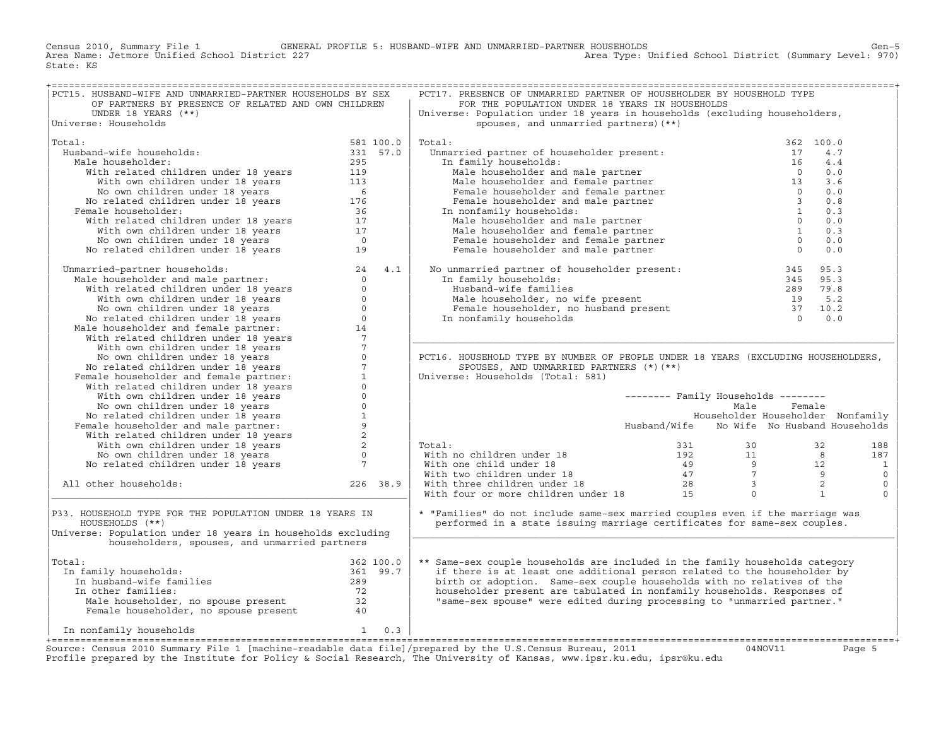Census 2010, Summary File 1 GENERAL PROFILE 5: HUSBAND−WIFE AND UNMARRIED−PARTNER HOUSEHOLDS Gen−5 Area Type: Unified School District (Summary Level: 970) State: KS

| PCT15. HUSBAND-WIFE AND UNMARRIED-PARTNER HOUSEHOLDS BY SEX                                                                                                                                                                                |          | PCT17. PRESENCE OF UNMARRIED PARTNER OF HOUSEHOLDER BY HOUSEHOLD TYPE                                                                                                                                                                                                                                                                                      |                                            |           |                          |
|--------------------------------------------------------------------------------------------------------------------------------------------------------------------------------------------------------------------------------------------|----------|------------------------------------------------------------------------------------------------------------------------------------------------------------------------------------------------------------------------------------------------------------------------------------------------------------------------------------------------------------|--------------------------------------------|-----------|--------------------------|
| OF PARTNERS BY PRESENCE OF RELATED AND OWN CHILDREN                                                                                                                                                                                        |          | FOR THE POPULATION UNDER 18 YEARS IN HOUSEHOLDS                                                                                                                                                                                                                                                                                                            |                                            |           |                          |
| UNDER 18 YEARS $(**)$                                                                                                                                                                                                                      |          | Universe: Population under 18 years in households (excluding householders,                                                                                                                                                                                                                                                                                 |                                            |           |                          |
| Universe: Households                                                                                                                                                                                                                       |          | spouses, and unmarried partners) (**)                                                                                                                                                                                                                                                                                                                      |                                            |           |                          |
|                                                                                                                                                                                                                                            |          |                                                                                                                                                                                                                                                                                                                                                            |                                            |           |                          |
| Total:<br>581 100.0<br>331 57.0                                                                                                                                                                                                            |          | Total:                                                                                                                                                                                                                                                                                                                                                     |                                            | 362 100.0 |                          |
| Husband-wife households:                                                                                                                                                                                                                   |          |                                                                                                                                                                                                                                                                                                                                                            |                                            |           |                          |
| Male householder:                                                                                                                                                                                                                          |          |                                                                                                                                                                                                                                                                                                                                                            |                                            |           |                          |
|                                                                                                                                                                                                                                            |          |                                                                                                                                                                                                                                                                                                                                                            |                                            |           |                          |
|                                                                                                                                                                                                                                            |          |                                                                                                                                                                                                                                                                                                                                                            |                                            |           |                          |
|                                                                                                                                                                                                                                            |          |                                                                                                                                                                                                                                                                                                                                                            |                                            |           |                          |
|                                                                                                                                                                                                                                            |          |                                                                                                                                                                                                                                                                                                                                                            |                                            |           |                          |
| Female householder:                                                                                                                                                                                                                        |          |                                                                                                                                                                                                                                                                                                                                                            |                                            |           |                          |
|                                                                                                                                                                                                                                            |          |                                                                                                                                                                                                                                                                                                                                                            |                                            |           |                          |
|                                                                                                                                                                                                                                            |          |                                                                                                                                                                                                                                                                                                                                                            |                                            |           |                          |
|                                                                                                                                                                                                                                            |          |                                                                                                                                                                                                                                                                                                                                                            |                                            |           |                          |
|                                                                                                                                                                                                                                            |          |                                                                                                                                                                                                                                                                                                                                                            |                                            |           |                          |
| band-wire households:<br>Sale householder:<br>With related children under 18 years<br>With related children under 18 years<br>With own children under 18 years<br>No own children under 18 years<br>For the lower of the cemale householde |          | % botal:<br>Unmarried partner of householder present:<br>In family households:<br>Male householder and male partner<br>Male householder and female partner<br>Male householder and female partner<br>Female householder and male partner<br>                                                                                                               |                                            |           |                          |
| Unmarried-partner households:<br>Male householder and male partner:<br>With related children under 18 years<br>Wo wo children under 18 years<br>No own children under 18 years<br>No related children under 18 years<br>Male householder a |          | No unmarried partner of householder present: $\begin{array}{llllllll} 345 & 95.3 \\ \text{In family households:} & 345 & 95.3 \\ \text{Hushand-wife families} & 289 & 79.8 \\ \text{Male householder, no wife present} & 19 & 5.2 \\ \text{Female householder, no husband present} & 37 & 10.2 \\ \text{In nonfamily households} & 0 & 0.0 \\ \end{array}$ |                                            |           |                          |
|                                                                                                                                                                                                                                            |          |                                                                                                                                                                                                                                                                                                                                                            |                                            |           |                          |
|                                                                                                                                                                                                                                            |          |                                                                                                                                                                                                                                                                                                                                                            |                                            |           |                          |
|                                                                                                                                                                                                                                            |          |                                                                                                                                                                                                                                                                                                                                                            |                                            |           |                          |
|                                                                                                                                                                                                                                            |          |                                                                                                                                                                                                                                                                                                                                                            |                                            |           |                          |
|                                                                                                                                                                                                                                            |          |                                                                                                                                                                                                                                                                                                                                                            |                                            |           |                          |
|                                                                                                                                                                                                                                            |          |                                                                                                                                                                                                                                                                                                                                                            |                                            |           |                          |
|                                                                                                                                                                                                                                            |          |                                                                                                                                                                                                                                                                                                                                                            |                                            |           |                          |
|                                                                                                                                                                                                                                            |          |                                                                                                                                                                                                                                                                                                                                                            |                                            |           |                          |
|                                                                                                                                                                                                                                            |          |                                                                                                                                                                                                                                                                                                                                                            |                                            |           |                          |
|                                                                                                                                                                                                                                            |          | PCT16. HOUSEHOLD TYPE BY NUMBER OF PEOPLE UNDER 18 YEARS (EXCLUDING HOUSEHOLDERS,                                                                                                                                                                                                                                                                          |                                            |           |                          |
|                                                                                                                                                                                                                                            |          | SPOUSES, AND UNMARRIED PARTNERS (*) (**)                                                                                                                                                                                                                                                                                                                   |                                            |           |                          |
|                                                                                                                                                                                                                                            |          | Universe: Households (Total: 581)                                                                                                                                                                                                                                                                                                                          |                                            |           |                          |
|                                                                                                                                                                                                                                            |          |                                                                                                                                                                                                                                                                                                                                                            |                                            |           |                          |
|                                                                                                                                                                                                                                            |          |                                                                                                                                                                                                                                                                                                                                                            | -------- Family Households --------        |           |                          |
|                                                                                                                                                                                                                                            |          |                                                                                                                                                                                                                                                                                                                                                            | Male                                       | Female    |                          |
|                                                                                                                                                                                                                                            |          |                                                                                                                                                                                                                                                                                                                                                            | Householder Householder Nonfamily          |           |                          |
|                                                                                                                                                                                                                                            |          |                                                                                                                                                                                                                                                                                                                                                            | Husband/Wife No Wife No Husband Households |           |                          |
|                                                                                                                                                                                                                                            |          |                                                                                                                                                                                                                                                                                                                                                            |                                            |           |                          |
|                                                                                                                                                                                                                                            |          | Total:                                                                                                                                                                                                                                                                                                                                                     |                                            |           | 188                      |
|                                                                                                                                                                                                                                            |          |                                                                                                                                                                                                                                                                                                                                                            |                                            |           | 187                      |
|                                                                                                                                                                                                                                            |          |                                                                                                                                                                                                                                                                                                                                                            |                                            |           | $\overline{\phantom{a}}$ |
| No own children under 18 years<br>No related children under 18 years<br>Female householder and male partner:<br>With related children under 18 years<br>With own children under 18 years<br>No own children under 18 years<br>No related c |          |                                                                                                                                                                                                                                                                                                                                                            |                                            |           | $\circ$                  |
| All other households:                                                                                                                                                                                                                      | 226 38.9 |                                                                                                                                                                                                                                                                                                                                                            |                                            |           | $\mathsf{O}$             |
|                                                                                                                                                                                                                                            |          | Total: 331 30 32<br>With no children under 18 192 11 8<br>With one child under 18 49 9 12<br>With two children under 18 47 7 9<br>With three children under 18 28 3 2<br>With four or more children under 18 15 0 1                                                                                                                                        |                                            |           | $\Omega$                 |
|                                                                                                                                                                                                                                            |          |                                                                                                                                                                                                                                                                                                                                                            |                                            |           |                          |
| P33. HOUSEHOLD TYPE FOR THE POPULATION UNDER 18 YEARS IN                                                                                                                                                                                   |          | * "Families" do not include same-sex married couples even if the marriage was                                                                                                                                                                                                                                                                              |                                            |           |                          |
| HOUSEHOLDS (**)                                                                                                                                                                                                                            |          | performed in a state issuing marriage certificates for same-sex couples.                                                                                                                                                                                                                                                                                   |                                            |           |                          |
| Universe: Population under 18 years in households excluding                                                                                                                                                                                |          |                                                                                                                                                                                                                                                                                                                                                            |                                            |           |                          |
| householders, spouses, and unmarried partners                                                                                                                                                                                              |          |                                                                                                                                                                                                                                                                                                                                                            |                                            |           |                          |
|                                                                                                                                                                                                                                            |          |                                                                                                                                                                                                                                                                                                                                                            |                                            |           |                          |
| Total:                                                                                                                                                                                                                                     |          | ** Same-sex couple households are included in the family households category                                                                                                                                                                                                                                                                               |                                            |           |                          |
| In family households:                                                                                                                                                                                                                      |          | if there is at least one additional person related to the householder by                                                                                                                                                                                                                                                                                   |                                            |           |                          |
|                                                                                                                                                                                                                                            |          | birth or adoption. Same-sex couple households with no relatives of the                                                                                                                                                                                                                                                                                     |                                            |           |                          |
| al: 362 100.0<br>n family households: 361 99.7<br>In husband-wife families 289<br>Th other families 72<br>In other families:                                                                                                               |          | householder present are tabulated in nonfamily households. Responses of                                                                                                                                                                                                                                                                                    |                                            |           |                          |
|                                                                                                                                                                                                                                            |          | "same-sex spouse" were edited during processing to "unmarried partner."                                                                                                                                                                                                                                                                                    |                                            |           |                          |
|                                                                                                                                                                                                                                            |          |                                                                                                                                                                                                                                                                                                                                                            |                                            |           |                          |
| Male householder, no spouse present<br>Female householder, no spouse present<br>40                                                                                                                                                         |          |                                                                                                                                                                                                                                                                                                                                                            |                                            |           |                          |
| $1 \t 0.3$<br>In nonfamily households                                                                                                                                                                                                      |          |                                                                                                                                                                                                                                                                                                                                                            |                                            |           |                          |
|                                                                                                                                                                                                                                            |          |                                                                                                                                                                                                                                                                                                                                                            |                                            |           |                          |
|                                                                                                                                                                                                                                            |          |                                                                                                                                                                                                                                                                                                                                                            |                                            |           |                          |

Source: Census 2010 Summary File 1 [machine-readable data file]/prepared by the U.S.Census Bureau, 2011 Page 5<br>Profile prepared by the Institute for Policy & Social Research, The University of Kansas, www.ip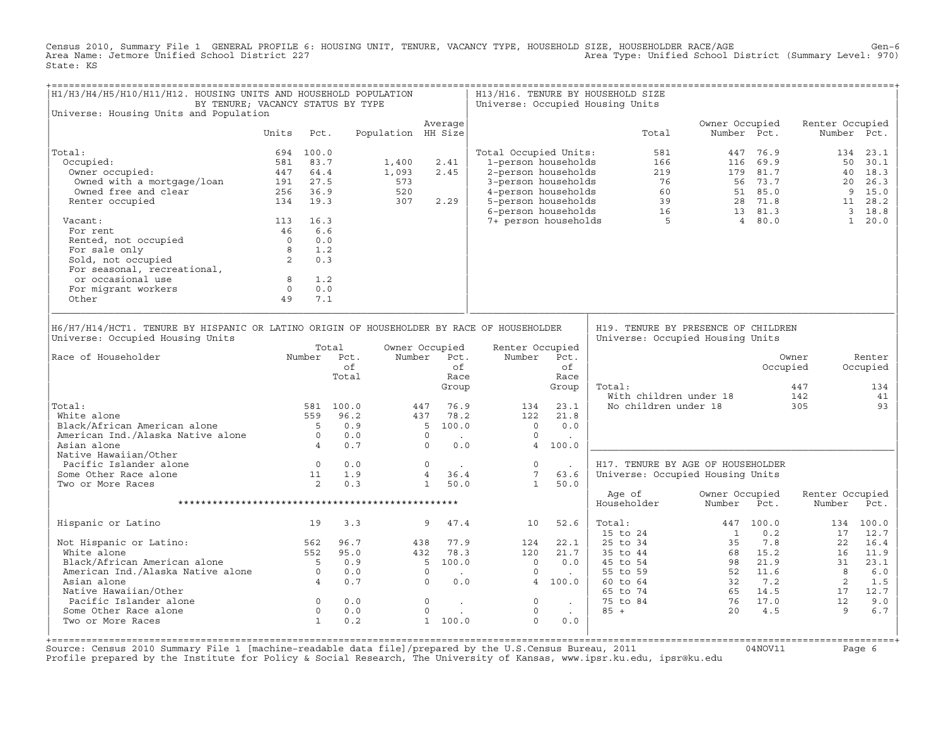Census 2010, Summary File 1 GENERAL PROFILE 6: HOUSING UNIT, TENURE, VACANCY TYPE, HOUSEHOLD SIZE, HOUSEHOLDER RACE/AGE<br>Area Name: Jetmore Unified School District 227 State: KS

| H1/H3/H4/H5/H10/H11/H12. HOUSING UNITS AND HOUSEHOLD POPULATION<br>BY TENURE; VACANCY STATUS BY TYPE<br>Universe: Housing Units and Population |                                                  |                                                        |             |                    |                |                          |                       |                    | H13/H16. TENURE BY HOUSEHOLD SIZE<br>Universe: Occupied Housing Units                                                                                                                                                                                  |                           |             |                                                                                                                                                                                                                                                                                                                                                                    |             |
|------------------------------------------------------------------------------------------------------------------------------------------------|--------------------------------------------------|--------------------------------------------------------|-------------|--------------------|----------------|--------------------------|-----------------------|--------------------|--------------------------------------------------------------------------------------------------------------------------------------------------------------------------------------------------------------------------------------------------------|---------------------------|-------------|--------------------------------------------------------------------------------------------------------------------------------------------------------------------------------------------------------------------------------------------------------------------------------------------------------------------------------------------------------------------|-------------|
|                                                                                                                                                | Units                                            | Pct.                                                   |             | Population HH Size | Average        |                          |                       |                    | Total                                                                                                                                                                                                                                                  | Owner Occupied            | Number Pct. | Renter Occupied                                                                                                                                                                                                                                                                                                                                                    | Number Pct. |
|                                                                                                                                                |                                                  |                                                        |             |                    |                |                          |                       |                    |                                                                                                                                                                                                                                                        |                           |             |                                                                                                                                                                                                                                                                                                                                                                    |             |
| Total:                                                                                                                                         |                                                  | 694 100.0                                              |             |                    |                |                          | Total Occupied Units: |                    | 581                                                                                                                                                                                                                                                    |                           | 447 76.9    |                                                                                                                                                                                                                                                                                                                                                                    | 134 23.1    |
| Occupied:                                                                                                                                      |                                                  | 581 83.7                                               |             | 1,400              | 2.41           |                          | 1-person households   |                    | 166                                                                                                                                                                                                                                                    |                           | 116 69.9    |                                                                                                                                                                                                                                                                                                                                                                    | 50 30.1     |
| Owner occupied:                                                                                                                                |                                                  | 447 64.4                                               |             | 1,093              | 2.45           |                          |                       |                    |                                                                                                                                                                                                                                                        |                           |             |                                                                                                                                                                                                                                                                                                                                                                    | 40 18.3     |
| Owned with a mortgage/loan                                                                                                                     |                                                  | 191 27.5                                               |             | 573                |                |                          |                       |                    |                                                                                                                                                                                                                                                        |                           |             |                                                                                                                                                                                                                                                                                                                                                                    | 20 26.3     |
| Owned free and clear                                                                                                                           |                                                  | 256 36.9                                               |             | 520                |                |                          |                       |                    |                                                                                                                                                                                                                                                        |                           |             |                                                                                                                                                                                                                                                                                                                                                                    | 9 15.0      |
| Renter occupied                                                                                                                                |                                                  | 134 19.3                                               |             | 307                | 2.29           |                          |                       |                    |                                                                                                                                                                                                                                                        |                           |             |                                                                                                                                                                                                                                                                                                                                                                    | 11 28.2     |
|                                                                                                                                                |                                                  |                                                        |             |                    |                |                          |                       |                    | 2-person households<br>2-person households<br>4-person households<br>5-person households<br>5-person households<br>6-person households<br>6-person households<br>7+ person households<br>7+ person households<br>7+ person households<br>80<br>81<br>8 |                           |             |                                                                                                                                                                                                                                                                                                                                                                    | 3 18.8      |
| Vacant:                                                                                                                                        |                                                  | 113 16.3                                               |             |                    |                |                          |                       |                    |                                                                                                                                                                                                                                                        |                           |             |                                                                                                                                                                                                                                                                                                                                                                    | 1 20.0      |
| For rent                                                                                                                                       |                                                  | 46 6.6                                                 |             |                    |                |                          |                       |                    |                                                                                                                                                                                                                                                        |                           |             |                                                                                                                                                                                                                                                                                                                                                                    |             |
| Rented, not occupied                                                                                                                           |                                                  | 0.0                                                    |             |                    |                |                          |                       |                    |                                                                                                                                                                                                                                                        |                           |             |                                                                                                                                                                                                                                                                                                                                                                    |             |
| For sale only                                                                                                                                  |                                                  | 1.2                                                    |             |                    |                |                          |                       |                    |                                                                                                                                                                                                                                                        |                           |             |                                                                                                                                                                                                                                                                                                                                                                    |             |
| $\begin{matrix} 0 \\ 0 \\ 8 \\ 2 \end{matrix}$ and,<br>Sold, not occupied                                                                      |                                                  | 0.3                                                    |             |                    |                |                          |                       |                    |                                                                                                                                                                                                                                                        |                           |             |                                                                                                                                                                                                                                                                                                                                                                    |             |
| For seasonal, recreational,                                                                                                                    |                                                  |                                                        |             |                    |                |                          |                       |                    |                                                                                                                                                                                                                                                        |                           |             |                                                                                                                                                                                                                                                                                                                                                                    |             |
| or occasional use                                                                                                                              |                                                  |                                                        |             |                    |                |                          |                       |                    |                                                                                                                                                                                                                                                        |                           |             |                                                                                                                                                                                                                                                                                                                                                                    |             |
| For migrant workers                                                                                                                            | $\begin{matrix} 8 & 1.2 \\ 0 & 0.0 \end{matrix}$ |                                                        |             |                    |                |                          |                       |                    |                                                                                                                                                                                                                                                        |                           |             |                                                                                                                                                                                                                                                                                                                                                                    |             |
| Other                                                                                                                                          | 49                                               | 7.1                                                    |             |                    |                |                          |                       |                    |                                                                                                                                                                                                                                                        |                           |             |                                                                                                                                                                                                                                                                                                                                                                    |             |
| H6/H7/H14/HCT1. TENURE BY HISPANIC OR LATINO ORIGIN OF HOUSEHOLDER BY RACE OF HOUSEHOLDER                                                      |                                                  |                                                        |             |                    |                |                          |                       |                    | H19. TENURE BY PRESENCE OF CHILDREN                                                                                                                                                                                                                    |                           |             |                                                                                                                                                                                                                                                                                                                                                                    |             |
| Universe: Occupied Housing Units                                                                                                               |                                                  |                                                        |             |                    |                |                          |                       |                    | Universe: Occupied Housing Units                                                                                                                                                                                                                       |                           |             |                                                                                                                                                                                                                                                                                                                                                                    |             |
|                                                                                                                                                |                                                  |                                                        | Total       |                    | Owner Occupied |                          | Renter Occupied       |                    |                                                                                                                                                                                                                                                        |                           |             |                                                                                                                                                                                                                                                                                                                                                                    |             |
| Race of Householder                                                                                                                            |                                                  |                                                        | Number Pct. |                    | Number Pct.    |                          | Number Pct.           |                    |                                                                                                                                                                                                                                                        |                           |             | Owner                                                                                                                                                                                                                                                                                                                                                              | Renter      |
|                                                                                                                                                |                                                  |                                                        | of          |                    |                | of                       |                       | of                 |                                                                                                                                                                                                                                                        |                           |             | Occupied                                                                                                                                                                                                                                                                                                                                                           | Occupied    |
|                                                                                                                                                |                                                  |                                                        | Total       |                    |                | Race                     |                       | Race               |                                                                                                                                                                                                                                                        |                           |             |                                                                                                                                                                                                                                                                                                                                                                    |             |
|                                                                                                                                                |                                                  |                                                        |             |                    |                | Group                    |                       | Group              | Total:                                                                                                                                                                                                                                                 |                           |             | 447                                                                                                                                                                                                                                                                                                                                                                | 134         |
|                                                                                                                                                |                                                  |                                                        |             |                    |                |                          |                       |                    | With children under 18                                                                                                                                                                                                                                 |                           |             | 142                                                                                                                                                                                                                                                                                                                                                                | 41          |
| Total:                                                                                                                                         |                                                  |                                                        | 581 100.0   |                    | 447            | 76.9                     | 134                   | 23.1               | No children under 18                                                                                                                                                                                                                                   |                           |             | 305                                                                                                                                                                                                                                                                                                                                                                | 93          |
| White alone                                                                                                                                    |                                                  |                                                        | 559 96.2    |                    | 437            | 78.2                     | 122                   | 21.8               |                                                                                                                                                                                                                                                        |                           |             |                                                                                                                                                                                                                                                                                                                                                                    |             |
| Black/African American alone                                                                                                                   |                                                  | $5^{\circ}$                                            | 0.9         |                    | 5 100.0        |                          | $\overline{0}$        | 0.0                |                                                                                                                                                                                                                                                        |                           |             |                                                                                                                                                                                                                                                                                                                                                                    |             |
| American Ind./Alaska Native alone 0                                                                                                            |                                                  |                                                        | 0.0         |                    | $\circ$        | <b>Contract Contract</b> | $\Omega$              | $\sim 10^{-1}$     |                                                                                                                                                                                                                                                        |                           |             |                                                                                                                                                                                                                                                                                                                                                                    |             |
| Asian alone                                                                                                                                    |                                                  | $4\overline{4}$                                        | 0.7         |                    | $\Omega$       | 0.0                      |                       | 4 100.0            |                                                                                                                                                                                                                                                        |                           |             |                                                                                                                                                                                                                                                                                                                                                                    |             |
| Native Hawaiian/Other                                                                                                                          |                                                  |                                                        |             |                    |                |                          |                       |                    |                                                                                                                                                                                                                                                        |                           |             |                                                                                                                                                                                                                                                                                                                                                                    |             |
| Pacific Islander alone                                                                                                                         |                                                  |                                                        | 0.0         |                    | $\circ$        |                          | $\circ$               |                    | H17. TENURE BY AGE OF HOUSEHOLDER                                                                                                                                                                                                                      |                           |             |                                                                                                                                                                                                                                                                                                                                                                    |             |
| Some Other Race alone                                                                                                                          |                                                  |                                                        | 1.9         |                    | 4 36.4         | <b>Contractor</b>        | $7\overline{ }$       | $\sim$ $-$<br>63.6 |                                                                                                                                                                                                                                                        |                           |             |                                                                                                                                                                                                                                                                                                                                                                    |             |
|                                                                                                                                                |                                                  | $\begin{matrix}0\\11\\2\end{matrix}$<br>$\overline{2}$ | 0.3         |                    |                |                          | 1                     |                    | Universe: Occupied Housing Units                                                                                                                                                                                                                       |                           |             |                                                                                                                                                                                                                                                                                                                                                                    |             |
| Two or More Races                                                                                                                              |                                                  |                                                        |             |                    | 1 50.0         |                          |                       | 50.0               | Age of                                                                                                                                                                                                                                                 | Owner Occupied            |             | Renter Occupied                                                                                                                                                                                                                                                                                                                                                    |             |
|                                                                                                                                                |                                                  |                                                        |             |                    |                |                          |                       |                    | Householder                                                                                                                                                                                                                                            | Number                    | Pct.        | Number                                                                                                                                                                                                                                                                                                                                                             | Pct.        |
| Hispanic or Latino                                                                                                                             |                                                  | 19                                                     | 3.3         |                    | 9              | 47.4                     | 10                    | 52.6               | Total:                                                                                                                                                                                                                                                 |                           | 447 100.0   |                                                                                                                                                                                                                                                                                                                                                                    | 134 100.0   |
|                                                                                                                                                |                                                  |                                                        |             |                    |                |                          |                       |                    | $15$ to $24$                                                                                                                                                                                                                                           | $\overline{1}$            | 0.2         | 17                                                                                                                                                                                                                                                                                                                                                                 | 12.7        |
| Not Hispanic or Latino: 562                                                                                                                    |                                                  |                                                        | 96.7        |                    | 438            | 77.9                     | 124                   | 22.1               | 25 to 34                                                                                                                                                                                                                                               | 35                        | 7.8         | 22                                                                                                                                                                                                                                                                                                                                                                 | 16.4        |
| White alone                                                                                                                                    |                                                  | 552                                                    | 95.0        |                    | 432            | 78.3                     | 120                   | 21.7               | 35 to 44                                                                                                                                                                                                                                               |                           | 68 15.2     | 16                                                                                                                                                                                                                                                                                                                                                                 | 11.9        |
| Black/African American alone 5<br>American Ind./Alaska Native alone 0<br>Asian alone 4                                                         |                                                  |                                                        | 0.9         |                    | 5 100.0        |                          | $\overline{0}$        | 0.0                | 45 to 54                                                                                                                                                                                                                                               |                           | 98 21.9     | $\frac{1}{31}$                                                                                                                                                                                                                                                                                                                                                     | 23.1        |
|                                                                                                                                                |                                                  |                                                        | 0.0         |                    | $\Omega$       |                          | $\Omega$              |                    | 55 to 59                                                                                                                                                                                                                                               |                           | 52 11.6     | 8                                                                                                                                                                                                                                                                                                                                                                  | 6.0         |
|                                                                                                                                                |                                                  |                                                        | 0.7         |                    | $\overline{0}$ | 0.0                      | 4 100.0               |                    | 60 to 64                                                                                                                                                                                                                                               |                           |             |                                                                                                                                                                                                                                                                                                                                                                    | 1.5         |
| Native Hawaiian/Other                                                                                                                          |                                                  |                                                        |             |                    |                |                          |                       |                    | 65 to 74                                                                                                                                                                                                                                               |                           |             | $\begin{array}{ccccc} 32 & 7.2 & & 8 \\ 65 & 14.5 & & 17 \\ 76 & 17.0 & & & 12 \\ 20 & & & & & 12 \\ 10 & & & & & 12 \\ 10 & & & & & 12 \\ 20 & & & & & & 12 \\ 20 & & & & & & 12 \\ 20 & & & & & & 12 \\ 20 & & & & & & 12 \\ 20 & & & & & & 12 \\ 20 & & & & & & & 12 \\ 20 & & & & & & & 12 \\ 20 & & & & & & & 12 \\ 20 & & & & & & & 12 \\ 20 & & & & & & & $ | 12.7        |
| Pacific Islander alone                                                                                                                         |                                                  |                                                        | 0.0         |                    | $\circ$        |                          | $\circ$               |                    | 75 to 84                                                                                                                                                                                                                                               |                           |             |                                                                                                                                                                                                                                                                                                                                                                    | 9.0         |
| Some Other Race alone                                                                                                                          |                                                  | $\begin{matrix} 0 \\ 0 \end{matrix}$                   | 0.0         |                    | $\circ$        | $\mathbf{r}$             | $\circ$               | $\sim$ 100 $\sim$  | $85 +$                                                                                                                                                                                                                                                 | $\frac{0}{76}$ 17.0<br>20 | 4.5         |                                                                                                                                                                                                                                                                                                                                                                    | 6.7         |
| Two or More Races                                                                                                                              | $\frac{1}{1}$                                    |                                                        | 0.2         |                    | 1 100.0        |                          | $\Omega$              | 0.0                |                                                                                                                                                                                                                                                        |                           |             |                                                                                                                                                                                                                                                                                                                                                                    |             |
|                                                                                                                                                |                                                  |                                                        |             |                    |                |                          |                       |                    |                                                                                                                                                                                                                                                        |                           |             |                                                                                                                                                                                                                                                                                                                                                                    |             |

+===================================================================================================================================================+Source: Census 2010 Summary File 1 [machine−readable data file]/prepared by the U.S.Census Bureau, 2011 04NOV11 Page 6 Profile prepared by the Institute for Policy & Social Research, The University of Kansas, www.ipsr.ku.edu, ipsr@ku.edu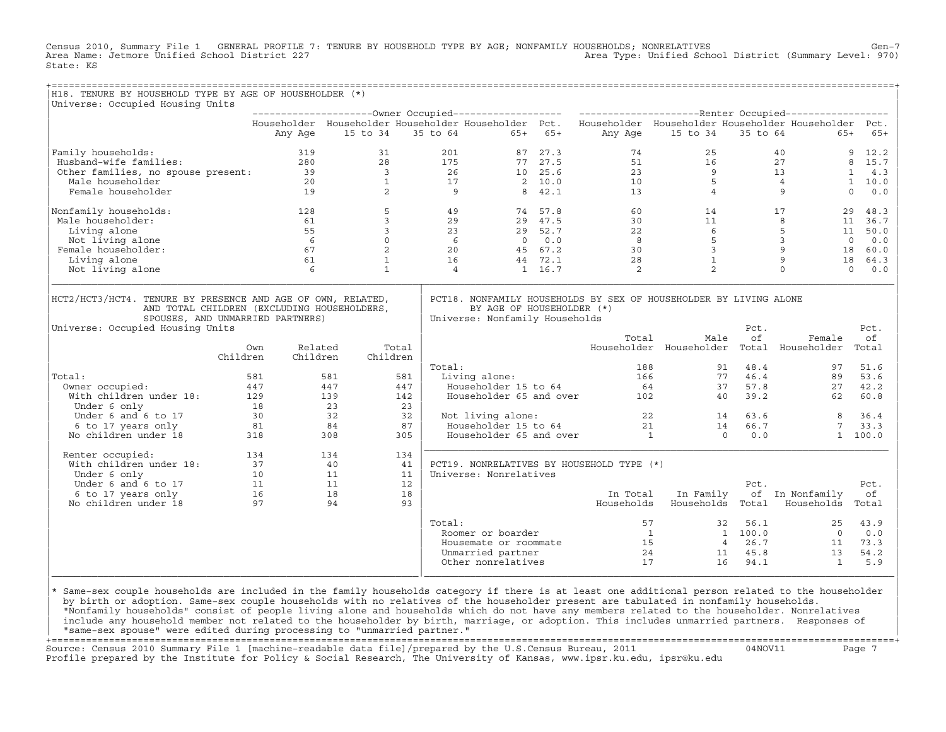Census 2010, Summary File 1 GENERAL PROFILE 7: TENURE BY HOUSEHOLD TYPE BY AGE; NONFAMILY HOUSEHOLDS; NONRELATIVES Gen−7<br>Area Name: Jetmore Unified School District 227 Area Type: Unified School District (Summary Level: 970) State: KS

| H18. TENURE BY HOUSEHOLD TYPE BY AGE OF HOUSEHOLDER (*)                                                                                                                            |                                         |                     |                         |       |                |                                                             |         |           |                                                                                               |                                                       |                                                  |                                                                                                           |                       |
|------------------------------------------------------------------------------------------------------------------------------------------------------------------------------------|-----------------------------------------|---------------------|-------------------------|-------|----------------|-------------------------------------------------------------|---------|-----------|-----------------------------------------------------------------------------------------------|-------------------------------------------------------|--------------------------------------------------|-----------------------------------------------------------------------------------------------------------|-----------------------|
| Universe: Occupied Housing Units                                                                                                                                                   |                                         |                     |                         |       |                |                                                             |         |           |                                                                                               |                                                       |                                                  |                                                                                                           |                       |
|                                                                                                                                                                                    |                                         |                     |                         |       |                |                                                             |         |           |                                                                                               |                                                       |                                                  | Householder Householder Householder Householder Pct. Householder Householder Householder Householder Pct. |                       |
|                                                                                                                                                                                    |                                         | Any Age             | 15 to 34                |       |                | 35 to 64                                                    |         | $65+ 65+$ |                                                                                               | Any Age 15 to 34                                      | 35 to 64                                         | $65+$                                                                                                     | $65+$                 |
| Family households:                                                                                                                                                                 |                                         | 319                 | 31                      |       | 201            |                                                             | 87 27.3 |           | 74                                                                                            | 25                                                    |                                                  | 40                                                                                                        | 9<br>12.2             |
| Husband-wife families:                                                                                                                                                             |                                         | 280                 | 28                      |       | 175            |                                                             | 77 27.5 |           | 51                                                                                            |                                                       |                                                  | 27                                                                                                        | 8 15.7                |
| Other families, no spouse present: 39<br>Male householder 20                                                                                                                       |                                         |                     | $\overline{\mathbf{3}}$ |       | 26             |                                                             | 10 25.6 |           | 23                                                                                            |                                                       |                                                  | 13                                                                                                        | $\mathbf{1}$<br>4.3   |
|                                                                                                                                                                                    |                                         |                     | $\mathbf{1}$            |       | 17             |                                                             | 2, 10.0 |           | 10                                                                                            |                                                       |                                                  | $\overline{4}$                                                                                            | 1 10.0                |
| Female householder                                                                                                                                                                 |                                         | 19                  | 2                       |       | $\overline{9}$ |                                                             | 8 42.1  |           | 13                                                                                            |                                                       | $\begin{array}{c} 16 \\ 9 \\ 5 \\ 4 \end{array}$ | 9                                                                                                         | $\Omega$<br>0.0       |
| Nonfamily households:                                                                                                                                                              |                                         | 128                 | 5                       |       | 49             |                                                             | 74 57.8 |           | 60                                                                                            |                                                       | 14 \,                                            | 17                                                                                                        | 29<br>48.3            |
| Male householder:                                                                                                                                                                  |                                         | 61                  | $\overline{3}$          |       | 29             |                                                             | 29 47.5 |           | 30                                                                                            | $\begin{array}{c} 11 \\ 6 \\ 5 \\ 3 \\ 1 \end{array}$ |                                                  | 8                                                                                                         | 11<br>36.7            |
| Living alone                                                                                                                                                                       |                                         | 55                  | $\overline{3}$          |       | 23             | $-2$ 52.7<br>0 0.0<br>45                                    | 29 52.7 |           | 22                                                                                            |                                                       |                                                  | $5\overline{)}$                                                                                           | 11<br>50.0            |
| Not living alone                                                                                                                                                                   |                                         | $6\overline{6}$     | $\circ$                 |       | $rac{25}{6}$   |                                                             |         |           | $_{\rm 8}$                                                                                    |                                                       |                                                  | 3 <sup>7</sup>                                                                                            | $\overline{0}$<br>0.0 |
| Female householder:                                                                                                                                                                |                                         | 67                  | 2                       |       | 20             |                                                             |         |           | 30                                                                                            |                                                       |                                                  | 9<br>18                                                                                                   | 60.0                  |
| Living alone                                                                                                                                                                       |                                         | 61                  | $\mathbf{1}$            |       | 16             |                                                             | 44 72.1 |           | 28                                                                                            |                                                       |                                                  | $\mathsf 9$<br>18                                                                                         | 64.3                  |
| Not living alone                                                                                                                                                                   |                                         | 6                   | $\mathbf{1}$            |       | $\overline{4}$ |                                                             | 1 16.7  |           | 2                                                                                             | $\overline{2}$                                        |                                                  | $\Omega$                                                                                                  | $\Omega$<br>0.0       |
| HCT2/HCT3/HCT4. TENURE BY PRESENCE AND AGE OF OWN, RELATED,<br>AND TOTAL CHILDREN (EXCLUDING HOUSEHOLDERS,<br>SPOUSES, AND UNMARRIED PARTNERS)<br>Universe: Occupied Housing Units |                                         |                     |                         |       |                | BY AGE OF HOUSEHOLDER (*)<br>Universe: Nonfamily Households |         |           | PCT18. NONFAMILY HOUSEHOLDS BY SEX OF HOUSEHOLDER BY LIVING ALONE                             |                                                       | Pct.                                             |                                                                                                           | Pct.                  |
|                                                                                                                                                                                    |                                         |                     |                         |       |                |                                                             |         |           | Total                                                                                         | Male                                                  | оf                                               | Female                                                                                                    | оf                    |
|                                                                                                                                                                                    | Own<br>Children                         | Related<br>Children | Children                | Total |                |                                                             |         |           |                                                                                               |                                                       |                                                  | Householder Householder Total Householder                                                                 | Total                 |
|                                                                                                                                                                                    |                                         |                     |                         |       | Total:         |                                                             |         |           | 188                                                                                           |                                                       | 48.4<br>91                                       | 97                                                                                                        | 51.6                  |
| Total:                                                                                                                                                                             | 581                                     |                     | 581                     | 581   |                | Living alone:                                               |         |           | 166                                                                                           |                                                       | 77 46.4                                          | 89                                                                                                        | 53.6                  |
| Owner occupied:                                                                                                                                                                    | 447                                     |                     | 447                     | 447   |                | Householder 15 to 64                                        |         |           |                                                                                               |                                                       | 57.8<br>37                                       | 27                                                                                                        | 42.2                  |
| )wner occupied:<br>With children under 18:                                                                                                                                         | 129                                     |                     | 139                     | 142   |                | Householder 65 and over                                     |         |           |                                                                                               | $\frac{64}{102}$                                      | 39.2<br>40                                       | 62                                                                                                        | 60.8                  |
| Under 6 only                                                                                                                                                                       | 18                                      |                     | 23                      | 23    |                |                                                             |         |           |                                                                                               |                                                       |                                                  |                                                                                                           |                       |
| Under 6 and 6 to 17                                                                                                                                                                | 30                                      |                     | 32                      | 32    |                | Not living alone:                                           |         |           |                                                                                               |                                                       |                                                  | 8                                                                                                         | 36.4                  |
| 6 to 17 years only                                                                                                                                                                 | 81                                      |                     | 84                      | 87    |                | Householder 15 to 64                                        |         |           |                                                                                               |                                                       |                                                  | 7                                                                                                         | 33.3                  |
| No children under 18                                                                                                                                                               | 318                                     |                     | 308                     | 305   |                | Householder 65 and over                                     |         |           | $\begin{array}{cccc} 22 & 14 & 63.6 \\ 21 & 14 & 66.7 \\ \text{Br} & 1 & 0 & 0.0 \end{array}$ |                                                       |                                                  |                                                                                                           | 1 100.0               |
| Renter occupied:                                                                                                                                                                   | 134                                     |                     | 134                     | 134   |                |                                                             |         |           |                                                                                               |                                                       |                                                  |                                                                                                           |                       |
| With children under 18:                                                                                                                                                            | 37                                      |                     | 40                      | 41    |                |                                                             |         |           | PCT19. NONRELATIVES BY HOUSEHOLD TYPE (*)                                                     |                                                       |                                                  |                                                                                                           |                       |
| Under 6 only                                                                                                                                                                       | 10                                      |                     | 11                      | 11    |                | Universe: Nonrelatives                                      |         |           |                                                                                               |                                                       |                                                  |                                                                                                           |                       |
| Under 6 and 6 to 17                                                                                                                                                                | $\begin{array}{c} 11 \\ 16 \end{array}$ |                     | 11                      | 12    |                |                                                             |         |           |                                                                                               |                                                       | Pct.                                             |                                                                                                           | Pct.                  |
| 6 to 17 years only                                                                                                                                                                 |                                         |                     | 18                      | 18    |                |                                                             |         |           | In Total                                                                                      | In Family                                             |                                                  | of In Nonfamily                                                                                           | оf                    |
| No children under 18                                                                                                                                                               | 97                                      |                     | 94                      | 93    |                |                                                             |         |           | Households                                                                                    | Households Total                                      |                                                  | Households                                                                                                | Total                 |
|                                                                                                                                                                                    |                                         |                     |                         |       | Total:         |                                                             |         |           | 57                                                                                            |                                                       | 32 56.1                                          | 25                                                                                                        | 43.9                  |
|                                                                                                                                                                                    |                                         |                     |                         |       |                | Roomer or boarder                                           |         |           |                                                                                               | $\mathbf 1$                                           | 1 100.0                                          | $\bigcirc$                                                                                                | 0.0                   |
|                                                                                                                                                                                    |                                         |                     |                         |       |                | Housemate or roommate                                       |         |           |                                                                                               | 15                                                    | 4 26.7                                           | 11                                                                                                        | 73.3                  |
|                                                                                                                                                                                    |                                         |                     |                         |       |                | Unmarried partner                                           |         |           |                                                                                               | 24                                                    | 45.8<br>11                                       | 13                                                                                                        | 54.2                  |
|                                                                                                                                                                                    |                                         |                     |                         |       |                | Other nonrelatives                                          |         |           | 17                                                                                            | 16                                                    | 94.1                                             | $\mathbf{1}$                                                                                              | 5.9                   |

design to the control of the control of the control of the control of the control of the control of the control of the control of the control of the control of the control of the control of the control of the control of th |\* Same−sex couple households are included in the family households category if there is at least one additional person related to the householder | | by birth or adoption. Same−sex couple households with no relatives of the householder present are tabulated in nonfamily households. | | "Nonfamily households" consist of people living alone and households which do not have any members related to the householder. Nonrelatives | include any household member not related to the householder by birth, marriage, or adoption. This includes unmarried partners. Responses of | "same−sex spouse" were edited during processing to "unmarried partner." |

+===================================================================================================================================================+ Source: Census 2010 Summary File 1 [machine−readable data file]/prepared by the U.S.Census Bureau, 2011 04NOV11 Page 7 Profile prepared by the Institute for Policy & Social Research, The University of Kansas, www.ipsr.ku.edu, ipsr@ku.edu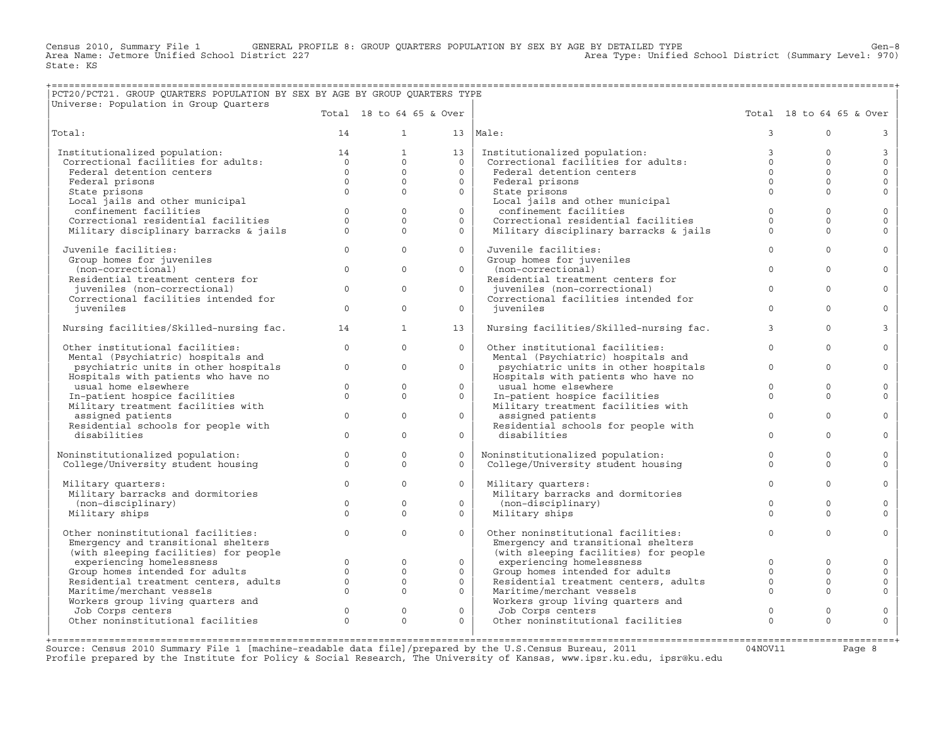Census 2010, Summary File 1 GENERAL PROFILE 8: GROUP QUARTERS POPULATION BY SEX BY AGE BY DETAILED TYPE Gen−8 Area Name: Jetmore Unified School District 227 Area Type: Unified School District (Summary Level: 970) State: KS

## +===================================================================================================================================================+ |PCT20/PCT21. GROUP QUARTERS POPULATION BY SEX BY AGE BY GROUP QUARTERS TYPE |

|Universe: Population in Group Quarters | |

|                                         |                | Total 18 to 64 65 & Over |          |                                         |               | Total 18 to 64 65 & Over |                |
|-----------------------------------------|----------------|--------------------------|----------|-----------------------------------------|---------------|--------------------------|----------------|
| Total:                                  | 14             | $\mathbf{1}$             | 13       | Male:                                   | $\mathcal{L}$ | $\Omega$                 | 3              |
| Institutionalized population:           | 14             | $\mathbf{1}$             | 13       | Institutionalized population:           | $\mathbf{3}$  | $\Omega$                 | $\mathbf{3}$   |
| Correctional facilities for adults:     | $\overline{0}$ | $\Omega$                 | $\Omega$ | Correctional facilities for adults:     | $\Omega$      | $\Omega$                 | $\Omega$       |
| Federal detention centers               | $\Omega$       | $\Omega$                 | $\Omega$ | Federal detention centers               | $\Omega$      | $\Omega$                 | $\mathbf{0}$   |
| Federal prisons                         | $\Omega$       | $\circ$                  | $\Omega$ | Federal prisons                         | $\Omega$      | $\Omega$                 | $\circ$        |
| State prisons                           | $\Omega$       | $\Omega$                 | $\Omega$ | State prisons                           | $\Omega$      | $\Omega$                 | $\Omega$       |
| Local jails and other municipal         |                |                          |          | Local jails and other municipal         |               |                          |                |
| confinement facilities                  | $\circ$        | $\mathbf{0}$             | $\circ$  | confinement facilities                  | $\mathbf{0}$  | $\Omega$                 | $\mathbf 0$    |
| Correctional residential facilities     | $\Omega$       | $\Omega$                 | $\Omega$ | Correctional residential facilities     | $\Omega$      | $\cap$                   | $\Omega$       |
| Military disciplinary barracks & jails  | $\Omega$       | $\Omega$                 | $\Omega$ | Military disciplinary barracks & jails  | $\Omega$      | $\Omega$                 | $\Omega$       |
|                                         |                |                          |          |                                         |               |                          |                |
| Juvenile facilities:                    | $\Omega$       | $\Omega$                 | $\Omega$ | Juvenile facilities:                    | $\Omega$      | $\Omega$                 | $\circ$        |
| Group homes for juveniles               |                |                          |          | Group homes for juveniles               |               |                          |                |
| (non-correctional)                      | $\Omega$       | $\Omega$                 | $\Omega$ | (non-correctional)                      | $\Omega$      | $\Omega$                 | $\Omega$       |
| Residential treatment centers for       |                |                          |          | Residential treatment centers for       |               |                          |                |
| juveniles (non-correctional)            | $\Omega$       | $\Omega$                 | $\Omega$ | juveniles (non-correctional)            | $\Omega$      | $\Omega$                 | $\circ$        |
| Correctional facilities intended for    |                |                          |          | Correctional facilities intended for    |               |                          |                |
| juveniles                               | $\Omega$       | $\Omega$                 | $\Omega$ | juveniles                               | $\Omega$      | $\Omega$                 | $\mathbf{0}$   |
|                                         |                |                          |          |                                         |               |                          |                |
| Nursing facilities/Skilled-nursing fac. | 14             | $\mathbf{1}$             | 13       | Nursing facilities/Skilled-nursing fac. | 3             | $\Omega$                 | $\overline{3}$ |
| Other institutional facilities:         | $\Omega$       | $\Omega$                 | $\Omega$ | Other institutional facilities:         | $\Omega$      | $\Omega$                 | $\circ$        |
| Mental (Psychiatric) hospitals and      |                |                          |          | Mental (Psychiatric) hospitals and      |               |                          |                |
| psychiatric units in other hospitals    | $\circ$        | $\mathbf{0}$             | $\circ$  | psychiatric units in other hospitals    | $\circ$       | $\Omega$                 | $\mathbf{0}$   |
| Hospitals with patients who have no     |                |                          |          | Hospitals with patients who have no     |               |                          |                |
| usual home elsewhere                    | $\Omega$       | $\Omega$                 | $\Omega$ | usual home elsewhere                    | $\Omega$      | $\Omega$                 | $\mathbf{0}$   |
| In-patient hospice facilities           | $\Omega$       | $\circ$                  | $\circ$  | In-patient hospice facilities           | $\Omega$      | $\Omega$                 | $\mathbf{0}$   |
| Military treatment facilities with      |                |                          |          | Military treatment facilities with      |               |                          |                |
| assigned patients                       | $\Omega$       | $\Omega$                 | $\Omega$ | assigned patients                       | $\mathbf{0}$  | $\Omega$                 | $\mathbf{0}$   |
| Residential schools for people with     |                |                          |          | Residential schools for people with     |               |                          |                |
| disabilities                            | $\Omega$       | $\Omega$                 | $\Omega$ | disabilities                            | $\Omega$      | $\Omega$                 | $\Omega$       |
|                                         |                |                          |          |                                         |               |                          |                |
| Noninstitutionalized population:        | $\circ$        | $\Omega$                 | $\Omega$ | Noninstitutionalized population:        | $\Omega$      | $\Omega$                 | $\circ$        |
| College/University student housing      | $\circ$        | $\mathbf{0}$             | $\Omega$ | College/University student housing      | $\Omega$      | $\Omega$                 | $\mathbf{0}$   |
|                                         |                |                          |          |                                         |               |                          |                |
| Military quarters:                      | $\Omega$       | $\Omega$                 | $\Omega$ | Military quarters:                      | $\Omega$      | $\Omega$                 | $\Omega$       |
| Military barracks and dormitories       |                |                          |          | Military barracks and dormitories       |               |                          |                |
| (non-disciplinary)                      | $\circ$        | $\mathbf{0}$             | $\circ$  | (non-disciplinary)                      | $\Omega$      | $\Omega$                 | $\circ$        |
| Military ships                          | $\Omega$       | $\Omega$                 | $\Omega$ | Military ships                          | $\Omega$      | $\Omega$                 | $\Omega$       |
|                                         |                |                          |          |                                         |               |                          |                |
| Other noninstitutional facilities:      | $\circ$        | $\Omega$                 | $\Omega$ | Other noninstitutional facilities:      | $\mathbf{0}$  | $\Omega$                 | $\circ$        |
| Emergency and transitional shelters     |                |                          |          | Emergency and transitional shelters     |               |                          |                |
| (with sleeping facilities) for people   |                |                          |          | (with sleeping facilities) for people   |               |                          |                |
| experiencing homelessness               | $\Omega$       | $\circ$                  | $\circ$  | experiencing homelessness               | $\Omega$      | $\Omega$                 | $\circ$        |
| Group homes intended for adults         | $\Omega$       | $\Omega$                 | $\Omega$ | Group homes intended for adults         | $\Omega$      | $\Omega$                 | $\circ$        |
| Residential treatment centers, adults   | $\circ$        | $\circ$                  | $\circ$  | Residential treatment centers, adults   | $\circ$       | $\Omega$                 | $\circ$        |
| Maritime/merchant vessels               | $\Omega$       | $\Omega$                 | $\Omega$ | Maritime/merchant vessels               | $\Omega$      | $\Omega$                 | $\Omega$       |
| Workers group living quarters and       |                |                          |          | Workers group living quarters and       |               |                          |                |
| Job Corps centers                       | $\Omega$       | $\Omega$                 | $\Omega$ | Job Corps centers                       | $\Omega$      | $\Omega$                 | $\circ$        |
| Other noninstitutional facilities       | $\Omega$       | $\Omega$                 | $\Omega$ | Other noninstitutional facilities       | $\Omega$      | $\Omega$                 | $\Omega$       |
|                                         |                |                          |          |                                         |               |                          |                |
|                                         |                |                          |          |                                         |               |                          |                |

Source: Census 2010 Summary File 1 [machine−readable data file]/prepared by the U.S.Census Bureau, 2011 04NOV11 Page 8 Profile prepared by the Institute for Policy & Social Research, The University of Kansas, www.ipsr.ku.edu, ipsr@ku.edu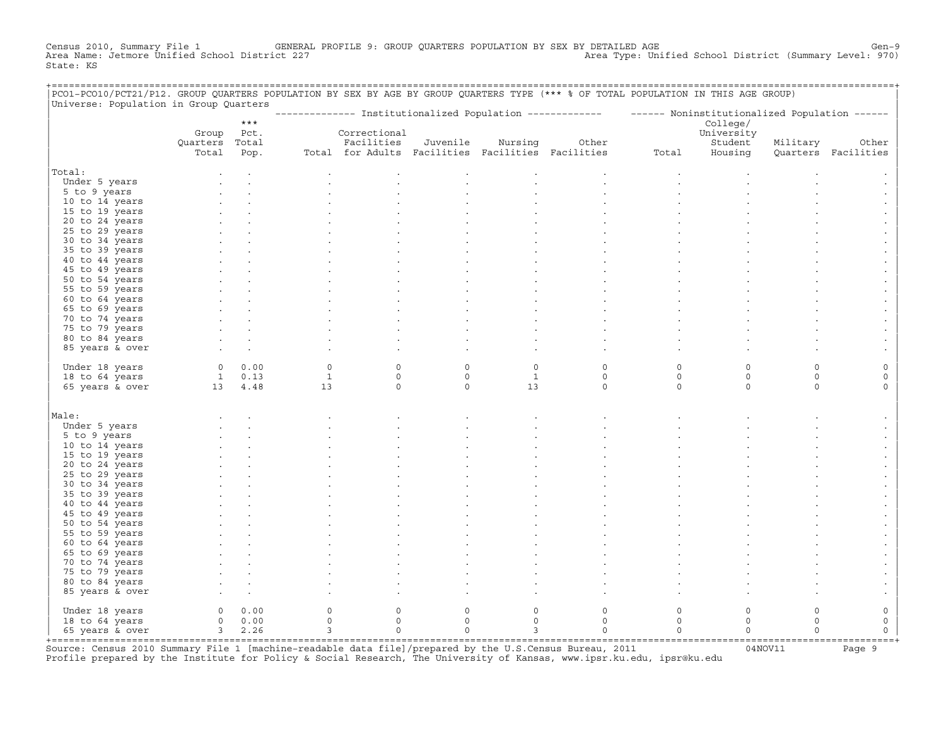Census 2010, Summary File 1 GENERAL PROFILE 9: GROUP QUARTERS POPULATION BY SEX BY DETAILED AGE GENOOL District (Summary Level: 970)<br>Area Name: Jetmore Unified School District 227 Area Type: Unified School District (Summary Level: 970) State: KS

| PCO1-PCO10/PCT21/P12. GROUP QUARTERS POPULATION BY SEX BY AGE BY GROUP QUARTERS TYPE (*** % OF TOTAL POPULATION IN THIS AGE GROUP)<br>Universe: Population in Group Quarters |                |             |                |                                                   |             |              |                                                                                                         |             |            |             |                     |
|------------------------------------------------------------------------------------------------------------------------------------------------------------------------------|----------------|-------------|----------------|---------------------------------------------------|-------------|--------------|---------------------------------------------------------------------------------------------------------|-------------|------------|-------------|---------------------|
|                                                                                                                                                                              |                |             |                |                                                   |             |              | ------------- Institutionalized Population ------------- - ----- Noninstitutionalized Population ------ |             |            |             |                     |
|                                                                                                                                                                              |                | $***$       |                |                                                   |             |              |                                                                                                         |             | College/   |             |                     |
|                                                                                                                                                                              | Group          | Pct.        |                | Correctional                                      |             |              |                                                                                                         |             | University |             |                     |
|                                                                                                                                                                              | Quarters Total |             |                | Facilities                                        | Juvenile    | Nursing      | Other                                                                                                   |             | Student    | Military    | Other               |
|                                                                                                                                                                              | Total          | Pop.        |                | Total for Adults Facilities Facilities Facilities |             |              |                                                                                                         | Total       | Housing    |             | Quarters Facilities |
| Total:                                                                                                                                                                       |                |             |                |                                                   |             |              |                                                                                                         |             |            |             |                     |
|                                                                                                                                                                              |                |             |                |                                                   |             |              |                                                                                                         |             |            |             |                     |
| Under 5 years<br>5 to 9 years                                                                                                                                                |                |             |                |                                                   |             |              |                                                                                                         |             |            |             |                     |
| 10 to 14 years                                                                                                                                                               |                |             |                |                                                   |             |              |                                                                                                         |             |            |             |                     |
| 15 to 19 years                                                                                                                                                               |                |             |                |                                                   |             |              |                                                                                                         |             |            |             |                     |
| 20 to 24 years                                                                                                                                                               |                |             |                |                                                   |             |              |                                                                                                         |             |            |             |                     |
| 25 to 29 years                                                                                                                                                               |                |             |                |                                                   |             |              |                                                                                                         |             |            |             |                     |
| 30 to 34 years                                                                                                                                                               |                |             |                |                                                   |             |              |                                                                                                         |             |            |             |                     |
| 35 to 39 years                                                                                                                                                               |                |             |                |                                                   |             |              |                                                                                                         |             |            |             |                     |
| 40 to 44 years                                                                                                                                                               |                |             |                |                                                   |             |              |                                                                                                         |             |            |             |                     |
| 45 to 49 years                                                                                                                                                               |                |             |                |                                                   |             |              |                                                                                                         |             |            |             |                     |
| 50 to 54 years                                                                                                                                                               |                |             |                |                                                   |             |              |                                                                                                         |             |            |             |                     |
| 55 to 59 years                                                                                                                                                               |                |             |                |                                                   |             |              |                                                                                                         |             |            |             |                     |
| 60 to 64 years                                                                                                                                                               |                |             |                |                                                   |             |              |                                                                                                         |             |            |             |                     |
| 65 to 69 years                                                                                                                                                               |                |             |                |                                                   |             |              |                                                                                                         |             |            |             |                     |
| 70 to 74 years                                                                                                                                                               |                |             |                |                                                   |             |              |                                                                                                         |             |            |             |                     |
| 75 to 79 years                                                                                                                                                               |                |             |                |                                                   |             |              |                                                                                                         |             |            |             |                     |
| 80 to 84 years                                                                                                                                                               |                |             |                |                                                   |             |              |                                                                                                         |             |            |             |                     |
| 85 years & over                                                                                                                                                              |                |             |                |                                                   |             |              |                                                                                                         |             |            |             |                     |
|                                                                                                                                                                              |                |             |                |                                                   |             |              |                                                                                                         |             |            |             |                     |
| Under 18 years                                                                                                                                                               |                | $0 \t 0.00$ | $\circ$        | $\circ$                                           | $\mathbf 0$ | $\mathbf 0$  | $\mathbf 0$                                                                                             | $\Omega$    | $\Omega$   | $\Omega$    |                     |
| 18 to 64 years                                                                                                                                                               |                | $1 \t 0.13$ | $\mathbf{1}$   | $\mathbf 0$                                       | $\circ$     | $\mathbf{1}$ | $\mathsf O$                                                                                             | $\mathbf 0$ | 0          | $\mathbf 0$ | 0                   |
| 65 years & over                                                                                                                                                              | 13 4.48        |             | 13             | $\mathbf 0$                                       | $\circ$     | 13           | $\circ$                                                                                                 | $\circ$     | $\Omega$   | $\Omega$    | $\Omega$            |
|                                                                                                                                                                              |                |             |                |                                                   |             |              |                                                                                                         |             |            |             |                     |
| Male:                                                                                                                                                                        |                |             |                |                                                   |             |              |                                                                                                         |             |            |             |                     |
| Under 5 years                                                                                                                                                                |                |             |                |                                                   |             |              |                                                                                                         |             |            |             |                     |
| 5 to 9 years                                                                                                                                                                 |                |             |                |                                                   |             |              |                                                                                                         |             |            |             |                     |
| 10 to 14 years                                                                                                                                                               |                |             |                |                                                   |             |              |                                                                                                         |             |            |             |                     |
| 15 to 19 years                                                                                                                                                               |                |             |                |                                                   |             |              |                                                                                                         |             |            |             |                     |
| 20 to 24 years                                                                                                                                                               |                |             |                |                                                   |             |              |                                                                                                         |             |            |             |                     |
| 25 to 29 years                                                                                                                                                               |                |             |                |                                                   |             |              |                                                                                                         |             |            |             |                     |
| 30 to 34 years                                                                                                                                                               |                |             |                |                                                   |             |              |                                                                                                         |             |            |             |                     |
| 35 to 39 years                                                                                                                                                               |                |             |                |                                                   |             |              |                                                                                                         |             |            |             |                     |
| 40 to 44 years                                                                                                                                                               |                |             |                |                                                   |             |              |                                                                                                         |             |            |             |                     |
| 45 to 49 years                                                                                                                                                               |                |             |                |                                                   |             |              |                                                                                                         |             |            |             |                     |
| 50 to 54 years                                                                                                                                                               |                |             |                |                                                   |             |              |                                                                                                         |             |            |             |                     |
| 55 to 59 years                                                                                                                                                               |                |             |                |                                                   |             |              |                                                                                                         |             |            |             |                     |
| 60 to 64 years                                                                                                                                                               |                |             |                |                                                   |             |              |                                                                                                         |             |            |             |                     |
| 65 to 69 years                                                                                                                                                               |                |             |                |                                                   |             |              |                                                                                                         |             |            |             |                     |
| 70 to 74 years                                                                                                                                                               |                |             |                |                                                   |             |              |                                                                                                         |             |            |             |                     |
| 75 to 79 years                                                                                                                                                               |                |             |                |                                                   |             |              |                                                                                                         |             |            |             |                     |
| 80 to 84 years                                                                                                                                                               |                |             |                |                                                   |             |              |                                                                                                         |             |            |             |                     |
| 85 years & over                                                                                                                                                              |                |             |                |                                                   |             |              |                                                                                                         |             |            |             |                     |
| Under 18 years                                                                                                                                                               |                | 0 0.00      | 0              | $\mathbf 0$                                       | $\mathbf 0$ | $\Omega$     | $\Omega$                                                                                                | $\mathbf 0$ | $\Omega$   | $\Omega$    | 0                   |
| 18 to 64 years                                                                                                                                                               |                | 0 0.00      | $\circ$        | $\mathbf 0$                                       | $\Omega$    | $\Omega$     | $\mathbf 0$                                                                                             | $\mathbf 0$ | $\Omega$   | $\Omega$    | 0                   |
| 65 years & over                                                                                                                                                              |                | 3, 2.26     | $\overline{3}$ | $\mathbf 0$                                       | $\mathbf 0$ | 3            | $\mathbf 0$                                                                                             | $\Omega$    | $\Omega$   | $\Omega$    | $\Omega$            |
|                                                                                                                                                                              |                |             |                |                                                   |             |              |                                                                                                         |             |            |             |                     |

+===================================================================================================================================================+Source: Census 2010 Summary File 1 [machine−readable data file]/prepared by the U.S.Census Bureau, 2011 04NOV11 Page 9 Profile prepared by the Institute for Policy & Social Research, The University of Kansas, www.ipsr.ku.edu, ipsr@ku.edu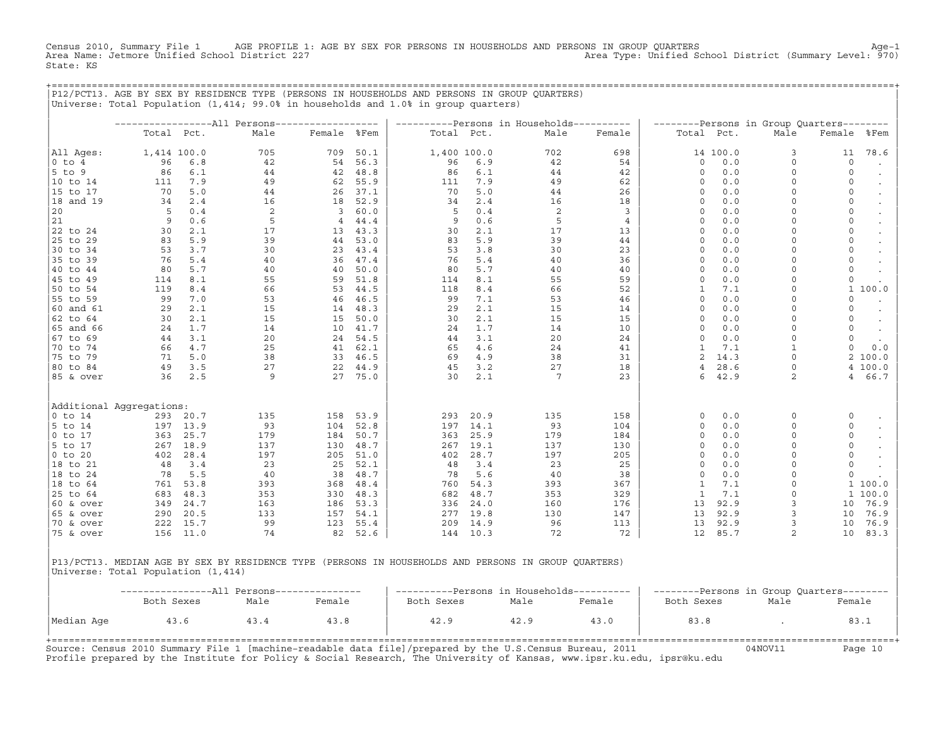Census 2010, Summary File 1 AGE PROFILE 1: AGE BY SEX FOR PERSONS IN HOUSEHOLDS AND PERSONS IN GROUP QUARTERS<br>Area Name: Jetmore Unified School District 227 Area Type: Unified School District (Summary Level: 970) State: KS

+===================================================================================================================================================+

|                      |                          |            |      |             |         | ----------Persons in Households---------- |          |      |                |                |          | --------Persons in Group Quarters-------- |                 |                      |
|----------------------|--------------------------|------------|------|-------------|---------|-------------------------------------------|----------|------|----------------|----------------|----------|-------------------------------------------|-----------------|----------------------|
|                      |                          | Total Pct. | Male | Female %Fem |         | Total Pct.                                |          | Male | Female         | Total Pct.     |          | Male                                      | Female          | %Fem                 |
| All Aqes:            | 1,414 100.0              |            | 705  | 709         | 50.1    | 1,400 100.0                               |          | 702  | 698            |                | 14 100.0 | 3                                         | 11              | 78.6                 |
| $0$ to $4$           | 96                       | 6.8        | 42   | 54          | 56.3    | 96                                        | 6.9      | 42   | 54             | $\circ$        | 0.0      | $\circ$                                   | $\circ$         |                      |
| $5$ to 9             | 86                       | 6.1        | 44   | 42          | 48.8    | 86                                        | 6.1      | 44   | 42             | $\mathbf 0$    | 0.0      | $\mathbf 0$                               | $\mathbf 0$     |                      |
| 10 to 14             | 111                      | 7.9        | 49   | 62          | 55.9    | 111                                       | 7.9      | 49   | 62             | $\circ$        | 0.0      | $\Omega$                                  | $\circ$         |                      |
| 15 to 17             | 70                       | 5.0        | 44   | 26          | 37.1    | 70                                        | 5.0      | 44   | 26             | $\Omega$       | 0.0      | $\Omega$                                  | $\circ$         |                      |
| 18 and 19            | 34                       | 2.4        | 16   | 18          | 52.9    | 34                                        | 2.4      | 16   | 18             | $\Omega$       | 0.0      | $\Omega$                                  | $\circ$         | $\bullet$            |
| 20                   | -5                       | 0.4        | 2    | 3           | 60.0    | 5                                         | 0.4      | 2    | 3              | $\Omega$       | 0.0      | $\Omega$                                  | 0               |                      |
| 21                   | 9                        | 0.6        | 5    | 4           | 44.4    | 9                                         | 0.6      | 5    | $\overline{4}$ | $\circ$        | 0.0      | $\Omega$                                  | 0               | $\bullet$            |
| 22 to 24             | 30                       | 2.1        | 17   | 13          | 43.3    | 30                                        | 2.1      | 17   | 13             | $\Omega$       | 0.0      | $\Omega$                                  | $\circ$         |                      |
| 25 to 29             | 83                       | 5.9        | 39   | 44          | 53.0    | 83                                        | 5.9      | 39   | 44             | $\circ$        | 0.0      | $\Omega$                                  | $\circ$         | $\ddot{\phantom{a}}$ |
| 30 to 34             | 53                       | 3.7        | 30   | 23          | 43.4    | 53                                        | 3.8      | 30   | 23             | $\Omega$       | 0.0      | $\Omega$                                  | 0               |                      |
| 35 to 39             | 76                       | 5.4        | 40   | 36          | 47.4    | 76                                        | 5.4      | 40   | 36             | 0              | 0.0      | $\Omega$                                  | 0               |                      |
| 40 to 44             | 80                       | 5.7        | 40   | 40          | 50.0    | 80                                        | 5.7      | 40   | 40             | $\circ$        | 0.0      | $\Omega$                                  | 0               |                      |
| 45 to 49             | 114                      | 8.1        | 55   | 59          | 51.8    | 114                                       | 8.1      | 55   | 59             | $\circ$        | 0.0      | $\mathbf 0$                               | $\circ$         |                      |
| 50 to 54             | 119                      | 8.4        | 66   | 53          | 44.5    | 118                                       | 8.4      | 66   | 52             | $\mathbf{1}$   | 7.1      | $\Omega$                                  |                 | 1 100.0              |
| 55 to 59             | 99                       | 7.0        | 53   | 46          | 46.5    | 99                                        | 7.1      | 53   | 46             | $\Omega$       | 0.0      | $\Omega$                                  | $\circ$         |                      |
| 60 and 61            | 29                       | 2.1        | 15   | 14          | 48.3    | 29                                        | 2.1      | 15   | 14             | $\circ$        | 0.0      | $\Omega$                                  | 0               | $\bullet$            |
| $62$ to $64$         | 30                       | 2.1        | 15   | 15          | 50.0    | 30                                        | 2.1      | 15   | 15             | $\Omega$       | 0.0      | $\Omega$                                  | 0               |                      |
| 65 and 66            | 24                       | 1.7        | 14   | 10          | 41.7    | 24                                        | 1.7      | 14   | 10             | $\circ$        | 0.0      | $\Omega$                                  | $\circ$         | $\bullet$            |
| 67 to 69             | 44                       | 3.1        | 20   | 24          | 54.5    | 44                                        | 3.1      | 20   | 24             | $\Omega$       | 0.0      | $\Omega$                                  | 0               | $\sim$               |
| 70 to 74             | 66                       | 4.7        | 25   | 41          | 62.1    | 65                                        | 4.6      | 24   | 41             | 1              | 7.1      | $\mathbf{1}$                              | 0               | 0.0                  |
| 75 to 79             | 71                       | 5.0        | 38   | 33          | 46.5    | 69                                        | 4.9      | 38   | 31             | 2              | 14.3     | $\Omega$                                  |                 | 2 100.0              |
| 80 to 84             | 49                       | 3.5        | 27   | 22          | 44.9    | 45                                        | 3.2      | 27   | 18             | $\overline{4}$ | 28.6     | $\mathbf 0$                               |                 | 4 100.0              |
| 85 & over            | 36                       | 2.5        | 9    |             | 27 75.0 | 30                                        | 2.1      | 7    | 23             | 6              | 42.9     | 2                                         | $4\overline{ }$ | 66.7                 |
|                      | Additional Aggregations: |            |      |             |         |                                           |          |      |                |                |          |                                           |                 |                      |
| $0$ to $14$          |                          | 293 20.7   | 135  | 158         | 53.9    | 293                                       | 20.9     | 135  | 158            | $\circ$        | 0.0      | $\Omega$                                  | 0               |                      |
| $ 5$ to 14           |                          | 197 13.9   | 93   | 104         | 52.8    | 197                                       | 14.1     | 93   | 104            | $\Omega$       | 0.0      | $\Omega$                                  | $\circ$         |                      |
| $ 0 \t{to} 17$       | 363                      | 25.7       | 179  | 184         | 50.7    | 363                                       | 25.9     | 179  | 184            | $\mathbf 0$    | 0.0      | $\Omega$                                  | 0               | $\bullet$            |
| $5$ to 17            | 267                      | 18.9       | 137  | 130         | 48.7    | 267                                       | 19.1     | 137  | 130            | $\Omega$       | 0.0      | $\Omega$                                  | 0               |                      |
| $ 0 \t{to} 20$       | 402                      | 28.4       | 197  | 205         | 51.0    | 402                                       | 28.7     | 197  | 205            | $\mathbf 0$    | 0.0      | $\Omega$                                  | 0               |                      |
| 18 to 21             | 48                       | 3.4        | 23   | 25          | 52.1    | 48                                        | 3.4      | 23   | 25             | $\Omega$       | 0.0      | $\Omega$                                  | 0               |                      |
| 18 to 24             | 78                       | 5.5        | 40   | 38          | 48.7    | 78                                        | 5.6      | 40   | 38             | $\circ$        | 0.0      | $\Omega$                                  | 0               |                      |
| 18 to 64             | 761                      | 53.8       | 393  | 368         | 48.4    | 760                                       | 54.3     | 393  | 367            | 1              | 7.1      | $\mathbf 0$                               |                 | 1 100.0              |
| 25 to 64             | 683                      | 48.3       | 353  | 330         | 48.3    | 682                                       | 48.7     | 353  | 329            | 1              | 7.1      | $\Omega$                                  |                 | 1 100.0              |
| 60 & over            | 349                      | 24.7       | 163  | 186         | 53.3    | 336                                       | 24.0     | 160  | 176            | 13             | 92.9     | 3                                         | 10              | 76.9                 |
| $ 65 \& over$        | 290                      | 20.5       | 133  | 157         | 54.1    | 277                                       | 19.8     | 130  | 147            | 13             | 92.9     | 3                                         | 10              | 76.9                 |
| 70 & over            | 222                      | 15.7       | 99   | 123         | 55.4    | 209                                       | 14.9     | 96   | 113            | 13             | 92.9     | 3                                         | 10              | 76.9                 |
| $ 75 \& \text{over}$ |                          | 156 11.0   | 74   | 82          | 52.6    |                                           | 144 10.3 | 72   | 72             | 12             | 85.7     | $\overline{a}$                            | 10              | 83.3                 |

|P13/PCT13. MEDIAN AGE BY SEX BY RESIDENCE TYPE (PERSONS IN HOUSEHOLDS AND PERSONS IN GROUP QUARTERS) | |Universe: Total Population (1,414) |

|            | --------------All Persons--------------- |      |        | ----------Persons in Households---------- |      |        | --------Persons in Group Quarters-------- |      |        |
|------------|------------------------------------------|------|--------|-------------------------------------------|------|--------|-------------------------------------------|------|--------|
|            | Both Sexes                               | Male | Female | Both Sexes                                | Male | Female | Both Sexes                                | Male | Female |
| Median Age | 43.6                                     | 43.4 | 43.8   | 42.9                                      | 42.9 | 43.0   | 83.8                                      |      | 83.1   |

Source: Census 2010 Summary File 1 [machine−readable data file]/prepared by the U.S.Census Bureau, 2011 04NOV11 Page 10 Profile prepared by the Institute for Policy & Social Research, The University of Kansas, www.ipsr.ku.edu, ipsr@ku.edu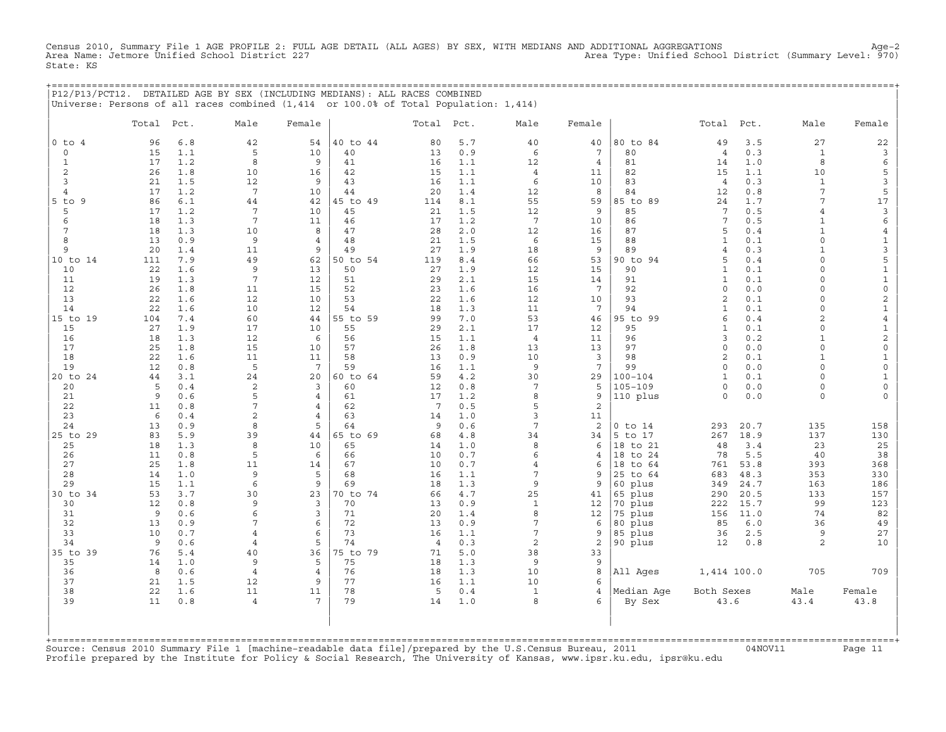Census 2010, Summary File 1 AGE PROFILE 2: FULL AGE DETAIL (ALL AGES) BY SEX, WITH MEDIANS AND ADDITIONAL AGGREGATIONS<br>Area Name: Jetmore Unified School District 227 Area Type: Unified Schoo State: KS

| P12/P13/PCT12. DETAILED AGE BY SEX (INCLUDING MEDIANS): ALL RACES COMBINED |  |  |                                                                                      |
|----------------------------------------------------------------------------|--|--|--------------------------------------------------------------------------------------|
|                                                                            |  |  | Universe: Persons of all races combined (1,414 or 100.0% of Total Population: 1,414) |

|                | Total     | Pct.       | Male                 | Female              |                | Total                | Pct.       | Male            | Female          |                | Total               | Pct.       | Male                     | Female              |
|----------------|-----------|------------|----------------------|---------------------|----------------|----------------------|------------|-----------------|-----------------|----------------|---------------------|------------|--------------------------|---------------------|
| $0$ to $4$     | 96        | 6.8        | 42                   | 54                  | 40 to 44       | 80                   | 5.7        | 40              | 40              | 80 to 84       | 49                  | 3.5        | 27                       | 22                  |
| $\mathsf{O}$   | 15        | 1.1        | 5                    | 10                  | 40             | 13                   | 0.9        | 6               | $7\phantom{.0}$ | 80             | $\overline{4}$      | 0.3        | $\mathbf{1}$             | $\mathbf{3}$        |
| $\mathbf{1}$   | 17        | 1.2        | 8                    | 9                   | 41             | 16                   | 1.1        | 12              | $\overline{4}$  | 81             | 14                  | 1.0        | 8                        | 6                   |
| 2              | 26        | 1.8        | 10                   | 16                  | 42             | 15                   | 1.1        | $\overline{4}$  | 11              | 82             | 15                  | 1.1        | 10                       | 5                   |
| $\overline{3}$ | 21        | 1.5        | 12                   | 9                   | 43             | 16                   | 1.1        | 6               | 10              | 83             | $\overline{4}$      | 0.3        | $\mathbf{1}$             | $\mathbf{3}$        |
| $\overline{4}$ | 17        | 1.2        | $7\phantom{.0}$      | 10                  | 44             | 20                   | 1.4        | 12              | 8               | 84             | 12                  | 0.8        | 7                        | 5                   |
| $5$ to $9$     | 86        | 6.1        | 44                   | 42                  | 45 to 49       | 114                  | 8.1        | 55              | 59              | 85 to 89       | 24                  | 1.7        | 7                        | 17                  |
| 5              | 17        | 1.2        | 7                    | 10                  | 45             | 21                   | 1.5        | 12              | 9               | 85             | $7\phantom{.0}$     | 0.5        | 4                        | $\mathbf{3}$        |
| 6              | 18        | 1.3        | $7\phantom{.0}$      | 11                  | 46             | 17                   | 1.2        | $7\phantom{.0}$ | 10              | 86             | $7\phantom{.0}$     | 0.5        | $\mathbf{1}$             | 6                   |
| 7              | 18        | 1.3        | 10                   | 8                   | 47             | 28                   | $2.0$      | 12              | 16              | 87             | 5                   | 0.4        | $\mathbf{1}$             | $\overline{4}$      |
| 8              | 13        | 0.9        | 9                    | $\overline{4}$<br>9 | 48             | 21                   | 1.5        | 6               | 15              | 88             | $\mathbf{1}$        | 0.1        | $\Omega$<br>$\mathbf{1}$ | $\mathbf{1}$        |
| 9              | 20        | 1.4        | 11<br>49             | 62                  | 49             | 27                   | 1.9<br>8.4 | 18<br>66        | 9<br>53         | 89<br>90 to 94 | $\overline{4}$<br>5 | 0.3<br>0.4 | $\circ$                  | 3<br>5              |
| 10 to 14<br>10 | 111<br>22 | 7.9<br>1.6 | 9                    | 13                  | 50 to 54<br>50 | 119<br>27            | 1.9        | 12              | 15              | 90             | $\mathbf{1}$        | 0.1        | $\Omega$                 | $\mathbf 1$         |
| 11             | 19        | 1.3        | $7\phantom{.0}$      | 12                  | 51             | 29                   | 2.1        | 15              | 14              | 91             | $\mathbf{1}$        | 0.1        | $\circ$                  | $\mathbf{1}$        |
| 12             | 26        | 1.8        | 11                   | 15                  | 52             | 23                   | 1.6        | 16              | $7\phantom{.0}$ | 92             | $\Omega$            | 0.0        | $\Omega$                 | $\mathsf{O}$        |
| 13             | 22        | 1.6        | 12                   | 10                  | 53             | 22                   | 1.6        | 12              | 10              | 93             | 2                   | 0.1        | $\Omega$                 | $\mathbf 2$         |
| 14             | 22        | 1.6        | 10                   | 12                  | 54             | 18                   | 1.3        | 11              | $7\overline{ }$ | 94             | $\mathbf{1}$        | 0.1        | $\Omega$                 | $\mathbf 1$         |
| 15 to 19       | 104       | 7.4        | 60                   | 44                  | 55 to 59       | 99                   | 7.0        | 53              | 46              | 95 to 99       | 6                   | 0.4        | $\overline{a}$           | $\overline{4}$      |
| 15             | 27        | 1.9        | 17                   | 10                  | 55             | 29                   | 2.1        | 17              | 12              | 95             | $\mathbf{1}$        | 0.1        | $\Omega$                 | $\mathbf 1$         |
| 16             | 18        | 1.3        | 12                   | 6                   | 56             | 15                   | 1.1        | $\overline{4}$  | 11              | 96             | 3                   | 0.2        | $\mathbf{1}$             | $\mathbf{2}$        |
| 17             | 25        | 1.8        | 15                   | 10                  | 57             | 26                   | 1.8        | 13              | 13              | 97             | $\Omega$            | 0.0        | $\Omega$                 | $\mathsf O$         |
| 18             | 22        | 1.6        | 11                   | 11                  | 58             | 13                   | 0.9        | 10              | $\overline{3}$  | 98             | 2                   | 0.1        | $\mathbf{1}$             | $\mathbf{1}$        |
| 19             | 12        | 0.8        | 5                    | $7\phantom{.0}$     | 59             | 16                   | 1.1        | 9               | $7\phantom{.0}$ | 99             | $\Omega$            | 0.0        | $\Omega$                 | $\mathsf{O}\xspace$ |
| 20 to 24       | 44        | 3.1        | 24                   | 20                  | 60 to 64       | 59                   | 4.2        | 30              | 29              | $100 - 104$    | $\mathbf{1}$        | 0.1        | $\Omega$                 | $\mathbf{1}$        |
| 20             | 5         | 0.4        | 2                    | 3                   | 60             | 12                   | 0.8        | $7\phantom{.0}$ | 5               | $105 - 109$    | $\mathbf 0$         | 0.0        | $\circ$                  | $\mathsf{O}\xspace$ |
| 21<br>22       | 9         | 0.6        | 5<br>7               | 4<br>$\overline{4}$ | 61             | 17<br>7              | 1.2<br>0.5 | 8<br>5          | 9<br>2          | 110 plus       | $\circ$             | 0.0        | $\circ$                  | $\mathbf 0$         |
| 23             | 11<br>6   | 0.8<br>0.4 | $\overline{c}$       | $\overline{4}$      | 62<br>63       | 14                   | 1.0        | $\overline{3}$  | 11              |                |                     |            |                          |                     |
| 24             | 13        | 0.9        | 8                    | 5                   | 64             | 9                    | 0.6        | $\overline{7}$  | 2               | $0$ to $14$    | 293                 | 20.7       | 135                      | 158                 |
| 25 to 29       | 83        | 5.9        | 39                   | 44                  | 65 to 69       | 68                   | 4.8        | 34              | 34              | 5 to 17        | 267                 | 18.9       | 137                      | 130                 |
| 25             | 18        | 1.3        | 8                    | 10                  | 65             | 14                   | 1.0        | 8               | 6               | 18 to 21       | 48                  | 3.4        | 23                       | 25                  |
| 26             | 11        | 0.8        | 5                    | 6                   | 66             | 10                   | 0.7        | 6               | $\overline{4}$  | 18 to 24       | 78                  | 5.5        | 40                       | 38                  |
| 27             | 25        | 1.8        | 11                   | 14                  | 67             | 10                   | 0.7        | $\overline{4}$  | 6               | 18 to 64       | 761                 | 53.8       | 393                      | 368                 |
| 28             | 14        | 1.0        | 9                    | 5                   | 68             | 16                   | 1.1        | 7               | 9               | 25 to 64       | 683                 | 48.3       | 353                      | 330                 |
| 29             | 15        | 1.1        | 6                    | 9                   | 69             | 18                   | 1.3        | 9               | 9               | 60 plus        | 349                 | 24.7       | 163                      | 186                 |
| 30 to 34       | 53        | 3.7        | 30                   | 23                  | 70 to 74       | 66                   | $4.7$      | 25              | 41              | 65 plus        | 290                 | 20.5       | 133                      | 157                 |
| 30             | 12        | 0.8        | 9                    | 3                   | 70             | 13                   | 0.9        | $\mathbf{1}$    | 12              | 70 plus        | 222                 | 15.7       | 99                       | 123                 |
| 31             | 9         | 0.6        | 6                    | 3                   | 71             | 20                   | 1.4        | 8               | 12              | 75 plus        | 156                 | 11.0       | 74                       | 82                  |
| 32             | 13        | 0.9        | 7                    | 6                   | 72             | 13                   | 0.9        | 7               | 6               | 80 plus        | 85                  | 6.0        | 36                       | 49                  |
| 33             | 10        | 0.7        | $\overline{a}$       | 6<br>5              | 73             | 16                   | 1.1        | $\overline{7}$  | 9               | 85 plus        | 36                  | 2.5        | 9                        | 27                  |
| 34<br>35 to 39 | 9<br>76   | 0.6<br>5.4 | $\overline{4}$<br>40 | 36                  | 74<br>75 to 79 | $\overline{4}$<br>71 | 0.3<br>5.0 | 2<br>38         | 2<br>33         | 90 plus        | 12                  | 0.8        | $\overline{a}$           | 10                  |
| 35             | 14        | 1.0        | 9                    | 5                   | 75             | 18                   | 1.3        | 9               | 9               |                |                     |            |                          |                     |
| 36             | 8         | 0.6        | $\overline{4}$       | $\overline{4}$      | 76             | 18                   | 1.3        | 10              | 8               | All Ages       | 1,414 100.0         |            | 705                      | 709                 |
| 37             | 21        | 1.5        | 12                   | 9                   | 77             | 16                   | 1.1        | 10              | 6               |                |                     |            |                          |                     |
| 38             | 22        | 1.6        | 11                   | 11                  | 78             | 5                    | 0.4        | $\mathbf{1}$    | $\overline{4}$  | Median Age     | Both Sexes          |            | Male                     | Female              |
| 39             | 11        | 0.8        | $\overline{4}$       | 7                   | 79             | 14                   | 1.0        | 8               | 6               | By Sex         | 43.6                |            | 43.4                     | 43.8                |
|                |           |            |                      |                     |                |                      |            |                 |                 |                |                     |            |                          |                     |

+===================================================================================================================================================+Source: Census 2010 Summary File 1 [machine−readable data file]/prepared by the U.S.Census Bureau, 2011 04NOV11 Page 11 Profile prepared by the Institute for Policy & Social Research, The University of Kansas, www.ipsr.ku.edu, ipsr@ku.edu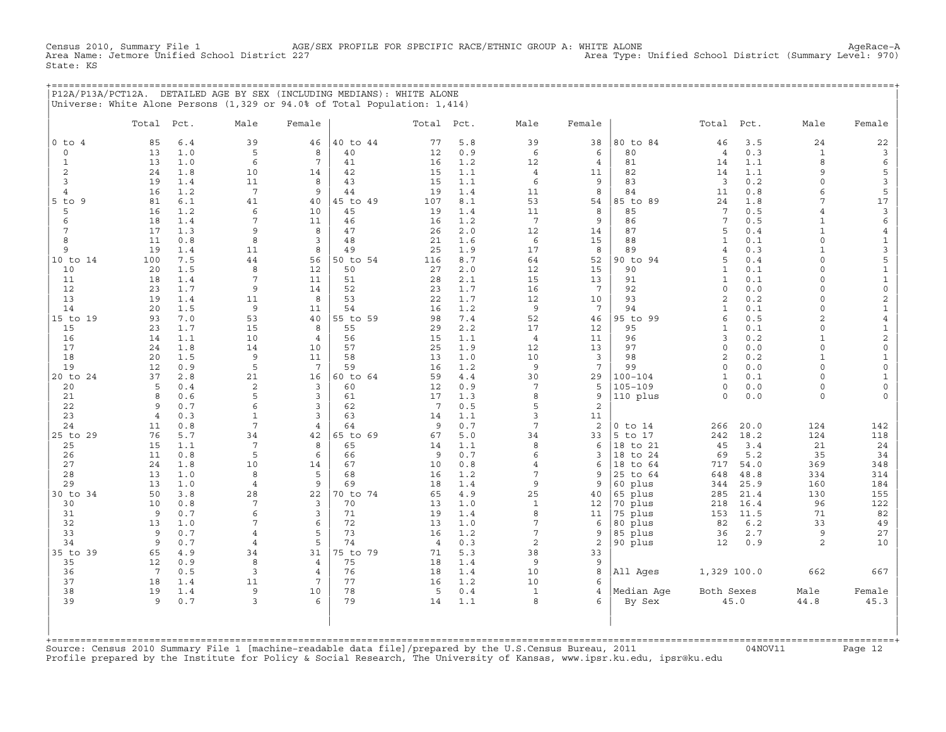Census 2010, Summary File 1 AGE/SEX PROFILE FOR SPECIFIC RACE/ETHNIC GROUP A: WHITE ALONE Agehace-A<br>Area Name: Jetmore Unified School District 227 Area Type: Unified School District (Summary Level: 970) State: KS

+===================================================================================================================================================+ |P12A/P13A/PCT12A. DETAILED AGE BY SEX (INCLUDING MEDIANS): WHITE ALONE | |Universe: White Alone Persons (1,329 or 94.0% of Total Population: 1,414) |

|                | Total               | Pct.       | Male              | Female          |                | Total Pct.            |            | Male            | Female          |                | Total               | Pct.       | Male                    | Female                  |
|----------------|---------------------|------------|-------------------|-----------------|----------------|-----------------------|------------|-----------------|-----------------|----------------|---------------------|------------|-------------------------|-------------------------|
| $0$ to $4$     | 85                  | 6.4        | 39                | 46              | 40 to 44       | 77                    | 5.8        | 39              | 38              | 80 to 84       | 46                  | 3.5        | 24                      | 22                      |
| $\circ$        | 13                  | 1.0        | 5                 | 8               | 40             | 12                    | 0.9        | 6               | 6               | 80             | $\overline{4}$      | 0.3        | $\mathbf{1}$            | $\mathbf{3}$            |
| $\mathbf{1}$   | 13                  | 1.0        | 6                 | 7               | 41             | 16                    | 1.2        | 12              | $\overline{4}$  | 81             | 14                  | 1.1        | 8                       | 6                       |
| 2              | 24                  | 1.8        | 10                | 14              | 42             | 15                    | 1.1        | $\overline{4}$  | 11              | 82             | 14                  | 1.1        | 9                       | 5                       |
| 3              | 19                  | 1.4        | 11                | 8               | 43             | 15                    | 1.1        | 6               | 9               | 83             | $\overline{3}$      | 0.2        | $\circ$                 | $\mathbf{3}$            |
| 4              | 16                  | 1.2        | $7\phantom{.0}$   | 9               | 44             | 19                    | 1.4        | 11              | 8               | 84             | 11                  | 0.8        | 6                       | 5                       |
| 5 to 9         | 81                  | 6.1        | 41                | 40              | 45 to 49       | 107                   | 8.1        | 53              | 54              | 85 to 89       | 24                  | 1.8        | 7                       | $17$                    |
| 5              | 16                  | 1.2        | 6                 | 10              | 45             | 19                    | 1.4        | 11              | 8               | 85             | 7                   | 0.5        | $\overline{4}$          | $\mathbf{3}$            |
| 6              | 18                  | 1.4        | 7                 | 11              | 46             | 16                    | 1.2        | $7\phantom{.0}$ | 9               | 86             | $7\phantom{.0}$     | 0.5        | $\mathbf{1}$            | 6                       |
| 7              | 17                  | 1.3        | 9                 | 8               | 47             | 26                    | 2.0        | 12              | 14              | 87             | 5                   | 0.4        | $\mathbf{1}$            | $\overline{4}$          |
| 8              | 11                  | 0.8        | 8                 | $\overline{3}$  | 48             | 21                    | 1.6        | 6               | 15              | 88             | $\mathbf{1}$        | 0.1        | $\Omega$                | $\mathbf{1}$            |
| 9              | 19                  | 1.4        | 11<br>44          | 8               | 49             | 25                    | 1.9        | 17              | 8               | 89<br>90 to 94 | $\overline{4}$<br>5 | 0.3<br>0.4 | $\mathbf{1}$<br>$\circ$ | 3                       |
| 10 to 14<br>10 | 100<br>20           | 7.5<br>1.5 | 8                 | 56<br>12        | 50 to 54<br>50 | 116<br>27             | 8.7<br>2.0 | 64<br>12        | 52<br>15        | 90             | $\mathbf{1}$        | 0.1        | $\Omega$                | 5<br>$\mathbf 1$        |
| 11             | 18                  | 1.4        | 7                 | 11              | 51             | 28                    | 2.1        | 15              | 13              | 91             | $\mathbf{1}$        | 0.1        | $\circ$                 | $\mathbf 1$             |
| 12             | 23                  | 1.7        | 9                 | 14              | 52             | 23                    | 1.7        | 16              | $7\phantom{.0}$ | 92             | $\circ$             | 0.0        | $\Omega$                | $\mathsf{O}\xspace$     |
| 13             | 19                  | 1.4        | 11                | 8               | 53             | 22                    | 1.7        | 12              | 10              | 93             | 2                   | 0.2        | $\circ$                 | $\overline{\mathbf{c}}$ |
| 14             | 20                  | 1.5        | 9                 | 11              | 54             | 16                    | 1.2        | 9               | $7\phantom{.0}$ | 94             | $\mathbf{1}$        | 0.1        | $\Omega$                | $\mathbf 1$             |
| 15 to 19       | 93                  | 7.0        | 53                | 40              | 55 to 59       | 98                    | 7.4        | 52              | 46              | 95 to 99       | 6                   | 0.5        | 2                       | $\,4$                   |
| 15             | 23                  | 1.7        | 15                | 8               | 55             | 29                    | 2.2        | 17              | 12              | 95             | $\mathbf{1}$        | 0.1        | $\Omega$                | $\mathbf 1$             |
| 16             | 14                  | 1.1        | 10                | $\overline{4}$  | 56             | 15                    | 1.1        | $\overline{4}$  | 11              | 96             | 3                   | 0.2        | $\mathbf{1}$            | $\overline{\mathbf{c}}$ |
| 17             | 24                  | 1.8        | 14                | 10              | 57             | 25                    | 1.9        | 12              | 13              | 97             | $\circ$             | 0.0        | $\Omega$                | $\mathbb O$             |
| 18             | 20                  | 1.5        | 9                 | 11              | 58             | 13                    | 1.0        | 10              | 3               | 98             | 2                   | 0.2        | $\mathbf{1}$            | $\mathbf{1}$            |
| 19             | 12                  | 0.9        | 5                 | $7\phantom{.0}$ | 59             | 16                    | 1.2        | 9               | 7               | 99             | $\mathbf 0$         | 0.0        | $\circ$                 | $\mathbb O$             |
| 20 to 24       | 37                  | 2.8        | 21                | 16              | 60 to 64       | 59                    | 4.4        | 30              | 29              | $100 - 104$    | $\mathbf{1}$        | 0.1        | $\Omega$                | $\mathbf{1}$            |
| 20             | 5                   | 0.4        | $\overline{c}$    | $\overline{3}$  | 60             | 12                    | 0.9        | $7\phantom{.0}$ | 5               | $105 - 109$    | $\circ$             | 0.0        | $\circ$                 | $\mathsf{O}\xspace$     |
| 21             | 8                   | 0.6        | 5                 | 3               | 61             | 17                    | 1.3        | 8               | 9               | 110 plus       | $\mathbf 0$         | 0.0        | $\circ$                 | $\mathbf 0$             |
| 22<br>23       | 9<br>$\overline{4}$ | 0.7<br>0.3 | 6<br>$\mathbf{1}$ | 3<br>3          | 62<br>63       | $7\phantom{.0}$<br>14 | 0.5<br>1.1 | 5<br>3          | 2<br>11         |                |                     |            |                         |                         |
| 24             | 11                  | 0.8        | 7                 | 4               | 64             | 9                     | 0.7        | 7               | $\overline{c}$  | $0$ to $14$    | 266                 | 20.0       | 124                     | 142                     |
| 25 to 29       | 76                  | 5.7        | 34                | 42              | 65 to 69       | 67                    | 5.0        | 34              | 33              | 5 to 17        | 242                 | 18.2       | 124                     | 118                     |
| 25             | 15                  | 1.1        | $7\phantom{.0}$   | 8               | 65             | 14                    | 1.1        | 8               | 6               | 18 to 21       | 45                  | 3.4        | 21                      | 24                      |
| 26             | 11                  | 0.8        | 5                 | 6               | 66             | 9                     | 0.7        | 6               | 3               | 18 to 24       | 69                  | 5.2        | 35                      | 34                      |
| 27             | 24                  | 1.8        | 10                | 14              | 67             | 10                    | 0.8        | $\overline{4}$  | 6               | 18<br>to 64    | 717                 | 54.0       | 369                     | 348                     |
| 28             | 13                  | 1.0        | 8                 | 5               | 68             | 16                    | 1.2        | $\overline{7}$  | 9               | 25 to 64       | 648                 | 48.8       | 334                     | 314                     |
| 29             | 13                  | 1.0        | $\overline{4}$    | 9               | 69             | 18                    | 1.4        | 9               | 9               | 60 plus        | 344                 | 25.9       | 160                     | 184                     |
| 30 to 34       | 50                  | 3.8        | 28                | 22              | 70 to 74       | 65                    | 4.9        | 25              | 40              | 65 plus        | 285                 | 21.4       | 130                     | 155                     |
| 30             | 10                  | 0.8        | $7\phantom{.0}$   | $\overline{3}$  | 70             | 13                    | 1.0        | $\mathbf{1}$    | 12              | 70 plus        | 218                 | 16.4       | 96                      | 122                     |
| 31             | 9                   | 0.7        | 6                 | 3               | 71             | 19                    | 1.4        | 8               | 11              | 75 plus        | 153                 | 11.5       | 71                      | 82                      |
| 32             | 13                  | 1.0        | 7                 | 6               | 72             | 13                    | 1.0        | $\overline{7}$  | 6               | 80 plus        | 82                  | $6.2$      | 33                      | 49                      |
| 33             | 9                   | 0.7        | $\overline{4}$    | 5               | 73             | 16                    | 1.2        | $\overline{7}$  | 9               | 85 plus        | 36                  | 2.7        | 9                       | 27                      |
| 34             | 9                   | 0.7        | $\overline{4}$    | 5               | 74             | $\overline{4}$        | 0.3        | 2               | 2               | 90 plus        | 12                  | 0.9        | 2                       | 10                      |
| 35 to 39<br>35 | 65<br>12            | 4.9<br>0.9 | 34<br>8           | 31<br>4         | 75 to 79<br>75 | 71<br>18              | 5.3<br>1.4 | 38<br>9         | 33<br>9         |                |                     |            |                         |                         |
| 36             | $7\phantom{.0}$     | 0.5        | 3                 | $\overline{4}$  | 76             | 18                    | 1.4        | 10              | 8               | All Ages       | 1,329 100.0         |            | 662                     | 667                     |
| 37             | 18                  | 1.4        | 11                | 7               | 77             | 16                    | 1.2        | 10              | 6               |                |                     |            |                         |                         |
| 38             | 19                  | 1.4        | 9                 | 10              | 78             | 5                     | 0.4        | $\mathbf{1}$    | 4               | Median Age     | Both Sexes          |            | Male                    | Female                  |
| 39             | 9                   | 0.7        | 3                 | 6               | 79             | 14                    | 1.1        | 8               | 6               | By Sex         |                     | 45.0       | 44.8                    | 45.3                    |
| +=========     |                     |            |                   |                 |                |                       |            |                 |                 |                |                     |            |                         |                         |

+===================================================================================================================================================+Source: Census 2010 Summary File 1 [machine−readable data file]/prepared by the U.S.Census Bureau, 2011 04NOV11 Page 12 Profile prepared by the Institute for Policy & Social Research, The University of Kansas, www.ipsr.ku.edu, ipsr@ku.edu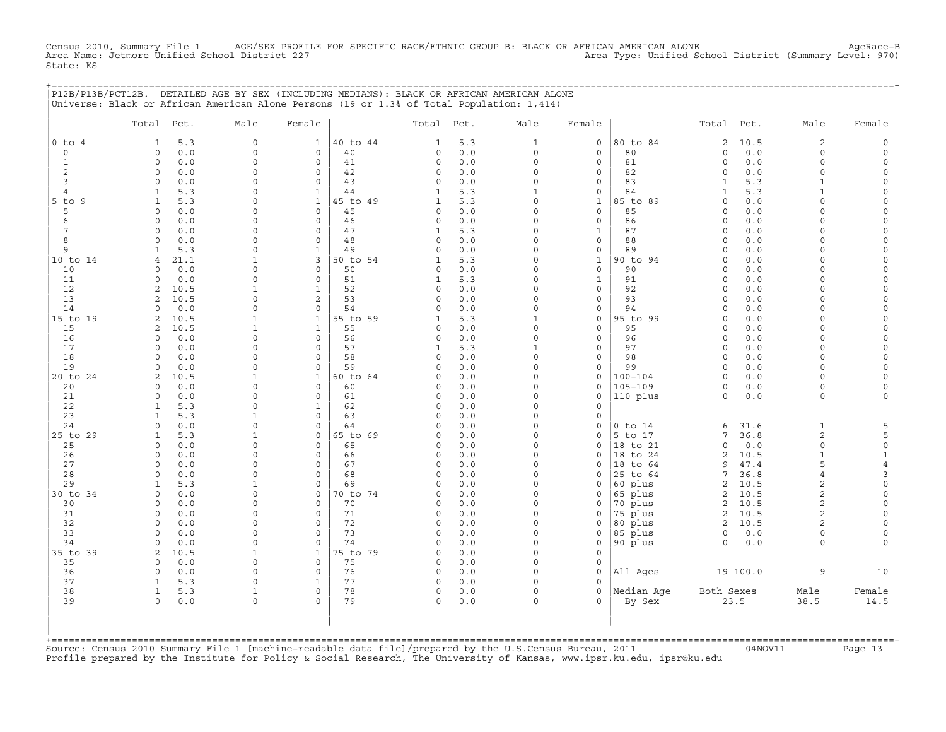Census 2010, Summary File 1 AGE/SEX PROFILE FOR SPECIFIC RACE/ETHNIC GROUP B: BLACK OR AFRICAN AMERICAN ALONE<br>Area Name: Jetmore Unified School District 227 Area Type: Unified School District (Summary Level: 970) State: KS

+===================================================================================================================================================+

|                | P12B/P13B/PCT12B. DETAILED AGE BY SEX (INCLUDING MEDIANS): BLACK OR AFRICAN AMERICAN ALONE<br>Universe: Black or African American Alone Persons (19 or 1.3% of Total Population: 1,414) |                      |                            |          |                   |            |                      |                             |                         |                         |              |                      |                          |
|----------------|-----------------------------------------------------------------------------------------------------------------------------------------------------------------------------------------|----------------------|----------------------------|----------|-------------------|------------|----------------------|-----------------------------|-------------------------|-------------------------|--------------|----------------------|--------------------------|
|                | Total Pct.                                                                                                                                                                              | Male                 | Female                     |          | Total             | Pct.       | Male                 | Female                      |                         | Total                   | Pct.         | Male                 | Female                   |
| $0$ to $4$     | 5.3<br>1                                                                                                                                                                                | $\circ$              | $\mathbf{1}$               | 40 to 44 | 1                 | 5.3        | $\mathbf{1}$         | $\mathbf 0$                 | 80 to 84                | $\overline{2}$          | 10.5         | 2                    | $\mathsf O$              |
| 0              | 0.0<br>$\Omega$                                                                                                                                                                         | $\Omega$             | $\mathbf 0$                | 40       | 0                 | 0.0        | $\circ$              | $\mathbf 0$                 | 80                      | $\mathsf{O}\xspace$     | 0.0          | $\circ$              | $\mathsf{O}\xspace$      |
| $\mathbf{1}$   | $\circ$<br>0.0                                                                                                                                                                          | $\Omega$             | $\mathbf 0$                | 41       | 0                 | 0.0        | $\mathbf 0$          | $\mathbf 0$                 | 81                      | $\circ$                 | 0.0          | $\circ$              | $\mathsf{O}\xspace$      |
| 2              | $\Omega$<br>0.0                                                                                                                                                                         | $\Omega$             | 0                          | 42       | 0                 | 0.0        | $\Omega$             | $\mathbf 0$                 | 82                      | $\circ$                 | 0.0          | $\circ$              | $\mathbf{0}$             |
| 3              | 0.0<br>$\mathbf 0$                                                                                                                                                                      | $\Omega$             | $\mathbf 0$                | 43       | 0                 | 0.0        | $\Omega$             | $\mathbf 0$                 | 83                      | $\mathbf{1}$            | 5.3          | $\mathbf{1}$         | 0                        |
| $\overline{4}$ | $\mathbf{1}$<br>5.3                                                                                                                                                                     | $\Omega$             | $\mathbf{1}$               | 44       | $\mathbf{1}$      | 5.3        | $1\,$                | $\mathsf O$                 | 84                      | $\mathbf{1}$            | 5.3          | $\mathbf{1}$         | $\mathsf{O}\xspace$      |
| 5 to 9         | 5.3<br>$\mathbf{1}$                                                                                                                                                                     | $\Omega$             | $\mathbf{1}$               | 45 to 49 | $\mathbf{1}$      | 5.3        | $\Omega$             | $1\,$                       | 85 to 89                | $\mathsf{O}\xspace$     | 0.0          | $\Omega$             | $\mathsf{O}\xspace$      |
| 5              | $\Omega$<br>0.0                                                                                                                                                                         | $\Omega$             | $\Omega$                   | 45       | 0                 | 0.0        | $\Omega$             | $\mathbf 0$                 | 85                      | $\circ$                 | 0.0          | $\Omega$             | 0                        |
| 6              | 0.0<br>$\mathbf 0$                                                                                                                                                                      | $\Omega$             | $\mathbf 0$                | 46       | 0                 | 0.0        | $\Omega$<br>$\Omega$ | $\mathsf{O}$                | 86                      | $\circ$                 | 0.0          | $\Omega$<br>$\Omega$ | $\mathsf O$              |
| 7<br>8         | 0.0<br>$\Omega$<br>$\Omega$<br>0.0                                                                                                                                                      | $\Omega$<br>$\Omega$ | $\Omega$<br>$\mathbf 0$    | 47<br>48 | $\mathbf{1}$<br>0 | 5.3<br>0.0 | $\Omega$             | $\mathbf{1}$<br>$\mathbf 0$ | 87<br>88                | $\Omega$<br>$\circ$     | 0.0<br>0.0   | $\Omega$             | $\mathsf{O}\xspace$<br>0 |
| 9              | 5.3<br>$\mathbf{1}$                                                                                                                                                                     | $\Omega$             | $\mathbf{1}$               | 49       | $\circ$           | 0.0        | $\mathbf 0$          | $\mathsf O$                 | 89                      | $\circ$                 | 0.0          | $\circ$              | $\mathsf O$              |
| 10 to 14       | 21.1<br>4                                                                                                                                                                               | $\mathbf{1}$         | 3                          | 50 to 54 | $\mathbf{1}$      | 5.3        | $\Omega$             | $\mathbf 1$                 | 90 to 94                | $\Omega$                | $0.0$        | $\Omega$             | $\mathsf{O}\xspace$      |
| 10             | $\Omega$<br>0.0                                                                                                                                                                         | $\Omega$             | $\Omega$                   | 50       | 0                 | 0.0        | $\Omega$             | $\Omega$                    | 90                      | $\Omega$                | 0.0          | $\Omega$             | 0                        |
| 11             | 0.0<br>$\mathsf{O}$                                                                                                                                                                     | $\mathbf 0$          | $\mathsf{O}\xspace$        | 51       | $\mathbf{1}$      | 5.3        | $\mathbf 0$          | $\mathbf{1}$                | 91                      | $\mathsf{O}\xspace$     | 0.0          | $\Omega$             | $\mathsf{O}\xspace$      |
| 12             | 2<br>10.5                                                                                                                                                                               | $\mathbf{1}$         | $\mathbf 1$                | 52       | 0                 | 0.0        | $\Omega$             | $\mathsf{O}$                | 92                      | $\Omega$                | 0.0          | $\Omega$             | $\mathsf{O}\xspace$      |
| 13             | $\overline{2}$<br>10.5                                                                                                                                                                  | $\Omega$             | 2                          | 53       | $\Omega$          | 0.0        | $\Omega$             | $\mathbf 0$                 | 93                      | $\Omega$                | 0.0          | $\Omega$             | 0                        |
| 14             | 0.0<br>$\Omega$                                                                                                                                                                         | $\mathbf 0$          | $\mathsf{O}\xspace$        | 54       | $\circ$           | 0.0        | $\mathbf 0$          | $\mathsf{O}\xspace$         | 94                      | $\Omega$                | 0.0          | $\circ$              | $\mathsf{O}\xspace$      |
| 15 to 19       | 10.5<br>$\overline{a}$                                                                                                                                                                  | $\mathbf{1}$         | $\mathbf{1}$               | 55 to 59 | $\mathbf{1}$      | 5.3        | $\mathbf{1}$         | $\mathsf O$                 | 95 to 99                | $\circ$                 | 0.0          | $\Omega$             | $\mathsf{O}\xspace$      |
| 15             | 2<br>10.5                                                                                                                                                                               | $\mathbf{1}$         | $\mathbf{1}$               | 55       | 0                 | 0.0        | $\Omega$             | $\mathbf 0$                 | 95                      | $\Omega$                | 0.0          | $\Omega$             | 0                        |
| 16             | $\Omega$<br>0.0                                                                                                                                                                         | $\Omega$             | $\mathsf{O}\xspace$        | 56       | 0                 | 0.0        | $\mathbf 0$          | $\mathsf{O}\xspace$         | 96                      | $\circ$                 | 0.0          | $\circ$              | $\mathsf{O}\xspace$      |
| 17             | $\Omega$<br>0.0                                                                                                                                                                         | $\Omega$             | $\Omega$                   | 57       | $\mathbf{1}$      | 5.3        | $\mathbf{1}$         | $\mathsf{O}$                | 97                      | $\circ$                 | 0.0          | $\Omega$             | 0                        |
| 18             | 0.0<br>$\Omega$                                                                                                                                                                         | $\Omega$             | $\mathbf 0$                | 58       | 0                 | 0.0        | $\Omega$             | $\mathbf 0$                 | 98                      | $\circ$                 | 0.0          | $\circ$              | $\mathsf O$              |
| 19             | 0.0<br>$\Omega$                                                                                                                                                                         | $\Omega$             | $\mathbf 0$                | 59       | 0                 | 0.0        | $\mathbf 0$          | $\mathsf{O}\xspace$         | 99                      | $\circ$                 | 0.0          | $\Omega$             | $\mathsf{O}\xspace$      |
| 20 to 24       | 2<br>10.5                                                                                                                                                                               | 1                    | $\mathbf{1}$               | 60 to 64 | 0                 | 0.0        | $\Omega$             | $\mathsf{O}\xspace$         | $100 - 104$             | $\circ$                 | 0.0          | $\Omega$             | 0                        |
| 20<br>21       | 0.0<br>$\Omega$<br>0.0<br>$\Omega$                                                                                                                                                      | $\Omega$<br>$\Omega$ | $\mathbf 0$<br>$\mathbf 0$ | 60<br>61 | 0<br>0            | 0.0<br>0.0 | $\Omega$<br>$\Omega$ | $\mathbf 0$<br>$\mathbf 0$  | $105 - 109$<br>110 plus | $\circ$<br>$\circ$      | 0.0<br>$0.0$ | $\circ$<br>$\circ$   | 0<br>$\mathsf{O}\xspace$ |
| 22             | 5.3<br>$\mathbf{1}$                                                                                                                                                                     | $\Omega$             | $\mathbf 1$                | 62       | 0                 | 0.0        | $\Omega$             | $\mathbf 0$                 |                         |                         |              |                      |                          |
| 23             | 5.3<br>1                                                                                                                                                                                | 1                    | 0                          | 63       | 0                 | 0.0        | $\Omega$             | $\mathbf 0$                 |                         |                         |              |                      |                          |
| 24             | $\Omega$<br>0.0                                                                                                                                                                         | $\Omega$             | $\Omega$                   | 64       | 0                 | 0.0        | $\Omega$             | $\mathbf 0$                 | $0$ to $14$             | 6                       | 31.6         | $\mathbf{1}$         | 5                        |
| 25 to 29       | 5.3<br>$\mathbf{1}$                                                                                                                                                                     | $\mathbf{1}$         | $\mathbf 0$                | 65 to 69 | 0                 | 0.0        | $\Omega$             | $\mathsf{O}\xspace$         | 5 to 17                 | 7                       | 36.8         | $\overline{c}$       | 5                        |
| 25             | $\circ$<br>0.0                                                                                                                                                                          | $\Omega$             | 0                          | 65       | 0                 | 0.0        | $\Omega$             | $\mathbf 0$                 | 18 to 21                | $\Omega$                | 0.0          | $\circ$              | $\mathsf{O}\xspace$      |
| 26             | 0.0<br>$\Omega$                                                                                                                                                                         | $\Omega$             | $\Omega$                   | 66       | 0                 | 0.0        | $\Omega$             | $\Omega$                    | 18 to 24                | $\mathbf{2}$            | 10.5         | $\mathbf{1}$         | $1\,$                    |
| 27             | 0<br>0.0                                                                                                                                                                                | $\Omega$             | $\mathsf{O}\xspace$        | 67       | 0                 | 0.0        | $\Omega$             | $\mathsf{O}$                | 18 to 64                | 9                       | 47.4         | 5                    | $\overline{4}$           |
| 28             | 0.0<br>$\Omega$                                                                                                                                                                         | $\Omega$             | 0                          | 68       | 0                 | 0.0        | $\Omega$             | $\Omega$                    | 25 to 64                | 7                       | 36.8         | $\overline{4}$       | 3                        |
| 29             | 5.3<br>$\mathbf{1}$                                                                                                                                                                     | $\mathbf{1}$         | $\Omega$                   | 69       | 0                 | 0.0        | $\Omega$             | $\mathbf 0$                 | 60 plus                 | $\mathbf{2}$            | 10.5         | $\overline{a}$       | $\mathsf{O}\xspace$      |
| 30 to 34       | 0<br>0.0                                                                                                                                                                                | $\Omega$             | 0                          | 70 to 74 | 0                 | 0.0        | $\Omega$             | $\mathsf{O}$                | 65 plus                 | $\overline{\mathbf{c}}$ | 10.5         | 2                    | $\mathsf{O}\xspace$      |
| 30             | 0.0<br>$\Omega$                                                                                                                                                                         | $\Omega$             | $\mathbf 0$                | 70       | 0                 | 0.0        | $\Omega$             | $\Omega$                    | 70 plus                 | 2                       | 10.5         | $\overline{a}$       | $\mathsf O$              |
| 31             | 0.0<br>$\Omega$                                                                                                                                                                         | $\Omega$             | $\Omega$                   | 71       | 0                 | 0.0        | $\Omega$             | $\mathbf 0$                 | 75 plus                 | $\sqrt{2}$              | 10.5         | $\overline{c}$       | $\mathsf{O}\xspace$      |
| 32             | 0<br>0.0                                                                                                                                                                                | $\Omega$             | $\mathsf{O}\xspace$        | 72       | 0                 | 0.0        | $\mathbf 0$          | $\mathsf{O}$                | 80 plus                 | 2                       | 10.5         | 2                    | $\mathsf{O}\xspace$      |
| 33<br>34       | 0.0<br>$\Omega$<br>0.0<br>$\Omega$                                                                                                                                                      | $\Omega$<br>$\Omega$ | $\mathbf 0$<br>$\mathbf 0$ | 73<br>74 | 0<br>0            | 0.0<br>0.0 | $\Omega$<br>$\Omega$ | $\mathbf 0$<br>$\mathbf 0$  | 85 plus                 | $\circ$<br>$\circ$      | 0.0          | $\circ$<br>$\circ$   | 0<br>$\mathsf O$         |
| 35 to 39       | 2<br>10.5                                                                                                                                                                               | $\mathbf{1}$         | $\mathbf{1}$               | 75 to 79 | 0                 | 0.0        | $\mathbf 0$          | $\mathsf{O}\xspace$         | 90 plus                 |                         | 0.0          |                      |                          |
| 35             | 0.0<br>$\Omega$                                                                                                                                                                         | $\Omega$             | $\mathbf 0$                | 75       | 0                 | 0.0        | $\Omega$             | $\mathbf 0$                 |                         |                         |              |                      |                          |
| 36             | 0.0<br>$\circ$                                                                                                                                                                          | $\Omega$             | $\mathbf 0$                | 76       | $\circ$           | 0.0        | $\Omega$             | $\mathbf 0$                 | All Ages                |                         | 19 100.0     | 9                    | 10                       |
| 37             | 5.3<br>$\mathbf{1}$                                                                                                                                                                     | $\Omega$             | $\mathbf{1}$               | 77       | 0                 | 0.0        | $\Omega$             | $\mathbf 0$                 |                         |                         |              |                      |                          |
| 38             | $\mathbf{1}$<br>5.3                                                                                                                                                                     | $\mathbf{1}$         | $\Omega$                   | 78       | 0                 | 0.0        | $\Omega$             | $\Omega$                    | Median Age              | Both Sexes              |              | Male                 | Female                   |
| 39             | $\circ$<br>0.0                                                                                                                                                                          | $\Omega$             | $\Omega$                   | 79       | $\circ$           | 0.0        | $\Omega$             | $\Omega$                    | By Sex                  |                         | 23.5         | 38.5                 | 14.5                     |
|                | +============================                                                                                                                                                           |                      |                            |          |                   |            |                      |                             |                         |                         |              |                      |                          |

+===================================================================================================================================================+Source: Census 2010 Summary File 1 [machine−readable data file]/prepared by the U.S.Census Bureau, 2011 04NOV11 Page 13 Profile prepared by the Institute for Policy & Social Research, The University of Kansas, www.ipsr.ku.edu, ipsr@ku.edu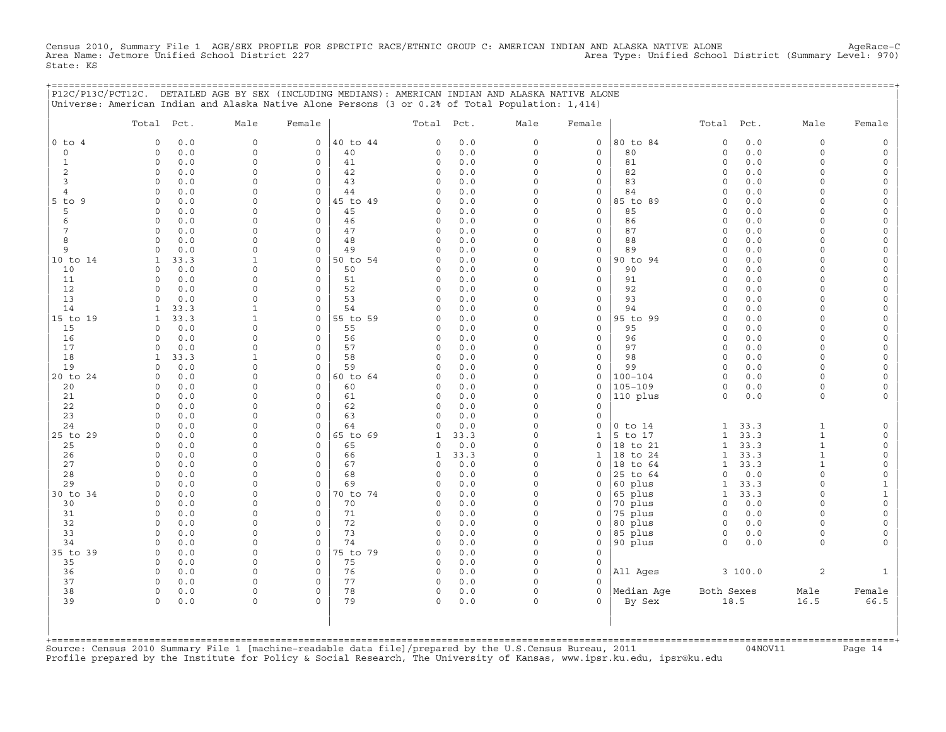Census 2010, Summary File 1 AGE/SEX PROFILE FOR SPECIFIC RACE/ETHNIC GROUP C: AMERICAN INDIAN AND ALASKA NATIVE ALONE AgeRace−C Area Name: Jetmore Unified School District 227 Area Type: Unified School District (Summary Level: 970) State: KS

+===================================================================================================================================================+

|                     | P12C/P13C/PCT12C. DETAILED AGE BY SEX (INCLUDING MEDIANS): AMERICAN INDIAN AND ALASKA NATIVE ALONE<br>Universe: American Indian and Alaska Native Alone Persons (3 or 0.2% of Total Population: 1,414) |                             |                            |                |                      |                       |                         |                             |                        |                              |              |                              |                                     |
|---------------------|--------------------------------------------------------------------------------------------------------------------------------------------------------------------------------------------------------|-----------------------------|----------------------------|----------------|----------------------|-----------------------|-------------------------|-----------------------------|------------------------|------------------------------|--------------|------------------------------|-------------------------------------|
|                     | Total Pct.                                                                                                                                                                                             | Male                        | Female                     |                | Total Pct.           |                       | Male                    | Female                      |                        | Total Pct.                   |              | Male                         | Female                              |
| $0$ to $4$          | 0.0<br>$\Omega$                                                                                                                                                                                        | $\mathbf 0$                 | $\mathbf 0$                | 40 to 44       | $\Omega$             | 0.0                   | $\circ$                 | $\mathbf 0$                 | 80 to 84               | $\Omega$                     | 0.0          | $\circ$                      | $\mathsf{O}\xspace$                 |
| $\mathbf 0$         | 0.0<br>$\circ$                                                                                                                                                                                         | $\mathbf 0$                 | $\mathbf 0$                | 40             | $\Omega$             | 0.0                   | $\circ$                 | $\mathbf 0$                 | 80                     | $\circ$                      | 0.0          | $\circ$                      | $\mathsf{O}$                        |
| $\mathbf{1}$        | $0.0$<br>$\circ$                                                                                                                                                                                       | $\mathsf{O}\xspace$         | $\mathsf O$                | 41             | 0                    | 0.0                   | $\mathsf{O}\xspace$     | $\mathsf O$                 | 81                     | $\circ$                      | 0.0          | $\mathbf 0$                  | $\mathsf{O}\xspace$                 |
| 2                   | 0.0<br>$\circ$                                                                                                                                                                                         | $\Omega$<br>$\mathbf 0$     | $\mathbf 0$<br>$\mathbf 0$ | 42             | $\Omega$<br>$\Omega$ | 0.0<br>0.0            | $\Omega$<br>$\Omega$    | $\mathbf 0$<br>$\mathbf 0$  | 82<br>83               | $\circ$<br>$\Omega$          | 0.0          | $\Omega$<br>$\Omega$         | 0                                   |
| 3<br>$\overline{4}$ | 0.0<br>$\circ$<br>$0.0$<br>$\circ$                                                                                                                                                                     | $\Omega$                    | $\circ$                    | 43<br>44       | $\Omega$             | 0.0                   | $\Omega$                | $\mathsf O$                 | 84                     | $\Omega$                     | 0.0<br>$0.0$ | $\Omega$                     | $\mathsf{O}$<br>$\mathsf{O}\xspace$ |
| $5$ to $9$          | $\Omega$<br>0.0                                                                                                                                                                                        | $\Omega$                    | $\mathbf 0$                | 45 to 49       | $\Omega$             | 0.0                   | $\Omega$                | $\mathbf 0$                 | 85 to 89               | $\Omega$                     | 0.0          | $\Omega$                     | 0                                   |
| 5                   | 0.0<br>$\circ$                                                                                                                                                                                         | $\mathbf 0$                 | $\mathsf{O}$               | 45             | $\Omega$             | 0.0                   | $\Omega$                | $\mathbf 0$                 | 85                     | $\Omega$                     | 0.0          | $\Omega$                     | 0                                   |
| 6                   | 0.0<br>$\circ$                                                                                                                                                                                         | $\Omega$                    | $\mathsf O$                | 46             | $\Omega$             | 0.0                   | $\Omega$                | $\mathsf O$                 | 86                     | $\Omega$                     | 0.0          | $\Omega$                     | $\mathsf{O}\xspace$                 |
| 7                   | $\Omega$<br>0.0                                                                                                                                                                                        | $\Omega$                    | $\Omega$                   | 47             | $\Omega$             | 0.0                   | $\Omega$                | $\mathbf 0$                 | 87                     | $\Omega$                     | 0.0          | $\Omega$                     | 0                                   |
| 8                   | 0.0<br>$\circ$                                                                                                                                                                                         | $\mathbf 0$                 | $\mathsf{O}$               | 48             | $\Omega$             | 0.0                   | $\Omega$                | $\mathsf{O}$                | 88                     | $\Omega$                     | 0.0          | $\Omega$                     | 0                                   |
| 9                   | 0.0<br>$\circ$                                                                                                                                                                                         | $\mathbf 0$                 | $\circ$                    | 49             | $\Omega$             | 0.0                   | $\Omega$<br>$\Omega$    | $\mathsf O$                 | 89                     | $\Omega$                     | 0.0          | $\Omega$                     | $\mathsf{O}\xspace$                 |
| 10 to 14<br>10      | $\mathbf{1}$<br>33.3<br>0.0<br>$\Omega$                                                                                                                                                                | $\mathbf{1}$<br>$\mathbf 0$ | $\mathbf 0$<br>$\mathbf 0$ | 50 to 54<br>50 | $\Omega$<br>$\Omega$ | 0.0<br>0.0            | $\Omega$                | $\mathbf 0$<br>$\mathsf{O}$ | 90 to 94<br>90         | $\circ$<br>$\Omega$          | 0.0<br>0.0   | $\Omega$<br>$\Omega$         | $\mathsf{O}\xspace$<br>0            |
| 11                  | 0.0<br>$\circ$                                                                                                                                                                                         | $\mathbf 0$                 | $\mathsf O$                | 51             | $\Omega$             | 0.0                   | $\Omega$                | $\mathsf O$                 | 91                     | $\Omega$                     | 0.0          | $\circ$                      | $\mathsf{O}\xspace$                 |
| 12                  | $\Omega$<br>0.0                                                                                                                                                                                        | $\Omega$                    | $\mathbf 0$                | 52             | $\mathbf 0$          | 0.0                   | $\Omega$                | $\mathbf 0$                 | 92                     | $\circ$                      | 0.0          | $\Omega$                     | 0                                   |
| 13                  | 0.0<br>$\Omega$                                                                                                                                                                                        | $\mathbf 0$                 | $\Omega$                   | 53             | $\Omega$             | 0.0                   | $\Omega$                | 0                           | 93                     | $\Omega$                     | 0.0          | $\Omega$                     | 0                                   |
| 14                  | 33.3<br>$\mathbf{1}$                                                                                                                                                                                   | $\mathbf{1}$                | $\circ$                    | 54             | $\Omega$             | 0.0                   | $\Omega$                | $\mathsf O$                 | 94                     | $\Omega$                     | 0.0          | $\circ$                      | $\mathsf{O}\xspace$                 |
| 15 to 19            | $\mathbf{1}$<br>33.3                                                                                                                                                                                   | $\mathbf 1$                 | $\mathbf 0$                | 55 to 59       | $\Omega$             | 0.0                   | $\Omega$                | $\mathbf 0$                 | 95 to 99               | $\circ$                      | 0.0          | $\Omega$                     | $\mathsf{O}\xspace$                 |
| 15                  | 0.0<br>$\Omega$                                                                                                                                                                                        | $\Omega$                    | 0                          | 55             | $\Omega$             | 0.0                   | $\Omega$                | 0                           | 95                     | $\Omega$                     | 0.0          | $\Omega$                     | 0                                   |
| 16                  | $0.0$<br>$\circ$                                                                                                                                                                                       | $\mathbf 0$                 | $\mathbf 0$                | 56             | $\Omega$<br>$\Omega$ | 0.0                   | $\Omega$<br>$\Omega$    | $\mathsf O$                 | 96                     | $\Omega$                     | 0.0          | $\Omega$<br>$\Omega$         | $\mathsf{O}\xspace$                 |
| 17<br>18            | $\circ$<br>0.0<br>33.3<br>1                                                                                                                                                                            | $\mathbf 0$<br>1            | $\mathbf 0$<br>0           | 57<br>58       | $\Omega$             | 0.0<br>0.0            | $\Omega$                | $\mathbf 0$<br>0            | 97<br>98               | $\circ$<br>$\circ$           | 0.0<br>0.0   | $\Omega$                     | $\mathsf{O}\xspace$<br>0            |
| 19                  | $0.0$<br>$\Omega$                                                                                                                                                                                      | $\mathbf 0$                 | $\mathbf 0$                | 59             | $\Omega$             | 0.0                   | $\Omega$                | $\mathsf{O}\xspace$         | 99                     | $\Omega$                     | 0.0          | $\Omega$                     | $\mathsf{O}\xspace$                 |
| 20 to 24            | 0.0<br>$\Omega$                                                                                                                                                                                        | $\mathbf 0$                 | $\mathbf 0$                | 60 to 64       | $\Omega$             | 0.0                   | $\Omega$                | $\mathsf{O}$                | $100 - 104$            | $\Omega$                     | 0.0          | $\circ$                      | $\mathbf 0$                         |
| 20                  | 0.0<br>$\circ$                                                                                                                                                                                         | $\mathbf 0$                 | $\mathsf{O}$               | 60             | $\Omega$             | 0.0                   | $\Omega$                | $\mathsf{O}$                | $105 - 109$            | $\circ$                      | 0.0          | 0                            | 0                                   |
| 21                  | 0.0<br>$\circ$                                                                                                                                                                                         | $\Omega$                    | $\mathsf O$                | 61             | $\Omega$             | 0.0                   | $\Omega$                | $\mathsf O$                 | 110 plus               | $\circ$                      | 0.0          | $\circ$                      | $\mathsf{O}\xspace$                 |
| 22                  | $\Omega$<br>0.0                                                                                                                                                                                        | $\Omega$                    | $\Omega$                   | 62             | $\Omega$             | 0.0                   | $\Omega$                | $\circ$                     |                        |                              |              |                              |                                     |
| 23                  | 0.0<br>$\Omega$                                                                                                                                                                                        | $\Omega$                    | $\mathbf 0$                | 63             | $\Omega$             | 0.0                   | $\Omega$                | $\mathsf{O}$                |                        |                              |              |                              |                                     |
| 24<br>25 to 29      | 0.0<br>$\circ$<br>0.0<br>$\Omega$                                                                                                                                                                      | $\mathbf 0$<br>$\Omega$     | $\circ$<br>$\circ$         | 64<br>65 to 69 | $\Omega$<br>1        | 0.0<br>33.3           | $\Omega$<br>$\Omega$    | $\mathsf O$<br>$\mathbf 1$  | $0$ to $14$<br>5 to 17 | $\mathbf{1}$<br>$\mathbf{1}$ | 33.3<br>33.3 | $\mathbf{1}$<br>$\mathbf{1}$ | $\mathsf{O}$<br>$\mathsf{O}\xspace$ |
| 25                  | $\Omega$<br>0.0                                                                                                                                                                                        | $\Omega$                    | $\mathbf 0$                | 65             | 0                    | 0.0                   | $\Omega$                | $\mathbf 0$                 | 18 to 21               | $\mathbf{1}$                 | 33.3         | $\mathbf{1}$                 | 0                                   |
| 26                  | $0.0$<br>$\circ$                                                                                                                                                                                       | $\mathbf 0$                 | $\mathsf{O}$               | 66             | $\mathbf{1}$         | 33.3                  | $\Omega$                | $\mathbf{1}$                | 18 to 24               | $\mathbf{1}$                 | 33.3         | $\mathbf{1}$                 | $\mathsf{O}\xspace$                 |
| 27                  | 0.0<br>$\Omega$                                                                                                                                                                                        | $\Omega$                    | $\mathbf 0$                | 67             | $\Omega$             | 0.0                   | $\Omega$                | $\Omega$                    | 18 to 64               | $\mathbf{1}$                 | 33.3         | $\mathbf{1}$                 | $\mathsf{O}\xspace$                 |
| 28                  | 0.0<br>$\Omega$                                                                                                                                                                                        | $\Omega$                    | $\mathbf 0$                | 68             | $\Omega$             | 0.0                   | $\Omega$                | $\mathbf 0$                 | 25 to 64               | $\circ$                      | 0.0          | $\Omega$                     | 0                                   |
| 29                  | $0.0$<br>$\circ$                                                                                                                                                                                       | $\mathbf 0$                 | $\circ$                    | 69             | $\Omega$             | 0.0                   | $\Omega$                | 0                           | 60 plus                | $\mathbf{1}$                 | 33.3         | $\Omega$                     | $\mathbf{1}$                        |
| 30 to 34            | 0.0<br>$\Omega$                                                                                                                                                                                        | $\Omega$                    | $\mathbf 0$                | 70 to 74       | $\Omega$             | 0.0                   | $\Omega$                | $\mathbf 0$                 | 65 plus                | $\mathbf{1}$                 | 33.3         | $\Omega$                     | $\mathbf{1}$                        |
| 30<br>31            | $\circ$<br>0.0<br>$0.0$<br>$\circ$                                                                                                                                                                     | $\Omega$<br>$\Omega$        | $\mathbf 0$<br>$\mathbf 0$ | 70<br>71       | $\Omega$<br>0        | 0.0<br>0.0            | $\Omega$<br>$\Omega$    | $\mathbf 0$<br>0            | 70 plus<br>75 plus     | $\circ$<br>$\Omega$          | 0.0<br>0.0   | $\Omega$<br>$\Omega$         | $\mathsf O$<br>$\mathsf{O}\xspace$  |
| 32                  | 0.0<br>$\Omega$                                                                                                                                                                                        | $\Omega$                    | $\mathbf 0$                | 72             | $\Omega$             | 0.0                   | $\Omega$                | $\mathbf 0$                 | 80 plus                | $\circ$                      | 0.0          | $\Omega$                     | $\mathsf{O}\xspace$                 |
| 33                  | $\circ$<br>0.0                                                                                                                                                                                         | $\mathbf 0$                 | $\mathbf 0$                | 73             | $\Omega$             | ${\tt 0}$ . ${\tt 0}$ | $\Omega$                | $\mathbf 0$                 | 85 plus                | $\circ$                      | 0.0          | $\Omega$                     | 0                                   |
| 34                  | $0.0$<br>$\circ$                                                                                                                                                                                       | $\Omega$                    | $\mathsf{O}$               | 74             | $\Omega$             | 0.0                   | $\Omega$                | 0                           | 90 plus                | $\circ$                      | 0.0          | $\circ$                      | $\mathbf 0$                         |
| 35 to 39            | $\Omega$<br>0.0                                                                                                                                                                                        | $\Omega$                    | $\mathbf 0$                | 75 to 79       | $\Omega$             | 0.0                   | $\Omega$                | $\circ$                     |                        |                              |              |                              |                                     |
| 35                  | $\circ$<br>0.0                                                                                                                                                                                         | $\mathbf 0$                 | $\mathsf{O}$               | 75             | 0                    | 0.0                   | $\Omega$                | $\mathsf{O}$                |                        |                              |              |                              |                                     |
| 36                  | $0.0$<br>$\circ$                                                                                                                                                                                       | $\Omega$                    | $\mathsf{O}$               | 76             | $\Omega$             | 0.0                   | $\Omega$                | $\mathbf 0$                 | All Ages               |                              | 3 100.0      | $\overline{c}$               | $\mathbf{1}$                        |
| 37                  | 0.0<br>$\Omega$                                                                                                                                                                                        | $\Omega$                    | $\mathbf 0$                | 77             | $\Omega$             | 0.0                   | $\Omega$                | $\Omega$                    |                        |                              |              |                              |                                     |
| 38<br>39            | $\circ$<br>0.0<br>$0.0$<br>$\circ$                                                                                                                                                                     | $\mathbf 0$<br>$\mathbf 0$  | $\mathbf 0$<br>$\Omega$    | 78<br>79       | 0<br>0               | 0.0<br>0.0            | $\mathbf 0$<br>$\Omega$ | $\mathbf 0$<br>$\Omega$     | Median Age<br>By Sex   | Both Sexes                   | 18.5         | Male<br>16.5                 | Female<br>66.5                      |
|                     |                                                                                                                                                                                                        |                             |                            |                |                      |                       |                         |                             |                        |                              |              |                              |                                     |

+===================================================================================================================================================+Source: Census 2010 Summary File 1 [machine−readable data file]/prepared by the U.S.Census Bureau, 2011 04NOV11 Page 14 Profile prepared by the Institute for Policy & Social Research, The University of Kansas, www.ipsr.ku.edu, ipsr@ku.edu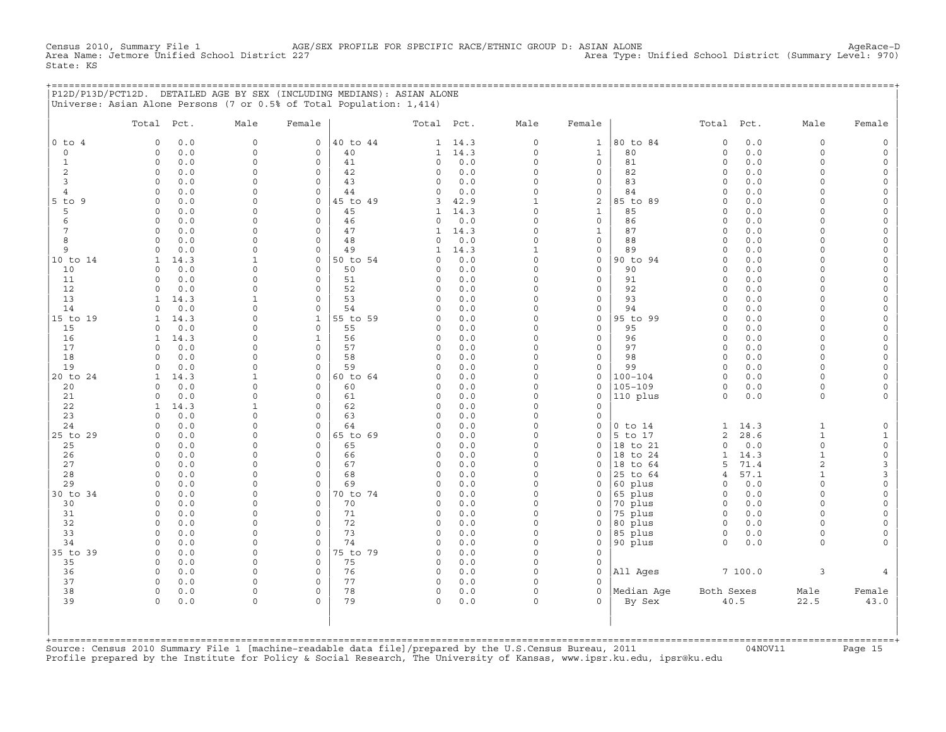Census 2010, Summary File 1 AGE/SEX PROFILE FOR SPECIFIC RACE/ETHNIC GROUP D: ASIAN ALONE AgeRace-D<br>Area Name: Jetmore Unified School District 227 Area Type: Unified School District (Summary Level: 970) State: KS

|  | P12D/P13D/PCT12D. DETAILED AGE BY SEX (INCLUDING MEDIANS): ASIAN ALONE |  |  |
|--|------------------------------------------------------------------------|--|--|
|  | Universe: Asian Alone Persons (7 or 0.5% of Total Population: 1,414)   |  |  |

|              | Total                    | Pct.       | Male                    | Female       |                | Total Pct.         |                | Male                     | Female                             |                         | Total Pct.                  |             | Male               | Female                             |
|--------------|--------------------------|------------|-------------------------|--------------|----------------|--------------------|----------------|--------------------------|------------------------------------|-------------------------|-----------------------------|-------------|--------------------|------------------------------------|
| $0$ to $4$   | $\circ$                  | 0.0        | $\mathbf 0$             | $\mathbf{0}$ | 40 to 44       |                    | $1 \quad 14.3$ | $\circ$                  | $\mathbf{1}$                       | 80 to 84                | $\circ$                     | 0.0         | $\circ$            | $\mathbb O$                        |
| $\circ$      | $\circ$                  | 0.0        | $\circ$                 | 0            | 40             | $\mathbf{1}$       | 14.3           | $\circ$                  | $\mathbf{1}$                       | 80                      | $\mathbf 0$                 | 0.0         | $\circ$            | $\mathsf{O}\xspace$                |
| $\mathbf{1}$ | $\mathbf{0}$             | 0.0        | $\mathbf 0$             | $\circ$      | 41             | $\circ$            | 0.0            | $\Omega$                 | $\mathbf 0$                        | 81                      | $\circ$                     | 0.0         | $\circ$            | $\mathsf{O}$                       |
| 2            | $\circ$                  | 0.0        | 0                       | 0            | 42             | $\circ$            | 0.0            | $\mathbf 0$              | $\mathbf 0$                        | 82                      | $\circ$                     | 0.0         | $\circ$            | $\mathsf{O}\xspace$                |
| 3            | $\circ$                  | 0.0        | 0                       | 0            | 43             | $\circ$            | 0.0            | $\Omega$                 | 0                                  | 83                      | $\circ$                     | 0.0         | $\circ$            | $\mathsf{O}\xspace$                |
| 4            | $\Omega$                 | 0.0        | 0                       | 0            | 44             | $\Omega$           | 0.0            | $\Omega$                 | 0                                  | 84                      | $\mathbf 0$                 | 0.0         | $\Omega$           | $\mathsf{O}\xspace$                |
| $5$ to $9$   | $\Omega$                 | 0.0        | $\Omega$                | 0            | 45 to 49       | 3                  | 42.9           | $\mathbf{1}$             | 2                                  | 85 to 89                | $\mathbf 0$                 | 0.0         | $\Omega$           | $\mathsf{O}\xspace$                |
| 5            | $\Omega$                 | 0.0        | $\Omega$                | $\Omega$     | 45             | $\mathbf{1}$       | 14.3           | $\Omega$                 | $\mathbf{1}$                       | 85                      | $\Omega$                    | 0.0         | $\Omega$           | $\mathsf O$                        |
| 6            | $\Omega$                 | 0.0        | $\Omega$                | $\Omega$     | 46             | $\Omega$           | 0.0            | $\Omega$                 | $\mathbf 0$                        | 86                      | $\Omega$                    | 0.0         | $\Omega$           | $\circ$                            |
| 7            | $\Omega$                 | 0.0        | $\Omega$                | $\Omega$     | 47             | $\mathbf{1}$       | 14.3           | $\Omega$                 | $\mathbf 1$                        | 87                      | $\mathbf 0$                 | 0.0         | $\Omega$           | $\mathsf O$                        |
| 8            | $\Omega$                 | 0.0        | $\Omega$                | 0            | 48             | $\Omega$           | 0.0            | $\Omega$                 | $\mathsf{O}\xspace$                | 88                      | $\Omega$                    | 0.0         | $\Omega$           | $\mathsf O$                        |
| 9            | $\Omega$                 | 0.0        | $\Omega$                | $\circ$      | 49             | 1                  | 14.3           | $\mathbf{1}$<br>$\Omega$ | $\mathsf{O}\xspace$                | 89                      | $\Omega$                    | 0.0         | $\Omega$           | $\mathsf{O}\xspace$                |
| 10 to 14     | $\mathbf{1}$<br>$\Omega$ | 14.3       | $\mathbf{1}$<br>$\circ$ | 0<br>$\circ$ | 50 to 54<br>50 | $\Omega$           | 0.0            | $\Omega$                 | $\mathsf{O}\xspace$<br>$\mathbf 0$ | 90 to 94<br>90          | $\mathbf 0$                 | 0.0         | $\circ$            | $\mathsf{O}\xspace$                |
| 10<br>11     | 0                        | 0.0        | 0                       | 0            | 51             | $\circ$<br>$\circ$ | 0.0<br>0.0     | $\Omega$                 | $\mathsf{O}\xspace$                | 91                      | $\mathbf 0$<br>$\mathsf O$  | 0.0<br>0.0  | $\circ$<br>$\circ$ | $\mathsf{O}$<br>0                  |
| 12           | $\Omega$                 | 0.0<br>0.0 | $\Omega$                | $\Omega$     | 52             | $\Omega$           | 0.0            | $\Omega$                 | $\circ$                            | 92                      | $\mathbf 0$                 | 0.0         | $\Omega$           | $\mathsf O$                        |
| 13           | $\mathbf{1}$             | 14.3       | $\mathbf{1}$            | $\Omega$     | 53             | $\Omega$           | 0.0            | $\Omega$                 | $\Omega$                           | 93                      | $\Omega$                    | 0.0         | $\Omega$           | $\mathsf{O}\xspace$                |
| 14           | $\Omega$                 | 0.0        | $\Omega$                | $\circ$      | 54             | $\Omega$           | 0.0            | $\Omega$                 | $\mathbf 0$                        | 94                      | $\circ$                     | 0.0         | $\circ$            | $\mathsf{O}$                       |
| 15 to 19     | 1                        | 14.3       | 0                       | $\mathbf{1}$ | 55 to 59       | $\circ$            | 0.0            | $\Omega$                 | $\mathsf{O}\xspace$                | 95 to 99                | $\Omega$                    | 0.0         | $\Omega$           | $\mathsf O$                        |
| 15           | $\Omega$                 | 0.0        | $\Omega$                | $\Omega$     | 55             | $\circ$            | 0.0            | $\Omega$                 | $\mathbf 0$                        | 95                      | $\Omega$                    | 0.0         | $\Omega$           | $\mathsf{O}$                       |
| 16           | 1                        | 14.3       | $\Omega$                | $\mathbf{1}$ | 56             | $\circ$            | 0.0            | $\Omega$                 | $\mathbf 0$                        | 96                      | $\mathbf 0$                 | 0.0         | $\Omega$           | $\mathsf{O}$                       |
| 17           | $\circ$                  | 0.0        | 0                       | 0            | 57             | $\circ$            | 0.0            | $\Omega$                 | 0                                  | 97                      | $\Omega$                    | 0.0         | $\Omega$           | $\mathsf{O}$                       |
| 18           | $\Omega$                 | 0.0        | 0                       | 0            | 58             | $\circ$            | 0.0            | $\Omega$                 | $\mathsf{O}\xspace$                | 98                      | $\mathbf 0$                 | 0.0         | $\Omega$           | $\mathsf{O}\xspace$                |
| 19           | $\Omega$                 | 0.0        | 0                       | 0            | 59             | $\circ$            | 0.0            | $\Omega$                 | $\mathsf O$                        | 99                      | $\circ$                     | 0.0         | $\circ$            | $\mathsf{O}\xspace$                |
| 20 to 24     | $\mathbf{1}$             | 14.3       | $\mathbf{1}$            | $\Omega$     | 60 to 64       | $\Omega$           | 0.0            | $\Omega$                 | $\circ$                            | $100 - 104$             | $\Omega$                    | 0.0         | $\Omega$           | $\mathsf O$                        |
| 20           | $\Omega$                 | 0.0        | $\Omega$                | $\Omega$     | 60             | $\circ$            | 0.0            | $\Omega$                 | $\circ$                            | $105 - 109$             | $\Omega$                    | 0.0         | $\circ$            | $\circ$                            |
| 21           | $\Omega$                 | 0.0        | $\circ$                 | $\Omega$     | 61             | $\circ$            | 0.0            | $\Omega$                 | $\mathsf{O}\xspace$                | 110 plus                | $\circ$                     | 0.0         | $\circ$            | $\circ$                            |
| 22           | $\mathbf{1}$             | 14.3       | $\mathbf{1}$            | $\Omega$     | 62             | $\Omega$           | 0.0            | $\Omega$                 | $\mathbf 0$                        |                         |                             |             |                    |                                    |
| 23           | $\mathbf{0}$             | 0.0        | $\Omega$                | $\circ$      | 63             | $\circ$            | $0.0$          | $\Omega$                 | $\circ$                            |                         |                             |             |                    |                                    |
| 24           | $\Omega$                 | 0.0        | 0                       | 0            | 64             | $\circ$            | 0.0            | $\Omega$                 | $\mathsf O$                        | $0$ to $14$             | $\mathbf{1}$                | 14.3        | $\mathbf{1}$       | $\mathsf O$                        |
| 25 to 29     | $\circ$                  | 0.0        | $\Omega$                | 0            | 65 to 69       | $\circ$            | 0.0            | $\Omega$                 | $\circ$                            | 5 to 17                 | $\overline{c}$              | 28.6        | $\mathbf{1}$       | $\mathbf{1}$                       |
| 25<br>26     | $\circ$<br>$\circ$       | 0.0        | 0<br>0                  | 0<br>0       | 65<br>66       | $\circ$<br>$\circ$ | 0.0<br>0.0     | $\Omega$<br>$\Omega$     | $\circ$<br>$\circ$                 | 18 to 21                | $\mathbf 0$<br>$\mathbf{1}$ | 0.0<br>14.3 | 0<br>$\mathbf{1}$  | $\mathsf{O}\xspace$<br>$\mathsf O$ |
| 27           | $\Omega$                 | 0.0<br>0.0 | 0                       | $\Omega$     | 67             | $\Omega$           | 0.0            | $\Omega$                 | $\Omega$                           | 18 to 24<br>18<br>to 64 | 5                           | 71.4        | $\overline{a}$     | 3                                  |
| 28           | $\Omega$                 | 0.0        | $\Omega$                | $\circ$      | 68             | $\Omega$           | 0.0            | $\Omega$                 | $\circ$                            | 25 to 64                | $\overline{4}$              | 57.1        | $\mathbf{1}$       | 3                                  |
| 29           | $\Omega$                 | 0.0        | $\Omega$                | $\Omega$     | 69             | $\cap$             | 0.0            | $\Omega$                 | $\Omega$                           | 60 plus                 | $\Omega$                    | 0.0         | $\Omega$           | $\mathsf{O}\xspace$                |
| 30 to 34     | $\circ$                  | 0.0        | 0                       | $\circ$      | 70 to 74       | $\circ$            | 0.0            | $\Omega$                 | 0                                  | 65 plus                 | $\mathbf 0$                 | 0.0         | $\circ$            | $\mathsf{O}\xspace$                |
| 30           | $\Omega$                 | 0.0        | 0                       | 0            | 70             | $\Omega$           | 0.0            | $\Omega$                 | $\mathsf O$                        | 70 plus                 | $\mathbf 0$                 | 0.0         | $\Omega$           | $\mathsf{O}\xspace$                |
| 31           | $\Omega$                 | 0.0        | $\circ$                 | 0            | 71             | $\circ$            | 0.0            | $\Omega$                 | $\circ$                            | 75 plus                 | $\circ$                     | 0.0         | $\Omega$           | $\mathsf{O}\xspace$                |
| 32           | $\Omega$                 | 0.0        | 0                       | $\Omega$     | 72             | $\circ$            | 0.0            | $\Omega$                 | $\circ$                            | 80 plus                 | $\circ$                     | 0.0         | $\Omega$           | 0                                  |
| 33           | $\mathbf 0$              | 0.0        | $\mathbf 0$             | 0            | 73             | $\circ$            | 0.0            | $\Omega$                 | $\mathsf O$                        | 85 plus                 | $\circ$                     | 0.0         | $\circ$            | $\mathsf{O}$                       |
| 34           | $\mathbf 0$              | 0.0        | $\circ$                 | 0            | 74             | $\circ$            | 0.0            | $\Omega$                 | 0                                  | 90 plus                 | $\circ$                     | 0.0         | $\circ$            | $\mathbf{0}$                       |
| 35 to 39     | $\circ$                  | 0.0        | $\circ$                 | 0            | 75 to 79       | $\circ$            | 0.0            | $\Omega$                 | $\mathbf 0$                        |                         |                             |             |                    |                                    |
| 35           | $\Omega$                 | 0.0        | $\circ$                 | $\Omega$     | 75             | $\Omega$           | 0.0            | $\Omega$                 | $\mathbf 0$                        |                         |                             |             |                    |                                    |
| 36           | $\circ$                  | 0.0        | $\circ$                 | $\circ$      | 76             | $\circ$            | 0.0            | $\Omega$                 | $\mathbf 0$                        | All Ages                |                             | 7100.0      | 3                  | $\overline{4}$                     |
| 37           | $\circ$                  | 0.0        | $\Omega$                | 0            | 77             | $\circ$            | 0.0            | $\Omega$                 | $\Omega$                           |                         |                             |             |                    |                                    |
| 38           | $\Omega$                 | 0.0        | $\Omega$                | $\Omega$     | 78             | $\Omega$           | 0.0            | $\Omega$                 | $\Omega$                           | Median Age              | Both Sexes                  |             | Male               | Female                             |
| 39           | $\circ$                  | 0.0        | $\circ$                 | $\Omega$     | 79             | $\circ$            | 0.0            | $\circ$                  | $\Omega$                           | By Sex                  |                             | 40.5        | 22.5               | 43.0                               |
|              |                          |            |                         |              |                |                    |                |                          |                                    |                         |                             |             |                    |                                    |

+===================================================================================================================================================+Source: Census 2010 Summary File 1 [machine−readable data file]/prepared by the U.S.Census Bureau, 2011 04NOV11 Page 15 Profile prepared by the Institute for Policy & Social Research, The University of Kansas, www.ipsr.ku.edu, ipsr@ku.edu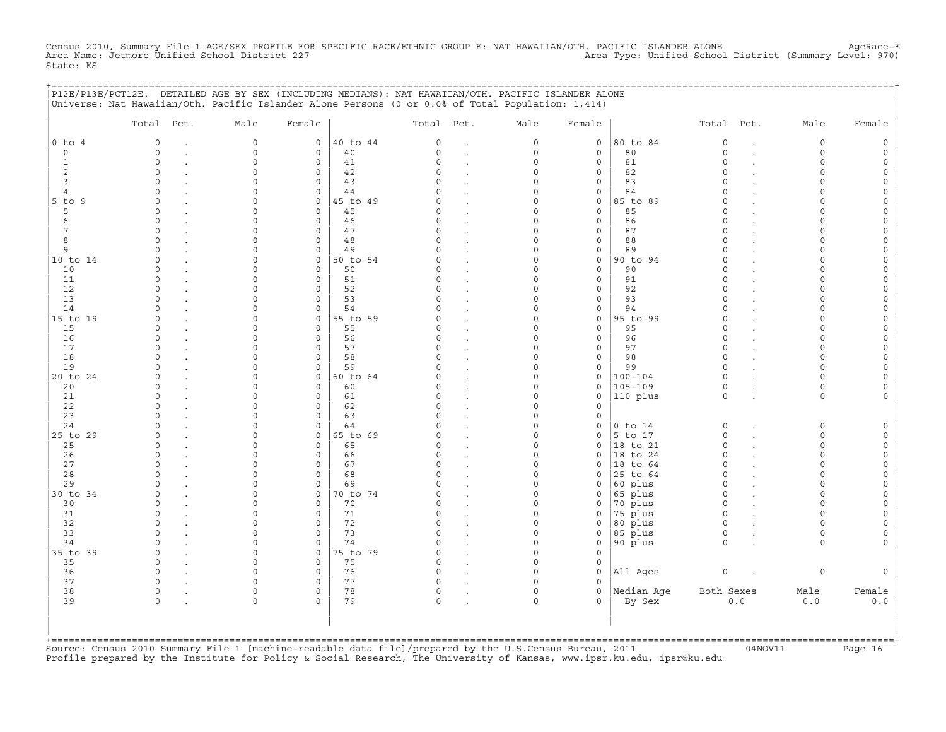Census 2010, Summary File 1 AGE/SEX PROFILE FOR SPECIFIC RACE/ETHNIC GROUP E: NAT HAWAIIAN/OTH. PACIFIC ISLANDER ALONE AgeRace-E<br>Area Name: Jetmore Unified School District 227 State: KS

|                     | P12E/P13E/PCT12E. DETAILED AGE BY SEX (INCLUDING MEDIANS): NAT HAWAIIAN/OTH. PACIFIC ISLANDER ALONE<br>Universe: Nat Hawaiian/Oth. Pacific Islander Alone Persons (0 or 0.0% of Total Population: 1,414) |                    |                            |          |                    |                      |                      |                  | ============================ |                      |        |                    |        |
|---------------------|----------------------------------------------------------------------------------------------------------------------------------------------------------------------------------------------------------|--------------------|----------------------------|----------|--------------------|----------------------|----------------------|------------------|------------------------------|----------------------|--------|--------------------|--------|
|                     | Total Pct.                                                                                                                                                                                               | Male               | Female                     |          | Total Pct.         |                      | Male                 | Female           |                              | Total Pct.           |        | Male               | Female |
| $0$ to $4$          | $\circ$                                                                                                                                                                                                  | $\mathbf 0$        | $\circ$                    | 40 to 44 | $\mathbf 0$        | $\cdot$              | $\circ$              | $\mathbf{0}$     | 80 to 84                     | $\circ$              |        | $\circ$            |        |
| $\circ$             | $\Omega$                                                                                                                                                                                                 | $\mathbf 0$        | $\mathbf{0}$               | 40       | $\Omega$           | $\cdot$              | 0                    | $\mathbf 0$      | 80                           | $\mathbf 0$          | $\sim$ | $\circ$            | $\cap$ |
| 1                   | $\Omega$                                                                                                                                                                                                 | $\Omega$           | $\mathbf 0$                | 41       | $\Omega$           | $\ddot{\phantom{a}}$ | $\Omega$             | $\mathbf 0$      | 81                           | $\Omega$             |        | $\Omega$           |        |
| 2                   | $\Omega$                                                                                                                                                                                                 | $\Omega$           | $\mathbf 0$                | 42       | $\Omega$<br>$\cap$ |                      | $\Omega$             | 0                | 82                           | $\Omega$<br>$\cap$   |        | $\Omega$           |        |
| 3<br>$\overline{4}$ | $\Omega$<br>$\Omega$                                                                                                                                                                                     | ∩                  | $\Omega$<br>$\mathbf{0}$   | 43<br>44 |                    |                      | $\Omega$<br>$\Omega$ | 0<br>0           | 83<br>84                     | $\Omega$             |        | $\Omega$<br>$\cap$ |        |
| $5$ to $9$          | $\Omega$                                                                                                                                                                                                 |                    | $\circ$                    | 45 to 49 | $\Omega$           | $\cdot$              | $\Omega$             | 0                | 85 to 89                     | $\Omega$             |        |                    |        |
| 5                   | $\Omega$                                                                                                                                                                                                 |                    | $\mathbf 0$                | 45       | $\Omega$           | $\cdot$<br>$\bullet$ | $\Omega$             | $\mathbf 0$      | 85                           | $\Omega$             |        |                    |        |
| 6                   | $\Omega$                                                                                                                                                                                                 |                    | $\mathbf 0$                | 46       | $\Omega$           | $\bullet$            | $\Omega$             | 0                | 86                           | $\Omega$             |        | $\Omega$           |        |
| 7                   | $\Omega$                                                                                                                                                                                                 | $\Omega$           | $\mathbf 0$                | 47       | $\Omega$           |                      | $\Omega$             | $\mathbf 0$      | 87                           | $\Omega$             |        | $\cap$             |        |
| 8                   | $\circ$                                                                                                                                                                                                  | $\Omega$           | $\mathsf{O}$               | 48       | $\mathbf 0$        | $\cdot$              | $\Omega$             | 0                | 88                           | $\circ$              |        | $\Omega$           |        |
| 9                   | $\Omega$                                                                                                                                                                                                 | $\Omega$           | 0                          | 49       | $\Omega$           | $\cdot$              | $\Omega$             | 0                | 89                           | $\Omega$             |        | $\Omega$           |        |
| 10 to 14            | $\Omega$                                                                                                                                                                                                 | $\Omega$           | $\mathbf 0$                | 50 to 54 | C)                 | $\bullet$            | $\Omega$             | $\mathbf 0$      | 90 to 94                     | $\Omega$             |        | $\Omega$           |        |
| 10                  | $\Omega$                                                                                                                                                                                                 | $\Omega$           | $\mathbf 0$                | 50       | 0                  |                      | $\Omega$             | 0                | 90                           | $\Omega$             |        | $\Omega$           |        |
| 11                  | $\Omega$                                                                                                                                                                                                 |                    | $\mathbf 0$                | 51       | $\Omega$           | $\bullet$            | $\Omega$             | 0                | 91                           | $\cap$               |        | $\cap$             |        |
| 12                  | $\cap$                                                                                                                                                                                                   |                    | $\mathbf 0$                | 52       | C)                 | $\ddot{\phantom{a}}$ | O                    | $\circ$          | 92                           | $\Omega$             |        |                    |        |
| 13                  | $\cap$                                                                                                                                                                                                   |                    | $\mathbf 0$                | 53       | $\Omega$           | $\ddot{\phantom{a}}$ | $\Omega$             | $\Omega$         | 93                           | $\Omega$             |        |                    |        |
| 14                  |                                                                                                                                                                                                          |                    | $\mathbf 0$                | 54       | U                  | $\cdot$              | $\Omega$             | 0                | 94                           | $\Omega$             |        |                    |        |
| 15 to 19            | $\cap$<br>$\Omega$                                                                                                                                                                                       | $\cap$<br>$\Omega$ | $\mathbf{0}$<br>$\Omega$   | 55 to 59 | U<br>$\Omega$      | $\cdot$              | $\Omega$<br>$\Omega$ | 0<br>$\mathbf 0$ | 95 to 99<br>95               | $\Omega$<br>$\Omega$ |        | $\cap$<br>$\cap$   |        |
| 15<br>16            | $\Omega$                                                                                                                                                                                                 | $\Omega$           | $\mathbf 0$                | 55<br>56 | 0                  | $\cdot$              | $\Omega$             | $\mathbf 0$      | 96                           | $\circ$              |        | $\cap$             |        |
| 17                  | $\Omega$                                                                                                                                                                                                 |                    | $\mathbf{0}$               | 57       | $\Omega$           | $\cdot$              | 0                    | $\circ$          | 97                           | $\circ$              |        | $\Omega$           |        |
| 18                  | $\cap$                                                                                                                                                                                                   | $\cap$             | $\mathbf{0}$               | 58       | C)                 |                      | $\Omega$             | 0                | 98                           | $\Omega$             |        | $\Omega$           |        |
| 19                  | $\Omega$                                                                                                                                                                                                 | $\Omega$           | $\mathbf 0$                | 59       | $\Omega$           |                      | $\Omega$             | 0                | 99                           | $\circ$              |        | $\Omega$           |        |
| 20 to 24            | $\Omega$                                                                                                                                                                                                 | $\cap$             | $\mathsf{O}$               | 60 to 64 | $\cap$             |                      | $\Omega$             | 0                | $100 - 104$                  | $\mathbf 0$          |        | $\Omega$           |        |
| 20                  | $\Omega$                                                                                                                                                                                                 |                    | $\mathbf 0$                | 60       | 0                  | $\ddot{\phantom{a}}$ | $\Omega$             | 0                | $105 - 109$                  | $\mathsf O$          |        | $\Omega$           |        |
| 21                  | $\Omega$                                                                                                                                                                                                 |                    | $\mathbf 0$                | 61       | $\Omega$           | $\bullet$            | $\Omega$             | 0                | 110 plus                     | $\circ$              |        | $\circ$            |        |
| 22                  | $\Omega$                                                                                                                                                                                                 |                    | $\mathbf 0$                | 62       | $\Omega$           |                      | $\Omega$             | $\Omega$         |                              |                      |        |                    |        |
| 23                  | $\Omega$                                                                                                                                                                                                 |                    | $\mathbf 0$                | 63       | O                  |                      | $\Omega$             | 0                |                              |                      |        |                    |        |
| 24                  | $\cap$                                                                                                                                                                                                   |                    | $\mathbf 0$                | 64       |                    |                      | $\Omega$             | 0                | $0$ to $14$                  | 0                    |        | $\Omega$           |        |
| 25 to 29            | $\circ$                                                                                                                                                                                                  | $\cap$             | $\mathsf{O}$               | 65 to 69 | 0                  | $\cdot$              | $\Omega$             | 0                | $5$ to 17                    | $\circ$              |        | $\Omega$           |        |
| 25                  | $\Omega$                                                                                                                                                                                                 |                    | 0                          | 65       | C)                 | $\ddot{\phantom{a}}$ | $\Omega$             | 0                | 18 to 21                     | $\circ$              |        | $\Omega$           |        |
| 26                  | $\Omega$                                                                                                                                                                                                 |                    | $\Omega$                   | 66       | U                  | $\cdot$              | $\Omega$             | $\Omega$         | 18 to 24                     | $\Omega$             |        | $\cap$             |        |
| 27<br>28            | $\Omega$<br>$\cap$                                                                                                                                                                                       | $\cap$<br>$\cap$   | $\mathbf 0$                | 67<br>68 | $\Omega$           |                      | $\Omega$<br>$\Omega$ | 0                | $ 18$ to $64$                | $\Omega$<br>$\Omega$ |        | $\cap$<br>$\cap$   |        |
| 29                  | $\cap$                                                                                                                                                                                                   | $\Omega$           | $\mathbf 0$<br>$\mathbf 0$ | 69       | $\Omega$<br>C)     | $\cdot$              | $\Omega$             | 0<br>$\Omega$    | 25 to 64<br>60 plus          | $\Omega$             |        | $\Omega$           |        |
| 30 to 34            | $\Omega$                                                                                                                                                                                                 | $\Omega$           | $\mathbf{0}$               | 70 to 74 | $\Omega$           | $\cdot$<br>$\cdot$   | $\Omega$             | 0                | 65 plus                      | $\Omega$             |        | $\Omega$           |        |
| 30                  | $\Omega$                                                                                                                                                                                                 | $\Omega$           | 0                          | 70       | $\Omega$           | $\bullet$            | $\Omega$             | 0                | 70 plus                      | $\circ$              |        | $\Omega$           |        |
| 31                  | $\Omega$                                                                                                                                                                                                 | ∩                  | $\mathbf 0$                | 71       | $\Omega$           | $\bullet$            | 0                    | 0                | 75 plus                      | $\circ$              |        | $\Omega$           |        |
| 32                  | $\Omega$                                                                                                                                                                                                 | $\Omega$           | $\mathbf 0$                | 72       | $\Omega$           | $\ddot{\phantom{a}}$ | $\Omega$             | $\mathbf 0$      | 80 plus                      | $\Omega$             |        | $\cap$             |        |
| 33                  | $\Omega$                                                                                                                                                                                                 | $\Omega$           | $\mathbf 0$                | 73       | $\Omega$           | $\ddot{\phantom{a}}$ | $\Omega$             | $\mathbf 0$      | 85 plus                      | $\circ$              |        | $\Omega$           |        |
| 34                  | $\Omega$                                                                                                                                                                                                 | $\Omega$           | $\mathbf 0$                | 74       | $\Omega$           | $\ddot{\phantom{a}}$ | $\Omega$             | 0                | 90 plus                      | $\circ$              |        | $\Omega$           |        |
| 35 to 39            | $\Omega$                                                                                                                                                                                                 | $\Omega$           | $\mathbf 0$                | 75 to 79 | $\Omega$           |                      | $\Omega$             | $\Omega$         |                              |                      |        |                    |        |
| 35                  | $\circ$                                                                                                                                                                                                  | $\Omega$           | $\mathbf 0$                | 75       | $\mathsf{O}$       |                      | $\Omega$             | 0                |                              |                      |        |                    |        |
| 36                  | $\circ$                                                                                                                                                                                                  | $\Omega$           | $\mathsf{O}$               | 76       | $\mathsf{O}$       | $\cdot$              | $\Omega$             | 0                | All Ages                     | $\mathsf O$          |        | 0                  |        |
| 37                  | $\circ$                                                                                                                                                                                                  | $\Omega$           | $\mathbf 0$                | 77       | 0                  | $\cdot$              | $\Omega$             | 0                |                              |                      |        |                    |        |
| 38                  | $\circ$                                                                                                                                                                                                  | $\Omega$           | 0                          | 78       | 0                  |                      | $\Omega$             | 0                | Median Age                   | Both Sexes           |        | Male               | Female |
| 39                  | $\Omega$                                                                                                                                                                                                 | $\Omega$           | $\Omega$                   | 79       | $\Omega$           |                      | $\cap$               | $\Omega$         | By Sex                       |                      | $0.0$  | 0.0                | 0.0    |
|                     |                                                                                                                                                                                                          |                    |                            |          |                    |                      |                      |                  |                              |                      |        |                    |        |
|                     |                                                                                                                                                                                                          |                    |                            |          |                    |                      |                      |                  |                              |                      |        |                    |        |
|                     |                                                                                                                                                                                                          |                    |                            |          |                    |                      |                      |                  |                              |                      |        |                    |        |

+===================================================================================================================================================+Source: Census 2010 Summary File 1 [machine−readable data file]/prepared by the U.S.Census Bureau, 2011 04NOV11 Page 16 Profile prepared by the Institute for Policy & Social Research, The University of Kansas, www.ipsr.ku.edu, ipsr@ku.edu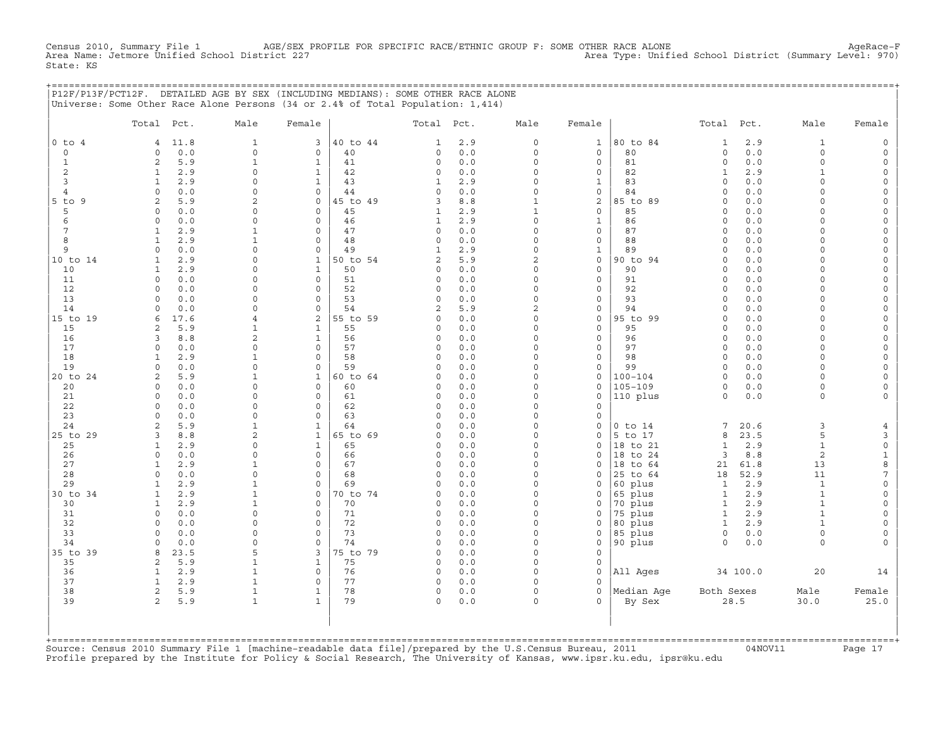Census 2010, Summary File 1 AGE/SEX PROFILE FOR SPECIFIC RACE/ETHNIC GROUP F: SOME OTHER RACE ALONE AgeRace−F<br>Area Name: Jetmore Unified School District 227 Area Type: Unified School District (Summary Level: 970) State: KS

+===================================================================================================================================================+

|                | P12F/P13F/PCT12F. DETAILED AGE BY SEX (INCLUDING MEDIANS): SOME OTHER RACE ALONE<br>Universe: Some Other Race Alone Persons (34 or 2.4% of Total Population: 1,414) |                              |                                 |          |                         |            |                               |                |                                       |                         |               |                          |                        |
|----------------|---------------------------------------------------------------------------------------------------------------------------------------------------------------------|------------------------------|---------------------------------|----------|-------------------------|------------|-------------------------------|----------------|---------------------------------------|-------------------------|---------------|--------------------------|------------------------|
|                | Total Pct.                                                                                                                                                          | Male                         | Female                          |          | Total Pct.              |            | Male                          | Female         |                                       | Total Pct.              |               | Male                     | Female                 |
| $0$ to $4$     | 11.8<br>4                                                                                                                                                           | $\mathbf{1}$                 | 3                               | 40 to 44 | 1                       | 2.9        | 0                             | $\mathbf{1}$   | 80 to 84                              | $\mathbf 1$             | 2.9           | $\mathbf{1}$             | $\Omega$               |
| $\circ$        | $0.0$<br>$\circ$                                                                                                                                                    | $\circ$                      | $\mathbf 0$                     | 40       | $\circ$                 | 0.0        | $\circ$                       | $\circ$        | 80                                    | $\circ$                 | $0.0$         | $\circ$                  | $\Omega$               |
| $\mathbf{1}$   | $\sqrt{2}$<br>5.9                                                                                                                                                   | $\mathbf{1}$                 | $\mathbf{1}$                    | 41       | $\mathbf 0$             | 0.0        | $\mathbf 0$                   | $\circ$        | 81                                    | $\mathsf{O}\xspace$     | 0.0           | $\circ$                  | $\Omega$               |
| 2<br>3         | $\mathbf{1}$<br>2.9<br>2.9<br>$\mathbf{1}$                                                                                                                          | $\mathbf 0$<br>$\mathbf 0$   | $\mathbf{1}$<br>$\mathbf{1}$    | 42<br>43 | $\Omega$<br>1           | 0.0<br>2.9 | 0<br>$\Omega$                 | 0<br>1         | 82<br>83                              | $\mathbf{1}$<br>$\circ$ | 2.9<br>0.0    | $\mathbf{1}$<br>$\Omega$ | $\circ$<br>$\Omega$    |
| $\overline{4}$ | $\circ$<br>$0.0$                                                                                                                                                    | $\circ$                      | $\mathbf 0$                     | 44       | $\Omega$                | 0.0        | $\mathbf 0$                   | 0              | 84                                    | $\Omega$                | 0.0           | $\Omega$                 | $\Omega$               |
| $5$ to<br>9    | $\overline{2}$<br>5.9                                                                                                                                               | $\overline{c}$               | $\mathbf 0$                     | 45 to 49 | 3                       | 8.8        | $\mathbf{1}$                  | $\overline{a}$ | 85 to 89                              | $\Omega$                | 0.0           | $\Omega$                 | $\Omega$               |
| 5              | 0.0<br>0                                                                                                                                                            | $\mathbf 0$                  | $\mathbf 0$                     | 45       | 1                       | 2.9        | $\mathbf{1}$                  | 0              | 85                                    | $\Omega$                | 0.0           | $\Omega$                 | $\Omega$               |
| 6              | $\circ$<br>0.0                                                                                                                                                      | $\circ$                      | $\mathbf 0$                     | 46       | $\mathbf{1}$            | 2.9        | 0                             | $\mathbf{1}$   | 86                                    | $\circ$                 | 0.0           | $\Omega$                 | $\Omega$               |
| 7              | $\mathbf{1}$<br>2.9                                                                                                                                                 | $\mathbf{1}$                 | $\Omega$                        | 47       | $\circ$                 | 0.0        | $\Omega$                      | 0              | 87                                    | $\Omega$                | 0.0           | $\Omega$                 | $\Omega$               |
| 8              | $\mathbf{1}$<br>2.9                                                                                                                                                 | $\mathbf{1}$                 | 0                               | 48       | $\circ$                 | 0.0        | 0                             | 0              | 88                                    | $\circ$                 | 0.0           | $\Omega$                 | $\Omega$               |
| 9              | $\circ$<br>0.0                                                                                                                                                      | $\circ$                      | $\mathbf 0$                     | 49       | $\mathbf{1}$            | 2.9        | 0                             | $\mathbf 1$    | 89                                    | $\circ$                 | 0.0           | $\Omega$                 | $\mathsf{O}\xspace$    |
| 10 to 14       | $\mathbf{1}$<br>2.9<br>$\mathbf{1}$                                                                                                                                 | $\mathbf 0$<br>$\mathbf 0$   | $\mathbf{1}$<br>$\mathbf{1}$    | 50 to 54 | 2                       | 5.9        | $\overline{a}$<br>$\mathbf 0$ | $\circ$        | 90 to 94                              | $\circ$<br>$\circ$      | $0.0$         | $\Omega$<br>$\Omega$     | $\circ$<br>$\Omega$    |
| 10<br>11       | 2.9<br>$\circ$<br>0.0                                                                                                                                               | $\circ$                      | $\mathbf 0$                     | 50<br>51 | 0<br>$\Omega$           | 0.0<br>0.0 | $\mathbf 0$                   | 0<br>0         | 90<br>91                              | $\circ$                 | 0.0<br>0.0    | $\Omega$                 | $\mathbf 0$            |
| 12             | $\circ$<br>0.0                                                                                                                                                      | $\mathbf 0$                  | $\circ$                         | 52       | $\Omega$                | 0.0        | $\Omega$                      | 0              | 92                                    | $\circ$                 | 0.0           | $\Omega$                 | $\Omega$               |
| 13             | 0.0<br>$\Omega$                                                                                                                                                     | 0                            | $\Omega$                        | 53       | $\Omega$                | 0.0        | 0                             | 0              | 93                                    | $\circ$                 | 0.0           | $\Omega$                 | $\Omega$               |
| 14             | 0.0<br>$\circ$                                                                                                                                                      | $\circ$                      | $\mathbf 0$                     | 54       | $\overline{2}$          | 5.9        | 2                             | 0              | 94                                    | $\circ$                 | 0.0           | $\Omega$                 | $\Omega$               |
| 15 to 19       | 6<br>17.6                                                                                                                                                           | $\overline{4}$               | 2                               | 55 to 59 | $\Omega$                | 0.0        | $\Omega$                      | $\circ$        | 95 to 99                              | $\circ$                 | 0.0           | $\Omega$                 | $\Omega$               |
| 15             | 5.9<br>2                                                                                                                                                            | $\mathbf{1}$                 | $\mathbf{1}$                    | 55       | $\Omega$                | 0.0        | 0                             | 0              | 95                                    | $\Omega$                | 0.0           | $\Omega$                 | $\Omega$               |
| 16             | 3<br>$8.8$                                                                                                                                                          | $\overline{c}$               | $\mathbf{1}$                    | 56       | $\Omega$                | 0.0        | $\Omega$                      | 0              | 96                                    | $\Omega$                | 0.0           | $\Omega$                 | $\Omega$               |
| 17             | $\circ$<br>0.0                                                                                                                                                      | $\circ$                      | $\mathbf 0$                     | 57       | $\Omega$                | 0.0        | $\mathbf 0$                   | $\mathbf{0}$   | 97                                    | $\circ$                 | $0.0$         | $\Omega$                 | $\Omega$               |
| 18             | 2.9<br>$\mathbf{1}$                                                                                                                                                 | $\mathbf{1}$<br>$\circ$      | $\Omega$                        | 58<br>59 | $\Omega$<br>$\Omega$    | 0.0        | 0<br>$\Omega$                 | 0              | 98<br>99                              | $\circ$<br>$\Omega$     | 0.0<br>$0.0$  | $\Omega$<br>$\Omega$     | $\Omega$<br>$\Omega$   |
| 19<br>20 to 24 | 0.0<br>$\circ$<br>$\overline{c}$<br>5.9                                                                                                                             | $\mathbf{1}$                 | $\circ$<br>$\mathbf{1}$         | 60 to 64 | $\Omega$                | 0.0<br>0.0 | 0                             | 0<br>0         | $100 - 104$                           | $\Omega$                | 0.0           | $\Omega$                 | $\Omega$               |
| 20             | $\circ$<br>0.0                                                                                                                                                      | $\mathbf 0$                  | $\mathbf 0$                     | 60       | $\Omega$                | 0.0        | 0                             | 0              | $105 - 109$                           | $\circ$                 | 0.0           | $\circ$                  | $\Omega$               |
| 21             | $0.0$<br>$\circ$                                                                                                                                                    | $\circ$                      | $\mathbf 0$                     | 61       | $\Omega$                | 0.0        | $\Omega$                      | $\mathbf 0$    | 110 plus                              | $\circ$                 | 0.0           | $\circ$                  | $\Omega$               |
| 22             | $\circ$<br>0.0                                                                                                                                                      | $\mathbf 0$                  | $\Omega$                        | 62       | $\Omega$                | 0.0        | $\mathbf 0$                   | $\Omega$       |                                       |                         |               |                          |                        |
| 23             | $\circ$<br>0.0                                                                                                                                                      | $\mathbf 0$                  | $\mathbf 0$                     | 63       | $\Omega$                | 0.0        | $\Omega$                      | 0              |                                       |                         |               |                          |                        |
| 24             | $\mathbf{2}$<br>5.9                                                                                                                                                 | $\mathbf{1}$                 | $\mathbf{1}$                    | 64       | $\Omega$                | 0.0        | $\mathbf 0$                   | 0              | $0$ to $14$                           | 7                       | 20.6          | 3                        | 4                      |
| 25 to 29       | 3<br>8.8                                                                                                                                                            | $\overline{c}$               | $\mathbf{1}$                    | 65 to 69 | $\Omega$                | 0.0        | $\Omega$                      | $\Omega$       | 5 to 17                               | 8                       | 23.5          | 5                        | $\mathsf 3$            |
| 25             | $\mathbf{1}$<br>2.9                                                                                                                                                 | $\mathbf 0$                  | $\mathbf{1}$                    | 65       | $\Omega$                | 0.0        | $\Omega$                      | 0              | 18 to 21                              | $\mathbf{1}$            | 2.9           | $\mathbf 1$              | $\mathsf{O}\xspace$    |
| 26<br>27       | 0<br>0.0<br>2.9<br>$\mathbf{1}$                                                                                                                                     | 0<br>$\mathbf{1}$            | $\mathsf{O}\xspace$<br>$\Omega$ | 66<br>67 | $\mathbf 0$<br>$\Omega$ | 0.0<br>0.0 | $\mathbf 0$<br>$\Omega$       | 0<br>$\Omega$  | 18 to 24<br>18 to 64                  | 3<br>21                 | $8.8$<br>61.8 | $\sqrt{2}$<br>13         | $\mathbf 1$<br>$\,8\,$ |
| 28             | $\circ$<br>0.0                                                                                                                                                      | $\mathbf 0$                  | $\mathbf 0$                     | 68       | $\Omega$                | 0.0        | $\Omega$                      | $\Omega$       | 25 to 64                              | 18                      | 52.9          | 11                       | $\overline{7}$         |
| 29             | 2.9<br>$\mathbf{1}$                                                                                                                                                 | $\mathbf{1}$                 | $\mathbf 0$                     | 69       | $\Omega$                | $0.0$      | $\mathbf 0$                   | 0              | 60 plus                               | $\mathbf{1}$            | 2.9           | $\mathbf{1}$             | $\Omega$               |
| 30 to 34       | 2.9<br>$\mathbf{1}$                                                                                                                                                 | $\mathbf{1}$                 | $\Omega$                        | 0 to 74  | $\Omega$                | 0.0        | $\Omega$                      | $\Omega$       | 65 plus                               | $\mathbf{1}$            | 2.9           | $\mathbf{1}$             | $\Omega$               |
| 30             | $\mathbf{1}$<br>2.9                                                                                                                                                 | $\mathbf{1}$                 | $\mathbf 0$                     | 70       | $\Omega$                | 0.0        | $\Omega$                      | $\Omega$       | 70 plus                               | $\mathbf{1}$            | 2.9           | $\mathbf{1}$             | $\Omega$               |
| 31             | $\circ$<br>0.0                                                                                                                                                      | $\circ$                      | $\mathbf 0$                     | 71       | $\mathbf 0$             | 0.0        | $\mathbf 0$                   | 0              | 75 plus                               | $\mathbf{1}$            | 2.9           | $\mathbf{1}$             | $\Omega$               |
| 32             | $\Omega$<br>0.0                                                                                                                                                     | $\Omega$                     | $\Omega$                        | 72       | $\Omega$                | 0.0        | $\Omega$                      | $\Omega$       | 80 plus                               | $\mathbf{1}$            | 2.9           | $\mathbf{1}$             | $\Omega$               |
| 33             | $\circ$<br>0.0                                                                                                                                                      | $\mathbf 0$                  | $\mathbf 0$                     | 73       | $\circ$                 | 0.0        | $\Omega$                      | 0              | 85 plus                               | $\circ$                 | $0.0$         | $\circ$                  | $\mathbf 0$            |
| 34             | $0.0$<br>$\circ$                                                                                                                                                    | $\circ$                      | $\circ$                         | 74       | $\Omega$                | 0.0        | 0                             | 0              | 90 plus                               | $\circ$                 | 0.0           | $\circ$                  | $\Omega$               |
| 35 to 39       | 23.5<br>8                                                                                                                                                           | 5                            | 3                               | 75 to 79 | $\Omega$                | 0.0        | $\Omega$                      | 0              |                                       |                         |               |                          |                        |
| 35<br>36       | 2<br>5.9<br>2.9<br>$\mathbf{1}$                                                                                                                                     | $\mathbf{1}$<br>$\mathbf{1}$ | $\mathbf{1}$<br>$\mathbf 0$     | 75<br>76 | $\circ$<br>$\Omega$     | 0.0<br>0.0 | 0<br>$\mathbf 0$              | 0<br>$\Omega$  | All Ages                              |                         | 34 100.0      | 20                       | 14                     |
| 37             | $\mathbf{1}$<br>2.9                                                                                                                                                 | $\mathbf{1}$                 | $\Omega$                        | 77       | 0                       | 0.0        | $\Omega$                      | $\Omega$       |                                       |                         |               |                          |                        |
| 38             | 2<br>5.9                                                                                                                                                            | $\mathbf{1}$                 | $\mathbf{1}$                    | 78       | 0                       | 0.0        | 0                             | 0              | Median Age                            | Both Sexes              |               | Male                     | Female                 |
| 39             | $\overline{2}$<br>5.9                                                                                                                                               | $\mathbf{1}$                 | $\mathbf{1}$                    | 79       | $\circ$                 | 0.0        | $\Omega$                      | $\Omega$       | By Sex                                |                         | 28.5          | 30.0                     | 25.0                   |
|                |                                                                                                                                                                     |                              |                                 |          |                         |            |                               |                | ===================================== |                         |               |                          |                        |

Source: Census 2010 Summary File 1 [machine-readable data file]/prepared by the U.S.Census Bureau, 2011 Page 17<br>Profile prepared by the Institute for Policy & Social Research, The University of Kansas, www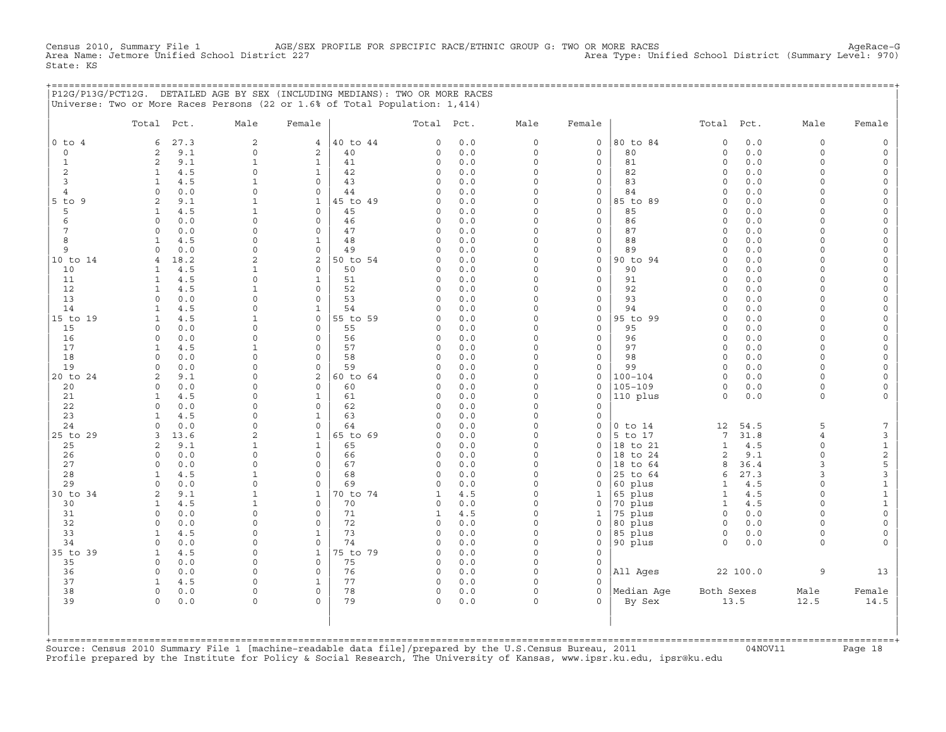Census 2010, Summary File 1 AGE/SEX PROFILE FOR SPECIFIC RACE/ETHNIC GROUP G: TWO OR MORE RACES AgeRace−G Area Name: Jetmore Unified School District 227 Area Type: Unified School District (Summary Level: 970) State: KS

|                | P12G/P13G/PCT12G. DETAILED AGE BY SEX (INCLUDING MEDIANS): TWO OR MORE RACES<br>Universe: Two or More Races Persons (22 or 1.6% of Total Population: 1,414) |                             |                          |                |                        |            |                     |                                     |                      |                     |              |                      |                      |
|----------------|-------------------------------------------------------------------------------------------------------------------------------------------------------------|-----------------------------|--------------------------|----------------|------------------------|------------|---------------------|-------------------------------------|----------------------|---------------------|--------------|----------------------|----------------------|
|                | Total Pct.                                                                                                                                                  | Male                        | Female                   |                | Total Pct.             |            | Male                | Female                              |                      | Total Pct.          |              | Male                 | Female               |
| 0 to 4         | 6<br>27.3                                                                                                                                                   | 2                           | $4\overline{ }$          | 40 to 44       | $\mathbf 0$            | 0.0        | $\mathbf 0$         | $\mathbf{0}$                        | 80 to 84             | $\mathbf 0$         | 0.0          | $\circ$              | $\circ$              |
| $\circ$        | 9.1<br>2                                                                                                                                                    | $\circ$                     | 2                        | 40             | 0                      | 0.0        | 0                   | 0                                   | 80                   | $\circ$             | 0.0          | $\mathbf 0$          | $\mathbf 0$          |
| $\mathbf{1}$   | 9.1<br>$\overline{2}$                                                                                                                                       | $\mathbf{1}$                | $\mathbf{1}$             | 41             | $\circ$                | 0.0        | $\Omega$            | $\circ$                             | 81                   | $\Omega$            | 0.0          | $\Omega$             | $\Omega$             |
| 2<br>3         | $\mathbf{1}$<br>4.5<br>4.5<br>$\mathbf{1}$                                                                                                                  | $\mathsf{O}$<br>1           | $\mathbf{1}$<br>$\circ$  | 42<br>43       | 0<br>0                 | 0.0<br>0.0 | $\circ$<br>$\circ$  | $\circ$<br>$\mathbf{0}$             | 82<br>83             | $\circ$<br>$\circ$  | 0.0<br>0.0   | $\Omega$<br>$\Omega$ | $\circ$<br>$\circ$   |
| $\overline{4}$ | 0.0<br>$\Omega$                                                                                                                                             | $\Omega$                    | $\Omega$                 | 44             | $\Omega$               | 0.0        | $\Omega$            | $\Omega$                            | 84                   | $\Omega$            | 0.0          | $\Omega$             | $\Omega$             |
| $5$ to $9$     | 9.1<br>2                                                                                                                                                    | $\mathbf{1}$                | $\mathbf{1}$             | 45 to 49       | $\mathbf 0$            | 0.0        | $\circ$             | $\mathbf 0$                         | 85 to 89             | $\circ$             | 0.0          | $\Omega$             | $\Omega$             |
| 5              | 4.5<br>$\mathbf{1}$                                                                                                                                         | $\mathbf{1}$                | $\circ$                  | 45             | $\circ$                | 0.0        | $\circ$             | $\mathbf{0}$                        | 85                   | $\circ$             | 0.0          | $\Omega$             | $\circ$              |
| 6              | 0.0<br>$\circ$                                                                                                                                              | $\mathbf 0$                 | $\circ$                  | 46             | $\mathbf 0$            | 0.0        | $\circ$             | $\circ$                             | 86                   | $\circ$             | 0.0          | $\mathbf 0$          | $\circ$              |
| 7              | $\Omega$<br>0.0                                                                                                                                             | $\mathbf 0$                 | $\Omega$                 | 47             | $\mathbf 0$            | 0.0        | $\circ$             | $\mathsf{O}$                        | 87                   | $\circ$             | 0.0          | $\Omega$             | $\Omega$             |
| 8              | 4.5<br>$\mathbf{1}$                                                                                                                                         | 0                           | $\mathbf{1}$             | 48             | $\mathbf 0$            | 0.0        | $\circ$             | $\mathbf{0}$                        | 88                   | $\circ$             | 0.0          | $\Omega$             | $\circ$              |
| 9              | 0.0<br>$\circ$                                                                                                                                              | $\mathsf O$                 | $\circ$                  | 49             | $\mathbf 0$            | 0.0        | $\circ$             | $\circ$                             | 89                   | $\circ$             | 0.0          | $\mathbf 0$          | $\circ$              |
| 10 to 14       | 18.2<br>$\overline{4}$                                                                                                                                      | $\overline{c}$              | 2                        | 50 to 54       | $\Omega$               | 0.0        | $\Omega$            | $\mathbf{0}$                        | 90 to 94             | $\Omega$            | 0.0          | $\Omega$             | $\Omega$             |
| 10<br>11       | 4.5<br>$\mathbf{1}$<br>$\mathbf{1}$<br>4.5                                                                                                                  | 1<br>$\mathsf O$            | $\Omega$<br>$\mathbf{1}$ | 50<br>51       | 0<br>$\mathbf 0$       | 0.0<br>0.0 | $\circ$<br>$\circ$  | $\mathbf{0}$<br>$\circ$             | 90<br>91             | $\circ$<br>$\circ$  | 0.0<br>0.0   | $\Omega$<br>$\Omega$ | $\Omega$<br>$\circ$  |
| 12             | 4.5<br>$\mathbf{1}$                                                                                                                                         | $\mathbf{1}$                | $\circ$                  | 52             | $\mathbf 0$            | 0.0        | $\circ$             | $\mathbf{0}$                        | 92                   | $\circ$             | 0.0          | $\mathbf 0$          | $\circ$              |
| 13             | $\Omega$<br>0.0                                                                                                                                             | $\mathbf 0$                 | $\Omega$                 | 53             | $\mathbf 0$            | 0.0        | $\circ$             | $\mathbf{0}$                        | 93                   | $\Omega$            | 0.0          | $\Omega$             | $\Omega$             |
| 14             | 4.5<br>$\mathbf{1}$                                                                                                                                         | $\mathsf O$                 | $\mathbf{1}$             | 54             | $\mathbf 0$            | 0.0        | $\circ$             | $\circ$                             | 94                   | $\circ$             | 0.0          | $\Omega$             | $\Omega$             |
| 15 to 19       | 4.5<br>$\mathbf{1}$                                                                                                                                         | $\mathbf{1}$                | $\circ$                  | 55 to 59       | $\mathbf 0$            | 0.0        | $\circ$             | $\circ$                             | 95 to 99             | $\circ$             | 0.0          | $\Omega$             | $\circ$              |
| 15             | 0.0<br>$\Omega$                                                                                                                                             | $\mathbf 0$                 | $\Omega$                 | 55             | $\Omega$               | 0.0        | $\Omega$            | $\Omega$                            | 95                   | $\Omega$            | 0.0          | $\Omega$             | $\Omega$             |
| 16             | $\Omega$<br>0.0                                                                                                                                             | $\mathbf 0$                 | $\circ$                  | 56             | $\mathbf 0$            | 0.0        | $\circ$             | 0                                   | 96                   | $\mathbf 0$         | 0.0          | $\Omega$             | $\circ$              |
| 17             | 4.5<br>$\mathbf{1}$                                                                                                                                         | $\mathbf{1}$                | $\Omega$                 | 57             | $\mathbf 0$            | 0.0        | $\circ$             | $\circ$                             | 97                   | $\Omega$            | 0.0          | $\Omega$             | $\Omega$             |
| 18             | $\Omega$<br>0.0                                                                                                                                             | $\mathbf 0$                 | $\circ$                  | 58             | $\mathbf 0$            | 0.0        | $\circ$             | $\circ$                             | 98                   | $\circ$             | 0.0          | $\Omega$             | $\Omega$             |
| 19<br>20 to 24 | 0.0<br>$\Omega$<br>9.1<br>2                                                                                                                                 | 0<br>$\mathbf 0$            | $\Omega$<br>2            | 59<br>60 to 64 | $\Omega$<br>$\Omega$   | 0.0<br>0.0 | $\circ$<br>$\Omega$ | 0<br>$\mathbf{0}$                   | 99<br>$100 - 104$    | $\circ$<br>$\Omega$ | 0.0<br>0.0   | $\Omega$<br>$\Omega$ | $\Omega$<br>$\Omega$ |
| 20             | $0.0$<br>$\circ$                                                                                                                                            | $\mathsf{O}$                | $\circ$                  | 60             | $\circ$                | 0.0        | 0                   | 0                                   | $105 - 109$          | $\circ$             | 0.0          | $\mathbf 0$          | $\Omega$             |
| 21             | 4.5<br>$\mathbf{1}$                                                                                                                                         | $\mathbf 0$                 | $\mathbf{1}$             | 61             | 0                      | 0.0        | $\circ$             | $\mathbf{0}$                        | 110 plus             | $\circ$             | 0.0          | $\mathbf 0$          | $\circ$              |
| 22             | 0.0<br>$\Omega$                                                                                                                                             | $\mathbf 0$                 | $\Omega$                 | 62             | $\Omega$               | 0.0        | $\Omega$            | $\circ$                             |                      |                     |              |                      |                      |
| 23             | $\mathbf{1}$<br>4.5                                                                                                                                         | $\mathsf{O}$                | $\mathbf{1}$             | 63             | $\mathbf 0$            | 0.0        | $\circ$             | 0                                   |                      |                     |              |                      |                      |
| 24             | $\Omega$<br>0.0                                                                                                                                             | $\mathbf 0$                 | $\circ$                  | 64             | $\Omega$               | 0.0        | $\circ$             | $\mathbf{0}$                        | $0$ to $14$          | 12                  | 54.5         | 5                    | 7                    |
| 25 to 29       | 13.6<br>3                                                                                                                                                   | 2                           | $\mathbf{1}$             | 65 to 69       | 0                      | 0.0        | $\circ$             | $\mathbf{0}$                        | 5 to 17              | 7                   | 31.8         | $\overline{4}$       | 3                    |
| 25             | 9.1<br>2                                                                                                                                                    | $\mathbf{1}$                | $\mathbf{1}$             | 65             | $\mathbf 0$            | 0.0        | $\circ$             | $\mathbf{0}$                        | 18 to 21             | $\mathbf{1}$        | 4.5          | $\Omega$             | $\mathtt 1$          |
| 26             | $\Omega$<br>0.0                                                                                                                                             | $\mathbf 0$                 | $\Omega$                 | 66             | $\circ$                | 0.0        | $\Omega$            | $\mathbf{0}$                        | 18 to 24             | 2                   | 9.1          | $\Omega$             | $\boldsymbol{2}$     |
| 27<br>28       | $\Omega$<br>0.0<br>4.5<br>$\mathbf{1}$                                                                                                                      | $\mathbf 0$<br>$\mathbf{1}$ | $\mathbf{0}$<br>$\circ$  | 67<br>68       | $\circ$<br>$\mathbf 0$ | 0.0<br>0.0 | $\circ$<br>$\circ$  | $\mathbf{0}$<br>$\mathbf{0}$        | 18 to 64<br>25 to 64 | 8<br>6              | 36.4<br>27.3 | 3<br>3               | 5<br>$\mathsf 3$     |
| 29             | 0.0<br>$\Omega$                                                                                                                                             | $\mathsf{O}$                | $\circ$                  | 69             | $\mathbf 0$            | 0.0        | $\circ$             | $\mathbf{0}$                        | 60 plus              | $\mathbf{1}$        | 4.5          | $\mathbf 0$          | $\mathbf 1$          |
| 30 to 34       | 2<br>9.1                                                                                                                                                    | 1                           | $\mathbf{1}$             | 70 to 74       | 1                      | 4.5        | $\circ$             | $\mathbf{1}$                        | 65 plus              | $\mathbf{1}$        | 4.5          | $\Omega$             | $\mathbf{1}$         |
| 30             | $\mathbf{1}$<br>4.5                                                                                                                                         | $\mathbf{1}$                | $\circ$                  | 70             | 0                      | 0.0        | $\circ$             | $\circ$                             | 70 plus              | $\mathbf{1}$        | 4.5          | $\Omega$             | $\mathbf{1}$         |
| 31             | 0.0<br>$\circ$                                                                                                                                              | $\mathsf{O}$                | $\circ$                  | 71             | $\mathbf{1}$           | 4.5        | $\mathbf 0$         | $\mathbf{1}$                        | 75 plus              | $\circ$             | 0.0          | $\mathbf 0$          | $\mathsf{O}\xspace$  |
| 32             | $\Omega$<br>0.0                                                                                                                                             | $\mathbf 0$                 | $\mathbf 0$              | 72             | $\mathbf 0$            | 0.0        | $\circ$             | 0                                   | 80 plus              | $\circ$             | 0.0          | $\Omega$             | $\Omega$             |
| 33             | 4.5<br>$\mathbf{1}$                                                                                                                                         | $\mathbf 0$                 | $\mathbf{1}$             | 73             | $\mathbf 0$            | 0.0        | $\circ$             | $\mathbf{0}$                        | 85 plus              | $\circ$             | 0.0          | $\Omega$             | $\circ$              |
| 34             | $\circ$<br>0.0                                                                                                                                              | $\mathsf{O}$                | $\mathbb O$              | 74             | $\mathbf 0$            | 0.0        | 0                   | $\circ$                             | 90 plus              | $\circ$             | 0.0          | $\mathbf 0$          |                      |
| 35 to 39       | 4.5<br>$\mathbf{1}$                                                                                                                                         | $\mathbf 0$                 | $\mathbf{1}$             | 75 to 79       | $\Omega$               | 0.0        | $\circ$             | $\Omega$                            |                      |                     |              |                      |                      |
| 35             | $\Omega$<br>0.0                                                                                                                                             | $\mathbf 0$                 | $\Omega$                 | 75             | $\Omega$               | 0.0        | $\Omega$            | $\mathbf{0}$                        |                      |                     |              |                      |                      |
| 36<br>37       | $\circ$<br>0.0<br>4.5<br>$\mathbf{1}$                                                                                                                       | $\mathsf O$<br>$\mathsf{O}$ | $\circ$<br>$\mathbf{1}$  | 76<br>77       | $\circ$<br>$\circ$     | 0.0<br>0.0 | 0<br>$\circ$        | $\mathsf{O}\xspace$<br>$\mathbf{0}$ | All Ages             |                     | 22 100.0     | 9                    | 13                   |
| 38             | 0.0<br>$\Omega$                                                                                                                                             | $\Omega$                    | $\Omega$                 | 78             | 0                      | 0.0        | $\Omega$            | $\Omega$                            | Median Age           | Both Sexes          |              | Male                 | Female               |
| 39             | $\mathbf 0$<br>0.0                                                                                                                                          | $\mathsf{O}$                | $\Omega$                 | 79             | 0                      | 0.0        | 0                   | $\Omega$                            | By Sex               |                     | 13.5         | 12.5                 | 14.5                 |
|                |                                                                                                                                                             |                             |                          |                |                        |            |                     |                                     |                      |                     |              |                      |                      |
|                |                                                                                                                                                             |                             |                          |                |                        |            |                     |                                     |                      |                     |              |                      |                      |
|                |                                                                                                                                                             |                             |                          |                |                        |            |                     |                                     |                      |                     |              |                      |                      |

| | +===================================================================================================================================================+ Source: Census 2010 Summary File 1 [machine−readable data file]/prepared by the U.S.Census Bureau, 2011 04NOV11 Page 18 Profile prepared by the Institute for Policy & Social Research, The University of Kansas, www.ipsr.ku.edu, ipsr@ku.edu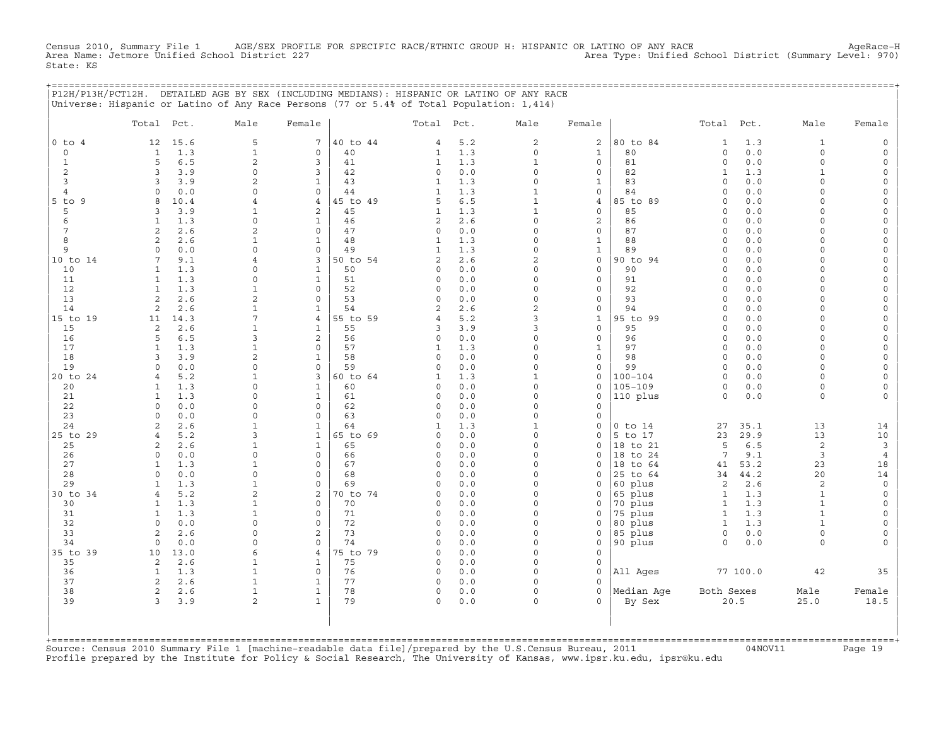Census 2010, Summary File 1 AGE/SEX PROFILE FOR SPECIFIC RACE/ETHNIC GROUP H: HISPANIC OR LATINO OF ANY RACE<br>Area Name: Jetmore Unified School District 227 Area Type: Unified School District (Summary Level: 970) State: KS

|                | P12H/P13H/PCT12H. DETAILED AGE BY SEX (INCLUDING MEDIANS): HISPANIC OR LATINO OF ANY RACE |                                |                              |                |                             |            |                          |                              |                        |                     |              |                          |                      |
|----------------|-------------------------------------------------------------------------------------------|--------------------------------|------------------------------|----------------|-----------------------------|------------|--------------------------|------------------------------|------------------------|---------------------|--------------|--------------------------|----------------------|
|                | Universe: Hispanic or Latino of Any Race Persons (77 or 5.4% of Total Population: 1,414)  |                                |                              |                |                             |            |                          |                              |                        |                     |              |                          |                      |
|                | Total Pct.                                                                                | Male                           | Female                       |                | Total Pct.                  |            | Male                     | Female                       |                        | Total Pct.          |              | Male                     | Female               |
| $0$ to $4$     | 15.6<br>12                                                                                | 5                              | $\overline{7}$               | 40 to 44       | 4                           | 5.2        | $\overline{a}$           | $\mathbf{2}$                 | 80 to 84               | $\mathbf{1}$        | 1.3          | $\mathbf{1}$             |                      |
| 0              | 1.3<br>1                                                                                  | $\mathbf{1}$                   | 0                            | 40             | 1                           | 1.3        | 0                        | 1                            | 80                     | 0                   | 0.0          | $\mathsf{O}\xspace$      | $\Omega$             |
| 1              | 5<br>6.5                                                                                  | $\overline{c}$                 | 3                            | 41             | 1                           | 1.3        | $\mathbf{1}$             | $\mathbf{0}$                 | 81                     | $\Omega$            | 0.0          | $\Omega$                 | $\Omega$             |
| 2<br>3         | 3.9<br>3<br>3.9<br>3                                                                      | $\Omega$                       | 3<br>$\mathbf{1}$            | 42<br>43       | $\mathbf 0$<br>1            | 0.0<br>1.3 | $\Omega$<br>$\Omega$     | 0<br>1                       | 82<br>83               | 1<br>$\circ$        | 1.3<br>0.0   | $\mathbf{1}$<br>$\Omega$ | $\Omega$<br>$\Omega$ |
| 4              | 0.0<br>$\Omega$                                                                           | $\Omega$                       | $\mathbf{0}$                 | 44             | $\mathbf{1}$                | 1.3        | 1                        | 0                            | 84                     | $\Omega$            | 0.0          | $\Omega$                 |                      |
| 5 to 9         | 8<br>10.4                                                                                 | 4                              | 4                            | 45 to 49       | 5                           | 6.5        | $\mathbf{1}$             | 4                            | 85 to 89               | $\Omega$            | 0.0          | $\Omega$                 |                      |
| 5              | 3.9<br>3                                                                                  | 1                              | 2                            | 45             | 1                           | 1.3        | $\mathbf{1}$             | 0                            | 85                     | $\Omega$            | 0.0          | $\cap$                   | $\Omega$             |
| 6              | 1.3<br>1                                                                                  | $\Omega$                       | $\mathbf{1}$                 | 46             | 2                           | 2.6        | $\Omega$                 | $\overline{2}$               | 86                     | $\Omega$            | 0.0          | $\cap$                   | $\Omega$             |
| 7<br>8         | $\overline{2}$<br>2.6<br>2<br>2.6                                                         | $\mathfrak{D}$<br>$\mathbf{1}$ | $\mathbf 0$<br>$\mathbf{1}$  | 47<br>48       | $\mathbf 0$<br>$\mathbf{1}$ | 0.0<br>1.3 | $\Omega$<br>$\Omega$     | $\mathbf{0}$<br>$\mathbf{1}$ | 87<br>88               | $\Omega$<br>$\circ$ | 0.0<br>$0.0$ | $\Omega$<br>$\Omega$     | $\Omega$             |
| 9              | 0.0<br>$\Omega$                                                                           | $\Omega$                       | $\mathbf 0$                  | 49             | $\mathbf{1}$                | 1.3        | $\Omega$                 | $\mathbf{1}$                 | 89                     | $\Omega$            | 0.0          | $\Omega$                 | $\Omega$             |
| 10 to 14       | 9.1<br>7                                                                                  | 4                              | 3                            | 50 to 54       | 2                           | 2.6        | 2                        | 0                            | 90 to 94               | $\circ$             | 0.0          | $\Omega$                 | $\Omega$             |
| 10             | $\mathbf{1}$<br>1.3                                                                       | $\Omega$                       | $\mathbf{1}$                 | 50             | $\mathbf 0$                 | 0.0        | $\Omega$                 | $\circ$                      | 90                     | $\circ$             | 0.0          | $\Omega$                 |                      |
| 11             | 1.3<br>1                                                                                  | $\Omega$                       | 1                            | 51             | $\mathbf 0$                 | 0.0        | $\Omega$                 | 0                            | 91                     | $\Omega$            | 0.0          | $\Omega$                 | $\Omega$             |
| 12             | $\mathbf{1}$<br>1.3                                                                       | 1                              | $\Omega$                     | 52             | $\Omega$                    | 0.0        | $\Omega$                 | $\mathbf{0}$                 | 92                     | $\Omega$            | 0.0          | $\cap$<br>$\Omega$       | $\Omega$             |
| 13<br>14       | 2<br>2.6<br>2<br>2.6                                                                      | $\overline{c}$<br>$\mathbf{1}$ | $\mathbf 0$<br>1             | 53<br>54       | $\circ$<br>2                | 0.0<br>2.6 | 0<br>$\overline{c}$      | 0<br>0                       | 93<br>94               | $\circ$<br>$\Omega$ | 0.0<br>0.0   | $\Omega$                 | $\Omega$<br>$\Omega$ |
| 15 to 19       | 14.3<br>11                                                                                | 7                              | 4                            | 55 to 59       | $\overline{4}$              | 5.2        | 3                        | $\mathbf{1}$                 | 95 to 99               | $\Omega$            | 0.0          | $\Omega$                 |                      |
| 15             | 2<br>2.6                                                                                  | 1                              | $\mathbf{1}$                 | 55             | 3                           | 3.9        | 3                        | $\mathbf{0}$                 | 95                     | $\Omega$            | 0.0          | $\cap$                   | $\Omega$             |
| 16             | 5<br>6.5                                                                                  | 3                              | 2                            | 56             | $\mathbf 0$                 | 0.0        | $\Omega$                 | 0                            | 96                     | $\Omega$            | 0.0          | $\cap$                   | $\Omega$             |
| 17             | 1.3<br>$\mathbf{1}$                                                                       | $\mathbf{1}$                   | $\mathbf 0$                  | 57             | 1                           | 1.3        | $\Omega$                 | $\mathbf{1}$                 | 97                     | $\circ$             | 0.0          | $\Omega$                 | $\Omega$             |
| 18<br>19       | 3.9<br>3<br>$\circ$<br>0.0                                                                | $\overline{a}$<br>$\Omega$     | $\mathbf{1}$<br>$\mathbf 0$  | 58<br>59       | $\mathbf 0$<br>$\circ$      | 0.0<br>0.0 | $\Omega$<br>$\Omega$     | $\mathbf{0}$<br>0            | 98<br>99               | $\circ$<br>$\circ$  | 0.0<br>0.0   | $\Omega$<br>$\Omega$     | $\Omega$             |
| 20 to 24       | 5.2<br>$\overline{4}$                                                                     | 1                              | 3                            | 60 to 64       | 1                           | 1.3        | $\mathbf{1}$             | 0                            | 100-104                | $\Omega$            | 0.0          | $\Omega$                 | $\Omega$             |
| 20             | 1.3<br>1                                                                                  | $\Omega$                       | $\mathbf{1}$                 | 60             | $\mathbf 0$                 | 0.0        | $\Omega$                 | 0                            | $105 - 109$            | $\Omega$            | 0.0          | $\Omega$                 | $\Omega$             |
| 21             | 1.3<br>1                                                                                  | $\Omega$                       | $\mathbf{1}$                 | 61             | $\mathbf 0$                 | 0.0        | $\Omega$                 | 0                            | 110 plus               | $\circ$             | 0.0          | $\circ$                  |                      |
| 22             | 0.0<br>$\Omega$                                                                           | $\Omega$                       | $\mathbf 0$                  | 62             | $\Omega$                    | 0.0        | $\Omega$                 | 0                            |                        |                     |              |                          |                      |
| 23             | 0.0<br>$\Omega$                                                                           | $\Omega$                       | $\mathbf 0$                  | 63             | $\Omega$                    | 0.0        | $\Omega$                 | 0                            |                        |                     |              |                          |                      |
| 24<br>25 to 29 | 2<br>2.6<br>5.2<br>$\overline{4}$                                                         | $\mathbf{1}$<br>3              | $\mathbf{1}$<br>$\mathbf{1}$ | 64<br>65 to 69 | 1<br>$\Omega$               | 1.3<br>0.0 | $\mathbf{1}$<br>$\Omega$ | 0<br>0                       | $0$ to $14$<br>5 to 17 | 27<br>23            | 35.1<br>29.9 | 13<br>13                 | 14<br>10             |
| 25             | 2.6<br>2                                                                                  | 1                              | $\mathbf{1}$                 | 65             | $\Omega$                    | 0.0        | $\Omega$                 | $\Omega$                     | 18 to 21               | 5                   | 6.5          | 2                        | 3                    |
| 26             | $\circ$<br>0.0                                                                            | $\Omega$                       | $\mathbf 0$                  | 66             | 0                           | 0.0        | $\Omega$                 | 0                            | 18 to 24               | 7                   | 9.1          | 3                        | $\overline{4}$       |
| 27             | 1.3<br>$\mathbf{1}$                                                                       | 1                              | $\mathbf 0$                  | 67             | $\Omega$                    | 0.0        | $\Omega$                 | 0                            | 18 to 64               | 41                  | 53.2         | 23                       | 18                   |
| 28             | 0.0<br>$\circ$                                                                            | $\Omega$                       | $\mathbf 0$                  | 68             | $\circ$                     | 0.0        | $\Omega$                 | 0                            | 25 to 64               | 34                  | 44.2         | 20                       | 14                   |
| 29<br>30 to 34 | 1.3<br>-1<br>5.2<br>$\overline{4}$                                                        | 1<br>$\overline{c}$            | $\Omega$<br>2                | 69<br>70 to 74 | $\Omega$<br>$\Omega$        | 0.0<br>0.0 | $\Omega$<br>$\Omega$     | $\Omega$<br>0                | 60 plus<br>65 plus     | 2<br>$\mathbf{1}$   | 2.6<br>1.3   | 2<br>1                   | $\Omega$<br>$\Omega$ |
| 30             | 1.3<br>1                                                                                  | 1                              | $\mathbf{0}$                 | 70             | 0                           | 0.0        | $\Omega$                 | 0                            | 70 plus                | $\mathbf{1}$        | 1.3          | $\mathbf{1}$             | $\Omega$             |
| 31             | 1.3<br>$\mathbf{1}$                                                                       | $\mathbf{1}$                   | $\mathbf 0$                  | 71             | $\circ$                     | 0.0        | $\Omega$                 | 0                            | 75 plus                | $\mathbf{1}$        | 1.3          | $\mathbf{1}$             |                      |
| 32             | $\circ$<br>0.0                                                                            | $\Omega$                       | $\mathbf 0$                  | 72             | 0                           | 0.0        | $\Omega$                 | 0                            | 80 plus                | $\mathbf{1}$        | 1.3          | $\mathbf{1}$             |                      |
| 33             | 2<br>2.6                                                                                  | $\cap$                         | 2                            | 73             | $\Omega$                    | 0.0        | $\Omega$                 | 0                            | 85 plus                | 0                   | 0.0          | $\circ$                  | $\Omega$             |
| 34             | 0.0<br>$\Omega$                                                                           | $\cap$                         | $\Omega$                     | 74             | $\Omega$                    | 0.0        | $\Omega$                 | 0                            | 90 plus                | $\Omega$            | 0.0          | $\Omega$                 |                      |
| 35 to 39<br>35 | 13.0<br>10<br>2<br>2.6                                                                    | 6<br>1                         | 4<br>1                       | 75 to 79<br>75 | $\mathbf 0$<br>$\circ$      | 0.0<br>0.0 | $\Omega$<br>$\Omega$     | 0<br>0                       |                        |                     |              |                          |                      |
| 36             | 1.3<br>$\mathbf{1}$                                                                       | $\mathbf{1}$                   | $\mathbf 0$                  | 76             | $\circ$                     | 0.0        | $\Omega$                 | 0                            | All Ages               |                     | 77 100.0     | 42                       | 35                   |
| 37             | $\overline{c}$<br>2.6                                                                     | 1                              | 1                            | 77             | 0                           | 0.0        | $\Omega$                 | 0                            |                        |                     |              |                          |                      |
| 38             | $\overline{c}$<br>2.6                                                                     | $\mathbf{1}$                   | $\mathbf{1}$                 | 78             | $\mathbf 0$                 | 0.0        | $\Omega$                 | 0                            | Median Aqe             | Both Sexes          |              | Male                     | Female               |
| 39             | 3<br>3.9                                                                                  | $\mathfrak{D}$                 | $\mathbf{1}$                 | 79             | $\Omega$                    | 0.0        | $\Omega$                 | $\Omega$                     | By Sex                 |                     | 20.5         | 25.0                     | 18.5                 |
|                |                                                                                           |                                |                              |                |                             |            |                          |                              |                        |                     |              |                          |                      |
|                |                                                                                           |                                |                              |                |                             |            |                          |                              |                        |                     |              |                          |                      |
| +==========    |                                                                                           |                                |                              |                |                             |            |                          |                              |                        |                     |              |                          |                      |

+===================================================================================================================================================+Source: Census 2010 Summary File 1 [machine−readable data file]/prepared by the U.S.Census Bureau, 2011 04NOV11 Page 19 Profile prepared by the Institute for Policy & Social Research, The University of Kansas, www.ipsr.ku.edu, ipsr@ku.edu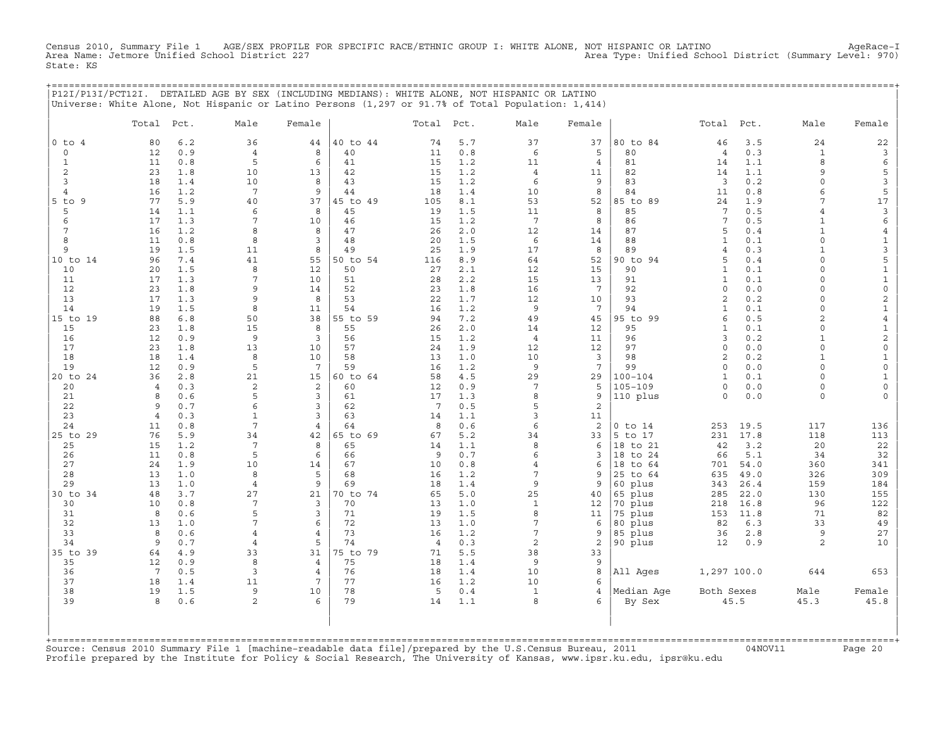Census 2010, Summary File 1 AGE/SEX PROFILE FOR SPECIFIC RACE/ETHNIC GROUP I: WHITE ALONE, NOT HISPANIC OR LATINO<br>Area Name: Jetmore Unified School District 227 State: KS

| blatt: No |  |                                                                                                |  |  |
|-----------|--|------------------------------------------------------------------------------------------------|--|--|
|           |  |                                                                                                |  |  |
|           |  | P12I/P13I/PCT12I. DETAILED AGE BY SEX (INCLUDING MEDIANS): WHITE ALONE, NOT HISPANIC OR LATINO |  |  |

| Universe: White Alone, Not Hispanic or Latino Persons (1,297 or 91.7% of Total Population: 1,414) |  |  |  |  |
|---------------------------------------------------------------------------------------------------|--|--|--|--|
|                                                                                                   |  |  |  |  |
|                                                                                                   |  |  |  |  |

|                | Total Pct.      |            | Male                             | Female              |                | Total Pct.            |            | Male                | Female          |                | Total               | Pct.        | Male                     | Female              |
|----------------|-----------------|------------|----------------------------------|---------------------|----------------|-----------------------|------------|---------------------|-----------------|----------------|---------------------|-------------|--------------------------|---------------------|
| $0$ to $4$     | 80              | 6.2        | 36                               | 44                  | 40 to 44       | 74                    | 5.7        | 37                  | 37              | 80 to 84       | 46                  | 3.5         | 24                       | 22                  |
| $\circ$        | 12              | 0.9        | $\overline{4}$                   | 8                   | 40             | 11                    | 0.8        | 6                   | 5               | 80             | $\overline{4}$      | 0.3         | $\mathbf{1}$             | $\mathbf{3}$        |
| $\mathbf{1}$   | 11              | 0.8        | 5                                | 6                   | 41             | 15                    | 1.2        | 11                  | $\overline{4}$  | 81             | 14                  | 1.1         | 8                        | 6                   |
| 2              | 23              | 1.8        | 10                               | 13                  | 42             | 15                    | 1.2        | $\overline{4}$      | 11              | 82             | 14                  | 1.1         | 9                        | 5                   |
| $\overline{3}$ | 18              | 1.4        | 10                               | 8                   | 43             | 15                    | 1.2        | 6                   | 9               | 83             | $\overline{3}$      | 0.2         | $\Omega$                 | $\mathbf{3}$        |
| $\overline{4}$ | 16              | 1.2        | $7\phantom{.0}$                  | 9                   | 44             | 18                    | 1.4        | 10                  | 8               | 84             | 11                  | 0.8         | 6                        | 5                   |
| $5$ to $9$     | 77              | 5.9        | 40                               | 37                  | 45 to 49       | 105                   | 8.1        | 53                  | 52              | 85 to 89       | 24                  | 1.9         | 7                        | 17                  |
| 5              | 14              | 1.1        | 6                                | 8                   | 45             | 19                    | 1.5        | 11                  | 8               | 85             | 7                   | 0.5         | 4                        | $\mathbf{3}$        |
| 6              | 17              | 1.3        | 7                                | 10                  | 46             | 15                    | 1.2        | $7\overline{ }$     | 8               | 86             | 7                   | 0.5         | $\mathbf{1}$             | 6                   |
| 7              | 16              | 1.2        | 8                                | $\mathsf{R}$        | 47             | 26                    | 2.0        | $12 \overline{ }$   | 14              | 87             | 5                   | 0.4         | $\mathbf{1}$             | $\overline{4}$      |
| 8<br>9         | 11              | 0.8        | 8                                | 3                   | 48             | 20                    | 1.5        | 6                   | 14              | 88             | $\mathbf{1}$        | 0.1         | $\Omega$<br>$\mathbf{1}$ | $\mathbf{1}$        |
|                | 19<br>96        | 1.5        | 11<br>41                         | 8<br>55             | 49<br>50 to 54 | 25                    | 1.9<br>8.9 | 17                  | 8<br>52         | 89<br>90 to 94 | $\overline{4}$<br>5 | 0.3<br>0.4  | $\circ$                  | 3<br>5              |
| 10 to 14<br>10 | 20              | 7.4<br>1.5 | 8                                | 12                  | 50             | 116<br>27             | 2.1        | 64<br>12            | 15              | 90             | $\mathbf{1}$        | 0.1         | $\Omega$                 | $\mathbf{1}$        |
| 11             | 17              | 1.3        | 7                                | 10                  | 51             | 28                    | 2.2        | 15                  | 13              | 91             | $\mathbf{1}$        | 0.1         | $\circ$                  | $\mathbf{1}$        |
| 12             | 23              | 1.8        | 9                                | 14                  | 52             | 23                    | 1.8        | 16                  | 7               | 92             | $\Omega$            | 0.0         | $\Omega$                 | $\mathsf{O}$        |
| 13             | 17              | 1.3        | 9                                | 8                   | 53             | 22                    | 1.7        | 12                  | 10              | 93             | 2                   | 0.2         | $\Omega$                 | $\mathbf 2$         |
| 14             | 19              | 1.5        | 8                                | 11                  | 54             | 16                    | 1.2        | $\overline{9}$      | $7\phantom{.0}$ | 94             | $\mathbf{1}$        | 0.1         | $\Omega$                 | $\mathbf 1$         |
| 15 to 19       | 88              | 6.8        | 50                               | 38                  | 55 to 59       | 94                    | 7.2        | 49                  | 45              | 95 to 99       | 6                   | 0.5         | $\overline{a}$           | $\overline{4}$      |
| 15             | 23              | 1.8        | 15                               | 8                   | 55             | 26                    | 2.0        | 14                  | 12              | 95             | $\mathbf{1}$        | 0.1         | $\Omega$                 | $\mathbf 1$         |
| 16             | 12              | 0.9        | 9                                | 3                   | 56             | 15                    | 1.2        | $\overline{4}$      | 11              | 96             | 3                   | 0.2         | $\mathbf{1}$             | $\mathbf{2}$        |
| 17             | 23              | 1.8        | 13                               | 10                  | 57             | 24                    | 1.9        | 12                  | 12 <sup>°</sup> | 97             | $\Omega$            | 0.0         | $\Omega$                 | $\mathsf{O}\xspace$ |
| 18             | 18              | 1.4        | 8                                | 10                  | 58             | 13                    | 1.0        | 10                  | $\overline{3}$  | 98             | 2                   | 0.2         | $\mathbf{1}$             | $\mathbf{1}$        |
| 19             | 12              | 0.9        | 5                                | 7                   | 59             | 16                    | 1.2        | 9                   | $7\overline{ }$ | 99             | $\Omega$            | 0.0         | $\Omega$                 | $\mathsf{O}\xspace$ |
| 20 to 24       | 36              | 2.8        | 21                               | 15                  | 60 to 64       | 58                    | 4.5        | 29                  | 29              | $100 - 104$    | $\mathbf{1}$        | 0.1         | $\Omega$                 | $\mathbf{1}$        |
| 20             | $\overline{4}$  | 0.3        | $\overline{c}$                   | $\mathbf{2}$        | 60             | 12                    | 0.9        | $7\overline{ }$     | 5               | $105 - 109$    | $\circ$             | 0.0         | $\circ$                  | $\mathsf{O}\xspace$ |
| 21<br>22       | 8<br>9          | 0.6<br>0.7 | 5<br>6                           | 3<br>3              | 61<br>62       | 17<br>$7\overline{ }$ | 1.3<br>0.5 | 8<br>5              | 9<br>2          | 110 plus       | $\Omega$            | 0.0         | $\circ$                  | $\mathbf 0$         |
| 23             | $\overline{4}$  | 0.3        | $\mathbf{1}$                     | 3                   | 63             | 14                    | 1.1        | $\overline{3}$      | 11              |                |                     |             |                          |                     |
| 24             | 11              | 0.8        | 7                                | $\overline{4}$      | 64             | 8                     | 0.6        | 6                   | 2               | $0$ to $14$    | 253                 | 19.5        | 117                      | 136                 |
| 25 to 29       | 76              | 5.9        | 34                               | 42                  | 65 to 69       | 67                    | 5.2        | 34                  | 33              | 5 to 17        | 231                 | 17.8        | 118                      | 113                 |
| 25             | 15              | 1.2        | $7\phantom{.0}$                  | 8                   | 65             | 14                    | 1.1        | 8                   | 6               | 18 to 21       | 42                  | 3.2         | 20                       | 22                  |
| 26             | 11              | 0.8        | 5                                | 6                   | 66             | 9                     | 0.7        | 6                   | 3               | 18 to 24       | 66                  | 5.1         | 34                       | 32                  |
| 27             | 24              | 1.9        | 10                               | 14                  | 67             | 10                    | 0.8        | $\overline{4}$      | 6               | 18 to 64       | 701                 | 54.0        | 360                      | 341                 |
| 28             | 13              | 1.0        | 8                                | 5                   | 68             | 16                    | 1.2        | $\overline{7}$      | 9               | 25 to 64       | 635                 | 49.0        | 326                      | 309                 |
| 29             | 13              | 1.0        | $\overline{4}$                   | 9                   | 69             | 18                    | 1.4        | 9                   | 9               | 60 plus        | 343                 | 26.4        | 159                      | 184                 |
| 30 to 34       | 48              | 3.7        | 27                               | 21                  | 70 to 74       | 65                    | 5.0        | 25                  | 40              | 65 plus        | 285                 | 22.0        | 130                      | 155                 |
| 30             | 10              | 0.8        | $7\phantom{.0}$                  | 3                   | 70             | 13                    | 1.0        | $\mathbf{1}$        | 12              | 70 plus        | 218                 | 16.8        | 96                       | 122                 |
| 31             | 8               | 0.6        | 5                                | 3                   | 71             | 19                    | 1.5        | 8                   | 11              | 75 plus        | 153                 | 11.8        | 71                       | 82                  |
| 32             | 13              | 1.0        | 7                                | 6                   | 72             | 13                    | 1.0        | 7                   | 6               | 80 plus        | 82                  | 6.3         | 33                       | 49                  |
| 33<br>34       | 8<br>9          | 0.6<br>0.7 | $\overline{4}$<br>$\overline{4}$ | $\overline{4}$<br>5 | 73<br>74       | 16<br>$\overline{4}$  | 1.2<br>0.3 | $\overline{7}$<br>2 | 9<br>2          | 85 plus        | 36<br>12            | 2.8         | 9<br>$\overline{2}$      | 27<br>10            |
| 35 to 39       | 64              | 4.9        | 33                               | 31                  | 75 to 79       | 71                    | 5.5        | 38                  | 33              | 90 plus        |                     | 0.9         |                          |                     |
| 35             | 12              | 0.9        | 8                                | $\overline{4}$      | 75             | 18                    | 1.4        | 9                   | 9               |                |                     |             |                          |                     |
| 36             | $7\phantom{.0}$ | 0.5        | 3                                | 4                   | 76             | 18                    | 1.4        | 10                  | 8               | All Ages       |                     | 1,297 100.0 | 644                      | 653                 |
| 37             | 18              | 1.4        | 11                               | 7                   | 77             | 16                    | 1.2        | 10                  | 6               |                |                     |             |                          |                     |
| 38             | 19              | 1.5        | 9                                | 10                  | 78             | 5                     | 0.4        | $\mathbf{1}$        | $\overline{4}$  | Median Age     | Both Sexes          |             | Male                     | Female              |
| 39             | 8               | 0.6        | $\overline{2}$                   | $\epsilon$          | 79             | 14                    | 1.1        | 8                   | 6               | By Sex         |                     | 45.5        | 45.3                     | 45.8                |
|                |                 |            |                                  |                     |                |                       |            |                     |                 |                |                     |             |                          |                     |

+===================================================================================================================================================+Source: Census 2010 Summary File 1 [machine−readable data file]/prepared by the U.S.Census Bureau, 2011 04NOV11 Page 20 Profile prepared by the Institute for Policy & Social Research, The University of Kansas, www.ipsr.ku.edu, ipsr@ku.edu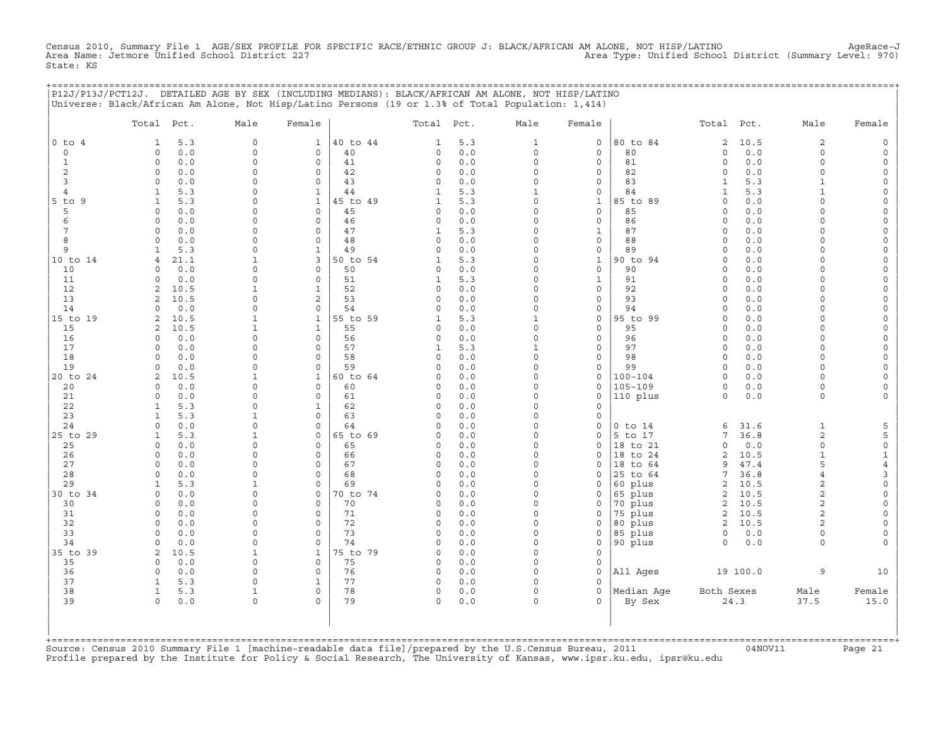Census 2010, Summary File 1 AGE/SEX PROFILE FOR SPECIFIC RACE/ETHNIC GROUP J: BLACK/AFRICAN AM ALONE, NOT HISP/LATINO<br>Area Name: Jetmore Unified School District 227 State: KS

|                | P12J/P13J/PCT12J. DETAILED AGE BY SEX (INCLUDING MEDIANS): BLACK/AFRICAN AM ALONE, NOT HISP/LATINO |                         |                                 |                |                      |            |                         |                                 |                     |                         |             |                             |                      |
|----------------|----------------------------------------------------------------------------------------------------|-------------------------|---------------------------------|----------------|----------------------|------------|-------------------------|---------------------------------|---------------------|-------------------------|-------------|-----------------------------|----------------------|
|                | Universe: Black/African Am Alone, Not Hisp/Latino Persons (19 or 1.3% of Total Population: 1,414)  |                         |                                 |                |                      |            |                         |                                 |                     |                         |             |                             |                      |
|                | Total Pct.                                                                                         | Male                    | Female                          |                | Total Pct.           |            | Male                    | Female                          |                     | Total Pct.              |             | Male                        | Female               |
| $0$ to $4$     | 5.3<br>1                                                                                           | $\mathbf 0$             | $\mathbf{1}$                    | 40 to 44       | 1                    | 5.3        | $\mathbf{1}$            | $\mathbf 0$                     | 80 to 84            | 2                       | 10.5        | 2                           |                      |
| $\circ$        | $\circ$<br>0.0                                                                                     | $\mathsf{O}\xspace$     | 0                               | 40             | 0                    | 0.0        | $\circ$                 | 0                               | 80                  | 0                       | 0.0         | $\mathbf 0$                 | $\Omega$             |
| $\mathbf{1}$   | $\mathbf 0$<br>0.0                                                                                 | $\Omega$                | $\mathbf 0$                     | 41             | $\circ$              | 0.0        | $\circ$                 | $\mathbf 0$                     | 81                  | $\circ$                 | 0.0         | $\Omega$                    | $\Omega$             |
| 2<br>3         | $\circ$<br>0.0<br>$\circ$                                                                          | 0<br>$\Omega$           | $\mathsf{O}\xspace$<br>$\Omega$ | 42<br>43       | 0<br>$\Omega$        | 0.0<br>0.0 | 0<br>$\circ$            | $\circ$<br>$\mathbf 0$          | 82<br>83            | $\circ$<br>$\mathbf{1}$ | 0.0<br>5.3  | $\mathbf 0$<br>$\mathbf{1}$ | $\Omega$<br>$\Omega$ |
| $\overline{4}$ | 0.0<br>5.3<br>1                                                                                    | $\Omega$                | $\mathbf{1}$                    | 44             | 1                    | 5.3        | $\mathbf{1}$            | $\mathbf 0$                     | 84                  | $\mathbf{1}$            | 5.3         | $\mathbf{1}$                |                      |
| 5 to 9         | $\mathbf{1}$<br>5.3                                                                                | 0                       | $\mathbf 1$                     | 45 to 49       | 1                    | 5.3        | 0                       | $\mathbf{1}$                    | 85 to 89            | $\mathbf 0$             | 0.0         | $\Omega$                    | $\Omega$             |
| 5              | $\mathbf 0$<br>0.0                                                                                 | $\Omega$                | $\circ$                         | 45             | 0                    | 0.0        | 0                       | $\mathsf{O}$                    | 85                  | $\circ$                 | 0.0         | $\Omega$                    | $\Omega$             |
| 6              | 0.0<br>$\circ$                                                                                     | 0                       | $\mathsf{O}\xspace$             | 46             | 0                    | 0.0        | $\mathsf O$             | $\circ$                         | 86                  | $\Omega$                | 0.0         | $\Omega$                    |                      |
| 7              | 0.0<br>$\circ$                                                                                     | $\Omega$                | $\mathbf{0}$                    | 47             | 1                    | 5.3        | $\Omega$                | $\mathbf{1}$                    | 87                  | $\Omega$                | 0.0         | $\Omega$                    |                      |
| 8              | $\Omega$<br>0.0                                                                                    | $\Omega$                | $\circ$                         | 48             | 0                    | 0.0        | $\circ$                 | $\mathbf 0$                     | 88                  | $\circ$                 | 0.0         | $\Omega$                    | $\Omega$             |
| 9              | 5.3<br>1                                                                                           | 0                       | $\mathbf{1}$                    | 49             | 0                    | 0.0        | 0                       | $\circ$                         | 89                  | $\Omega$                | 0.0         | $\Omega$<br>$\Omega$        | $\Omega$             |
| 10 to 14<br>10 | 21.1<br>$\overline{4}$<br>0.0<br>$\Omega$                                                          | $\mathbf 1$<br>$\Omega$ | 3<br>$\circ$                    | 50 to 54<br>50 | 1<br>$\Omega$        | 5.3<br>0.0 | $\circ$<br>$\circ$      | $\mathbf{1}$<br>$\mathbf 0$     | 90 to 94<br>90      | $\Omega$<br>$\Omega$    | 0.0<br>0.0  | $\Omega$                    | $\Omega$             |
| 11             | 0.0<br>$\Omega$                                                                                    | 0                       | $\circ$                         | 51             | 1                    | 5.3        | $\circ$                 | $\mathbf{1}$                    | 91                  | $\circ$                 | 0.0         | $\Omega$                    | $\Omega$             |
| 12             | 10.5<br>2                                                                                          | $\mathbf 1$             | $\mathbf{1}$                    | 52             | 0                    | 0.0        | $\circ$                 | $\circ$                         | 92                  | $\circ$                 | 0.0         | $\Omega$                    | $\Omega$             |
| 13             | 2<br>10.5                                                                                          | 0                       | 2                               | 53             | 0                    | 0.0        | $\mathsf O$             | $\circ$                         | 93                  | $\circ$                 | 0.0         | $\Omega$                    | $\Omega$             |
| 14             | 0.0<br>$\Omega$                                                                                    | 0                       | $\mathsf{O}$                    | 54             | $\Omega$             | 0.0        | $\Omega$                | 0                               | 94                  | $\Omega$                | 0.0         | $\Omega$                    |                      |
| 15 to 19       | 2<br>10.5                                                                                          | 1                       | $\mathbf{1}$                    | 55 to 59       | 1                    | 5.3        | $\mathbf{1}$            | $\mathbf 0$                     | 95 to 99            | $\Omega$                | 0.0         | $\cap$                      | $\Omega$             |
| 15             | 10.5<br>2                                                                                          | 1                       | $\mathbf{1}$                    | 55             | 0                    | 0.0        | $\circ$                 | $\mathbf 0$                     | 95                  | $\circ$                 | 0.0         | $\Omega$                    |                      |
| 16             | 0.0<br>$\circ$                                                                                     | 0                       | $\mathsf{O}\xspace$             | 56             | 0                    | 0.0        | $\mathsf O$             | $\mathsf{O}$                    | 96                  | $\circ$                 | 0.0         | $\Omega$                    | $\Omega$             |
| 17<br>18       | $\mathbf 0$<br>0.0<br>$\Omega$<br>0.0                                                              | $\Omega$<br>$\Omega$    | $\mathbf{0}$<br>$\mathbf 0$     | 57<br>58       | 1<br>$\Omega$        | 5.3<br>0.0 | $\mathbf{1}$<br>$\circ$ | $\mathsf{O}$<br>$\mathbf 0$     | 97<br>98            | $\Omega$<br>$\circ$     | 0.0<br>0.0  | $\Omega$<br>$\Omega$        | $\Omega$             |
| 19             | 0.0<br>0                                                                                           | $\mathbf 0$             | $\circ$                         | 59             | 0                    | 0.0        | $\circ$                 | $\mathbf 0$                     | 99                  | $\circ$                 | 0.0         | $\Omega$                    | $\circ$              |
| 20 to 24       | 2<br>10.5                                                                                          | $\mathbf 1$             | $\mathbf{1}$                    | 60 to 64       | 0                    | 0.0        | $\circ$                 | $\circ$                         | $100 - 104$         | $\circ$                 | 0.0         | $\Omega$                    |                      |
| 20             | 0.0<br>$\mathbf 0$                                                                                 | 0                       | $\circ$                         | 60             | $\Omega$             | 0.0        | $\circ$                 | $\mathbf 0$                     | $105 - 109$         | $\circ$                 | 0.0         | $\mathbf 0$                 |                      |
| 21             | $\Omega$<br>0.0                                                                                    | $\Omega$                | $\circ$                         | 61             | 0                    | 0.0        | $\Omega$                | $\mathbf 0$                     | 110 plus            | $\circ$                 | 0.0         | $\mathbf 0$                 | $\Omega$             |
| 22             | 5.3<br>1                                                                                           | $\Omega$                | $\mathbf{1}$                    | 62             | 0                    | 0.0        | $\circ$                 | $\mathbf 0$                     |                     |                         |             |                             |                      |
| 23             | 5.3<br>$\mathbf{1}$                                                                                | $\mathbf{1}$            | $\mathbf{0}$                    | 63             | 0                    | 0.0        | $\circ$                 | $\mathbf 0$                     |                     |                         |             |                             |                      |
| 24             | $\circ$<br>0.0                                                                                     | 0                       | $\mathbf{0}$                    | 64             | $\Omega$             | 0.0        | $\mathsf O$             | $\mathsf{O}\xspace$             | $0$ to $14$         | 6                       | 31.6        | $\mathbf{1}$                | 5                    |
| 25 to 29<br>25 | 5.3<br>1<br>$\Omega$<br>0.0                                                                        | 1<br>0                  | 0<br>$\Omega$                   | 65 to 69<br>65 | $\Omega$<br>$\Omega$ | 0.0<br>0.0 | 0<br>$\circ$            | $\mathsf{O}\xspace$<br>$\Omega$ | 5 to 17<br>18 to 21 | 7<br>$\Omega$           | 36.8<br>0.0 | $\mathbf{2}$<br>$\Omega$    | 5<br>$\mathsf O$     |
| 26             | 0<br>0.0                                                                                           | 0                       | $\circ$                         | 66             | 0                    | 0.0        | $\circ$                 | 0                               | 18 to 24            | 2                       | 10.5        | $\mathbf{1}$                | 1                    |
| 27             | $\circ$<br>0.0                                                                                     | $\Omega$                | $\circ$                         | 67             | 0                    | 0.0        | $\circ$                 | $\mathbf 0$                     | 18 to 64            | 9                       | 47.4        | 5                           | $\overline{4}$       |
| 28             | $\Omega$<br>0.0                                                                                    | $\Omega$                | $\mathbf{0}$                    | 68             | $\Omega$             | 0.0        | $\circ$                 | $\cap$                          | 25 to 64            | 7                       | 36.8        | $\overline{4}$              | 3                    |
| 29             | $\mathbf{1}$<br>5.3                                                                                | $\mathbf 1$             | $\circ$                         | 69             | $\Omega$             | 0.0        | $\circ$                 | $\mathbf 0$                     | 60 plus             | 2                       | 10.5        | 2                           | $\Omega$             |
| 30 to 34       | 0.0<br>$\mathbf 0$                                                                                 | 0                       | $\circ$                         | 70 to 74       | 0                    | 0.0        | $\circ$                 | $\mathbf 0$                     | 65 plus             | 2                       | 10.5        | 2                           | $\circ$              |
| 30             | 0.0<br>$\circ$                                                                                     | $\Omega$                | $\mathbf{0}$                    | 70             | $\Omega$             | 0.0        | $\circ$                 | $\mathbf 0$                     | 70 plus             | $\overline{c}$          | 10.5        | $\overline{c}$              |                      |
| 31             | 0<br>0.0                                                                                           | 0                       | $\mathsf O$                     | 71             | 0                    | 0.0        | 0                       | $\mathsf{O}$                    | 75 plus             | 2                       | 10.5        | 2                           |                      |
| 32<br>33       | $\circ$<br>0.0<br>$\circ$<br>0.0                                                                   | $\Omega$<br>$\Omega$    | $\circ$<br>$\circ$              | 72<br>73       | 0<br>$\Omega$        | 0.0<br>0.0 | $\circ$<br>$\circ$      | $\mathbf 0$<br>$\mathbf 0$      | 80 plus<br>85 plus  | 2<br>$\mathbf 0$        | 10.5<br>0.0 | 2<br>$\mathbf 0$            | $\cap$               |
| 34             | $\circ$<br>0.0                                                                                     | $\circ$                 | $\circ$                         | 74             | 0                    | 0.0        | $\circ$                 | $\mathbf 0$                     | 90 plus             | $\circ$                 | 0.0         | $\mathbf 0$                 |                      |
| 35 to 39       | 2<br>10.5                                                                                          | $\mathbf{1}$            | $\mathbf{1}$                    | 75 to 79       | 0                    | 0.0        | $\circ$                 | $\mathbf 0$                     |                     |                         |             |                             |                      |
| 35             | 0.0<br>0                                                                                           | 0                       | $\mathsf{O}\xspace$             | 75             | 0                    | 0.0        | 0                       | $\mathsf{O}$                    |                     |                         |             |                             |                      |
| 36             | 0.0<br>$\Omega$                                                                                    | $\Omega$                | $\mathbf{0}$                    | 76             | $\Omega$             | 0.0        | $\Omega$                | $\mathbf 0$                     | All Ages            |                         | 19 100.0    | 9                           | 10                   |
| 37             | 5.3<br>$\mathbf{1}$                                                                                | 0                       | $\mathbf{1}$                    | 77             | 0                    | 0.0        | $\circ$                 | $\mathbf 0$                     |                     |                         |             |                             |                      |
| 38             | $\mathbf{1}$<br>5.3                                                                                | $\mathbf 1$             | $\mathsf{O}\xspace$             | 78             | 0                    | 0.0        | $\Omega$                | $\mathbf 0$                     | Median Age          | Both Sexes              |             | Male                        | Female               |
| 39             | 0.0<br>$\mathbf 0$                                                                                 | $\circ$                 | $\Omega$                        | 79             | $\circ$              | 0.0        | $\circ$                 | $\Omega$                        | By Sex              |                         | 24.3        | 37.5                        | 15.0                 |
|                |                                                                                                    |                         |                                 |                |                      |            |                         |                                 |                     |                         |             |                             |                      |
|                |                                                                                                    |                         |                                 |                |                      |            |                         |                                 |                     |                         |             |                             |                      |
|                |                                                                                                    |                         |                                 |                |                      |            |                         |                                 |                     |                         |             |                             |                      |

+===================================================================================================================================================+Source: Census 2010 Summary File 1 [machine−readable data file]/prepared by the U.S.Census Bureau, 2011 04NOV11 Page 21 Profile prepared by the Institute for Policy & Social Research, The University of Kansas, www.ipsr.ku.edu, ipsr@ku.edu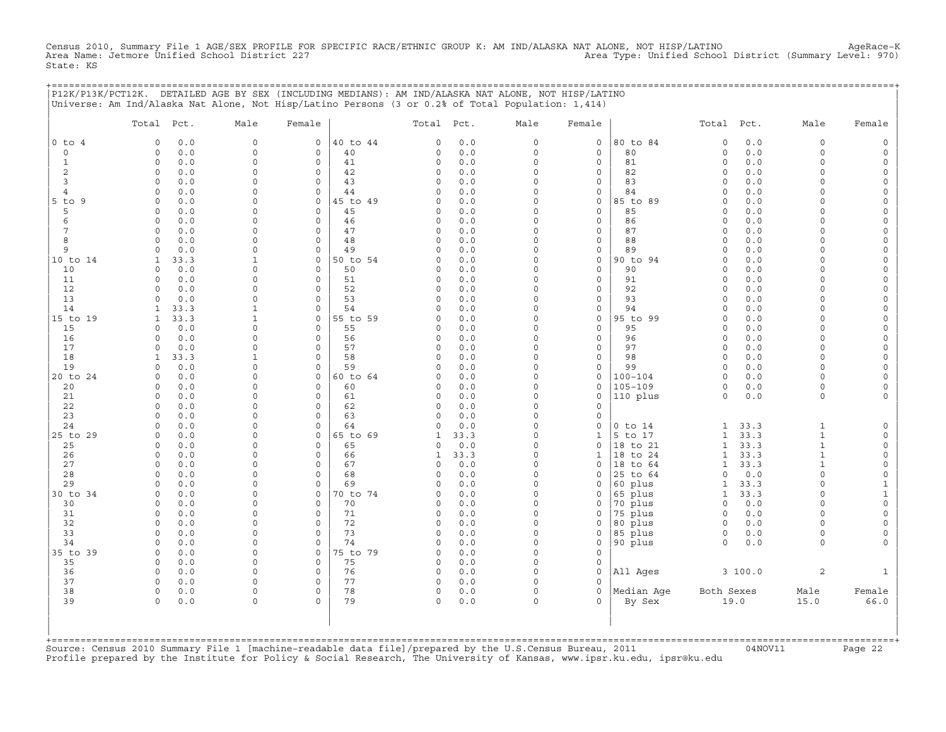Census 2010, Summary File 1 AGE/SEX PROFILE FOR SPECIFIC RACE/ETHNIC GROUP K: AM IND/ALASKA NAT ALONE, NOT HISP/LATINO<br>Area Name: Jetmore Unified School District 227 State: KS

+===================================================================================================================================================+

|                | Total Pct.                 | Male                 | Female                  |                | Total Pct.           |            | Male                 | Female                   |                      | Total Pct.             |             | Male                         | Female                   |
|----------------|----------------------------|----------------------|-------------------------|----------------|----------------------|------------|----------------------|--------------------------|----------------------|------------------------|-------------|------------------------------|--------------------------|
| $0$ to $4$     | 0.0<br>$\Omega$            | $\Omega$             | 0                       | 40 to 44       | $\Omega$             | 0.0        | $\circ$              | 0                        | 80 to 84             | $\circ$                | 0.0         | 0                            | $\mathsf{O}\xspace$      |
| $\circ$        | $0.0$<br>$\circ$           | $\Omega$             | $\circ$                 | 40             | 0                    | $0.0$      | $\circ$              | $\mathsf{O}\xspace$      | 80                   | $\circ$                | 0.0         | $\Omega$                     | $\mathsf{O}$             |
| $\mathbf{1}$   | $\circ$<br>0.0             | $\Omega$             | $\mathbf 0$             | 41             | $\circ$              | 0.0        | $\circ$              | 0                        | 81                   | $\circ$                | 0.0         | $\Omega$                     | $\mathsf{O}$             |
| $\overline{c}$ | 0.0<br>0                   | $\Omega$             | $\circ$                 | 42             | $\Omega$             | 0.0        | $\Omega$             | 0                        | 82                   | $\mathbf 0$            | 0.0         | $\Omega$                     | 0                        |
| 3              | $\circ$<br>0.0             | $\Omega$             | $\circ$                 | 43             | $\Omega$             | 0.0        | $\Omega$             | $\mathsf{O}\xspace$      | 83                   | $\circ$                | 0.0         | $\Omega$                     | $\mathsf{O}$             |
| 4<br>9         | $\circ$<br>0.0<br>0.0<br>0 | $\Omega$<br>$\Omega$ | $\circ$<br>$\mathbf 0$  | 44<br>45 to 49 | $\Omega$<br>$\Omega$ | 0.0<br>0.0 | $\Omega$<br>$\Omega$ | 0<br>0                   | 84<br>85 to 89       | $\circ$<br>$\mathbf 0$ | 0.0<br>0.0  | $\Omega$<br>$\Omega$         | 0<br>0                   |
| $5$ to<br>5    | 0.0<br>0                   | $\Omega$             | $\mathsf{O}\xspace$     | 45             | 0                    | $0.0$      | $\Omega$             | $\mathsf{O}\xspace$      | 85                   | 0                      | 0.0         | $\Omega$                     | $\mathsf{O}\xspace$      |
| 6              | 0.0<br>$\Omega$            | $\Omega$             | $\circ$                 | 46             | $\mathbf 0$          | 0.0        | $\Omega$             | 0                        | 86                   | $\mathbf 0$            | 0.0         | $\Omega$                     | 0                        |
| $\overline{7}$ | 0.0<br>$\circ$             | $\Omega$             | $\circ$                 | 47             | 0                    | 0.0        | $\Omega$             | $\mathsf{O}\xspace$      | 87                   | $\circ$                | 0.0         | $\Omega$                     | $\mathsf{O}\xspace$      |
| 8              | 0.0<br>$\Omega$            | $\Omega$             | 0                       | 48             | $\Omega$             | 0.0        | $\Omega$             | $\mathsf{O}\xspace$      | 88                   | $\circ$                | 0.0         | $\Omega$                     | $\mathsf{O}\xspace$      |
| 9              | 0.0<br>$\Omega$            | $\Omega$             | $\circ$                 | 49             | $\Omega$             | 0.0        | $\Omega$             | 0                        | 89                   | $\circ$                | 0.0         | $\Omega$                     | 0                        |
| 10 to 14       | $\mathbf{1}$<br>33.3       | $\mathbf{1}$         | $\mathsf O$             | 50 to 54       | 0                    | 0.0        | $\Omega$             | $\mathsf{O}\xspace$      | 90 to 94             | $\circ$                | 0.0         | $\Omega$                     | $\mathsf{O}\xspace$      |
| 10             | 0.0<br>0                   | $\Omega$             | $\mathbf 0$             | 50             | $\Omega$             | 0.0        | $\Omega$             | $\mathbf 0$              | 90                   | $\circ$                | 0.0         | $\Omega$                     | $\mathsf{O}\xspace$      |
| 11             | 0.0<br>$\Omega$            | $\Omega$             | $\circ$                 | 51             | $\Omega$             | 0.0        | $\Omega$             | 0                        | 91                   | $\circ$                | 0.0         | $\Omega$                     | 0                        |
| 12             | $\circ$<br>0.0             | $\Omega$             | $\circ$                 | 52             | 0                    | 0.0        | $\Omega$             | 0                        | 92                   | $\circ$                | 0.0         | $\Omega$                     | $\mathsf{O}\xspace$      |
| 13             | 0.0<br>0                   | $\Omega$             | $\Omega$                | 53             | $\circ$              | 0.0        | $\Omega$             | 0                        | 93                   | $\Omega$               | 0.0         | $\Omega$                     | 0                        |
| 14             | 33.3<br>1                  | $\mathbf{1}$         | $\circ$                 | 54             | $\Omega$             | 0.0        | $\Omega$             | 0                        | 94                   | $\circ$                | 0.0         | $\circ$                      | 0                        |
| 15 to 19       | $\mathbf{1}$<br>33.3       | $\mathbf{1}$         | $\mathsf{O}\xspace$     | 55 to 59       | 0                    | 0.0        | $\mathsf{O}\xspace$  | $\mathsf{O}\xspace$      | 95 to 99             | $\circ$                | 0.0         | $\mathbf 0$                  | $\mathsf{O}\xspace$      |
| 15<br>16       | 0.0<br>0<br>0.0<br>$\circ$ | $\Omega$<br>$\Omega$ | $\mathbf 0$<br>$\circ$  | 55<br>56       | $\Omega$<br>0        | 0.0<br>0.0 | $\Omega$<br>$\Omega$ | 0<br>$\mathsf{O}\xspace$ | 95<br>96             | $\mathbf 0$<br>$\circ$ | 0.0<br>0.0  | $\Omega$<br>$\Omega$         | 0<br>$\mathsf{O}\xspace$ |
| 17             | $\circ$<br>0.0             | $\Omega$             | $\mathbf 0$             | 57             | $\circ$              | 0.0        | $\circ$              | $\mathbf 0$              | 97                   | $\circ$                | 0.0         | $\Omega$                     | $\mathsf{O}\xspace$      |
| 18             | 33.3<br>1                  | 1                    | $\Omega$                | 58             | $\Omega$             | 0.0        | $\Omega$             | 0                        | 98                   | $\mathbf 0$            | 0.0         | $\Omega$                     | 0                        |
| 19             | 0.0<br>$\circ$             | $\Omega$             | $\circ$                 | 59             | $\Omega$             | 0.0        | $\Omega$             | 0                        | 99                   | $\circ$                | 0.0         | $\Omega$                     | $\mathsf{O}\xspace$      |
| 20 to 24       | 0.0<br>$\mathbf 0$         | $\Omega$             | $\mathbf 0$             | 60 to 64       | 0                    | 0.0        | $\circ$              | 0                        | $100 - 104$          | $\circ$                | 0.0         | $\Omega$                     | 0                        |
| 20             | 0.0<br>$\Omega$            | $\Omega$             | 0                       | 60             | $\Omega$             | 0.0        | $\Omega$             | 0                        | $105 - 109$          | $\circ$                | 0.0         | $\Omega$                     | 0                        |
| 21             | $\circ$<br>0.0             | $\Omega$             | $\circ$                 | 61             | 0                    | 0.0        | $\Omega$             | $\mathsf{O}\xspace$      | 110 plus             | $\circ$                | 0.0         | $\circ$                      | $\mathsf{O}\xspace$      |
| 22             | $\circ$<br>0.0             | $\Omega$             | $\mathbf 0$             | 62             | 0                    | 0.0        | $\Omega$             | 0                        |                      |                        |             |                              |                          |
| 23             | 0.0<br>0                   | $\Omega$             | $\Omega$                | 63             | $\Omega$             | 0.0        | $\Omega$             | $\mathsf{O}\xspace$      |                      |                        |             |                              |                          |
| 24             | 0.0<br>$\Omega$            | $\Omega$             | $\Omega$                | 64             | $\Omega$             | 0.0        | $\Omega$             | $\mathbf 0$              | $0$ to $14$          | 1                      | 33.3        | $\mathbf{1}$                 | $\mathsf O$              |
| 25 to 29       | 0.0<br>0                   | $\Omega$             | $\mathbf 0$             | 65 to 69       | 1                    | 33.3       | $\Omega$             | $\mathbf{1}$             | 5 to 17              | $\mathbf{1}$           | 33.3        | $\mathbf{1}$                 | $\mathsf{O}$             |
| 25             | 0.0<br>$\circ$             | $\Omega$             | 0                       | 65             | 0                    | 0.0        | $\Omega$             | $\mathsf{O}\xspace$      | 18 to 21             | $\mathbf{1}$           | 33.3        | $\mathbf{1}$                 | $\mathsf O$              |
| 26             | 0.0<br>0<br>$\Omega$       | $\Omega$<br>$\Omega$ | $\mathbf 0$<br>$\Omega$ | 66             | 1                    | 33.3       | $\Omega$<br>$\Omega$ | $\mathbf{1}$             | 18 to 24             | $\mathbf{1}$           | 33.3        | $\mathbf{1}$<br>$\mathbf{1}$ | $\mathsf O$              |
| 27<br>28       | 0.0<br>$\circ$<br>0.0      | $\Omega$             | $\circ$                 | 67<br>68       | 0<br>0               | 0.0<br>0.0 | $\Omega$             | 0<br>0                   | 18 to 64<br>25 to 64 | 1<br>$\circ$           | 33.3<br>0.0 | $\Omega$                     | 0<br>$\mathsf O$         |
| 29             | 0.0<br>$\Omega$            | $\Omega$             | $\Omega$                | 69             | $\Omega$             | 0.0        | $\Omega$             | $\mathbf 0$              | 60 plus              | $\mathbf{1}$           | 33.3        | $\Omega$                     | $\mathbf{1}$             |
| 30 to 34       | $\Omega$<br>0.0            | $\Omega$             | $\Omega$                | 70 to 74       | $\Omega$             | 0.0        | $\Omega$             | 0                        | 65 plus              | 1                      | 33.3        | $\Omega$                     | $\mathbf 1$              |
| 30             | $\circ$<br>0.0             | $\mathbf 0$          | $\circ$                 | 70             | 0                    | 0.0        | $\Omega$             | 0                        | 70 plus              | $\circ$                | 0.0         | $\mathbf 0$                  | $\mathsf{O}\xspace$      |
| 31             | 0.0<br>0                   | $\Omega$             | $\Omega$                | 71             | 0                    | 0.0        | $\Omega$             | $\mathbf 0$              | 75 plus              | $\mathbf 0$            | 0.0         | $\Omega$                     | 0                        |
| 32             | $\Omega$<br>0.0            | $\Omega$             | $\Omega$                | 72             | $\circ$              | 0.0        | $\Omega$             | $\mathbf 0$              | 80 plus              | $\circ$                | 0.0         | $\Omega$                     | $\mathsf{O}\xspace$      |
| 33             | $\circ$<br>0.0             | $\mathbf 0$          | $\circ$                 | 73             | 0                    | 0.0        | 0                    | 0                        | 85 plus              | $\circ$                | 0.0         | 0                            | 0                        |
| 34             | 0.0<br>0                   | $\Omega$             | $\Omega$                | 74             | $\Omega$             | 0.0        | $\Omega$             | 0                        | 90 plus              | $\circ$                | 0.0         | $\circ$                      | $\mathbf 0$              |
| 35 to 39       | 0.0<br>$\circ$             | $\Omega$             | $\mathsf{O}\xspace$     | 75 to 79       | $\Omega$             | 0.0        | $\Omega$             | $\mathsf{O}\xspace$      |                      |                        |             |                              |                          |
| 35             | 0.0<br>$\mathbf 0$         | $\Omega$             | $\circ$                 | 75             | 0                    | 0.0        | $\circ$              | 0                        |                      |                        |             |                              |                          |
| 36             | 0.0<br>0                   | $\Omega$             | 0                       | 76             | 0                    | 0.0        | $\Omega$             | $\mathbf 0$              | All Ages             |                        | 3 100.0     | 2                            | 1                        |
| 37             | $\circ$<br>0.0             | $\Omega$             | $\circ$                 | 77             | 0                    | 0.0        | $\circ$              | $\mathbf 0$              |                      |                        |             |                              |                          |
| 38             | $\circ$<br>0.0             | $\Omega$             | $\mathbf 0$<br>$\Omega$ | 78<br>79       | $\circ$              | 0.0        | $\circ$              | $\mathbf 0$<br>$\Omega$  | Median Age           | Both Sexes             |             | Male                         | Female                   |
| 39             | 0<br>0.0                   | $\Omega$             |                         |                | $\Omega$             | 0.0        | $\Omega$             |                          | By Sex               |                        | 19.0        | 15.0                         | 66.0                     |

+===================================================================================================================================================+Source: Census 2010 Summary File 1 [machine−readable data file]/prepared by the U.S.Census Bureau, 2011 04NOV11 Page 22 Profile prepared by the Institute for Policy & Social Research, The University of Kansas, www.ipsr.ku.edu, ipsr@ku.edu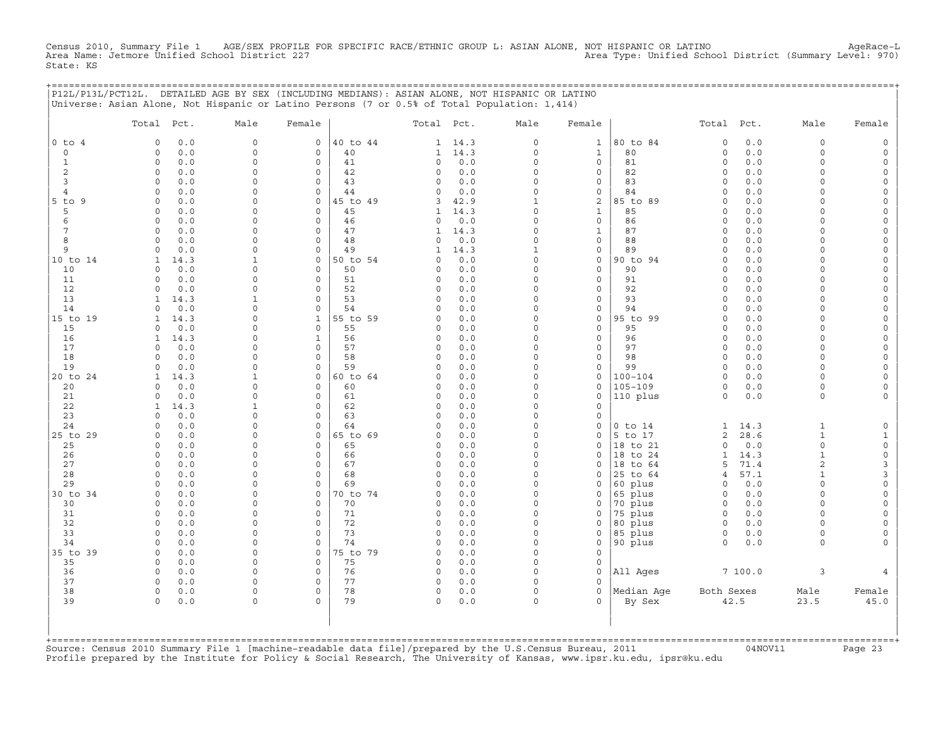Census 2010, Summary File 1 AGE/SEX PROFILE FOR SPECIFIC RACE/ETHNIC GROUP L: ASIAN ALONE, NOT HISPANIC OR LATINO AgeRace−L Area Name: Jetmore Unified School District 227 Area Type: Unified School District (Summary Level: 970) State: KS

| P12L/P13L/PCT12L. DETAILED AGE BY SEX (INCLUDING MEDIANS): ASIAN ALONE, NOT HISPANIC OR LATINO |  |
|------------------------------------------------------------------------------------------------|--|
| Universe: Asian Alone, Not Hispanic or Latino Persons (7 or 0.5% of Total Population: 1,414)   |  |

|                | Total Pct.               |             | Male                    | Female                      |          | Total Pct.          |                | Male                    | Female                      |                      | Total Pct.              |             | Male                    | Female                                     |
|----------------|--------------------------|-------------|-------------------------|-----------------------------|----------|---------------------|----------------|-------------------------|-----------------------------|----------------------|-------------------------|-------------|-------------------------|--------------------------------------------|
| $0$ to $4$     | $\circ$                  | 0.0         | $\mathbf{0}$            | $\circ$                     | 40 to 44 |                     | $1 \quad 14.3$ | $\circ$                 | $\mathbf{1}$                | 80 to 84             | $\circ$                 | 0.0         | $\circ$                 | $\mathbb O$                                |
| $\mathbf 0$    | $\Omega$                 | 0.0         | $\mathsf{O}\xspace$     | $\mathbf{0}$                | 40       | $\mathbf{1}$        | 14.3           | $\circ$                 | $\mathbf 1$                 | 80                   | $\mathsf O$             | 0.0         | $\circ$                 | $\mathsf{O}\xspace$                        |
| $\mathbf{1}$   | $\circ$                  | 0.0         | $\mathsf{O}\xspace$     | $\circ$                     | 41       | $\circ$             | 0.0            | $\mathbf 0$             | $\mathbf 0$                 | 81                   | $\circ$                 | 0.0         | $\circ$                 | $\mathsf{O}\xspace$                        |
| 2              | $\circ$                  | 0.0         | 0                       | 0                           | 42       | 0                   | 0.0            | $\mathbf 0$             | $\mathbf 0$                 | 82                   | $\circ$                 | 0.0         | $\circ$                 | $\mathsf{O}\xspace$                        |
| $\overline{3}$ | $\Omega$                 | 0.0         | $\circ$                 | $\Omega$                    | 43       | $\Omega$            | 0.0            | $\circ$                 | $\mathbf 0$                 | 83                   | $\circ$                 | 0.0         | $\Omega$                | $\mathsf{O}\xspace$                        |
| $\overline{4}$ | $\Omega$                 | 0.0         | $\Omega$                | $\Omega$                    | 44       | $\Omega$            | $0.0$          | $\Omega$                | $\mathbf 0$                 | 84                   | $\Omega$                | 0.0         | $\Omega$                | $\mathsf{O}\xspace$                        |
| $5$ to<br>9    | $\Omega$                 | 0.0         | $\Omega$                | $\circ$                     | 45 to 49 | 3                   | 42.9           | $\mathbf{1}$            | $\mathbf 2$                 | 85 to 89             | $\circ$                 | 0.0         | $\circ$                 | $\mathbb O$                                |
| 5<br>6         | $\circ$<br>$\Omega$      | 0.0<br>0.0  | $\Omega$<br>$\Omega$    | $\mathbf{0}$<br>$\circ$     | 45<br>46 | 1<br>$\circ$        | 14.3<br>$0.0$  | $\mathbf 0$<br>$\Omega$ | $\mathbf{1}$<br>$\mathbf 0$ | 85<br>86             | $\circ$<br>$\mathbf 0$  | 0.0<br>0.0  | $\Omega$<br>$\Omega$    | $\mathsf{O}$<br>$\mathsf{O}\xspace$        |
| 7              | $\circ$                  | 0.0         | $\Omega$                | $\circ$                     | 47       | $\mathbf{1}$        | 14.3           | $\mathbf 0$             | $\mathbf 1$                 | 87                   | $\mathbf 0$             | 0.0         | $\Omega$                | $\mathsf{O}$                               |
| 8              | $\Omega$                 | 0.0         | $\Omega$                | $\Omega$                    | 48       | $\Omega$            | 0.0            | $\Omega$                | $\mathbf 0$                 | 88                   | $\Omega$                | 0.0         | $\Omega$                | $\mathsf O$                                |
| 9              | $\Omega$                 | 0.0         | $\circ$                 | $\circ$                     | 49       | $\mathbf{1}$        | 14.3           | $\mathbf{1}$            | $\mathbf 0$                 | 89                   | $\Omega$                | 0.0         | $\Omega$                | $\mathsf{O}\xspace$                        |
| 10 to 14       | $\mathbf{1}$             | 14.3        | $\mathbf{1}$            | $\circ$                     | 50 to 54 | $\Omega$            | 0.0            | $\Omega$                | $\circ$                     | 90 to 94             | $\circ$                 | 0.0         | $\circ$                 | $\mathsf{O}\xspace$                        |
| 10             | $\Omega$                 | 0.0         | $\Omega$                | $\Omega$                    | 50       | $\Omega$            | $0.0$          | $\Omega$                | $\Omega$                    | 90                   | $\Omega$                | 0.0         | $\Omega$                | $\mathsf{O}\xspace$                        |
| 11             | $\circ$                  | 0.0         | $\mathbf 0$             | $\circ$                     | 51       | $\circ$             | 0.0            | $\mathbf 0$             | $\mathbf 0$                 | 91                   | $\circ$                 | 0.0         | $\circ$                 | $\mathsf{O}\xspace$                        |
| 12             | $\Omega$                 | 0.0         | $\mathbf 0$             | 0                           | 52       | $\circ$             | 0.0            | $\mathbf 0$             | $\mathbf 0$                 | 92                   | $\mathbf 0$             | 0.0         | $\Omega$                | $\mathsf{O}$                               |
| 13             | $\mathbf{1}$             | 14.3        | $\mathbf{1}$            | $\mathbf 0$                 | 53       | $\circ$             | 0.0            | $\Omega$                | $\mathbf 0$                 | 93                   | $\circ$                 | 0.0         | $\circ$                 | $\mathsf{O}\xspace$                        |
| 14             | $\Omega$                 | 0.0         | $\Omega$                | $\Omega$                    | 54       | $\Omega$            | 0.0            | $\Omega$                | $\mathbf 0$                 | 94                   | $\Omega$                | 0.0         | $\Omega$                | $\mathsf O$                                |
| 15 to 19       | $\mathbf{1}$             | 14.3        | $\Omega$                | $\mathbf{1}$                | 55 to 59 | $\circ$             | 0.0            | $\Omega$                | $\mathbf 0$                 | 95 to 99             | $\circ$                 | 0.0         | $\Omega$                | $\mathsf{O}$                               |
| 15<br>16       | $\Omega$<br>$\mathbf{1}$ | 0.0         | $\Omega$<br>$\mathbf 0$ | $\mathbf 0$<br>$\mathbf{1}$ | 55<br>56 | $\circ$<br>$\circ$  | 0.0<br>0.0     | $\mathbf 0$<br>$\Omega$ | $\Omega$<br>$\Omega$        | 95<br>96             | $\circ$<br>$\circ$      | 0.0<br>0.0  | $\Omega$<br>$\circ$     | $\mathsf{O}\xspace$                        |
| 17             | $\Omega$                 | 14.3<br>0.0 | $\Omega$                | $\circ$                     | 57       | $\circ$             | 0.0            | $\Omega$                | $\mathbf 0$                 | 97                   | $\circ$                 | 0.0         | $\circ$                 | $\mathsf{O}\xspace$<br>$\mathsf{O}$        |
| 18             | $\Omega$                 | 0.0         | $\Omega$                | $\circ$                     | 58       | $\circ$             | 0.0            | $\mathbf 0$             | $\mathbf 0$                 | 98                   | $\mathbf 0$             | 0.0         | $\circ$                 | $\mathsf{O}\xspace$                        |
| 19             | $\Omega$                 | 0.0         | $\mathbf 0$             | $\circ$                     | 59       | $\circ$             | 0.0            | $\mathbf 0$             | $\mathbf 0$                 | 99                   | $\mathbf 0$             | 0.0         | $\circ$                 | $\mathsf{O}$                               |
| 20 to 24       | $\mathbf{1}$             | 14.3        | $\mathbf{1}$            | $\Omega$                    | 60 to 64 | $\Omega$            | 0.0            | $\Omega$                | $\Omega$                    | $100 - 104$          | $\Omega$                | 0.0         | $\Omega$                | $\mathsf{O}\xspace$                        |
| 20             | $\Omega$                 | 0.0         | $\Omega$                | $\circ$                     | 60       | $\circ$             | 0.0            | $\Omega$                | $\mathbf 0$                 | $105 - 109$          | $\mathbf 0$             | 0.0         | $\circ$                 | $\mathsf{O}\xspace$                        |
| 21             | $\Omega$                 | 0.0         | $\Omega$                | $\circ$                     | 61       | $\circ$             | 0.0            | $\Omega$                | $\mathbf 0$                 | 110 plus             | $\circ$                 | 0.0         | $\circ$                 | $\circ$                                    |
| 22             | $\mathbf{1}$             | 14.3        | $\mathbf{1}$            | $\Omega$                    | 62       | $\circ$             | 0.0            | $\Omega$                | $\mathbf 0$                 |                      |                         |             |                         |                                            |
| 23             | $\Omega$                 | 0.0         | $\mathbf 0$             | $\circ$                     | 63       | $\circ$             | 0.0            | $\Omega$                | $\mathbf 0$                 |                      |                         |             |                         |                                            |
| 24             | $\Omega$                 | 0.0         | $\mathbf 0$             | $\mathbf 0$                 | 64       | $\circ$             | 0.0            | $\Omega$                | $\mathsf{O}$                | $0$ to $14$          | $\mathbf{1}$            | 14.3        | $\mathbf{1}$            | $\mathsf{O}$                               |
| 25 to 29       | $\circ$                  | 0.0         | $\Omega$                | 0                           | 65 to 69 | 0                   | 0.0            | $\mathbf 0$             | $\mathbf 0$                 | 5 to 17              | 2                       | 28.6        | $\mathbf{1}$            | $\mathbf{1}$                               |
| 25<br>26       | $\Omega$<br>$\Omega$     | 0.0<br>0.0  | $\Omega$<br>$\Omega$    | $\Omega$<br>$\Omega$        | 65<br>66 | $\circ$<br>$\Omega$ | 0.0<br>0.0     | $\circ$<br>$\Omega$     | $\Omega$<br>$\Omega$        | 18 to 21<br>18 to 24 | $\circ$<br>$\mathbf{1}$ | 0.0<br>14.3 | $\circ$<br>$\mathbf{1}$ | $\mathsf{O}\xspace$<br>$\mathsf{O}\xspace$ |
| 27             | $\circ$                  | 0.0         | $\Omega$                | $\circ$                     | 67       | $\circ$             | 0.0            | $\Omega$                | $\Omega$                    | 18 to 64             | 5                       | 71.4        | $\overline{c}$          | 3                                          |
| 28             | $\Omega$                 | 0.0         | $\Omega$                | $\circ$                     | 68       | $\circ$             | 0.0            | $\mathbf 0$             | $\Omega$                    | 25 to 64             | $\overline{4}$          | 57.1        | $\mathbf{1}$            | 3                                          |
| 29             | $\Omega$                 | 0.0         | $\Omega$                | $\circ$                     | 69       | $\circ$             | 0.0            | $\Omega$                | $\mathbf 0$                 | 60 plus              | $\circ$                 | 0.0         | $\circ$                 | $\mathsf{O}\xspace$                        |
| 30 to 34       | $\circ$                  | 0.0         | $\mathbf 0$             | $\circ$                     | 70 to 74 | $\circ$             | 0.0            | $\mathbf 0$             | $\mathbf 0$                 | 65 plus              | $\mathbf 0$             | 0.0         | $\circ$                 | $\mathsf O$                                |
| 30             | $\circ$                  | 0.0         | $\mathbf 0$             | 0                           | 70       | 0                   | 0.0            | $\mathbf 0$             | 0                           | 70 plus              | $\circ$                 | 0.0         | $\circ$                 | $\mathsf{O}$                               |
| 31             | $\Omega$                 | 0.0         | $\Omega$                | $\circ$                     | 71       | $\circ$             | 0.0            | $\Omega$                | $\mathbf 0$                 | 75 plus              | $\Omega$                | $0.0$       | $\Omega$                | $\mathsf{O}\xspace$                        |
| 32             | $\Omega$                 | 0.0         | $\circ$                 | $\Omega$                    | 72       | $\circ$             | 0.0            | $\Omega$                | $\mathbf 0$                 | 80 plus              | $\mathbf 0$             | 0.0         | $\Omega$                | $\mathsf{O}\xspace$                        |
| 33             | $\Omega$                 | 0.0         | $\Omega$                | $\Omega$                    | 73       | $\Omega$            | 0.0            | $\Omega$                | $\mathbf 0$                 | 85 plus              | $\circ$                 | 0.0         | $\Omega$                | $\mathsf{O}\xspace$                        |
| 34             | $\Omega$                 | 0.0         | $\Omega$                | $\circ$                     | 74       | $\circ$             | 0.0            | $\mathbf 0$             | $\mathbf 0$                 | 90 plus              | $\Omega$                | 0.0         | $\Omega$                | $\circ$                                    |
| 35 to 39       | $\circ$                  | 0.0         | 0                       | $\circ$                     | 75 to 79 | $\circ$             | 0.0            | $\mathbf 0$<br>$\Omega$ | $\mathbf 0$                 |                      |                         |             |                         |                                            |
| 35<br>36       | $\Omega$<br>$\circ$      | 0.0<br>0.0  | $\mathbf 0$<br>$\circ$  | $\mathbf 0$<br>$\mathbf 0$  | 75<br>76 | $\circ$<br>$\circ$  | 0.0<br>0.0     | $\circ$                 | $\mathbf 0$<br>$\mathbf 0$  | All Ages             |                         | 7100.0      | 3                       | 4                                          |
| 37             | $\Omega$                 | 0.0         | $\mathbf 0$             | $\circ$                     | 77       | $\circ$             | 0.0            | $\Omega$                | $\Omega$                    |                      |                         |             |                         |                                            |
| 38             | $\Omega$                 | 0.0         | $\circ$                 | $\Omega$                    | 78       | $\circ$             | 0.0            | $\circ$                 | $\Omega$                    | Median Age           | Both Sexes              |             | Male                    | Female                                     |
| 39             | $\Omega$                 | 0.0         | $\mathbf 0$             | $\Omega$                    | 79       | $\circ$             | 0.0            | $\circ$                 | $\Omega$                    | By Sex               |                         | 42.5        | 23.5                    | 45.0                                       |
|                |                          |             |                         |                             |          |                     |                |                         |                             |                      |                         |             |                         |                                            |

+===================================================================================================================================================+Source: Census 2010 Summary File 1 [machine−readable data file]/prepared by the U.S.Census Bureau, 2011 04NOV11 Page 23 Profile prepared by the Institute for Policy & Social Research, The University of Kansas, www.ipsr.ku.edu, ipsr@ku.edu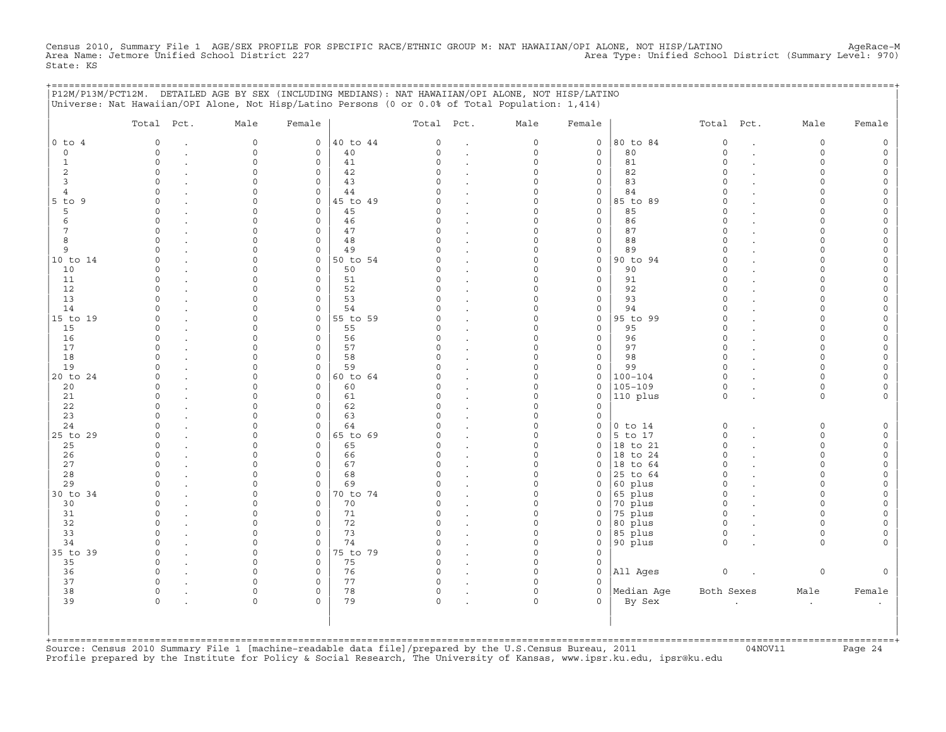Census 2010, Summary File 1 AGE/SEX PROFILE FOR SPECIFIC RACE/ETHNIC GROUP M: NAT HAWAIIAN/OPI ALONE, NOT HISP/LATINO<br>Area Name: Jetmore Unified School District 227 State: KS

|                   | P12M/P13M/PCT12M. DETAILED AGE BY SEX (INCLUDING MEDIANS): NAT HAWAIIAN/OPI ALONE, NOT HISP/LATINO<br>Universe: Nat Hawaiian/OPI Alone, Not Hisp/Latino Persons (0 or 0.0% of Total Population: 1,414) |             |                        |                |               |                          |               |                     | ======================= |                        |                  |        |
|-------------------|--------------------------------------------------------------------------------------------------------------------------------------------------------------------------------------------------------|-------------|------------------------|----------------|---------------|--------------------------|---------------|---------------------|-------------------------|------------------------|------------------|--------|
|                   | Total Pct.                                                                                                                                                                                             | Male        | Female                 |                | Total Pct.    |                          | Male          | Female              |                         | Total Pct.             | Male             | Female |
| $0$ to $4$        | 0                                                                                                                                                                                                      | $\circ$     | $\circ$                | 40 to 44       | $\circ$       |                          | $\circ$       | $\mathsf{O}\xspace$ | 80 to 84                | $\mathbf 0$            | $\circ$          |        |
| $\Omega$          | $\Omega$                                                                                                                                                                                               | $\mathbf 0$ | $\circ$                | 40             | $\Omega$      | $\cdot$                  | $\circ$       | $\mathbf{0}$        | 80                      | $\circ$                | $\Omega$         |        |
| 1                 | $\Omega$                                                                                                                                                                                               | $\Omega$    | $\circ$                | 41             | $\Omega$      |                          | $\Omega$      | $\mathbf{0}$        | 81                      | $\Omega$               | $\Omega$         |        |
| 2                 | $\Omega$                                                                                                                                                                                               | n           | $\circ$                | 42             | $\Omega$      |                          | $\Omega$      | 0                   | 82                      | $\Omega$               | ∩                |        |
| 3                 | $\cap$                                                                                                                                                                                                 |             | $\Omega$               | 43             | 0             |                          | O             | 0                   | 83                      | $\Omega$               |                  |        |
| 4                 | $\Omega$                                                                                                                                                                                               |             | $\circ$<br>$\circ$     | 44             | 0<br>$\Omega$ |                          | $\Omega$<br>O | 0                   | 84<br>85 to 89          | $\Omega$<br>$\Omega$   | ∩                |        |
| 5 to 9<br>5       | $\Omega$<br>$\Omega$                                                                                                                                                                                   |             | $\circ$                | 45 to 49<br>45 | $\Omega$      | $\overline{a}$<br>$\sim$ | O             | 0<br>$\circ$        | 85                      | $\Omega$               |                  |        |
| 6                 | $\Omega$                                                                                                                                                                                               |             | $\mathsf{O}$           | 46             | $\Omega$      |                          | O             | 0                   | 86                      | $\Omega$               |                  |        |
| 7                 | $\Omega$                                                                                                                                                                                               |             | $\mathbf 0$            | 47             | $\Omega$      |                          | O             | 0                   | 87                      | $\Omega$               | $\cap$           |        |
| 8                 | $\Omega$                                                                                                                                                                                               |             | $\mathsf O$            | 48             | $\Omega$      |                          | 0             | 0                   | 88                      | $\Omega$               | $\cap$           |        |
| 9                 |                                                                                                                                                                                                        |             | $\mathsf{O}$           | 49             | $\Omega$      |                          | 0             | 0                   | 89                      | $\Omega$               |                  |        |
| 10 to 14          | $\Omega$                                                                                                                                                                                               |             | $\mathsf{O}$           | 50 to 54       |               |                          | O             | 0                   | 90 to 94                | $\Omega$               |                  |        |
| 10                | $\Omega$                                                                                                                                                                                               |             | $\mathbf 0$            | 50             | $\Omega$      |                          | O             | 0                   | 90                      | $\Omega$               |                  |        |
| 11                | $\Omega$                                                                                                                                                                                               |             | $\mathsf{O}$           | 51             | $\cap$        |                          | U             | 0                   | 91                      | $\Omega$               | $\cap$           |        |
| 12                | $\Omega$                                                                                                                                                                                               |             | $\mathsf{O}$           | 52             | $\Omega$      |                          | O             | 0                   | 92                      | $\Omega$               |                  |        |
| 13                | $\Omega$                                                                                                                                                                                               |             | $\circ$                | 53             | $\Omega$      |                          | O             | $\mathbf{0}$        | 93                      | $\Omega$               |                  |        |
| 14                | $\Omega$                                                                                                                                                                                               |             | $\circ$                | 54             | $\Omega$      |                          | U             | 0                   | 94                      | $\Omega$               |                  |        |
| 15 to 19          | $\Omega$                                                                                                                                                                                               | ∩           | $\circ$                | 55 to 59       | 0             |                          | O             | 0                   | 95 to 99                | $\Omega$               | ∩                |        |
| 15                | $\Omega$                                                                                                                                                                                               |             | $\mathbf 0$            | 55             | $\Omega$      |                          | O             | $\mathbf{0}$        | 95                      | $\Omega$               | $\cap$<br>$\cap$ |        |
| 16<br>17          | $\Omega$                                                                                                                                                                                               |             | $\mathsf{O}$           | 56<br>57       | $\Omega$      |                          | U             | 0                   | 96<br>97                | $\Omega$<br>$\Omega$   |                  |        |
| 18                |                                                                                                                                                                                                        |             | $\circ$<br>$\circ$     | 58             | 0             |                          | U             | 0<br>0              | 98                      | $\Omega$               | ∩                |        |
| 19                | $\Omega$                                                                                                                                                                                               | ∩           | $\mathbf 0$            | 59             | $\Omega$      |                          | U             | 0                   | 99                      | $\Omega$               | $\Omega$         |        |
| 20 to 24          | $\Omega$                                                                                                                                                                                               |             | $\mathsf{O}$           | 60 to 64       | $\Omega$      |                          | O             | 0                   | $100 - 104$             | $\Omega$               | $\cap$           |        |
| 20                | $\Omega$                                                                                                                                                                                               |             | $\mathbf 0$            | 60             | $\Omega$      |                          | 0             | $\circ$             | 105-109                 | 0                      | $\Omega$         |        |
| 21                | $\Omega$                                                                                                                                                                                               |             | $\mathsf{O}\xspace$    | 61             | $\Omega$      |                          | 0             | 0                   | 110 plus                | $\circ$                | $\circ$          |        |
| 22                | $\Omega$                                                                                                                                                                                               | ∩           | $\circ$                | 62             | $\circ$       |                          | O             | $\circ$             |                         |                        |                  |        |
| 23                | $\Omega$                                                                                                                                                                                               | ∩           | $\mathsf{O}$           | 63             | $\Omega$      |                          | 0             | 0                   |                         |                        |                  |        |
| 24                | $\Omega$                                                                                                                                                                                               |             | $\mathsf{O}$           | 64             | $\Omega$      |                          | $\Omega$      | 0                   | $0$ to $14$             | $\circ$                | $\Omega$         |        |
| 25 to 29          | $\Omega$                                                                                                                                                                                               |             | $\mathsf{O}$           | 65 to 69       | $\Omega$      |                          | 0             | 0                   | 5 to 17                 | $\circ$                | $\cap$           |        |
| 25                | $\Omega$                                                                                                                                                                                               |             | $\mathsf{O}$           | 65             |               |                          | O             | 0                   | 18 to 21                | $\mathbf 0$            |                  |        |
| 26                | $\Omega$                                                                                                                                                                                               |             | $\circ$                | 66             | 0             |                          | O             | 0                   | 18 to 24                | $\Omega$               |                  |        |
| 27                | $\Omega$                                                                                                                                                                                               |             | $\mathbf 0$            | 67             | $\Omega$      |                          | O             | 0                   | 18 to 64                | $\Omega$               | $\cap$           |        |
| 28                | $\cap$                                                                                                                                                                                                 |             | $\mathbf 0$            | 68             | $\Omega$      |                          | O             | 0                   | 25 to 64                | $\circ$                | $\cap$           |        |
| 29                | $\Omega$                                                                                                                                                                                               |             | $\mathbf 0$<br>$\circ$ | 69             | $\Omega$      | $\overline{a}$           | O<br>O        | 0                   | 60 plus                 | $\mathbf 0$<br>$\circ$ | $\cap$<br>$\cap$ |        |
| 30 to 34<br>30    | $\Omega$                                                                                                                                                                                               |             | $\mathbf 0$            | 70 to 74<br>70 | $\Omega$      | $\cdot$                  | <sup>0</sup>  | 0<br>0              | 65 plus<br>70 plus      | $\circ$                | ∩                |        |
| 31                | $\Omega$                                                                                                                                                                                               | U           | $\mathsf{O}$           | 71             | $\Omega$      |                          | 0             | 0                   | 75 plus                 | $\circ$                | ∩                |        |
| 32                | $\Omega$                                                                                                                                                                                               |             | $\mathbf 0$            | 72             | $\Omega$      |                          | O             | $\mathbf{0}$        | 80 plus                 | $\mathbf 0$            | $\cap$           |        |
| 33                |                                                                                                                                                                                                        |             | $\mathbf 0$            | 73             | $\Omega$      |                          | O             | $\mathbf{0}$        | 85 plus                 | $\mathbf 0$            | $\Omega$         |        |
| 34                |                                                                                                                                                                                                        |             | $\circ$                | 74             |               | $\ddot{\phantom{0}}$     | 0             | 0                   | 90 plus                 | $\Omega$               | $\Omega$         |        |
| 35 to 39          | $\Omega$                                                                                                                                                                                               | $\Omega$    | $\mathbf 0$            | 75 to 79       |               |                          | O             | $\Omega$            |                         |                        |                  |        |
| 35                | $\circ$                                                                                                                                                                                                | $\Omega$    | $\circ$                | 75             | 0             |                          | $\Omega$      | 0                   |                         |                        |                  |        |
| 36                | $\Omega$                                                                                                                                                                                               |             | $\circ$                | 76             | 0             |                          | 0             | 0                   | All Ages                | $\circ$                | 0                |        |
| 37                | $\Omega$                                                                                                                                                                                               |             | $\circ$                | 77             | $\Omega$      |                          | 0             | 0                   |                         |                        |                  |        |
| 38                | 0                                                                                                                                                                                                      | $\Omega$    | $\circ$                | 78             | 0             |                          | 0             | 0                   | Median Age              | Both Sexes             | Male             | Female |
| 39                | $\Omega$                                                                                                                                                                                               | $\cap$      | $\Omega$               | 79             | $\Omega$      |                          | $\Omega$      | $\Omega$            | By Sex                  |                        | $\cdot$          |        |
|                   |                                                                                                                                                                                                        |             |                        |                |               |                          |               |                     |                         |                        |                  |        |
|                   |                                                                                                                                                                                                        |             |                        |                |               |                          |               |                     |                         |                        |                  |        |
| +================ |                                                                                                                                                                                                        |             |                        |                |               |                          |               |                     |                         |                        |                  |        |
|                   |                                                                                                                                                                                                        |             |                        |                |               |                          |               |                     |                         |                        |                  |        |

+===================================================================================================================================================+Source: Census 2010 Summary File 1 [machine−readable data file]/prepared by the U.S.Census Bureau, 2011 04NOV11 Page 24 Profile prepared by the Institute for Policy & Social Research, The University of Kansas, www.ipsr.ku.edu, ipsr@ku.edu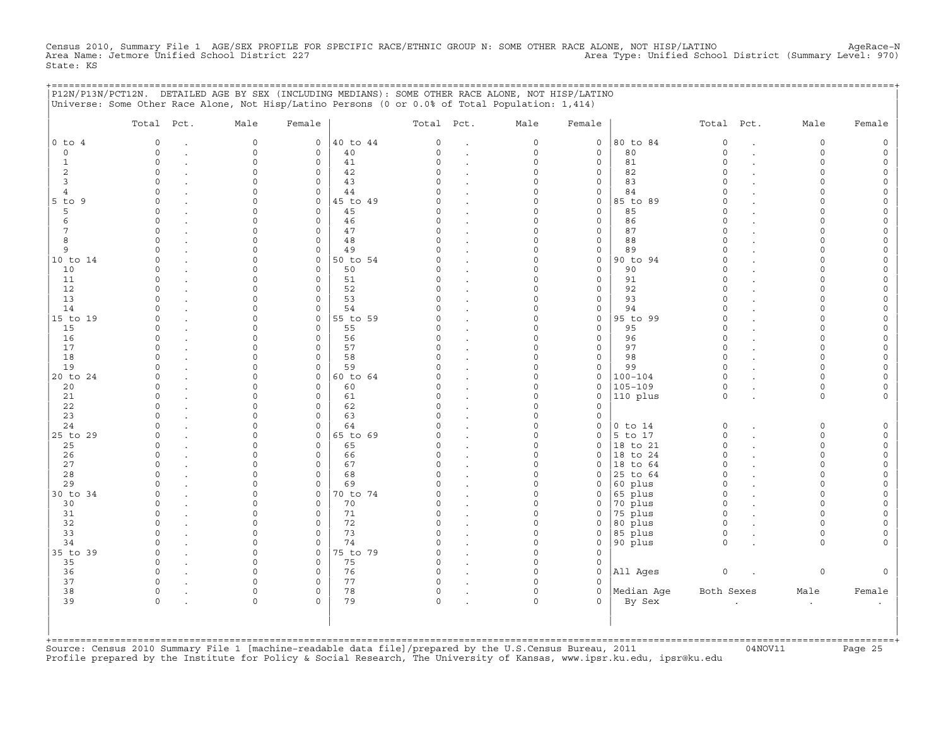Census 2010, Summary File 1 AGE/SEX PROFILE FOR SPECIFIC RACE/ETHNIC GROUP N: SOME OTHER RACE ALONE, NOT HISP/LATINO<br>Area Name: Jetmore Unified School District 227 State: KS

|                | P12N/P13N/PCT12N. DETAILED AGE BY SEX (INCLUDING MEDIANS): SOME OTHER RACE ALONE, NOT HISP/LATINO<br>Universe: Some Other Race Alone, Not Hisp/Latino Persons (0 or 0.0% of Total Population: 1,414) |                      |                  |          |               |                                              |                      |                  | ========================= |                      |                      |        |
|----------------|------------------------------------------------------------------------------------------------------------------------------------------------------------------------------------------------------|----------------------|------------------|----------|---------------|----------------------------------------------|----------------------|------------------|---------------------------|----------------------|----------------------|--------|
|                | Total Pct.                                                                                                                                                                                           | Male                 | Female           |          | Total Pct.    |                                              | Male                 | Female           |                           | Total Pct.           | Male                 | Female |
| $0$ to $4$     | $\circ$                                                                                                                                                                                              | $\mathbf 0$          | $\circ$          | 40 to 44 | $\circ$       | $\ddot{\phantom{a}}$                         | 0                    | $\mathsf{O}$     | 80 to 84                  | $\circ$              | $\circ$              |        |
| $\circ$        | $\Omega$                                                                                                                                                                                             | $\mathbf 0$          | $\mathbf{0}$     | 40       | $\mathsf{O}$  | $\bullet$                                    | 0                    | 0                | 80                        | $\circ$              | $\circ$              |        |
| 1              | $\Omega$                                                                                                                                                                                             | $\Omega$             | $\mathbf 0$      | 41       | $\Omega$      |                                              | $\Omega$             | 0                | 81                        | $\Omega$             | $\Omega$             |        |
| 2<br>3         | $\Omega$<br>∩                                                                                                                                                                                        | $\Omega$             | 0<br>$\mathbf 0$ | 42<br>43 | $\Omega$      |                                              | $\Omega$<br>$\Omega$ | 0                | 82<br>83                  | $\Omega$<br>$\Omega$ | $\Omega$<br>∩        |        |
| $\overline{4}$ | $\Omega$                                                                                                                                                                                             |                      | $\mathbf 0$      | 44       |               |                                              | $\Omega$             | 0<br>$\mathbf 0$ | 84                        | $\Omega$             | $\cap$               |        |
| $5$ to $9$     | $\Omega$                                                                                                                                                                                             |                      | $\mathbf 0$      | 45 to 49 | $\Omega$      | $\ddot{\phantom{a}}$<br>$\ddot{\phantom{a}}$ | $\Omega$             | $\mathbf 0$      | 85 to 89                  | $\Omega$             |                      |        |
| 5              | $\Omega$                                                                                                                                                                                             |                      | $\mathbf 0$      | 45       | C)            | $\bullet$                                    | $\Omega$             | $\mathbf 0$      | 85                        | $\Omega$             |                      |        |
| 6              | $\Omega$                                                                                                                                                                                             |                      | $\mathbf 0$      | 46       | O             | $\ddot{\phantom{a}}$                         | $\Omega$             | 0                | 86                        | $\Omega$             | $\Omega$             |        |
| 7              | $\Omega$                                                                                                                                                                                             | $\cap$               | $\mathbf 0$      | 47       | $\Omega$      |                                              | $\Omega$             | 0                | 87                        | $\Omega$             | $\cap$               |        |
| 8              | $\circ$                                                                                                                                                                                              | $\Omega$             | 0                | 48       | 0             |                                              | $\Omega$             | 0                | 88                        | $\circ$              | $\cap$               |        |
| 9              | $\Omega$                                                                                                                                                                                             |                      | 0                | 49       | $\Omega$      | $\cdot$                                      | $\Omega$             | 0                | 89                        | $\Omega$             | $\cap$               |        |
| 10 to 14       | $\Omega$                                                                                                                                                                                             | $\cap$               | 0                | 50 to 54 |               |                                              | $\Omega$             | 0                | 90 to 94                  | $\Omega$             | $\cap$               |        |
| 10             | $\Omega$                                                                                                                                                                                             | $\cap$               | 0                | 50       | O             |                                              | $\Omega$             | 0                | 90                        | $\Omega$             | $\cap$               |        |
| 11             | $\Omega$                                                                                                                                                                                             |                      | 0                | 51       | $\Omega$      | $\ddot{\phantom{a}}$                         | $\Omega$             | 0                | 91                        | $\Omega$             | $\cap$               |        |
| 12<br>13       | $\Omega$                                                                                                                                                                                             |                      | 0<br>0           | 52<br>53 | O             | $\overline{a}$                               | U<br>U               | 0<br>0           | 92<br>93                  | $\Omega$<br>$\Omega$ |                      |        |
| 14             |                                                                                                                                                                                                      | $\Omega$             | $\mathbf 0$      | 54       | O             |                                              | $\Omega$             | 0                | 94                        | $\Omega$             | $\cap$               |        |
| 15 to 19       | $\Omega$                                                                                                                                                                                             | $\Omega$             | $\mathsf{O}$     | 55 to 59 | U             |                                              | $\Omega$             | 0                | 95 to 99                  | $\Omega$             | $\cap$               |        |
| 15             | $\Omega$                                                                                                                                                                                             | $\Omega$             | $\mathbf 0$      | 55       | O             | $\epsilon$                                   | $\Omega$             | $\mathbf 0$      | 95                        | $\Omega$             | $\cap$               |        |
| 16             | $\circ$                                                                                                                                                                                              | $\Omega$             | $\mathsf{O}$     | 56       | 0             |                                              | $\Omega$             | 0                | 96                        | $\circ$              | $\cap$               |        |
| 17             |                                                                                                                                                                                                      |                      | 0                | 57       |               |                                              | $\Omega$             | 0                | 97                        | $\Omega$             |                      |        |
| 18             | $\Omega$                                                                                                                                                                                             |                      | $\mathbf 0$      | 58       |               |                                              | $\Omega$             | 0                | 98                        | $\Omega$             | $\Omega$             |        |
| 19             | $\cap$                                                                                                                                                                                               | $\cap$               | 0                | 59       | U             |                                              | $\Omega$             | 0                | 99                        | $\Omega$             | $\cap$               |        |
| 20 to 24       |                                                                                                                                                                                                      |                      | $\mathbf 0$      | 60 to 64 |               |                                              | $\Omega$             | 0                | 100-104                   | $\Omega$             | $\cap$               |        |
| 20             | $\cap$                                                                                                                                                                                               |                      | $\mathbf 0$      | 60       |               |                                              | O                    | $\mathsf{O}$     | 105-109                   | $\Omega$             | $\Omega$             |        |
| 21             | $\Omega$                                                                                                                                                                                             |                      | $\mathbf 0$      | 61       | O             |                                              | $\Omega$             | 0                | 110 plus                  | $\Omega$             | $\Omega$             |        |
| 22             | $\cap$<br>$\cap$                                                                                                                                                                                     | ∩<br>∩               | $\Omega$         | 62       | $\Omega$<br>U |                                              | $\Omega$<br>$\Omega$ | $\Omega$<br>O.   |                           |                      |                      |        |
| 23<br>24       | $\cap$                                                                                                                                                                                               | $\cap$               | 0<br>$\mathbf 0$ | 63<br>64 | U             |                                              | $\Omega$             | $\mathsf{O}$     | $0$ to $14$               | $\circ$              | $\Omega$             |        |
| 25 to 29       | $\Omega$                                                                                                                                                                                             | $\Omega$             | $\mathbf 0$      | 65 to 69 | O             | $\ddot{\phantom{a}}$<br>$\ddot{\phantom{a}}$ | $\Omega$             | $\mathsf{O}$     | 5 to 17                   | $\circ$              | $\Omega$             |        |
| 25             | $\Omega$                                                                                                                                                                                             |                      | $\mathbf 0$      | 65       | O             |                                              | $\Omega$             | 0                | 18 to 21                  | $\Omega$             | $\Omega$             |        |
| 26             | $\Omega$                                                                                                                                                                                             |                      | $\mathbf 0$      | 66       | O             |                                              | $\Omega$             | $\Omega$         | 18 to 24                  | $\Omega$             | $\Omega$             |        |
| 27             | $\circ$                                                                                                                                                                                              | $\Omega$             | 0                | 67       | $\Omega$      |                                              | $\Omega$             | 0                | $ 18$ to $64$             | $\circ$              | $\cap$               |        |
| 28             | $\Omega$                                                                                                                                                                                             |                      | 0                | 68       | O             | $\bullet$                                    | 0                    | 0                | 25 to 64                  | $\circ$              | $\cap$               |        |
| 29             |                                                                                                                                                                                                      |                      | $\mathbf 0$      | 69       |               |                                              | $\Omega$             | 0                | 60 plus                   | $\Omega$             |                      |        |
| 30 to 34       |                                                                                                                                                                                                      |                      | 0                | 70 to 74 |               |                                              | $\Omega$             | 0                | 65 plus                   | $\Omega$             |                      |        |
| 30             | $\cap$                                                                                                                                                                                               |                      | $\Omega$         | 70       | U             |                                              | $\Omega$             | 0                | 70 plus                   | $\Omega$             | $\cap$               |        |
| 31             | $\Omega$                                                                                                                                                                                             | ∩                    | 0                | 71       | O             | $\cdot$                                      | $\Omega$             | 0                | 75 plus                   | $\circ$              | $\cap$               |        |
| 32             | $\Omega$                                                                                                                                                                                             | $\Omega$             | $\mathbf 0$      | 72       | $\Omega$      | $\cdot$                                      | $\Omega$             | 0                | 80 plus                   | $\circ$              | $\cap$               |        |
| 33<br>34       | ∩                                                                                                                                                                                                    | $\Omega$<br>$\Omega$ | $\mathbf 0$<br>0 | 73<br>74 | $\Omega$<br>O | $\cdot$                                      | $\Omega$<br>0        | 0<br>0           | 85 plus<br>90 plus        | $\circ$<br>$\Omega$  | $\Omega$<br>$\Omega$ |        |
| 35 to 39       | $\Omega$                                                                                                                                                                                             | $\Omega$             | $\mathbf 0$      | 75 to 79 | $\cap$        | $\ddot{\phantom{a}}$                         | $\Omega$             | $\Omega$         |                           |                      |                      |        |
| 35             | $\circ$                                                                                                                                                                                              | $\Omega$             | $\mathbf 0$      | 75       | 0             |                                              | $\Omega$             | $\mathbf 0$      |                           |                      |                      |        |
| 36             | $\Omega$                                                                                                                                                                                             |                      | 0                | 76       | $\Omega$      |                                              | O                    | 0                | All Ages                  | $\mathsf O$          | 0                    |        |
| 37             | $\Omega$                                                                                                                                                                                             |                      | 0                | 77       | C)            |                                              | $\Omega$             | $\Omega$         |                           |                      |                      |        |
| 38             | $\circ$                                                                                                                                                                                              | $\Omega$             | 0                | 78       | 0             |                                              | $\Omega$             | 0                | Median Age                | Both Sexes           | Male                 | Female |
| 39             | $\Omega$                                                                                                                                                                                             | $\Omega$             | $\Omega$         | 79       | 0             |                                              | $\Omega$             | $\Omega$         | By Sex                    |                      |                      |        |
|                |                                                                                                                                                                                                      |                      |                  |          |               |                                              |                      |                  |                           |                      |                      |        |
|                |                                                                                                                                                                                                      |                      |                  |          |               |                                              |                      |                  |                           |                      |                      |        |
|                |                                                                                                                                                                                                      |                      |                  |          |               |                                              |                      |                  |                           |                      |                      |        |

+===================================================================================================================================================+Source: Census 2010 Summary File 1 [machine−readable data file]/prepared by the U.S.Census Bureau, 2011 04NOV11 Page 25 Profile prepared by the Institute for Policy & Social Research, The University of Kansas, www.ipsr.ku.edu, ipsr@ku.edu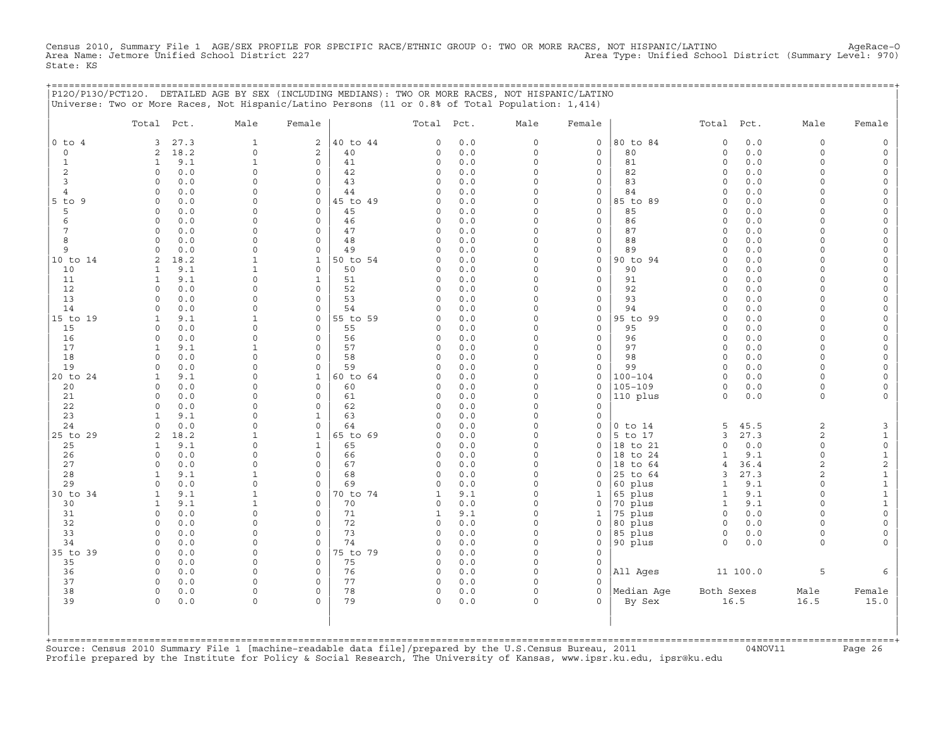Census 2010, Summary File 1 AGE/SEX PROFILE FOR SPECIFIC RACE/ETHNIC GROUP O: TWO OR MORE RACES, NOT HISPANIC/LATINO AgeRace-O<br>Area Name: Jetmore Unified School District 227 State: KS

|                             | P120/P130/PCT120. DETAILED AGE BY SEX (INCLUDING MEDIANS): TWO OR MORE RACES, NOT HISPANIC/LATINO<br>Universe: Two or More Races, Not Hispanic/Latino Persons (11 or 0.8% of Total Population: 1,414) |                             |                             |                |                      |            |                      |                         | =============================== |                      |             |                      |                     |
|-----------------------------|-------------------------------------------------------------------------------------------------------------------------------------------------------------------------------------------------------|-----------------------------|-----------------------------|----------------|----------------------|------------|----------------------|-------------------------|---------------------------------|----------------------|-------------|----------------------|---------------------|
|                             | Total Pct.                                                                                                                                                                                            | Male                        | Female                      |                | Total Pct.           |            | Male                 | Female                  |                                 | Total Pct.           |             | Male                 | Female              |
| $0$ to $4$                  | 27.3<br>3<br>18.2                                                                                                                                                                                     | $\mathbf{1}$<br>$\mathbf 0$ | 2                           | 40 to 44       | $\circ$              | 0.0        | 0<br>$\circ$         | 0                       | 80 to 84<br>80                  | $\circ$<br>$\circ$   | 0.0<br>0.0  | $\circ$<br>$\circ$   |                     |
| $\mathbf 0$<br>$\mathbf{1}$ | 2<br>9.1<br>$\mathbf{1}$                                                                                                                                                                              | $\mathbf{1}$                | 2<br>$\mathbf 0$            | 40<br>41       | $\circ$<br>$\circ$   | 0.0<br>0.0 | $\Omega$             | $\circ$<br>$\mathsf{O}$ | 81                              | $\Omega$             | 0.0         | $\Omega$             | $\Omega$            |
| 2                           | $\circ$<br>0.0                                                                                                                                                                                        | 0                           | $\mathbf 0$                 | 42             | 0                    | 0.0        | $\Omega$             | 0                       | 82                              | $\circ$              | 0.0         | $\Omega$             |                     |
| 3                           | $\Omega$<br>0.0                                                                                                                                                                                       | $\Omega$                    | $\mathbf 0$                 | 43             | $\circ$              | 0.0        | $\Omega$             | 0                       | 83                              | $\circ$              | 0.0         | $\cap$               |                     |
| $\overline{4}$              | 0.0<br>$\circ$                                                                                                                                                                                        | $\Omega$                    | $\mathbf 0$                 | 44             | 0                    | 0.0        | $\Omega$             | $\circ$                 | 84                              | $\Omega$             | 0.0         | $\Omega$             |                     |
| $5$ to $9$                  | 0.0<br>$\Omega$<br>$\Omega$                                                                                                                                                                           | $\Omega$<br>$\Omega$        | $\mathsf{O}$<br>$\Omega$    | 45 to 49       | $\Omega$             | 0.0        | $\Omega$<br>$\Omega$ | $\Omega$<br>$\Omega$    | 85 to 89<br>85                  | $\Omega$<br>$\Omega$ | 0.0<br>0.0  | $\cap$<br>$\cap$     |                     |
| 5<br>6                      | 0.0<br>0.0<br>$\Omega$                                                                                                                                                                                | $\Omega$                    | $\mathbf 0$                 | 45<br>46       | 0<br>0               | 0.0<br>0.0 | $\Omega$             | 0                       | 86                              | $\Omega$             | 0.0         | $\cap$               |                     |
| 7                           | 0.0<br>$\Omega$                                                                                                                                                                                       | $\Omega$                    | $\Omega$                    | 47             | 0                    | 0.0        | $\Omega$             | $\mathbf 0$             | 87                              | $\Omega$             | 0.0         | $\cap$               |                     |
| 8                           | $\Omega$<br>0.0                                                                                                                                                                                       | $\Omega$                    | $\mathbf 0$                 | 48             | $\circ$              | 0.0        | $\Omega$             | $\circ$                 | 88                              | $\circ$              | 0.0         | $\Omega$             |                     |
| 9                           | 0.0<br>$\Omega$                                                                                                                                                                                       | $\Omega$                    | 0                           | 49             | 0                    | 0.0        | $\Omega$             | 0                       | 89                              | $\circ$              | 0.0         | $\Omega$             |                     |
| 10 to 14                    | 2<br>18.2                                                                                                                                                                                             | 1                           | $\mathbf{1}$                | 50 to 54       | $\Omega$             | 0.0        | $\Omega$             | $\mathbf 0$             | 90 to 94                        | $\Omega$             | 0.0         | $\Omega$             |                     |
| 10                          | $\mathbf{1}$<br>9.1<br>$\mathbf{1}$                                                                                                                                                                   | $\mathbf{1}$<br>$\cap$      | $\mathbf 0$                 | 50             | 0                    | 0.0        | $\Omega$<br>$\Omega$ | 0                       | 90<br>91                        | $\circ$<br>$\circ$   | 0.0<br>0.0  | $\Omega$<br>$\cap$   |                     |
| 11<br>12                    | 9.1<br>0.0<br>$\Omega$                                                                                                                                                                                |                             | 1<br>$\Omega$               | 51<br>52       | 0<br>$\Omega$        | 0.0<br>0.0 | $\Omega$             | 0<br>$\Omega$           | 92                              | $\Omega$             | 0.0         |                      |                     |
| 13                          | 0.0<br>$\Omega$                                                                                                                                                                                       | $\Omega$                    | 0                           | 53             | $\Omega$             | 0.0        | $\Omega$             | 0                       | 93                              | $\Omega$             | 0.0         |                      |                     |
| 14                          | 0.0<br>$\Omega$                                                                                                                                                                                       | $\Omega$                    | $\Omega$                    | 54             | $\Omega$             | 0.0        | $\Omega$             | 0                       | 94                              | $\Omega$             | 0.0         | $\cap$               |                     |
| 15 to 19                    | 9.1<br>$\mathbf{1}$                                                                                                                                                                                   | 1                           | $\mathbf{0}$                | 55 to 59       | 0                    | 0.0        | $\Omega$             | $\mathbf 0$             | 95 to 99                        | $\Omega$             | 0.0         | $\cap$               |                     |
| 15                          | 0.0<br>$\Omega$                                                                                                                                                                                       | $\Omega$                    | $\mathbf 0$                 | 55             | $\circ$              | 0.0        | $\Omega$             | $\mathbf 0$             | 95                              | $\Omega$             | 0.0         | $\Omega$             |                     |
| 16<br>17                    | $\circ$<br>0.0<br>$\mathbf{1}$                                                                                                                                                                        | $\Omega$<br>$\mathbf{1}$    | $\mathbf 0$<br>$\mathbf 0$  | 56<br>57       | 0<br>$\circ$         | 0.0<br>0.0 | $\Omega$<br>$\Omega$ | $\mathbf 0$<br>0        | 96<br>97                        | $\circ$<br>$\circ$   | 0.0<br>0.0  | $\Omega$<br>$\Omega$ |                     |
| 18                          | 9.1<br>0.0<br>$\Omega$                                                                                                                                                                                | $\Omega$                    | $\mathbf 0$                 | 58             | $\circ$              | 0.0        | $\Omega$             | $\mathbf 0$             | 98                              | $\mathbf 0$          | 0.0         | $\Omega$             |                     |
| 19                          | $\circ$<br>0.0                                                                                                                                                                                        | $\Omega$                    | $\mathsf{O}$                | 59             | 0                    | 0.0        | $\Omega$             | 0                       | 99                              | $\circ$              | 0.0         | $\Omega$             |                     |
| 20 to 24                    | 9.1<br>1                                                                                                                                                                                              | $\Omega$                    | 1                           | 60 to 64       | $\Omega$             | 0.0        | $\Omega$             | 0                       | $100 - 104$                     | $\Omega$             | 0.0         | $\cap$               |                     |
| 20                          | 0.0<br>$\Omega$                                                                                                                                                                                       | $\Omega$                    | $\Omega$                    | 60             | $\Omega$             | 0.0        | $\Omega$             | 0                       | $105 - 109$                     | $\Omega$             | 0.0         | $\Omega$             |                     |
| 21                          | 0.0<br>$\Omega$                                                                                                                                                                                       | $\Omega$                    | $\mathbf 0$                 | 61             | 0                    | 0.0        | $\Omega$             | 0                       | 110 plus                        | $\Omega$             | 0.0         | $\Omega$             |                     |
| 22<br>23                    | 0.0<br>$\Omega$<br>9.1<br>$\mathbf{1}$                                                                                                                                                                | $\Omega$<br>$\Omega$        | $\mathbf 0$<br>$\mathbf{1}$ | 62<br>63       | 0                    | 0.0        | $\Omega$<br>$\Omega$ | $\Omega$<br>0           |                                 |                      |             |                      |                     |
| 24                          | 0.0<br>$\Omega$                                                                                                                                                                                       | $\Omega$                    | $\mathbf 0$                 | 64             | 0<br>$\Omega$        | 0.0<br>0.0 | $\Omega$             | 0                       | $0$ to $14$                     | 5                    | 45.5        | $\mathbf{2}$         | 3                   |
| 25 to 29                    | 2<br>18.2                                                                                                                                                                                             | 1                           | $\mathbf{1}$                | 65 to 69       | 0                    | 0.0        | $\Omega$             | $\circ$                 | 5 to 17                         | 3                    | 27.3        | $\mathbf{2}$         | $\mathbf{1}$        |
| 25                          | $\mathbf{1}$<br>9.1                                                                                                                                                                                   | $\Omega$                    | $\mathbf{1}$                | 65             | 0                    | 0.0        | $\Omega$             | 0                       | 18 to 21                        | 0                    | 0.0         | $\Omega$             | $\mathsf{O}\xspace$ |
| 26                          | $\circ$<br>0.0                                                                                                                                                                                        | $\Omega$                    | $\mathbf 0$                 | 66             | 0                    | 0.0        | $\Omega$             | 0                       | 18 to 24                        | $\mathbf{1}$         | 9.1         | $\Omega$             | $\mathbf{1}$        |
| 27                          | $\circ$<br>0.0                                                                                                                                                                                        | $\Omega$                    | $\mathbf 0$                 | 67             | 0                    | 0.0        | $\Omega$             | 0                       | 18 to 64                        | 4                    | 36.4        | $\overline{a}$       | $\sqrt{2}$          |
| 28<br>29                    | 9.1<br>1<br>$\Omega$<br>0.0                                                                                                                                                                           | 1<br>$\Omega$               | 0<br>$\Omega$               | 68<br>69       | $\Omega$<br>$\Omega$ | 0.0<br>0.0 | $\Omega$<br>$\Omega$ | 0<br>$\Omega$           | 25 to 64                        | 3                    | 27.3<br>9.1 | 2<br>$\cap$          | $\mathbf{1}$<br>1   |
| 30 to 34                    | $\mathbf{1}$<br>9.1                                                                                                                                                                                   | $\mathbf{1}$                | 0                           | 70 to 74       | 1                    | 9.1        | 0                    | $\mathbf{1}$            | 60 plus<br>65 plus              | 1<br>1               | 9.1         | $\Omega$             | 1                   |
| 30                          | 9.1<br>$\mathbf{1}$                                                                                                                                                                                   |                             | $\mathbf 0$                 | 70             | $\mathsf{O}$         | 0.0        | 0                    | 0                       | 70 plus                         | $\mathbf{1}$         | 9.1         | $\Omega$             | $\mathbf{1}$        |
| 31                          | 0.0<br>$\circ$                                                                                                                                                                                        | $\Omega$                    | $\mathbf 0$                 | 71             | 1                    | 9.1        | $\Omega$             | $\mathbf{1}$            | 75 plus                         | $\circ$              | 0.0         | $\Omega$             |                     |
| 32                          | $\Omega$<br>0.0                                                                                                                                                                                       | $\Omega$                    | $\mathbf 0$                 | 72             | 0                    | 0.0        | $\Omega$             | 0                       | 80 plus                         | 0                    | 0.0         | $\Omega$             |                     |
| 33                          | $\Omega$<br>0.0                                                                                                                                                                                       | $\Omega$                    | $\mathbf 0$                 | 73             | $\circ$              | 0.0        | 0                    | 0                       | 85 plus                         | 0                    | 0.0         | $\Omega$             |                     |
| 34                          | 0.0<br>$\Omega$                                                                                                                                                                                       | $\Omega$<br>$\Omega$        | 0                           | 74             | 0                    | 0.0        | $\Omega$<br>$\Omega$ | 0<br>$\Omega$           | 90 plus                         | $\Omega$             | 0.0         | $\Omega$             |                     |
| 35 to 39<br>35              | 0.0<br>$\Omega$<br>0.0<br>$\Omega$                                                                                                                                                                    | $\Omega$                    | $\mathbf 0$<br>$\Omega$     | 75 to 79<br>75 | $\Omega$<br>0        | 0.0<br>0.0 | $\Omega$             | 0                       |                                 |                      |             |                      |                     |
| 36                          | 0.0<br>$\Omega$                                                                                                                                                                                       | $\Omega$                    | 0                           | 76             | $\circ$              | 0.0        | $\Omega$             | 0                       | All Ages                        |                      | 11 100.0    | 5                    |                     |
| 37                          | $\Omega$<br>0.0                                                                                                                                                                                       | $\Omega$                    | $\Omega$                    | 77             | $\circ$              | 0.0        | $\Omega$             | $\Omega$                |                                 |                      |             |                      |                     |
| 38                          | $\circ$<br>0.0                                                                                                                                                                                        | $\mathbf 0$                 | $\mathbf 0$                 | 78             | 0                    | 0.0        | $\Omega$             | $\circ$                 | Median Aqe                      | Both Sexes           |             | Male                 | Female              |
| 39                          | $\Omega$<br>0.0                                                                                                                                                                                       | $\Omega$                    | $\Omega$                    | 79             | $\mathsf{O}$         | 0.0        | $\Omega$             | 0                       | By Sex                          |                      | 16.5        | 16.5                 | 15.0                |
|                             |                                                                                                                                                                                                       |                             |                             |                |                      |            |                      |                         |                                 |                      |             |                      |                     |
|                             |                                                                                                                                                                                                       |                             |                             |                |                      |            |                      |                         |                                 |                      |             |                      |                     |
|                             |                                                                                                                                                                                                       |                             |                             |                |                      |            |                      |                         |                                 |                      |             |                      |                     |

+===================================================================================================================================================+Source: Census 2010 Summary File 1 [machine−readable data file]/prepared by the U.S.Census Bureau, 2011 04NOV11 Page 26 Profile prepared by the Institute for Policy & Social Research, The University of Kansas, www.ipsr.ku.edu, ipsr@ku.edu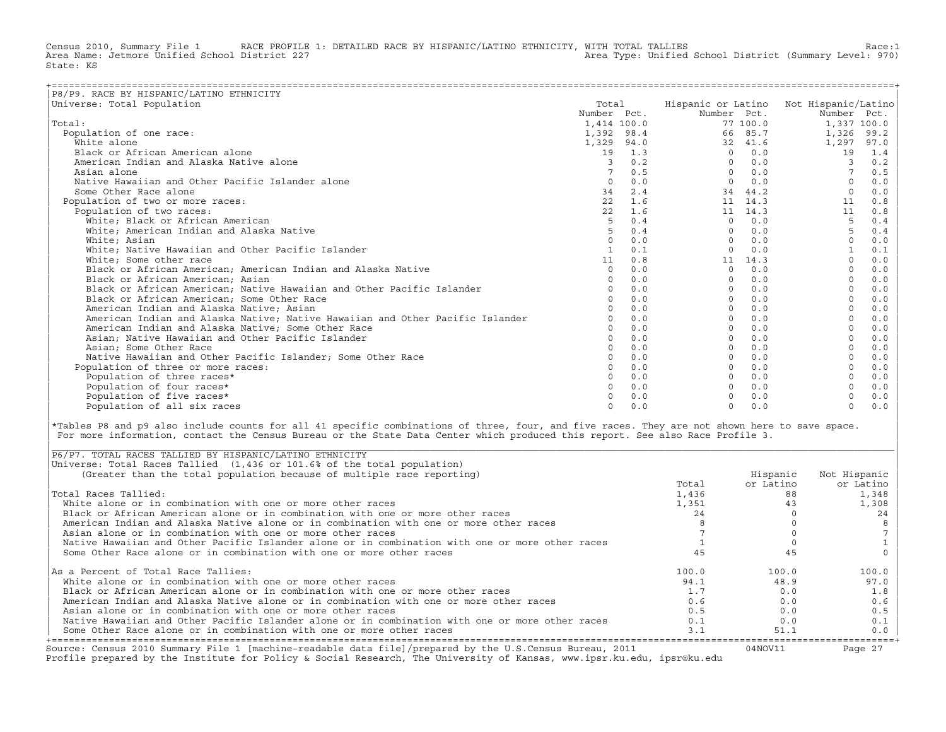Census 2010, Summary File 1 RACE PROFILE 1: DETAILED RACE BY HISPANIC/LATINO ETHNICITY, WITH TOTAL TALLIES Race:1<br>Area Name: Jetmore Unified School District 227 Area Type: Unified School District (Summary Level: 970) State: KS

| P8/P9. RACE BY HISPANIC/LATINO ETHNICITY                                      |              |     |                    |                 |                     |      |
|-------------------------------------------------------------------------------|--------------|-----|--------------------|-----------------|---------------------|------|
| Universe: Total Population                                                    | Total        |     | Hispanic or Latino |                 | Not Hispanic/Latino |      |
|                                                                               | Number Pct.  |     | Number Pct.        |                 | Number Pct.         |      |
| Total:                                                                        | 1,414 100.0  |     |                    | 77 100.0        | 1,337 100.0         |      |
| Population of one race:                                                       | 1,392 98.4   |     | 66                 | 85.7            | 1,326               | 99.2 |
| White alone                                                                   | 1,329 94.0   |     | 32                 | 41.6            | 1,297               | 97.0 |
| Black or African American alone                                               | 19           | 1.3 | $\Omega$           | 0.0             | 19                  | 1.4  |
| American Indian and Alaska Native alone                                       | 3            | 0.2 | $\Omega$           | 0.0             | 3                   | 0.2  |
| Asian alone                                                                   |              | 0.5 | $\Omega$           | 0.0             |                     | 0.5  |
| Native Hawaiian and Other Pacific Islander alone                              | $\Omega$     | 0.0 | $\Omega$           | 0.0             | $\Omega$            | 0.0  |
| Some Other Race alone                                                         | 34           | 2.4 | 34                 | 44.2            | $\Omega$            | 0.0  |
| Population of two or more races:                                              | 22           | 1.6 |                    | 11 14.3         | 11                  | 0.8  |
| Population of two races:                                                      | 22           | 1.6 |                    | $11 \quad 14.3$ | 11                  | 0.8  |
| White; Black or African American                                              | 5            | 0.4 | $\Omega$           | 0.0             | 5                   | 0.4  |
| White; American Indian and Alaska Native                                      | 5            | 0.4 | $\Omega$           | 0.0             | 5                   | 0.4  |
| White: Asian                                                                  | $\Omega$     | 0.0 | $\Omega$           | 0.0             | $\Omega$            | 0.0  |
| White; Native Hawaiian and Other Pacific Islander                             | $\mathbf{1}$ | 0.1 |                    | 0.0             |                     | 0.1  |
| White; Some other race                                                        | 11           | 0.8 | 11                 | 14.3            |                     | 0.0  |
| Black or African American; American Indian and Alaska Native                  | $\circ$      | 0.0 | 0                  | 0.0             |                     | 0.0  |
| Black or African American; Asian                                              | $\Omega$     | 0.0 | $\Omega$           | 0.0             |                     | 0.0  |
| Black or African American; Native Hawaiian and Other Pacific Islander         | $\Omega$     | 0.0 | $\Omega$           | 0.0             |                     | 0.0  |
| Black or African American; Some Other Race                                    |              | 0.0 | $\Omega$           | 0.0             |                     | 0.0  |
| American Indian and Alaska Native; Asian                                      |              | 0.0 | $\Omega$           | 0.0             |                     | 0.0  |
| American Indian and Alaska Native; Native Hawaiian and Other Pacific Islander |              | 0.0 | $\Omega$           | 0.0             |                     | 0.0  |
| American Indian and Alaska Native; Some Other Race                            | $\Omega$     | 0.0 | <sup>n</sup>       | 0.0             |                     | 0.0  |
| Asian; Native Hawaiian and Other Pacific Islander                             | $\Omega$     | 0.0 |                    | 0.0             |                     | 0.0  |
| Asian; Some Other Race                                                        |              | 0.0 |                    | 0.0             |                     | 0.0  |
| Native Hawaiian and Other Pacific Islander; Some Other Race                   |              | 0.0 |                    | 0.0             |                     | 0.0  |
| Population of three or more races:                                            |              | 0.0 |                    | 0.0             |                     | 0.0  |
| Population of three races*                                                    | $\Omega$     | 0.0 | $\Omega$           | 0.0             |                     | 0.0  |
| Population of four races*                                                     | $\Omega$     | 0.0 |                    | 0.0             |                     | 0.0  |
| Population of five races*                                                     |              | 0.0 |                    | 0.0             |                     | 0.0  |
| Population of all six races                                                   | $\Omega$     | 0.0 | $\cap$             | 0.0             | $\Omega$            | 0.0  |

|\*Tables P8 and p9 also include counts for all 41 specific combinations of three, four, and five races. They are not shown here to save space. | For more information, contact the Census Bureau or the State Data Center which produced this report. See also Race Profile 3.

| |

|\_\_\_\_\_\_\_\_\_\_\_\_\_\_\_\_\_\_\_\_\_\_\_\_\_\_\_\_\_\_\_\_\_\_\_\_\_\_\_\_\_\_\_\_\_\_\_\_\_\_\_\_\_\_\_\_\_\_\_\_\_\_\_\_\_\_\_\_\_\_\_\_\_\_\_\_\_\_\_\_\_\_\_\_\_\_\_\_\_\_\_\_\_\_\_\_\_\_\_\_\_\_\_\_\_\_\_\_\_\_\_\_\_\_\_\_\_\_\_\_\_\_\_\_\_\_\_\_\_\_\_\_\_\_\_\_\_\_\_\_\_\_\_\_\_\_\_|

| Source: Census 2010 Summary File 1 [machine-readable data file]/prepared by the U.S.Census Bureau, 2011<br>Profile prepared by the Institute for Policy & Social Research, The University of Kansas, www.ipsr.ku.edu, ipsr@ku.edu |       | 04NOV11   | Page 27      |
|-----------------------------------------------------------------------------------------------------------------------------------------------------------------------------------------------------------------------------------|-------|-----------|--------------|
| Some Other Race alone or in combination with one or more other races                                                                                                                                                              | 3.1   | 51.1      | $0.0$        |
| Native Hawaiian and Other Pacific Islander alone or in combination with one or more other races                                                                                                                                   | 0.1   | 0.0       | 0.1          |
| Asian alone or in combination with one or more other races                                                                                                                                                                        | 0.5   | 0.0       | 0.5          |
| American Indian and Alaska Native alone or in combination with one or more other races                                                                                                                                            | 0.6   | 0.0       | 0.6          |
| Black or African American alone or in combination with one or more other races                                                                                                                                                    | 1.7   | 0.0       | 1.8          |
| White alone or in combination with one or more other races                                                                                                                                                                        | 94.1  | 48.9      | 97.0         |
| As a Percent of Total Race Tallies:                                                                                                                                                                                               | 100.0 | 100.0     | 100.0        |
| Some Other Race alone or in combination with one or more other races                                                                                                                                                              |       | 45        |              |
| Native Hawaiian and Other Pacific Islander alone or in combination with one or more other races                                                                                                                                   |       |           |              |
| Asian alone or in combination with one or more other races                                                                                                                                                                        |       |           |              |
| American Indian and Alaska Native alone or in combination with one or more other races                                                                                                                                            |       |           |              |
| Black or African American alone or in combination with one or more other races                                                                                                                                                    | 24    |           | 24           |
| White alone or in combination with one or more other races                                                                                                                                                                        | 1,351 | 43        | 1,308        |
| Total Races Tallied:                                                                                                                                                                                                              | 1,436 | 88        | 1,348        |
|                                                                                                                                                                                                                                   | Total | or Latino | or Latino    |
| (Greater than the total population because of multiple race reporting)                                                                                                                                                            |       | Hispanic  | Not Hispanic |
| Universe: Total Races Tallied (1,436 or 101.6% of the total population)                                                                                                                                                           |       |           |              |
| P6/P7. TOTAL RACES TALLIED BY HISPANIC/LATINO ETHNICITY                                                                                                                                                                           |       |           |              |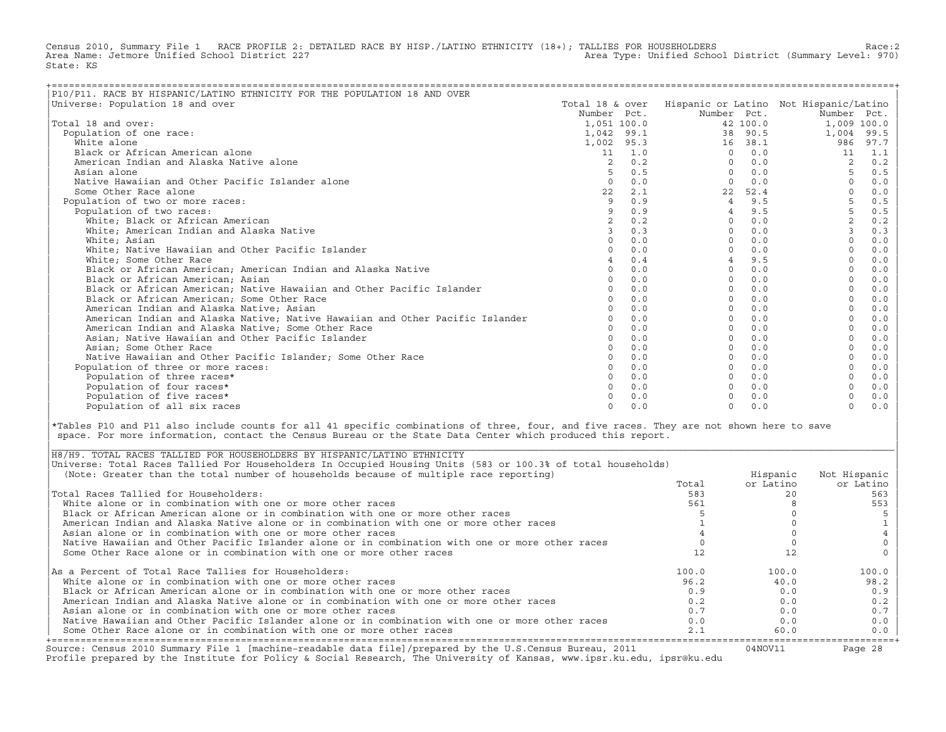Census 2010, Summary File 1 RACE PROFILE 2: DETAILED RACE BY HISP./LATINO ETHNICITY (18+); TALLIES FOR HOUSEHOLDERS Race:2<br>Area Name: Jetmore Unified School District 227 Area Type: Unified School District (Summary Level: 970) State: KS

| P10/P11. RACE BY HISPANIC/LATINO ETHNICITY FOR THE POPULATION 18 AND OVER     |                 |     |                                        |          |                |       |
|-------------------------------------------------------------------------------|-----------------|-----|----------------------------------------|----------|----------------|-------|
| Universe: Population 18 and over                                              | Total 18 & over |     | Hispanic or Latino Not Hispanic/Latino |          |                |       |
|                                                                               | Number Pct.     |     | Number Pct.                            |          | Number Pct.    |       |
| Total 18 and over:                                                            | 1,051 100.0     |     |                                        | 42 100.0 | 1,009 100.0    |       |
| Population of one race:                                                       | 1,042 99.1      |     |                                        | 38 90.5  | 1,004          | 99.5  |
| White alone                                                                   | 1,002 95.3      |     |                                        | 16 38.1  | 986            | 97.7  |
| Black or African American alone                                               | 11              | 1.0 | $\Omega$                               | 0.0      | 11             | 1.1   |
| American Indian and Alaska Native alone                                       | 2               | 0.2 | $\Omega$                               | 0.0      |                | 0.2   |
| Asian alone                                                                   |                 | 0.5 | $\Omega$                               | 0.0      | 5              | 0.5   |
| Native Hawaiian and Other Pacific Islander alone                              | $\Omega$        | 0.0 | $\Omega$                               | 0.0      |                | 0.0   |
| Some Other Race alone                                                         | 22              | 2.1 | 22                                     | 52.4     |                | 0.0   |
| Population of two or more races:                                              | 9               | 0.9 | $\overline{4}$                         | 9.5      | 5              | $0.5$ |
| Population of two races:                                                      |                 | 0.9 |                                        | 9.5      | 5              | $0.5$ |
| White; Black or African American                                              |                 | 0.2 | $\Omega$                               | 0.0      |                | 0.2   |
| White; American Indian and Alaska Native                                      |                 | 0.3 | $\Omega$                               | 0.0      | $\overline{3}$ | 0.3   |
| White; Asian                                                                  | $\Omega$        | 0.0 | $\Omega$                               | 0.0      | $\Omega$       | 0.0   |
| White; Native Hawaiian and Other Pacific Islander                             |                 | 0.0 | $\Omega$                               | 0.0      |                | 0.0   |
| White; Some Other Race                                                        |                 | 0.4 |                                        | 9.5      |                | 0.0   |
| Black or African American; American Indian and Alaska Native                  | $\Omega$        | 0.0 | $\Omega$                               | 0.0      |                | 0.0   |
| Black or African American; Asian                                              |                 | 0.0 | $\Omega$                               | 0.0      |                | 0.0   |
| Black or African American; Native Hawaiian and Other Pacific Islander         |                 | 0.0 | $\Omega$                               | 0.0      |                | 0.0   |
| Black or African American; Some Other Race                                    |                 | 0.0 | $\Omega$                               | 0.0      |                | 0.0   |
| American Indian and Alaska Native; Asian                                      |                 | 0.0 | $\Omega$                               | 0.0      |                | 0.0   |
| American Indian and Alaska Native; Native Hawaiian and Other Pacific Islander |                 | 0.0 | $\Omega$                               | 0.0      |                | 0.0   |
| American Indian and Alaska Native; Some Other Race                            |                 | 0.0 | $\Omega$                               | 0.0      |                | 0.0   |
| Asian; Native Hawaiian and Other Pacific Islander                             | $\cap$          | 0.0 | $\Omega$                               | 0.0      | $\Omega$       | 0.0   |
| Asian; Some Other Race                                                        |                 | 0.0 | $\Omega$                               | 0.0      |                | 0.0   |
| Native Hawaiian and Other Pacific Islander: Some Other Race                   |                 | 0.0 | $\Omega$                               | 0.0      |                | 0.0   |
| Population of three or more races:                                            |                 | 0.0 | $\Omega$                               | 0.0      |                | 0.0   |
| Population of three races*                                                    |                 | 0.0 | $\Omega$                               | 0.0      |                | 0.0   |
| Population of four races*                                                     |                 | 0.0 | $\Omega$                               | 0.0      |                | 0.0   |
| Population of five races*                                                     |                 | 0.0 |                                        | 0.0      |                | $0.0$ |
| Population of all six races                                                   | $\Omega$        | 0.0 | $\Omega$                               | 0.0      | $\Omega$       | 0.0   |

|\*Tables P10 and P11 also include counts for all 41 specific combinations of three, four, and five races. They are not shown here to save | space. For more information, contact the Census Bureau or the State Data Center which produced this report.

| Source: Census 2010 Summary File 1 [machine-readable data file]/prepared by the U.S.Census Bureau, 2011<br>Profile prepared by the Institute for Policy & Social Research, The University of Kansas, www.ipsr.ku.edu, ipsr@ku.edu |       | 04NOV11   | Page 28      |
|-----------------------------------------------------------------------------------------------------------------------------------------------------------------------------------------------------------------------------------|-------|-----------|--------------|
| Some Other Race alone or in combination with one or more other races                                                                                                                                                              | 2.1   | 60.0      | $0.0$        |
| Native Hawaiian and Other Pacific Islander alone or in combination with one or more other races                                                                                                                                   | 0.0   | 0.0       | 0.0          |
| Asian alone or in combination with one or more other races                                                                                                                                                                        | 0.7   | 0.0       | 0.7          |
| American Indian and Alaska Native alone or in combination with one or more other races                                                                                                                                            | 0.2   | 0.0       | 0.2          |
| Black or African American alone or in combination with one or more other races                                                                                                                                                    | 0.9   | 0.0       | 0.9          |
| White alone or in combination with one or more other races                                                                                                                                                                        | 96.2  | 40.0      | 98.2         |
| As a Percent of Total Race Tallies for Householders:                                                                                                                                                                              | 100.0 | 100.0     | 100.0        |
| Some Other Race alone or in combination with one or more other races                                                                                                                                                              |       |           |              |
| Native Hawaiian and Other Pacific Islander alone or in combination with one or more other races                                                                                                                                   |       |           |              |
| Asian alone or in combination with one or more other races                                                                                                                                                                        |       |           |              |
| American Indian and Alaska Native alone or in combination with one or more other races                                                                                                                                            |       |           |              |
| Black or African American alone or in combination with one or more other races                                                                                                                                                    |       |           |              |
| White alone or in combination with one or more other races                                                                                                                                                                        | 561   |           | 553          |
| Total Races Tallied for Householders:                                                                                                                                                                                             | 583   |           | 563          |
|                                                                                                                                                                                                                                   | Total | or Latino | or Latino    |
| (Note: Greater than the total number of households because of multiple race reporting)                                                                                                                                            |       | Hispanic  | Not Hispanic |
| Universe: Total Races Tallied For Householders In Occupied Housing Units (583 or 100.3% of total households)                                                                                                                      |       |           |              |
| H8/H9. TOTAL RACES TALLIED FOR HOUSEHOLDERS BY HISPANIC/LATINO ETHNICITY                                                                                                                                                          |       |           |              |

| |

|\_\_\_\_\_\_\_\_\_\_\_\_\_\_\_\_\_\_\_\_\_\_\_\_\_\_\_\_\_\_\_\_\_\_\_\_\_\_\_\_\_\_\_\_\_\_\_\_\_\_\_\_\_\_\_\_\_\_\_\_\_\_\_\_\_\_\_\_\_\_\_\_\_\_\_\_\_\_\_\_\_\_\_\_\_\_\_\_\_\_\_\_\_\_\_\_\_\_\_\_\_\_\_\_\_\_\_\_\_\_\_\_\_\_\_\_\_\_\_\_\_\_\_\_\_\_\_\_\_\_\_\_\_\_\_\_\_\_\_\_\_\_\_\_\_\_\_|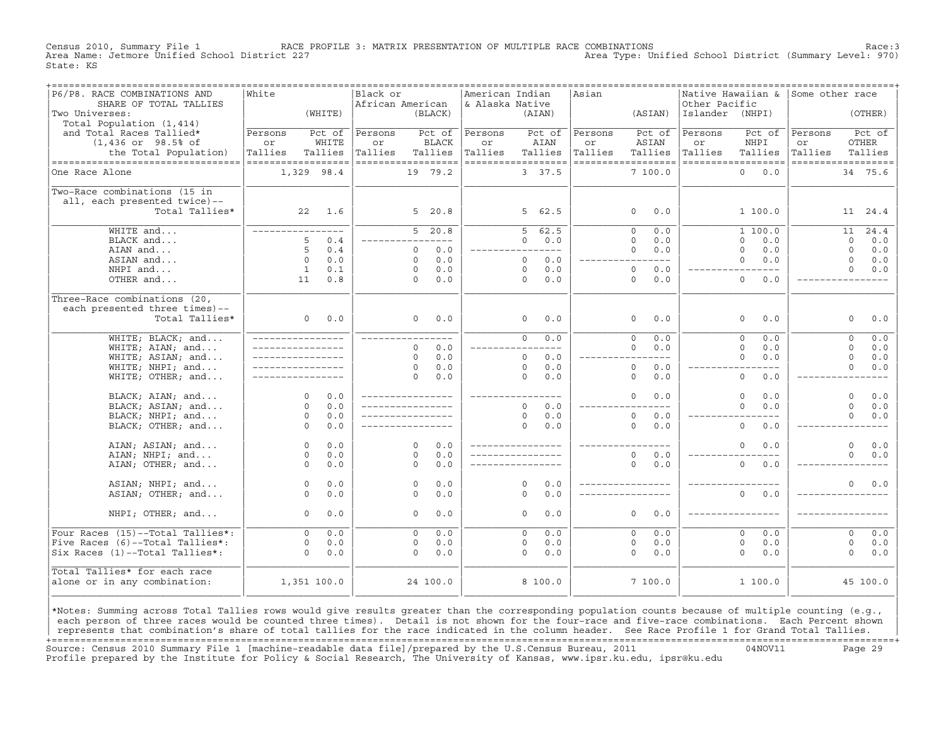Census 2010, Summary File 1 **RACE PROFILE 3: MATRIX PRESENTATION OF MULTIPLE RACE COMBINATIONS** Race:3<br>Area Name: Jetmore Unified School District 227 Area Type: Unified School District (Summary Level: 970) State: KS

| ------------------------------<br>P6/P8. RACE COMBINATIONS AND | ===============<br>White |                | Black or           |                            | American Indian    |                     |            | ================================<br>Asian |                       |                 | -----------------------------------<br> Native Hawaiian & | Some other race    |             |              |
|----------------------------------------------------------------|--------------------------|----------------|--------------------|----------------------------|--------------------|---------------------|------------|-------------------------------------------|-----------------------|-----------------|-----------------------------------------------------------|--------------------|-------------|--------------|
| SHARE OF TOTAL TALLIES                                         |                          |                | African American   |                            | & Alaska Native    |                     |            |                                           |                       | Other Pacific   |                                                           |                    |             |              |
| Two Universes:                                                 |                          | (WHITE)        |                    | (BLACK)                    |                    | (AIAN)              |            |                                           | (ASIAN)               | Islander (NHPI) |                                                           |                    |             | (OTHER)      |
| Total Population (1,414)                                       |                          |                |                    |                            |                    |                     |            |                                           |                       |                 |                                                           |                    |             |              |
| and Total Races Tallied*                                       | Persons                  | Pct of         | Persons            | Pct of                     | Persons            |                     | Pct of     | Persons                                   | Pct of                | Persons         | Pct of                                                    | Persons            |             | Pct of       |
| $(1,436$ or $98.5$ ° of                                        | or                       | WHITE          | or                 | <b>BLACK</b>               | or                 | AIAN                |            | or                                        | ASIAN                 | or              | NHPI                                                      | or                 | OTHER       |              |
| the Total Population)                                          | Tallies                  | Tallies        | Tallies            | Tallies                    | Tallies            | Tallies             |            | Tallies                                   | Tallies               | Tallies         | Tallies                                                   | Tallies            |             | Tallies      |
| ----------------------------------                             | ------------------       |                | ------------------ |                            | ================== |                     |            |                                           | ------------------    |                 | ------------------                                        | ------------------ |             |              |
| One Race Alone                                                 | 1,329 98.4               |                |                    | 19 79.2                    |                    | 3 37.5              |            |                                           | 7100.0                |                 | $\Omega$<br>0.0                                           |                    |             | 34 75.6      |
|                                                                |                          |                |                    |                            |                    |                     |            |                                           |                       |                 |                                                           |                    |             |              |
| Two-Race combinations (15 in                                   |                          |                |                    |                            |                    |                     |            |                                           |                       |                 |                                                           |                    |             |              |
| all, each presented twice)--                                   |                          |                |                    |                            |                    |                     |            |                                           |                       |                 |                                                           |                    |             |              |
| Total Tallies*                                                 |                          | $22 \quad 1.6$ |                    | 5, 20.8                    |                    | 5 62.5              |            |                                           | $\Omega$<br>0.0       |                 | 1 100.0                                                   |                    |             | 11 24.4      |
|                                                                |                          |                |                    |                            |                    |                     |            |                                           |                       |                 |                                                           |                    |             |              |
| WHITE and                                                      | _________________        |                |                    | $5 \quad 20.8$             |                    | $5 -$               | 62.5       |                                           | 0.0<br>$\Omega$       |                 | 1 100.0                                                   |                    | 11          | 24.4         |
| BLACK and                                                      | 5                        | 0.4            |                    | $\frac{1}{2}$              |                    | $\Omega$            | 0.0        |                                           | $\Omega$<br>0.0       |                 | $\Omega$<br>0.0                                           |                    | $\Omega$    | 0.0          |
| AIAN and                                                       | 5                        | 0.4            |                    | 0.0<br>$\Omega$            |                    |                     | ----       |                                           | 0.0<br>$\Omega$       |                 | $\Omega$<br>0.0                                           |                    | $\Omega$    | 0.0          |
| ASIAN and                                                      | $\Omega$                 | 0.0            |                    | 0.0<br>$\Omega$            |                    | $\Omega$            | 0.0        |                                           | $---$                 |                 | 0.0<br>$\Omega$                                           |                    | $\Omega$    | 0.0          |
| NHPI and                                                       | $\mathbf{1}$             | 0.1            |                    | 0.0<br>$\Omega$            |                    | $\Omega$            | 0.0        |                                           | $\Omega$<br>0.0       |                 | $- - - -$                                                 |                    | $\Omega$    | 0.0          |
| OTHER and                                                      | 11                       | 0.8            |                    | $\Omega$<br>0.0            |                    | $\Omega$            | 0.0        |                                           | $\Omega$<br>0.0       |                 | $\Omega$<br>0.0                                           |                    |             |              |
|                                                                |                          |                |                    |                            |                    |                     |            |                                           |                       |                 |                                                           |                    |             |              |
| Three-Race combinations (20,                                   |                          |                |                    |                            |                    |                     |            |                                           |                       |                 |                                                           |                    |             |              |
| each presented three times)--                                  |                          |                |                    |                            |                    |                     |            |                                           |                       |                 |                                                           |                    |             |              |
| Total Tallies*                                                 | 0                        | 0.0            |                    | $\Omega$<br>0.0            |                    | $\circ$             | 0.0        |                                           | 0.0<br>$\circ$        |                 | $\circ$<br>0.0                                            |                    | $\circ$     | 0.0          |
|                                                                |                          |                |                    |                            |                    |                     |            |                                           |                       |                 |                                                           |                    |             |              |
| WHITE; BLACK; and                                              | _________________        |                | _____________      |                            |                    | $\overline{0}$      | 0.0        |                                           | $\overline{0}$<br>0.0 |                 | $\overline{0}$<br>0.0                                     |                    | $\circ$     | 0.0          |
| WHITE; AIAN; and                                               | _________________        |                |                    | 0.0<br>$\Omega$            |                    |                     |            |                                           | $\Omega$<br>0.0       |                 | $\Omega$<br>0.0                                           |                    | $\Omega$    | 0.0          |
| WHITE; ASIAN; and                                              | _________________        |                |                    | 0.0<br>$\Omega$            |                    | $\Omega$            | 0.0        |                                           | $---$                 |                 | $\Omega$<br>0.0                                           |                    | $\mathbf 0$ | 0.0          |
|                                                                |                          |                |                    | 0.0<br>$\Omega$            |                    | $\Omega$            |            |                                           |                       |                 | $- - - -$                                                 |                    | $\Omega$    |              |
| WHITE; NHPI; and                                               |                          |                |                    |                            |                    | $\Omega$            | 0.0        |                                           | $\circ$<br>0.0        |                 |                                                           |                    |             | 0.0          |
| WHITE; OTHER; and                                              |                          |                |                    | 0.0<br>$\Omega$            |                    |                     | 0.0        |                                           | $\circ$<br>0.0        |                 | $\circ$<br>0.0                                            |                    |             |              |
| BLACK; AIAN; and                                               | $\Omega$                 | 0.0            | ________________   |                            | ____________       |                     |            |                                           | $\Omega$<br>0.0       |                 | $\circ$<br>0.0                                            |                    | $\Omega$    | 0.0          |
|                                                                | $\Omega$                 | 0.0            | _________________  |                            |                    | $\Omega$            |            |                                           | $---$                 |                 | $\Omega$                                                  |                    | $\Omega$    |              |
| BLACK; ASIAN; and                                              | $\Omega$                 |                |                    |                            |                    |                     | 0.0        |                                           |                       |                 | 0.0                                                       |                    | $\Omega$    | 0.0          |
| BLACK; NHPI; and                                               |                          | 0.0            | _________________  |                            |                    | $\circ$<br>$\Omega$ | 0.0        |                                           | $\circ$<br>$0.0$      |                 |                                                           |                    |             | 0.0          |
| BLACK; OTHER; and                                              | $\Omega$                 | 0.0            |                    |                            |                    |                     | 0.0        |                                           | $\Omega$<br>0.0       |                 | $\Omega$<br>0.0                                           |                    |             |              |
|                                                                | $\Omega$                 | 0.0            |                    | $\Omega$<br>0.0            |                    |                     |            |                                           |                       |                 | $\mathbf 0$<br>0.0                                        |                    | $\Omega$    |              |
| AIAN; ASIAN; and                                               | $\Omega$                 | 0.0            |                    | 0.0<br>$\Omega$            |                    |                     |            |                                           | $\Omega$<br>0.0       |                 |                                                           |                    | $\Omega$    | $0.0$<br>0.0 |
| AIAN; NHPI; and                                                |                          |                |                    |                            |                    |                     |            |                                           | $\Omega$              |                 |                                                           |                    |             |              |
| AIAN; OTHER; and                                               | $\Omega$                 | 0.0            |                    | $\Omega$<br>0.0            |                    |                     |            |                                           | 0.0                   |                 | $\overline{0}$<br>0.0                                     |                    |             |              |
|                                                                |                          | 0.0            |                    | 0.0                        |                    | $\Omega$            |            |                                           | _________________     |                 |                                                           |                    | $\Omega$    |              |
| ASIAN; NHPI; and                                               | $\circ$<br>$\Omega$      | 0.0            |                    | $\circ$<br>0.0<br>$\Omega$ |                    | $\Omega$            | 0.0<br>0.0 |                                           |                       |                 | $\Omega$<br>0.0                                           |                    |             | $0.0$        |
| ASIAN; OTHER; and                                              |                          |                |                    |                            |                    |                     |            |                                           |                       |                 |                                                           |                    |             |              |
| NHPI; OTHER; and                                               | $\Omega$                 | 0.0            |                    | 0.0<br>$\Omega$            |                    | $\Omega$            | 0.0        |                                           | $\Omega$<br>0.0       |                 |                                                           |                    |             |              |
|                                                                |                          |                |                    |                            |                    |                     |            |                                           |                       |                 |                                                           |                    |             |              |
| Four Races (15)--Total Tallies*:                               | $\Omega$                 | 0.0            |                    | 0.0<br>$\Omega$            |                    | $\Omega$            | 0.0        |                                           | $\Omega$<br>0.0       |                 | $\Omega$<br>0.0                                           |                    | $\Omega$    | 0.0          |
| Five Races (6)--Total Tallies*:                                | $\mathbf 0$              | 0.0            |                    | 0.0<br>$\circ$             |                    | $\circ$             | 0.0        |                                           | $\circ$<br>0.0        |                 | $\mathbf 0$<br>0.0                                        |                    | $\circ$     | 0.0          |
| Six Races (1)--Total Tallies*:                                 | $\Omega$                 | 0.0            |                    | 0.0<br>$\Omega$            |                    | $\Omega$            | 0.0        |                                           | $\Omega$<br>0.0       |                 | $\Omega$<br>0.0                                           |                    | $\Omega$    | 0.0          |
|                                                                |                          |                |                    |                            |                    |                     |            |                                           |                       |                 |                                                           |                    |             |              |
| Total Tallies* for each race                                   |                          |                |                    |                            |                    |                     |            |                                           |                       |                 |                                                           |                    |             |              |
| alone or in any combination:                                   | 1,351 100.0              |                |                    | 24 100.0                   |                    | 8 100.0             |            |                                           | 7100.0                |                 | 1 100.0                                                   |                    |             | 45 100.0     |
|                                                                |                          |                |                    |                            |                    |                     |            |                                           |                       |                 |                                                           |                    |             |              |
|                                                                |                          |                |                    |                            |                    |                     |            |                                           |                       |                 |                                                           |                    |             |              |

|\*Notes: Summing across Total Tallies rows would give results greater than the corresponding population counts because of multiple counting (e.g., | each person of three races would be counted three times). Detail is not shown for the four-race and five-race combinations. Each Percent shown represents that combination's share of total tallies for the race indicated in the column header. See Race Profile 1 for Grand Total Tallies. +===================================================================================================================================================+ Source: Census 2010 Summary File 1 [machine−readable data file]/prepared by the U.S.Census Bureau, 2011 04NOV11 Page 29 Profile prepared by the Institute for Policy & Social Research, The University of Kansas, www.ipsr.ku.edu, ipsr@ku.edu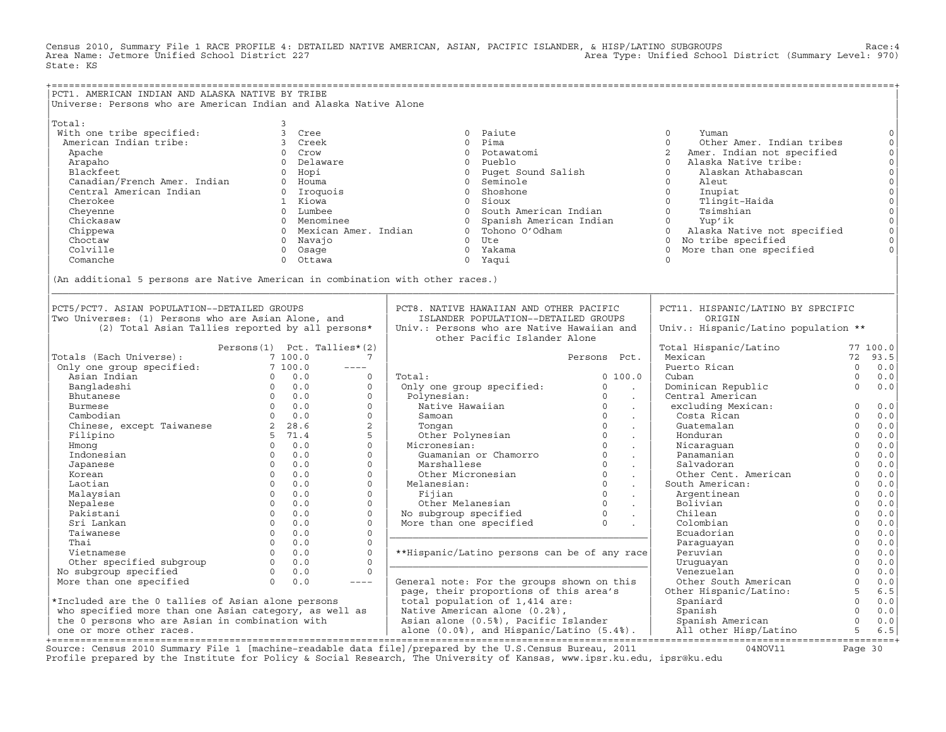Census 2010, Summary File 1 RACE PROFILE 4: DETAILED NATIVE AMERICAN, ASIAN, PACIFIC ISLANDER, & HISP/LATINO SUBGROUPS Race:4 Area Type: Unified School District (Summary Level: 970) State: KS

+===================================================================================================================================================+ |PCT1. AMERICAN INDIAN AND ALASKA NATIVE BY TRIBE | Universe: Persons who are American Indian and Alaska Native Alone | | |Total: 3 | | With one tribe specified: 3 Cree 0 Paiute 0 Yuman 0| | American Indian tribe: 3 Creek 0 Pima 0 Other Amer. Indian tribes 0| | Apache 0 Crow 0 Potawatomi 2 Amer. Indian not specified 0| | Arapaho 0 Delaware 0 Pueblo 0 Alaska Native tribe: 0| | Blackfeet 0 Hopi 0 Puget Sound Salish 0 Alaskan Athabascan 0| | Canadian/French Amer. Indian 0 Houma 0 Seminole 0 Aleut 0| | Central American Indian 0 Iroquois 0 Shoshone 0 Inupiat 0| | Cherokee 1 Kiowa 0 Sioux 0 Tlingit−Haida 0| | Cheyenne 0 Lumbee 0 South American Indian 0 Tsimshian 0| | Chickasaw 0 Menominee 0 Spanish American Indian 0 Yup'ik 0| | Chippewa 0 Mexican Amer. Indian 0 Tohono O'Odham 0 Alaska Native not specified 0| | Choctaw 0 Navajo 0 Ute 0 No tribe specified 0| | Colville 0 Osage 0 Yakama 0 More than one specified 0| | Comanche 0 Ottawa 0 Yaqui 0 | | | |(An additional 5 persons are Native American in combination with other races.) | |\_\_\_\_\_\_\_\_\_\_\_\_\_\_\_\_\_\_\_\_\_\_\_\_\_\_\_\_\_\_\_\_\_\_\_\_\_\_\_\_\_\_\_\_\_\_\_\_\_\_\_\_\_\_\_\_\_\_\_\_\_\_\_\_\_\_\_\_\_\_\_\_\_\_\_\_\_\_\_\_\_\_\_\_\_\_\_\_\_\_\_\_\_\_\_\_\_\_\_\_\_\_\_\_\_\_\_\_\_\_\_\_\_\_\_\_\_\_\_\_\_\_\_\_\_\_\_\_\_\_\_\_\_\_\_\_\_\_\_\_\_\_\_\_\_\_\_| | | | | PCT5/PCT7. ASIAN POPULATION--DETAILED GROUPS | PCT8. NATIVE HAWAIIAN AND OTHER PACIFIC | PCT11. HISPANIC/LATINO BY SPECIFIC<br>Two Universes: (1) Persons who are Asian Alone and itstander population--detailed groups | origin |Two Universes: (1) Persons who are Asian Alone, and | ISLANDER POPULATION−−DETAILED GROUPS | ORIGIN |  $(2)$  Total Asian Tallies reported by all persons\* | | other Pacific Islander Alone | | | Persons(1) Pct. Tallies\*(2) | | Total Hispanic/Latino 77 100.0| |Totals (Each Universe): 7 100.0 7 | Persons Pct. | Mexican 72 93.5| | Only one group specified: 7 100.0 −−−− | | Puerto Rican 0 0.0| | Asian Indian 0 0.0 0 | Total: 0 100.0 | Cuban 0 0.0| | Bangladeshi 0 0.0 0 | Only one group specified: 0 . | Dominican Republic 0 0.0| | Bhutanese 0 0.0 0 | Polynesian: 0 . | Central American | | Burmese 0 0.0 0 | Native Hawaiian 0 . | excluding Mexican: 0 0.0| | Cambodian 0 0.0 0 | Samoan 0 . | Costa Rican 0 0.0| | Chinese, except Taiwanese 2 28.6 2 | Tongan 0 . | Guatemalan 0 0.0| | Filipino 5 71.4 5 | Other Polynesian 0 . | Honduran 0 0.0| | Hmong 0 0.0 0 | Micronesian: 0 . | Nicaraguan 0 0.0| | Indonesian 0 0.0 0 | Guamanian or Chamorro 0 . | Panamanian 0 0.0| | Japanese 0 0.0 0 | Marshallese 0 . | Salvadoran 0 0.0| | Korean 0 0.0 0 | Other Micronesian 0 . | Other Cent. American 0 0.0| | Laotian 0 0.0 0 | Melanesian: 0 . | South American: 0 0.0| | Malaysian 0 0.0 0 | Fijian 0 . | Argentinean 0 0.0| | Nepalese 0 0.0 0 | Other Melanesian 0 . | Bolivian 0 0.0| | Pakistani 0 0.0 0 | No subgroup specified 0 . | Chilean 0 0.0| | Sri Lankan 0 0.0 0 | More than one specified 0 . | Colombian 0 0.0| | Taiwanese 0 0.0 0 |\_\_\_\_\_\_\_\_\_\_\_\_\_\_\_\_\_\_\_\_\_\_\_\_\_\_\_\_\_\_\_\_\_\_\_\_\_\_\_\_\_\_\_\_\_| Ecuadorian 0 0.0| | Thai 0 0.0 0 | | Paraguayan 0 0.0| | Vietnamese 0 0.0 0 | \*\*Hispanic/Latino persons can be of any race| Peruvian 0 0.0| | Other specified subgroup 0 0.0 0 |\_\_\_\_\_\_\_\_\_\_\_\_\_\_\_\_\_\_\_\_\_\_\_\_\_\_\_\_\_\_\_\_\_\_\_\_\_\_\_\_\_\_\_\_\_| Uruguayan 0 0.0| | No subgroup specified 0 0.0 0 | | Venezuelan 0 0.0| | More than one specified 0 0.0 −−−− | General note: For the groups shown on this | Other South American 0 0.0|  $\begin{tabular}{|c|c|c|c|c|} \hline \text{Total} & \text{Pout} & \text{Pout} & \text{Pout} \\ \hline \text{Polynes} & \text{Pout} & \text{Pout} \\ \hline \text{Polynes} & \text{Rwaian} & \text{O} & \text{Continuum Republic} & \text{O} & \text{O.0} \\ \hline \text{Nonlinear} & \text{Samaman} & \text{O} & \text{costard, Rima} & \text{O} & \text{O.0} \\ \hline \text{Tongan} & \text{Samaman} & \text{O} & \text{costad Rican} & \text{O} & \text{O.0} \\ \hline \$ \*Included are the 0 tallies of Asian alone persons total population of 1,414 are: Spaniard (Spaniard 1990) 0 0<br>Who specified more than one Asian category, as well as the american alone (0.2%), the spanish spanish than the | who specified more than one Asian category, as well as | Native American alone (0.2%), | Spanish 0 0.0| | the 0 persons who are Asian in combination with | Asian alone (0.5%), Pacific Islander | Spanish American 0 0.0| | one or more other races. | alone (0.0%), and Hispanic/Latino (5.4%). | All other Hisp/Latino 5 6.5| +===================================================================================================================================================+

Source: Census 2010 Summary File 1 [machine−readable data file]/prepared by the U.S.Census Bureau, 2011 04NOV11 Page 30 Profile prepared by the Institute for Policy & Social Research, The University of Kansas, www.ipsr.ku.edu, ipsr@ku.edu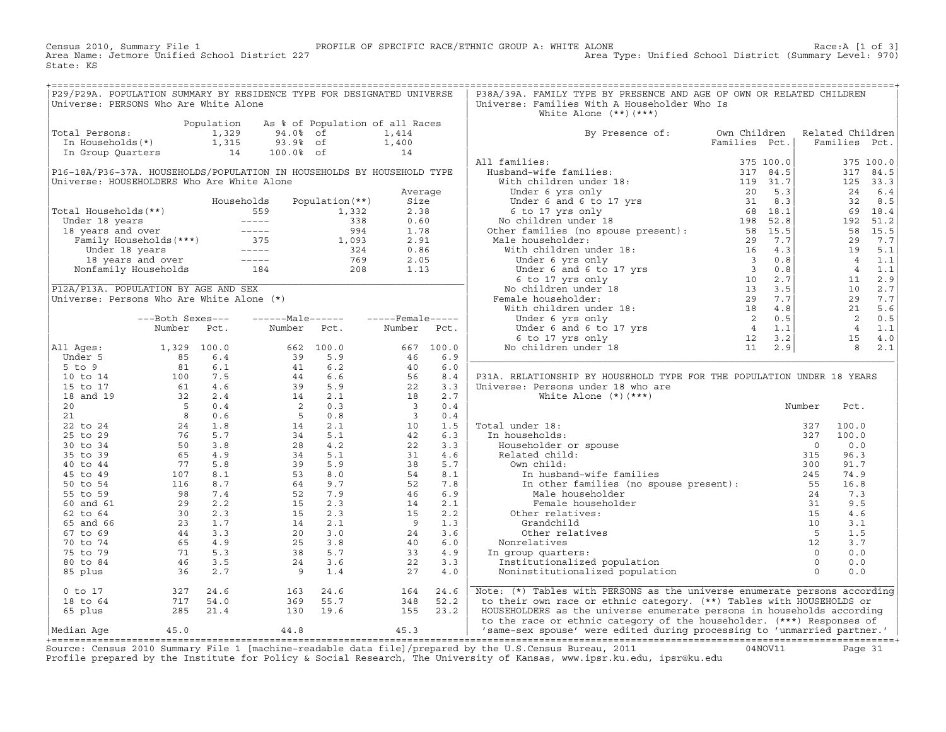RROFILE OF SPECIFIC RACE/ETHNIC GROUP A: WHITE ALONE 1000 PROFILE OF SPECIFIC RACE/ETHNIC GROUP A: WHITE ALONE<br>Area Type: Unified School District (Summary Level: 970) Census 2010, Summary File 1 [1991]<br>Area Name: Jetmore Unified School District (2270) State: KS

| P29/P29A. POPULATION SUMMARY BY RESIDENCE TYPE FOR DESIGNATED UNIVERSE                                                                                          |  |                                                                                                                                                                                                     |  |      | P38A/39A. FAMILY TYPE BY PRESENCE AND AGE OF OWN OR RELATED CHILDREN           |  |  |
|-----------------------------------------------------------------------------------------------------------------------------------------------------------------|--|-----------------------------------------------------------------------------------------------------------------------------------------------------------------------------------------------------|--|------|--------------------------------------------------------------------------------|--|--|
| Universe: PERSONS Who Are White Alone                                                                                                                           |  |                                                                                                                                                                                                     |  |      | Universe: Families With A Householder Who Is                                   |  |  |
|                                                                                                                                                                 |  |                                                                                                                                                                                                     |  |      | White Alone $(**)$ $(***)$                                                     |  |  |
|                                                                                                                                                                 |  |                                                                                                                                                                                                     |  |      |                                                                                |  |  |
|                                                                                                                                                                 |  |                                                                                                                                                                                                     |  |      |                                                                                |  |  |
|                                                                                                                                                                 |  |                                                                                                                                                                                                     |  |      | By Presence of: Own Children Related Children<br>Families Pct.   Families Pct. |  |  |
|                                                                                                                                                                 |  |                                                                                                                                                                                                     |  |      |                                                                                |  |  |
| Population As % of Population of all Races<br>Total Persons: 1,329 94.0% of 1,414<br>In Households(*) 1,315 93.9% of 1,400<br>In Group Quarters 14 100.0% of 14 |  |                                                                                                                                                                                                     |  |      |                                                                                |  |  |
|                                                                                                                                                                 |  |                                                                                                                                                                                                     |  |      |                                                                                |  |  |
|                                                                                                                                                                 |  |                                                                                                                                                                                                     |  |      |                                                                                |  |  |
|                                                                                                                                                                 |  |                                                                                                                                                                                                     |  |      |                                                                                |  |  |
|                                                                                                                                                                 |  |                                                                                                                                                                                                     |  |      |                                                                                |  |  |
|                                                                                                                                                                 |  |                                                                                                                                                                                                     |  |      |                                                                                |  |  |
|                                                                                                                                                                 |  |                                                                                                                                                                                                     |  |      |                                                                                |  |  |
|                                                                                                                                                                 |  |                                                                                                                                                                                                     |  |      |                                                                                |  |  |
|                                                                                                                                                                 |  |                                                                                                                                                                                                     |  |      |                                                                                |  |  |
|                                                                                                                                                                 |  |                                                                                                                                                                                                     |  |      |                                                                                |  |  |
|                                                                                                                                                                 |  |                                                                                                                                                                                                     |  |      |                                                                                |  |  |
|                                                                                                                                                                 |  |                                                                                                                                                                                                     |  |      |                                                                                |  |  |
|                                                                                                                                                                 |  |                                                                                                                                                                                                     |  |      |                                                                                |  |  |
|                                                                                                                                                                 |  |                                                                                                                                                                                                     |  |      |                                                                                |  |  |
|                                                                                                                                                                 |  |                                                                                                                                                                                                     |  |      |                                                                                |  |  |
|                                                                                                                                                                 |  |                                                                                                                                                                                                     |  |      |                                                                                |  |  |
|                                                                                                                                                                 |  |                                                                                                                                                                                                     |  |      |                                                                                |  |  |
|                                                                                                                                                                 |  |                                                                                                                                                                                                     |  |      |                                                                                |  |  |
|                                                                                                                                                                 |  |                                                                                                                                                                                                     |  |      |                                                                                |  |  |
|                                                                                                                                                                 |  |                                                                                                                                                                                                     |  |      |                                                                                |  |  |
|                                                                                                                                                                 |  |                                                                                                                                                                                                     |  |      |                                                                                |  |  |
|                                                                                                                                                                 |  |                                                                                                                                                                                                     |  |      |                                                                                |  |  |
|                                                                                                                                                                 |  |                                                                                                                                                                                                     |  |      |                                                                                |  |  |
|                                                                                                                                                                 |  |                                                                                                                                                                                                     |  |      |                                                                                |  |  |
|                                                                                                                                                                 |  |                                                                                                                                                                                                     |  |      | P31A. RELATIONSHIP BY HOUSEHOLD TYPE FOR THE POPULATION UNDER 18 YEARS         |  |  |
|                                                                                                                                                                 |  |                                                                                                                                                                                                     |  |      |                                                                                |  |  |
|                                                                                                                                                                 |  |                                                                                                                                                                                                     |  |      |                                                                                |  |  |
|                                                                                                                                                                 |  |                                                                                                                                                                                                     |  |      |                                                                                |  |  |
|                                                                                                                                                                 |  |                                                                                                                                                                                                     |  |      |                                                                                |  |  |
|                                                                                                                                                                 |  |                                                                                                                                                                                                     |  |      |                                                                                |  |  |
|                                                                                                                                                                 |  |                                                                                                                                                                                                     |  |      |                                                                                |  |  |
|                                                                                                                                                                 |  |                                                                                                                                                                                                     |  |      |                                                                                |  |  |
|                                                                                                                                                                 |  |                                                                                                                                                                                                     |  |      |                                                                                |  |  |
|                                                                                                                                                                 |  |                                                                                                                                                                                                     |  |      |                                                                                |  |  |
|                                                                                                                                                                 |  |                                                                                                                                                                                                     |  |      |                                                                                |  |  |
|                                                                                                                                                                 |  |                                                                                                                                                                                                     |  |      |                                                                                |  |  |
|                                                                                                                                                                 |  |                                                                                                                                                                                                     |  |      |                                                                                |  |  |
|                                                                                                                                                                 |  |                                                                                                                                                                                                     |  |      |                                                                                |  |  |
|                                                                                                                                                                 |  |                                                                                                                                                                                                     |  |      |                                                                                |  |  |
|                                                                                                                                                                 |  |                                                                                                                                                                                                     |  |      |                                                                                |  |  |
|                                                                                                                                                                 |  |                                                                                                                                                                                                     |  |      |                                                                                |  |  |
|                                                                                                                                                                 |  |                                                                                                                                                                                                     |  |      |                                                                                |  |  |
|                                                                                                                                                                 |  |                                                                                                                                                                                                     |  |      |                                                                                |  |  |
|                                                                                                                                                                 |  |                                                                                                                                                                                                     |  |      |                                                                                |  |  |
|                                                                                                                                                                 |  |                                                                                                                                                                                                     |  |      |                                                                                |  |  |
|                                                                                                                                                                 |  |                                                                                                                                                                                                     |  |      |                                                                                |  |  |
|                                                                                                                                                                 |  | $\begin{array}{cccccc} 0&\text{to}&17&&&&327&24.6&&&&163&24.6&&&&164&24.6\\ 18&\text{to}&64&&&&717&54.0&&&&369&55.7&&&&348&52.2\\ 65&\text{plus}&&&&285&21.4&&&&130&19.6&&&&155&23.2\\ \end{array}$ |  |      |                                                                                |  |  |
|                                                                                                                                                                 |  |                                                                                                                                                                                                     |  |      | Note: (*) Tables with PERSONS as the universe enumerate persons according      |  |  |
|                                                                                                                                                                 |  |                                                                                                                                                                                                     |  |      | to their own race or ethnic category. (**) Tables with HOUSEHOLDS or           |  |  |
|                                                                                                                                                                 |  |                                                                                                                                                                                                     |  |      | HOUSEHOLDERS as the universe enumerate persons in households according         |  |  |
|                                                                                                                                                                 |  |                                                                                                                                                                                                     |  |      | to the race or ethnic category of the householder. (***) Responses of          |  |  |
| Median Age 45.0 44.8                                                                                                                                            |  |                                                                                                                                                                                                     |  | 45.3 | 'same-sex spouse' were edited during processing to 'unmarried partner.'        |  |  |

|Median Age 45.0 44.8 45.3 | 'same−sex spouse' were edited during processing to 'unmarried partner.' | +===================================================================================================================================================+ Source: Census 2010 Summary File 1 [machine−readable data file]/prepared by the U.S.Census Bureau, 2011 04NOV11 Page 31 Profile prepared by the Institute for Policy & Social Research, The University of Kansas, www.ipsr.ku.edu, ipsr@ku.edu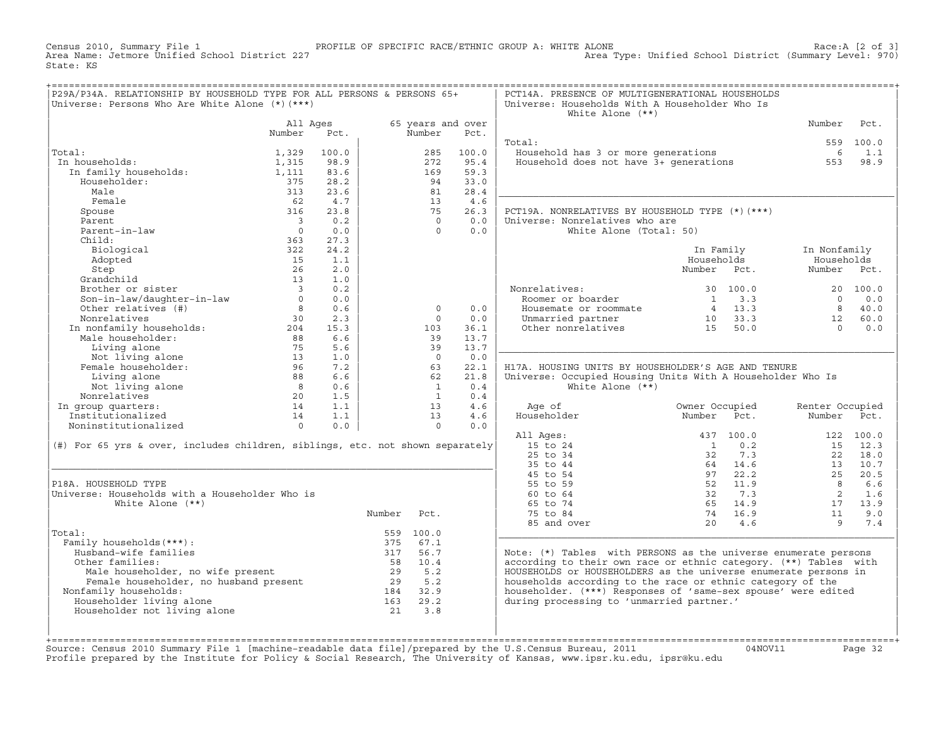Census 2010, Summary File 1 PROFILE OF SPECIFIC RACE/ETHNIC GROUP A: WHITE ALONE Race:A [2 of 3] Area Type: Unified School District (Summary Level: 970) State: KS

| P29A/P34A. RELATIONSHIP BY HOUSEHOLD TYPE FOR ALL PERSONS & PERSONS 65+                                                                                                                                                                                                                                                                                                                                                                                               |                                       |              |          |                         |                   | PCT14A. PRESENCE OF MULTIGENERATIONAL HOUSEHOLDS                                                                                                                                                           |                                                                    |                                                                                     |           |
|-----------------------------------------------------------------------------------------------------------------------------------------------------------------------------------------------------------------------------------------------------------------------------------------------------------------------------------------------------------------------------------------------------------------------------------------------------------------------|---------------------------------------|--------------|----------|-------------------------|-------------------|------------------------------------------------------------------------------------------------------------------------------------------------------------------------------------------------------------|--------------------------------------------------------------------|-------------------------------------------------------------------------------------|-----------|
| Universe: Persons Who Are White Alone (*) (***)                                                                                                                                                                                                                                                                                                                                                                                                                       |                                       |              |          |                         |                   | Universe: Households With A Householder Who Is                                                                                                                                                             |                                                                    |                                                                                     |           |
|                                                                                                                                                                                                                                                                                                                                                                                                                                                                       |                                       |              |          |                         |                   | White Alone $(**)$                                                                                                                                                                                         |                                                                    |                                                                                     |           |
|                                                                                                                                                                                                                                                                                                                                                                                                                                                                       | All Ages                              |              |          |                         | 65 years and over |                                                                                                                                                                                                            |                                                                    | Number                                                                              | Pct.      |
|                                                                                                                                                                                                                                                                                                                                                                                                                                                                       | Number                                | Pct.         |          | Number                  | Pct.              |                                                                                                                                                                                                            |                                                                    |                                                                                     |           |
| Total:                                                                                                                                                                                                                                                                                                                                                                                                                                                                |                                       |              |          |                         |                   | Total:                                                                                                                                                                                                     |                                                                    |                                                                                     | 559 100.0 |
| :al:<br>1 households:<br>In family households:                                                                                                                                                                                                                                                                                                                                                                                                                        | 1,329                                 | 100.0        |          | 285                     | 100.0<br>95.4     | Household has 3 or more generations<br>Household does not have 3+ generations                                                                                                                              |                                                                    | 6                                                                                   | 1.1       |
| In households:                                                                                                                                                                                                                                                                                                                                                                                                                                                        | 1,315<br>1,111                        | 98.9<br>83.6 |          | 272<br>169              | 59.3              |                                                                                                                                                                                                            |                                                                    | 553                                                                                 | 98.9      |
| Householder:                                                                                                                                                                                                                                                                                                                                                                                                                                                          | 375                                   | 28.2         |          | 94                      | 33.0              |                                                                                                                                                                                                            |                                                                    |                                                                                     |           |
| Male                                                                                                                                                                                                                                                                                                                                                                                                                                                                  | 313                                   | 23.6         |          | 81                      | 28.4              |                                                                                                                                                                                                            |                                                                    |                                                                                     |           |
| Female                                                                                                                                                                                                                                                                                                                                                                                                                                                                | 62                                    | 4.7          |          | 13                      | 4.6               |                                                                                                                                                                                                            |                                                                    |                                                                                     |           |
| Spouse                                                                                                                                                                                                                                                                                                                                                                                                                                                                | 316                                   | 23.8         |          | 75                      | 26.3              | PCT19A. NONRELATIVES BY HOUSEHOLD TYPE (*) (***)                                                                                                                                                           |                                                                    |                                                                                     |           |
|                                                                                                                                                                                                                                                                                                                                                                                                                                                                       |                                       | 0.2          |          | $\overline{0}$          | 0.0               | Universe: Nonrelatives who are                                                                                                                                                                             |                                                                    |                                                                                     |           |
| Parent<br>Parent-in-law                                                                                                                                                                                                                                                                                                                                                                                                                                               | $\begin{array}{c} 3 \\ 0 \end{array}$ | 0.0          |          | $\Omega$                | 0.0               | White Alone (Total: 50)                                                                                                                                                                                    |                                                                    |                                                                                     |           |
| Child:                                                                                                                                                                                                                                                                                                                                                                                                                                                                | 363                                   | 27.3         |          |                         |                   |                                                                                                                                                                                                            |                                                                    |                                                                                     |           |
| Biological                                                                                                                                                                                                                                                                                                                                                                                                                                                            | 322                                   | 24.2         |          |                         |                   |                                                                                                                                                                                                            | In Family                                                          | In Nonfamily                                                                        |           |
|                                                                                                                                                                                                                                                                                                                                                                                                                                                                       |                                       |              |          |                         |                   |                                                                                                                                                                                                            | Households                                                         | Households                                                                          |           |
|                                                                                                                                                                                                                                                                                                                                                                                                                                                                       | 15                                    |              |          |                         |                   |                                                                                                                                                                                                            | Number Pct.                                                        | Number Pct.                                                                         |           |
|                                                                                                                                                                                                                                                                                                                                                                                                                                                                       |                                       |              |          |                         |                   |                                                                                                                                                                                                            |                                                                    |                                                                                     |           |
|                                                                                                                                                                                                                                                                                                                                                                                                                                                                       |                                       |              |          |                         |                   |                                                                                                                                                                                                            |                                                                    |                                                                                     | 20 100.0  |
| Adopted<br>Step 26 2.0<br>Grandchild 13 1.0<br>Brother or sister 3 0.2<br>Son-in-law/daughter-in-law 0 0.0<br>Other relatives (#) 8 0.6                                                                                                                                                                                                                                                                                                                               |                                       |              |          |                         |                   | Nonrelatives:<br>Roomer or boarder<br>Housemate or roommate<br>onrelatives: 30 100.0<br>Roomer or boarder 1 3.3<br>Housemate or roommate 4 13.3<br>Unmarried partner 10 33.3<br>Other nonrelatives 15 50.0 |                                                                    | $\overline{0}$                                                                      | 0.0       |
|                                                                                                                                                                                                                                                                                                                                                                                                                                                                       |                                       |              |          | $\Omega$                | 0.0               |                                                                                                                                                                                                            |                                                                    | $\overline{\phantom{a}}$ 8                                                          | 40.0      |
| Nonrelatives                                                                                                                                                                                                                                                                                                                                                                                                                                                          | $30 \t 2.3$                           |              |          | $\circ$                 | 0.0               |                                                                                                                                                                                                            |                                                                    | 12                                                                                  | 60.0      |
|                                                                                                                                                                                                                                                                                                                                                                                                                                                                       |                                       |              |          | 103                     | 36.1              |                                                                                                                                                                                                            |                                                                    | $\overline{0}$                                                                      | 0.0       |
|                                                                                                                                                                                                                                                                                                                                                                                                                                                                       |                                       |              |          | 39                      | 13.7              |                                                                                                                                                                                                            |                                                                    |                                                                                     |           |
|                                                                                                                                                                                                                                                                                                                                                                                                                                                                       |                                       |              |          | 39                      | 13.7              |                                                                                                                                                                                                            |                                                                    |                                                                                     |           |
|                                                                                                                                                                                                                                                                                                                                                                                                                                                                       |                                       |              |          | $\overline{0}$          | 0.0               |                                                                                                                                                                                                            |                                                                    |                                                                                     |           |
|                                                                                                                                                                                                                                                                                                                                                                                                                                                                       |                                       |              |          | 63                      | 22.1              | H17A. HOUSING UNITS BY HOUSEHOLDER'S AGE AND TENURE                                                                                                                                                        |                                                                    |                                                                                     |           |
|                                                                                                                                                                                                                                                                                                                                                                                                                                                                       |                                       |              |          | 62                      | 21.8              | Universe: Occupied Housing Units With A Householder Who Is                                                                                                                                                 |                                                                    |                                                                                     |           |
|                                                                                                                                                                                                                                                                                                                                                                                                                                                                       |                                       |              |          | $\overline{\mathbf{1}}$ | 0.4               | White Alone $(**)$                                                                                                                                                                                         |                                                                    |                                                                                     |           |
| $\begin{tabular}{l c c c} Nonrelatives & 30 & 2.3 \\ In nonfamily households: & 204 & 15.3 \\ Male householdscholder: & 88 & 6.6 \\ Living alone & 75 & 5.6 \\ Not living alone & 13 & 1.0 \\ Female householder: & 96 & 7.2 \\ Living alone & 88 & 6.6 \\ Not living alone & 80 & 6.6 \\ Not living alone & 80 & 6.6 \\ Nonrelatives & 20 & 1.5 \\ In group quarters: & 14 & 1.1 \\ Institutionalized & 14 & 1.1 \\ Noninstitutionalized & 0 & 0.0 \\ \end{tabular}$ |                                       |              |          | $\mathbf{1}$            | 0.4               |                                                                                                                                                                                                            |                                                                    |                                                                                     |           |
|                                                                                                                                                                                                                                                                                                                                                                                                                                                                       |                                       |              |          | 13                      | 4.6               | Age of                                                                                                                                                                                                     | Owner Occupied                                                     | Renter Occupied                                                                     |           |
|                                                                                                                                                                                                                                                                                                                                                                                                                                                                       |                                       |              |          | 13                      | 4.6               | Householder                                                                                                                                                                                                | Number Pct.                                                        | Number Pct.                                                                         |           |
|                                                                                                                                                                                                                                                                                                                                                                                                                                                                       |                                       |              |          | $\overline{0}$          | 0.0               |                                                                                                                                                                                                            |                                                                    |                                                                                     |           |
|                                                                                                                                                                                                                                                                                                                                                                                                                                                                       |                                       |              |          |                         |                   | All Ages:                                                                                                                                                                                                  | 437 100.0                                                          |                                                                                     | 122 100.0 |
| (#) For 65 yrs & over, includes children, siblings, etc. not shown separately                                                                                                                                                                                                                                                                                                                                                                                         |                                       |              |          |                         |                   | 15 to 24                                                                                                                                                                                                   | $1 \qquad 0.2$                                                     |                                                                                     | 15 12.3   |
|                                                                                                                                                                                                                                                                                                                                                                                                                                                                       |                                       |              |          |                         |                   | 25 to 34                                                                                                                                                                                                   | 32 7.3                                                             |                                                                                     | 22 18.0   |
|                                                                                                                                                                                                                                                                                                                                                                                                                                                                       |                                       |              |          |                         |                   | 35 to 44                                                                                                                                                                                                   |                                                                    |                                                                                     | 13 10.7   |
|                                                                                                                                                                                                                                                                                                                                                                                                                                                                       |                                       |              |          |                         |                   | 45 to 54                                                                                                                                                                                                   |                                                                    |                                                                                     | 25 20.5   |
| P18A. HOUSEHOLD TYPE                                                                                                                                                                                                                                                                                                                                                                                                                                                  |                                       |              |          |                         |                   | 55 to 59                                                                                                                                                                                                   | $64$ $14.6$<br>$97$ $22.2$<br>$52$ $11.9$                          | 8 <sup>8</sup>                                                                      | 6.6       |
| Universe: Households with a Householder Who is                                                                                                                                                                                                                                                                                                                                                                                                                        |                                       |              |          |                         |                   | 60 to 64                                                                                                                                                                                                   | 32 7.3                                                             |                                                                                     | 2 1.6     |
| White Alone $(**)$                                                                                                                                                                                                                                                                                                                                                                                                                                                    |                                       |              |          |                         |                   | 65 to 74                                                                                                                                                                                                   | 65 14.9                                                            |                                                                                     |           |
|                                                                                                                                                                                                                                                                                                                                                                                                                                                                       |                                       |              | Number   | Pct.                    |                   | 75 to 84                                                                                                                                                                                                   |                                                                    |                                                                                     |           |
|                                                                                                                                                                                                                                                                                                                                                                                                                                                                       |                                       |              |          |                         |                   | 85 and over                                                                                                                                                                                                | $\begin{array}{rr} 65 & 14.9 \\ 74 & 16.9 \\ 20 & 4.6 \end{array}$ | $\begin{bmatrix} 2 & 1 & 0 \\ 17 & 13 & 9 \\ 11 & 9 & 0 \\ 9 & 7 & 4 \end{bmatrix}$ |           |
| Total:                                                                                                                                                                                                                                                                                                                                                                                                                                                                |                                       |              |          | 559 100.0               |                   |                                                                                                                                                                                                            |                                                                    |                                                                                     |           |
| Family households (***) :                                                                                                                                                                                                                                                                                                                                                                                                                                             |                                       |              |          | 375 67.1                |                   |                                                                                                                                                                                                            |                                                                    |                                                                                     |           |
| Husband-wife families                                                                                                                                                                                                                                                                                                                                                                                                                                                 |                                       |              | 317 56.7 |                         |                   | Note: (*) Tables with PERSONS as the universe enumerate persons                                                                                                                                            |                                                                    |                                                                                     |           |
| Other families:                                                                                                                                                                                                                                                                                                                                                                                                                                                       |                                       |              |          |                         |                   | according to their own race or ethnic category. (**) Tables with                                                                                                                                           |                                                                    |                                                                                     |           |
|                                                                                                                                                                                                                                                                                                                                                                                                                                                                       |                                       |              |          |                         |                   | HOUSEHOLDS or HOUSEHOLDERS as the universe enumerate persons in                                                                                                                                            |                                                                    |                                                                                     |           |
|                                                                                                                                                                                                                                                                                                                                                                                                                                                                       |                                       |              |          |                         |                   | households according to the race or ethnic category of the                                                                                                                                                 |                                                                    |                                                                                     |           |
| Nonfamily households:                                                                                                                                                                                                                                                                                                                                                                                                                                                 |                                       |              |          |                         |                   | householder. (***) Responses of 'same-sex spouse' were edited                                                                                                                                              |                                                                    |                                                                                     |           |
| Householder living alone                                                                                                                                                                                                                                                                                                                                                                                                                                              |                                       |              |          |                         |                   | during processing to 'unmarried partner.'                                                                                                                                                                  |                                                                    |                                                                                     |           |
| Householder not living alone                                                                                                                                                                                                                                                                                                                                                                                                                                          |                                       |              |          | 21 3.8                  |                   |                                                                                                                                                                                                            |                                                                    |                                                                                     |           |
|                                                                                                                                                                                                                                                                                                                                                                                                                                                                       |                                       |              |          |                         |                   |                                                                                                                                                                                                            |                                                                    |                                                                                     |           |
|                                                                                                                                                                                                                                                                                                                                                                                                                                                                       |                                       |              |          |                         |                   |                                                                                                                                                                                                            |                                                                    |                                                                                     |           |
|                                                                                                                                                                                                                                                                                                                                                                                                                                                                       |                                       |              |          |                         |                   |                                                                                                                                                                                                            |                                                                    |                                                                                     |           |

| | | +===================================================================================================================================================+Source: Census 2010 Summary File 1 [machine−readable data file]/prepared by the U.S.Census Bureau, 2011 04NOV11 Page 32 Profile prepared by the Institute for Policy & Social Research, The University of Kansas, www.ipsr.ku.edu, ipsr@ku.edu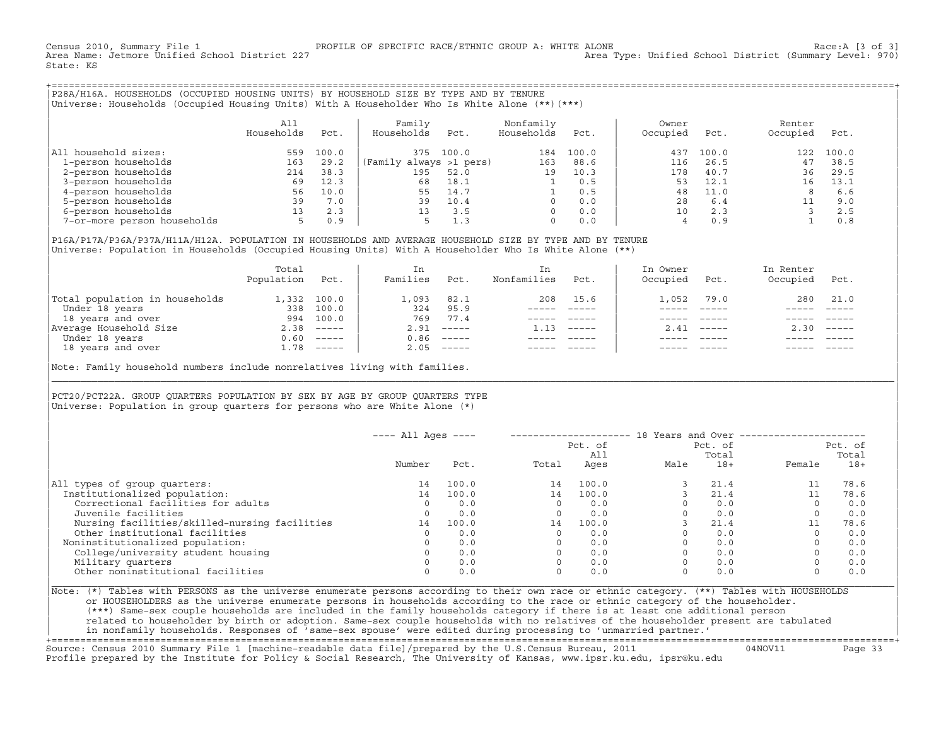Census 2010, Summary File 1 PROFILE OF SPECIFIC RACE/ETHNIC GROUP A: WHITE ALONE Race:A [3 of 3] Area Type: Unified School District (Summary Level: 970) State: KS

+===================================================================================================================================================+|P28A/H16A. HOUSEHOLDS (OCCUPIED HOUSING UNITS) BY HOUSEHOLD SIZE BY TYPE AND BY TENURE | |Universe: Households (Occupied Housing Units) With A Householder Who Is White Alone (\*\*)(\*\*\*) |

|                             | All<br>Households | Pct.  | Family<br>Households<br>Pct. | Nonfamily<br>Households | Pct.  | Owner<br>Occupied | Pct.  | Renter<br>Occupied | Pct.  |  |
|-----------------------------|-------------------|-------|------------------------------|-------------------------|-------|-------------------|-------|--------------------|-------|--|
| All household sizes:        | 559               | 100.0 | 100.0<br>375                 | 184                     | 100.0 | 437               | 100.0 | 122                | 100.0 |  |
| 1-person households         | 163               | 29.2  | (Family always >1 pers)      | 163                     | 88.6  | 116               | 26.5  | 47                 | 38.5  |  |
| 2-person households         | 214               | 38.3  | 195<br>52.0                  | 19                      | 10.3  | 178               | 40.7  | 36                 | 29.5  |  |
| 3-person households         | 69                | 12.3  | 18.1<br>68                   |                         | 0.5   | 53                | 12.1  |                    | 13.1  |  |
| 4-person households         | 56                | 10.0  | 14.7<br>55                   |                         | 0.5   | 48                | 11.0  |                    | 6.6   |  |
| 5-person households         | 39                | 7.0   | 10.4<br>39                   |                         | 0.0   | 28                | 6.4   |                    | 9.0   |  |
| 6-person households         | 13                | 2.3   | 3.5                          |                         | 0.0   | 10                | 2.3   |                    | 2.5   |  |
| 7-or-more person households |                   | 0.9   | 1.3                          |                         | 0.0   |                   |       |                    | 0.8   |  |

| | |P16A/P17A/P36A/P37A/H11A/H12A. POPULATION IN HOUSEHOLDS AND AVERAGE HOUSEHOLD SIZE BY TYPE AND BY TENURE | |Universe: Population in Households (Occupied Housing Units) With A Householder Who Is White Alone (\*\*) |

|                                | Total<br>Population | Pct.         | In<br>Families | Pct.                                                                                                                                                                                                                                                                                                                                                                                                                                                                                 | In.<br>Nonfamilies | Pct.     | In Owner<br>Occupied | Pct.          | In Renter<br>Occupied | Pct.                      |  |
|--------------------------------|---------------------|--------------|----------------|--------------------------------------------------------------------------------------------------------------------------------------------------------------------------------------------------------------------------------------------------------------------------------------------------------------------------------------------------------------------------------------------------------------------------------------------------------------------------------------|--------------------|----------|----------------------|---------------|-----------------------|---------------------------|--|
| Total population in households | 1,332               | 100.0        | 1,093          | 82.1                                                                                                                                                                                                                                                                                                                                                                                                                                                                                 | 208                | 15.6     | .,052                | 79.0          | 280                   | 21.0                      |  |
| Under 18 years                 | 338                 | 100.0        | 324            | 95.9                                                                                                                                                                                                                                                                                                                                                                                                                                                                                 |                    |          |                      |               |                       |                           |  |
| 18 years and over              | 994                 | 100.0        | 769            | 77.4                                                                                                                                                                                                                                                                                                                                                                                                                                                                                 |                    |          |                      |               |                       |                           |  |
| Average Household Size         | 2.38                | $------$     | 2.91           | $------$                                                                                                                                                                                                                                                                                                                                                                                                                                                                             | 1.13               | $------$ | 2.41                 | $- - - - - -$ | 2.30                  | $\qquad \qquad - - - - -$ |  |
| Under 18 years                 | 0.60                | $------$     | 0.86           | $\begin{tabular}{cccccc} \multicolumn{2}{c}{} & \multicolumn{2}{c}{} & \multicolumn{2}{c}{} & \multicolumn{2}{c}{} & \multicolumn{2}{c}{} & \multicolumn{2}{c}{} & \multicolumn{2}{c}{} & \multicolumn{2}{c}{} & \multicolumn{2}{c}{} & \multicolumn{2}{c}{} & \multicolumn{2}{c}{} & \multicolumn{2}{c}{} & \multicolumn{2}{c}{} & \multicolumn{2}{c}{} & \multicolumn{2}{c}{} & \multicolumn{2}{c}{} & \multicolumn{2}{c}{} & \multicolumn{2}{c}{} & \multicolumn{2}{c}{} & \mult$ |                    |          |                      |               |                       |                           |  |
| 18 years and over              |                     | $1.78$ ----- | 2.05           |                                                                                                                                                                                                                                                                                                                                                                                                                                                                                      |                    |          |                      | $- - - - -$   |                       | $- - - - -$               |  |

Note: Family household numbers include nonrelatives living with families.

| | PCT20/PCT22A. GROUP OUARTERS POPULATION BY SEX BY AGE BY GROUP OUARTERS TYPE Universe: Population in group quarters for persons who are White Alone  $(*)$ 

|                                               | $---$ All Ages $---$ |       |       | Pct. of<br>All | 18 Years and Over -------------- | Pct. of<br>Total |             | Pct. of<br>Total |
|-----------------------------------------------|----------------------|-------|-------|----------------|----------------------------------|------------------|-------------|------------------|
|                                               | Number               | Pct.  | Total | Ages           | Male                             | $18+$            | Female      | $18+$            |
| All types of group quarters:                  | 14                   | 100.0 | 14    | 100.0          |                                  | 21.4             |             | 78.6             |
| Institutionalized population:                 | 14                   | 100.0 | 14    | 100.0          |                                  | 21.4             |             | 78.6             |
| Correctional facilities for adults            | $\Omega$             | 0.0   |       | 0.0            |                                  | 0.0              | $\circ$     | 0.0              |
| Juvenile facilities                           | 0                    | 0.0   |       | 0.0            |                                  | 0.0              | $\circ$     | 0.0              |
| Nursing facilities/skilled-nursing facilities | 14                   | 100.0 | 14    | 100.0          |                                  | 21.4             | 11          | 78.6             |
| Other institutional facilities                |                      | 0.0   |       | 0.0            |                                  | 0.0              | $\Omega$    | 0.0              |
| Noninstitutionalized population:              |                      | 0.0   |       | 0.0            |                                  | 0.0              |             | 0.0              |
| College/university student housing            |                      | 0.0   |       | 0.0            |                                  | 0.0              | $\mathbf 0$ | 0.0              |
| Military quarters                             |                      | 0.0   |       | 0.0            |                                  | 0.0              | $\Omega$    | 0.0              |
| Other noninstitutional facilities             |                      | 0.0   |       | 0.0            |                                  | 0.0              | $\mathbf 0$ | 0.0              |

|\_\_\_\_\_\_\_\_\_\_\_\_\_\_\_\_\_\_\_\_\_\_\_\_\_\_\_\_\_\_\_\_\_\_\_\_\_\_\_\_\_\_\_\_\_\_\_\_\_\_\_\_\_\_\_\_\_\_\_\_\_\_\_\_\_\_\_\_\_\_\_\_\_\_\_\_\_\_\_\_\_\_\_\_\_\_\_\_\_\_\_\_\_\_\_\_\_\_\_\_\_\_\_\_\_\_\_\_\_\_\_\_\_\_\_\_\_\_\_\_\_\_\_\_\_\_\_\_\_\_\_\_\_\_\_\_\_\_\_\_\_\_\_\_\_\_\_|

| |

|Note: (\*) Tables with PERSONS as the universe enumerate persons according to their own race or ethnic category. (\*\*) Tables with HOUSEHOLDS | or HOUSEHOLDERS as the universe enumerate persons in households according to the race or ethnic category of the householder. | (\*\*\*) Same−sex couple households are included in the family households category if there is at least one additional person | | related to householder by birth or adoption. Same−sex couple households with no relatives of the householder present are tabulated | | in nonfamily households. Responses of 'same−sex spouse' were edited during processing to 'unmarried partner.' |

+===================================================================================================================================================+ Source: Census 2010 Summary File 1 [machine−readable data file]/prepared by the U.S.Census Bureau, 2011 04NOV11 Page 33 Profile prepared by the Institute for Policy & Social Research, The University of Kansas, www.ipsr.ku.edu, ipsr@ku.edu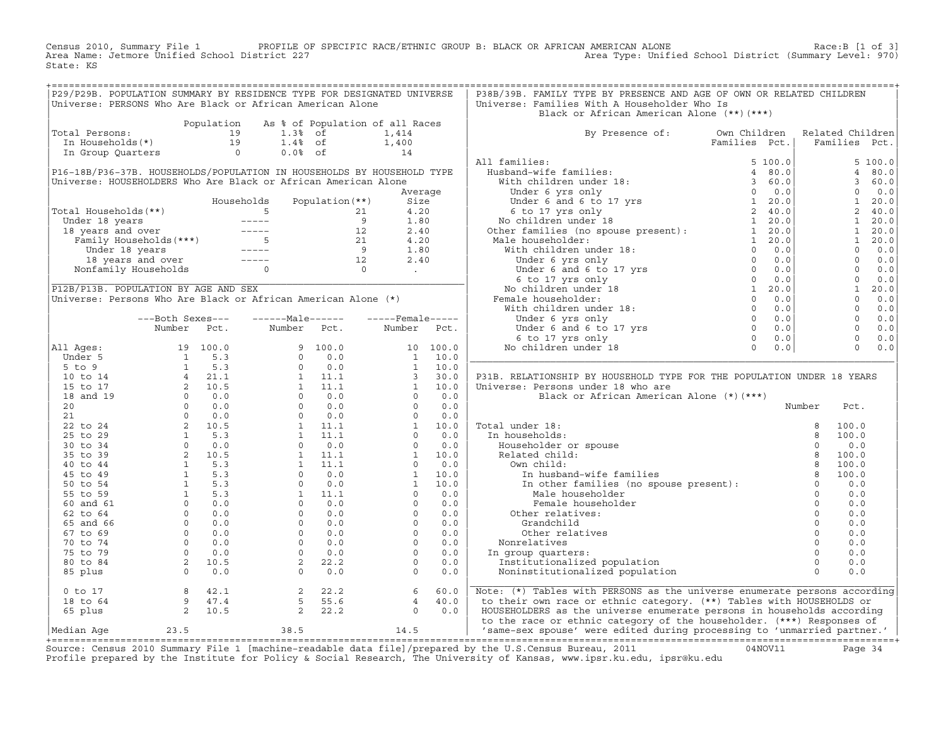Census 2010, Summary File 1 PROFILE OF SPECIFIC RACE/ETHNIC GROUP B: BLACK OR AFRICAN AMERICAN ALONE Race:B [1 of 3] Area Name: Jetmore Unified School District 227 Area Type: Unified School District (Summary Level: 970) State: KS

| P29/P29B. POPULATION SUMMARY BY RESIDENCE TYPE FOR DESIGNATED UNIVERSE |            |                                                                                                                                                   |                                 | P38B/39B. FAMILY TYPE BY PRESENCE AND AGE OF OWN OR RELATED CHILDREN                                                                                                                                                                                                                                                                                                                                                                                                                                             |        |      |  |
|------------------------------------------------------------------------|------------|---------------------------------------------------------------------------------------------------------------------------------------------------|---------------------------------|------------------------------------------------------------------------------------------------------------------------------------------------------------------------------------------------------------------------------------------------------------------------------------------------------------------------------------------------------------------------------------------------------------------------------------------------------------------------------------------------------------------|--------|------|--|
| Universe: PERSONS Who Are Black or African American Alone              |            |                                                                                                                                                   |                                 | Universe: Families With A Householder Who Is                                                                                                                                                                                                                                                                                                                                                                                                                                                                     |        |      |  |
|                                                                        | Population |                                                                                                                                                   | As % of Population of all Races | Black or African American Alone (**)(***)                                                                                                                                                                                                                                                                                                                                                                                                                                                                        |        |      |  |
|                                                                        |            |                                                                                                                                                   |                                 |                                                                                                                                                                                                                                                                                                                                                                                                                                                                                                                  |        |      |  |
|                                                                        |            |                                                                                                                                                   |                                 |                                                                                                                                                                                                                                                                                                                                                                                                                                                                                                                  |        |      |  |
|                                                                        |            |                                                                                                                                                   |                                 |                                                                                                                                                                                                                                                                                                                                                                                                                                                                                                                  |        |      |  |
|                                                                        |            |                                                                                                                                                   |                                 |                                                                                                                                                                                                                                                                                                                                                                                                                                                                                                                  |        |      |  |
|                                                                        |            |                                                                                                                                                   |                                 |                                                                                                                                                                                                                                                                                                                                                                                                                                                                                                                  |        |      |  |
|                                                                        |            |                                                                                                                                                   |                                 |                                                                                                                                                                                                                                                                                                                                                                                                                                                                                                                  |        |      |  |
|                                                                        |            |                                                                                                                                                   |                                 |                                                                                                                                                                                                                                                                                                                                                                                                                                                                                                                  |        |      |  |
|                                                                        |            |                                                                                                                                                   |                                 |                                                                                                                                                                                                                                                                                                                                                                                                                                                                                                                  |        |      |  |
|                                                                        |            |                                                                                                                                                   |                                 |                                                                                                                                                                                                                                                                                                                                                                                                                                                                                                                  |        |      |  |
|                                                                        |            |                                                                                                                                                   |                                 |                                                                                                                                                                                                                                                                                                                                                                                                                                                                                                                  |        |      |  |
|                                                                        |            |                                                                                                                                                   |                                 |                                                                                                                                                                                                                                                                                                                                                                                                                                                                                                                  |        |      |  |
|                                                                        |            |                                                                                                                                                   |                                 |                                                                                                                                                                                                                                                                                                                                                                                                                                                                                                                  |        |      |  |
|                                                                        |            |                                                                                                                                                   |                                 |                                                                                                                                                                                                                                                                                                                                                                                                                                                                                                                  |        |      |  |
|                                                                        |            |                                                                                                                                                   |                                 |                                                                                                                                                                                                                                                                                                                                                                                                                                                                                                                  |        |      |  |
|                                                                        |            |                                                                                                                                                   |                                 |                                                                                                                                                                                                                                                                                                                                                                                                                                                                                                                  |        |      |  |
|                                                                        |            |                                                                                                                                                   |                                 |                                                                                                                                                                                                                                                                                                                                                                                                                                                                                                                  |        |      |  |
|                                                                        |            |                                                                                                                                                   |                                 |                                                                                                                                                                                                                                                                                                                                                                                                                                                                                                                  |        |      |  |
|                                                                        |            |                                                                                                                                                   |                                 |                                                                                                                                                                                                                                                                                                                                                                                                                                                                                                                  |        |      |  |
|                                                                        |            |                                                                                                                                                   |                                 |                                                                                                                                                                                                                                                                                                                                                                                                                                                                                                                  |        |      |  |
|                                                                        |            |                                                                                                                                                   |                                 |                                                                                                                                                                                                                                                                                                                                                                                                                                                                                                                  |        |      |  |
|                                                                        |            |                                                                                                                                                   |                                 |                                                                                                                                                                                                                                                                                                                                                                                                                                                                                                                  |        |      |  |
|                                                                        |            |                                                                                                                                                   |                                 |                                                                                                                                                                                                                                                                                                                                                                                                                                                                                                                  |        |      |  |
|                                                                        |            |                                                                                                                                                   |                                 |                                                                                                                                                                                                                                                                                                                                                                                                                                                                                                                  |        |      |  |
|                                                                        |            |                                                                                                                                                   |                                 |                                                                                                                                                                                                                                                                                                                                                                                                                                                                                                                  |        |      |  |
|                                                                        |            |                                                                                                                                                   |                                 | P31B. RELATIONSHIP BY HOUSEHOLD TYPE FOR THE POPULATION UNDER 18 YEARS                                                                                                                                                                                                                                                                                                                                                                                                                                           |        |      |  |
|                                                                        |            |                                                                                                                                                   |                                 | Universe: Persons under 18 who are                                                                                                                                                                                                                                                                                                                                                                                                                                                                               |        |      |  |
|                                                                        |            |                                                                                                                                                   |                                 | Black or African American Alone (*) (***)                                                                                                                                                                                                                                                                                                                                                                                                                                                                        |        |      |  |
|                                                                        |            |                                                                                                                                                   |                                 |                                                                                                                                                                                                                                                                                                                                                                                                                                                                                                                  | Number | Pct. |  |
|                                                                        |            |                                                                                                                                                   |                                 |                                                                                                                                                                                                                                                                                                                                                                                                                                                                                                                  |        |      |  |
|                                                                        |            |                                                                                                                                                   |                                 |                                                                                                                                                                                                                                                                                                                                                                                                                                                                                                                  |        |      |  |
|                                                                        |            |                                                                                                                                                   |                                 |                                                                                                                                                                                                                                                                                                                                                                                                                                                                                                                  |        |      |  |
|                                                                        |            |                                                                                                                                                   |                                 |                                                                                                                                                                                                                                                                                                                                                                                                                                                                                                                  |        |      |  |
|                                                                        |            |                                                                                                                                                   |                                 |                                                                                                                                                                                                                                                                                                                                                                                                                                                                                                                  |        |      |  |
|                                                                        |            |                                                                                                                                                   |                                 |                                                                                                                                                                                                                                                                                                                                                                                                                                                                                                                  |        |      |  |
|                                                                        |            |                                                                                                                                                   |                                 |                                                                                                                                                                                                                                                                                                                                                                                                                                                                                                                  |        |      |  |
|                                                                        |            |                                                                                                                                                   |                                 |                                                                                                                                                                                                                                                                                                                                                                                                                                                                                                                  |        |      |  |
|                                                                        |            |                                                                                                                                                   |                                 |                                                                                                                                                                                                                                                                                                                                                                                                                                                                                                                  |        |      |  |
|                                                                        |            |                                                                                                                                                   |                                 |                                                                                                                                                                                                                                                                                                                                                                                                                                                                                                                  |        |      |  |
|                                                                        |            |                                                                                                                                                   |                                 |                                                                                                                                                                                                                                                                                                                                                                                                                                                                                                                  |        |      |  |
|                                                                        |            |                                                                                                                                                   |                                 |                                                                                                                                                                                                                                                                                                                                                                                                                                                                                                                  |        |      |  |
|                                                                        |            |                                                                                                                                                   |                                 |                                                                                                                                                                                                                                                                                                                                                                                                                                                                                                                  |        |      |  |
|                                                                        |            |                                                                                                                                                   |                                 |                                                                                                                                                                                                                                                                                                                                                                                                                                                                                                                  |        |      |  |
|                                                                        |            |                                                                                                                                                   |                                 |                                                                                                                                                                                                                                                                                                                                                                                                                                                                                                                  |        |      |  |
|                                                                        |            |                                                                                                                                                   |                                 | $[{\small \begin{array}{ l l } \hline \text{Total under 18:} & \text{normal} & \text{normal} & \text{normal} \\ \hline \text{In households:} & 8 & 100.0 \\ \text{Rolated child:} & 8 & 100.0 \\ \text{New child:} & 9 & 100.0 \\ \text{Our child:} & 8 & 100.0 \\ \text{In un husband-wife families} & 8 & 100.0 \\ \text{In other families (no spouse present):} & 0 & 0.0 \\ \text{Male householder} & 0 & 0.0 \\ \text{Uher relatedwise} & 0 & 0.0 \\ \text{Crandchild} & 0 & 0.0 \\ \text{Other relations:$ |        |      |  |
| $0$ to $17$                                                            |            | $\begin{array}{cccccc} 8 & 42.1 & & 2 & 22.2 & & 6 & 60.0 \\ 9 & 47.4 & & 5 & 55.6 & & 4 & 40.0 \\ 2 & 10.5 & & 2 & 22.2 & & 0 & 0.0 \end{array}$ |                                 | Note: (*) Tables with PERSONS as the universe enumerate persons according                                                                                                                                                                                                                                                                                                                                                                                                                                        |        |      |  |
| 18 to 64                                                               |            |                                                                                                                                                   |                                 | to their own race or ethnic category. (**) Tables with HOUSEHOLDS or                                                                                                                                                                                                                                                                                                                                                                                                                                             |        |      |  |
| 65 plus                                                                |            |                                                                                                                                                   |                                 | HOUSEHOLDERS as the universe enumerate persons in households according                                                                                                                                                                                                                                                                                                                                                                                                                                           |        |      |  |
|                                                                        |            |                                                                                                                                                   |                                 | to the race or ethnic category of the householder. (***) Responses of                                                                                                                                                                                                                                                                                                                                                                                                                                            |        |      |  |
| Median Age                                                             |            |                                                                                                                                                   |                                 | 23.5 38.5 38.5 14.5 Same-sex spouse' were edited during processing to 'unmarried partner.'                                                                                                                                                                                                                                                                                                                                                                                                                       |        |      |  |
|                                                                        |            |                                                                                                                                                   |                                 | $\alpha$ and $\alpha$ is the theory in the theory in the contract of $\alpha$ is the contract of $\alpha$                                                                                                                                                                                                                                                                                                                                                                                                        |        |      |  |

Source: Census 2010 Summary File 1 [machine-readable data file]/prepared by the U.S.Census Bureau, 2011 Page 34<br>Profile prepared by the Institute for Policy & Social Research, The University of Kansas, www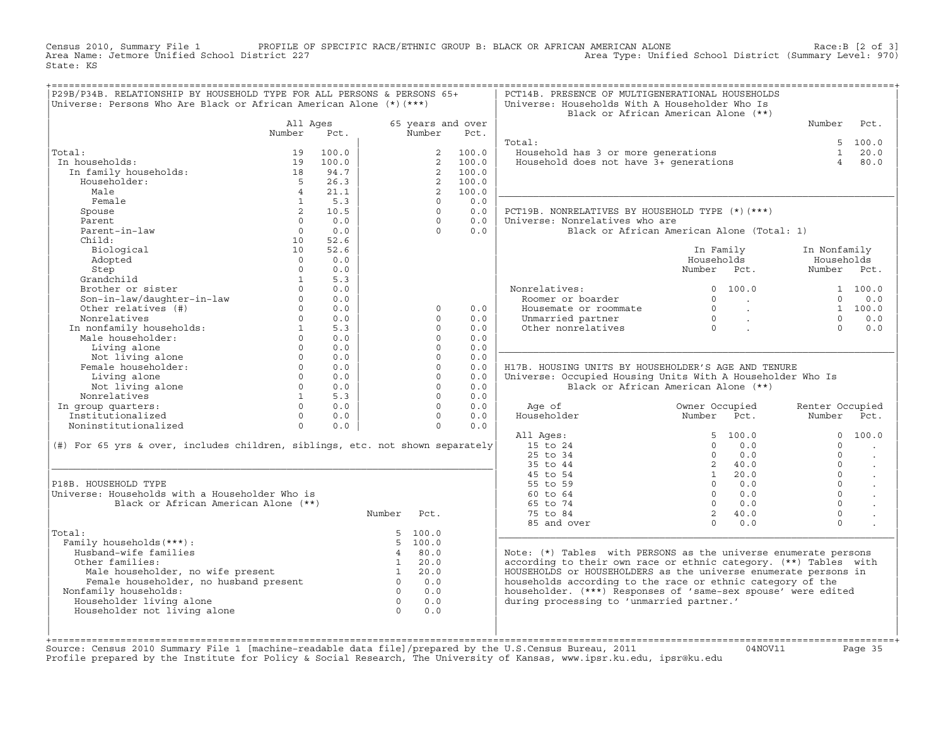Census 2010, Summary File 1 PROFILE OF SPECIFIC RACE/ETHNIC GROUP B: BLACK OR AFRICAN AMERICAN ALONE Race:B [2 of 3] Area Name: Jetmore Unified School District 227 Area Type: Unified School District (Summary Level: 970) State: KS

| P29B/P34B. RELATIONSHIP BY HOUSEHOLD TYPE FOR ALL PERSONS & PERSONS 65+<br>Universe: Persons Who Are Black or African American Alone (*) (***) |                         |            |                |                      |                   | PCT14B. PRESENCE OF MULTIGENERATIONAL HOUSEHOLDS<br>Universe: Households With A Householder Who Is | Black or African American Alone (**)       |                            |                      |
|------------------------------------------------------------------------------------------------------------------------------------------------|-------------------------|------------|----------------|----------------------|-------------------|----------------------------------------------------------------------------------------------------|--------------------------------------------|----------------------------|----------------------|
|                                                                                                                                                | All Ages                |            |                |                      | 65 years and over |                                                                                                    |                                            | Number                     | Pct.                 |
|                                                                                                                                                | Number                  | Pct.       |                | Number               | Pct.              |                                                                                                    |                                            |                            |                      |
|                                                                                                                                                |                         |            |                |                      |                   | Total:                                                                                             |                                            |                            | 5, 100.0             |
| Total:                                                                                                                                         | 19                      | 100.0      |                | 2                    | 100.0             | Household has 3 or more generations                                                                |                                            |                            | $1 \t 20.0$          |
| In households:                                                                                                                                 | 19                      | 100.0      |                | 2                    | 100.0             | Household does not have 3+ generations                                                             |                                            | $\overline{4}$             | 80.0                 |
| In family households:                                                                                                                          | 18                      | 94.7       |                | 2                    | 100.0             |                                                                                                    |                                            |                            |                      |
| Householder:                                                                                                                                   | $5^{\circ}$             | 26.3       |                | $\overline{a}$       | 100.0             |                                                                                                    |                                            |                            |                      |
| Male                                                                                                                                           | $\overline{4}$          | 21.1       |                | 2                    | 100.0             |                                                                                                    |                                            |                            |                      |
| Female                                                                                                                                         | $\mathbf{1}$            | 5.3        |                | $\Omega$<br>$\Omega$ | 0.0               |                                                                                                    |                                            |                            |                      |
| Spouse                                                                                                                                         | $2^{\circ}$<br>$\Omega$ | 10.5       |                | $\Omega$             | 0.0<br>0.0        | PCT19B. NONRELATIVES BY HOUSEHOLD TYPE (*) (***)                                                   |                                            |                            |                      |
| Parent<br>Parent-in-law                                                                                                                        | $\circ$                 | 0.0<br>0.0 |                | $\Omega$             | 0.0               | Universe: Nonrelatives who are                                                                     |                                            |                            |                      |
| Child:                                                                                                                                         |                         | 52.6       |                |                      |                   |                                                                                                    | Black or African American Alone (Total: 1) |                            |                      |
| Biological                                                                                                                                     | 10<br>10                | 52.6       |                |                      |                   |                                                                                                    |                                            |                            |                      |
| Adopted                                                                                                                                        | $\Omega$                | 0.0        |                |                      |                   |                                                                                                    | In Family<br>Households                    | In Nonfamily<br>Households |                      |
|                                                                                                                                                | $\Omega$                | 0.0        |                |                      |                   |                                                                                                    | Number Pct.                                | Number Pct.                |                      |
| Step<br>Grandchild                                                                                                                             | $\mathbf{1}$            | 5.3        |                |                      |                   |                                                                                                    |                                            |                            |                      |
| Brother or sister                                                                                                                              | $\Omega$                | 0.0        |                |                      |                   | Nonrelatives:                                                                                      | 0 100.0                                    |                            | 1 100.0              |
| Son-in-law/daughter-in-law                                                                                                                     | $\Omega$                | 0.0        |                |                      |                   | Roomer or boarder                                                                                  | $\Omega$<br><b>Contractor</b>              | $\Omega$                   | 0.0                  |
| Other relatives (#)                                                                                                                            | $\Omega$                | 0.0        |                | $\mathsf{O}$         | 0.0               | Housemate or roommate                                                                              | $\Omega$<br>$\sim 100$ km s $^{-1}$        |                            | 1 100.0              |
| Nonrelatives                                                                                                                                   | $\Omega$                | 0.0        |                | $\Omega$             | 0.0               | Unmarried partner                                                                                  | $\Omega$                                   | $\Omega$                   | 0.0                  |
| In nonfamily households:                                                                                                                       | $\mathbf{1}$            | 5.3        |                | $\Omega$             | 0.0               | Other nonrelatives                                                                                 | $\sim 100$<br>$\overline{0}$               | $\Omega$                   | 0.0                  |
| Male householder:                                                                                                                              | $\circ$                 | 0.0        |                | $\Omega$             | 0.0               |                                                                                                    |                                            |                            |                      |
| Living alone                                                                                                                                   | $\Omega$                | 0.0        |                | $\Omega$             | 0.0               |                                                                                                    |                                            |                            |                      |
| Not living alone                                                                                                                               | $\Omega$                | 0.0        |                | $\Omega$             | 0.0               |                                                                                                    |                                            |                            |                      |
| Female householder:                                                                                                                            | $\Omega$                | 0.0        |                | $\Omega$             | 0.0               | H17B. HOUSING UNITS BY HOUSEHOLDER'S AGE AND TENURE                                                |                                            |                            |                      |
| Living alone                                                                                                                                   | $\Omega$                | 0.0        |                | $\Omega$             | 0.0               | Universe: Occupied Housing Units With A Householder Who Is                                         |                                            |                            |                      |
| Not living alone                                                                                                                               | $\Omega$                | 0.0        |                | $\Omega$             | 0.0               |                                                                                                    | Black or African American Alone (**)       |                            |                      |
| Nonrelatives                                                                                                                                   | $\mathbf{1}$            | 5.3        |                | $\Omega$             | 0.0               |                                                                                                    |                                            |                            |                      |
| In group quarters:                                                                                                                             | $\Omega$                | 0.0        |                | $\Omega$             | 0.0               | Age of                                                                                             | Owner Occupied                             | Renter Occupied            |                      |
| Institutionalized                                                                                                                              | $\Omega$                | 0.0        |                | $\Omega$             | 0.0               | Householder                                                                                        | Number Pct.                                | Number                     | Pct.                 |
| Noninstitutionalized                                                                                                                           | $\circ$                 | 0.0        |                | $\circ$              | 0.0               |                                                                                                    |                                            |                            |                      |
|                                                                                                                                                |                         |            |                |                      |                   | All Ages:                                                                                          | 100.0<br>5                                 | $\Omega$                   | 100.0                |
| (#) For 65 yrs & over, includes children, siblings, etc. not shown separately                                                                  |                         |            |                |                      |                   | 15 to 24                                                                                           | $\Omega$<br>0.0                            | $\Omega$                   |                      |
|                                                                                                                                                |                         |            |                |                      |                   | 25 to 34                                                                                           | $\Omega$<br>0.0                            | $\Omega$                   | $\ddot{\phantom{a}}$ |
|                                                                                                                                                |                         |            |                |                      |                   | 35 to 44                                                                                           | 2, 40.0                                    | $\Omega$                   | $\ddot{\phantom{a}}$ |
|                                                                                                                                                |                         |            |                |                      |                   | 45 to 54                                                                                           | 20.0<br>1                                  | $\Omega$                   | $\blacksquare$       |
| P18B. HOUSEHOLD TYPE                                                                                                                           |                         |            |                |                      |                   | 55 to 59                                                                                           | $\Omega$<br>0.0                            | $\Omega$                   |                      |
| Universe: Households with a Householder Who is                                                                                                 |                         |            |                |                      |                   | 60 to 64                                                                                           | $\Omega$<br>0.0                            | $\Omega$                   |                      |
| Black or African American Alone (**)                                                                                                           |                         |            |                |                      |                   | 65 to 74                                                                                           | $\Omega$<br>0.0                            | $\Omega$                   |                      |
|                                                                                                                                                |                         |            | Number         | Pct.                 |                   | 75 to 84                                                                                           | 2, 40.0                                    | $\mathbf 0$                |                      |
|                                                                                                                                                |                         |            |                |                      |                   | 85 and over                                                                                        | $\Omega$<br>0.0                            | $\Omega$                   |                      |
| Total:                                                                                                                                         |                         |            |                | 5 100.0              |                   |                                                                                                    |                                            |                            |                      |
| Family households (***) :                                                                                                                      |                         |            |                | 5 100.0              |                   |                                                                                                    |                                            |                            |                      |
| Husband-wife families                                                                                                                          |                         |            | $\overline{4}$ | 80.0                 |                   | Note: (*) Tables with PERSONS as the universe enumerate persons                                    |                                            |                            |                      |
| Other families:                                                                                                                                |                         |            | 1              | 20.0                 |                   | according to their own race or ethnic category. (**) Tables with                                   |                                            |                            |                      |
|                                                                                                                                                |                         |            | $\mathbf{1}$   | 20.0                 |                   | HOUSEHOLDS or HOUSEHOLDERS as the universe enumerate persons in                                    |                                            |                            |                      |
| Male householder, no wife present<br>Female householder, no husband present                                                                    |                         |            | $\overline{0}$ | 0.0                  |                   | households according to the race or ethnic category of the                                         |                                            |                            |                      |
| Nonfamily households:                                                                                                                          |                         |            | $\overline{0}$ | 0.0                  |                   | householder. (***) Responses of 'same-sex spouse' were edited                                      |                                            |                            |                      |
| Householder living alone                                                                                                                       |                         |            | $\overline{0}$ | 0.0                  |                   | during processing to 'unmarried partner.'                                                          |                                            |                            |                      |
| Householder not living alone                                                                                                                   |                         |            | $\overline{0}$ | 0.0                  |                   |                                                                                                    |                                            |                            |                      |
|                                                                                                                                                |                         |            |                |                      |                   |                                                                                                    |                                            |                            |                      |
|                                                                                                                                                |                         |            |                |                      |                   |                                                                                                    |                                            |                            |                      |

+===================================================================================================================================================+Source: Census 2010 Summary File 1 [machine−readable data file]/prepared by the U.S.Census Bureau, 2011 04NOV11 Page 35 Profile prepared by the Institute for Policy & Social Research, The University of Kansas, www.ipsr.ku.edu, ipsr@ku.edu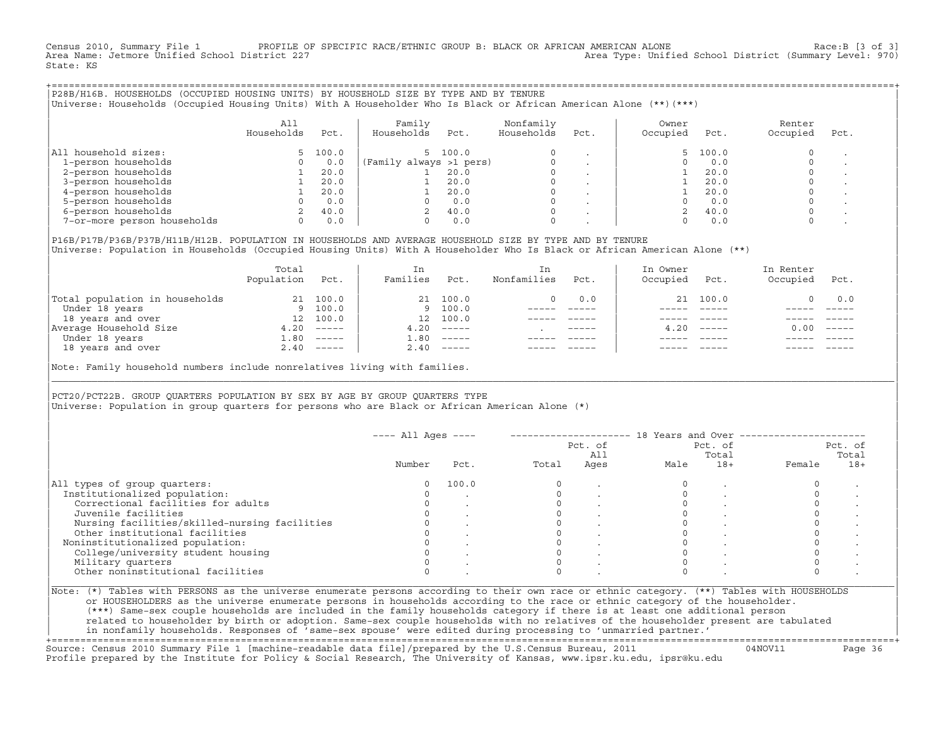Census 2010, Summary File 1 PROFILE OF SPECIFIC RACE/ETHNIC GROUP B: BLACK OR AFRICAN AMERICAN ALONE Race:B [3 of 3]<br>Area Name: Jetmore Unified School District 227 Area Type: Unified School District (Summary Level: 970) State: KS

+===================================================================================================================================================+|P28B/H16B. HOUSEHOLDS (OCCUPIED HOUSING UNITS) BY HOUSEHOLD SIZE BY TYPE AND BY TENURE | |Universe: Households (Occupied Housing Units) With A Householder Who Is Black or African American Alone (\*\*)(\*\*\*) |

|                             | All<br>Households | Pct.  | Family<br>Households    | Pct.    | Nonfamily<br>Households | Pct.    | Owner<br>Occupied | Pct.  | Renter<br>Occupied | Pct. |
|-----------------------------|-------------------|-------|-------------------------|---------|-------------------------|---------|-------------------|-------|--------------------|------|
| household sizes:<br>All     |                   | 100.0 |                         | 5 100.0 | $\Omega$                |         |                   | 100.0 |                    |      |
| 1-person households         |                   | 0.0   | (Family always >1 pers) |         |                         |         |                   | 0.0   |                    |      |
| 2-person households         |                   | 20.0  |                         | 20.0    | $\Omega$                |         |                   | 20.0  |                    |      |
| 3-person households         |                   | 20.0  |                         | 20.0    | $\mathbf 0$             | $\cdot$ |                   | 20.0  |                    |      |
| 4-person households         |                   | 20.0  |                         | 20.0    | $\Omega$                | $\cdot$ |                   | 20.0  |                    |      |
| 5-person households         |                   | 0.0   |                         | 0.0     | $\Omega$                |         |                   | 0.0   |                    |      |
| 6-person households         |                   | 40.0  |                         | 40.0    | $\Omega$                |         |                   | 40.0  |                    |      |
| 7-or-more person households |                   | 0.0   |                         | 0.0     | $\mathbf 0$             |         |                   | 0.0   |                    |      |

|P16B/P17B/P36B/P37B/H11B/H12B. POPULATION IN HOUSEHOLDS AND AVERAGE HOUSEHOLD SIZE BY TYPE AND BY TENURE | Universe: Population in Households (Occupied Housing Units) With A Householder Who Is Black or African American Alone (\*\*)

|                                | Total<br>Population | Pct.         | In<br>Families | Pct.                      | In.<br>Nonfamilies | Pct.        | In Owner<br>Occupied | Pct.         | In Renter<br>Occupied | Pct.                      |  |
|--------------------------------|---------------------|--------------|----------------|---------------------------|--------------------|-------------|----------------------|--------------|-----------------------|---------------------------|--|
| Total population in households | 21                  | 100.0        |                | 21 100.0                  | 0                  | 0.0         |                      | 21 100.0     |                       | 0.0                       |  |
| Under 18 years                 |                     | 9 100.0      |                | 9 100.0                   |                    |             |                      |              |                       |                           |  |
| 18 years and over              | 12                  | 100.0        | 12             | 100.0                     |                    |             |                      |              |                       |                           |  |
| Average Household Size         | 4.20                | $------$     | 4.20           | $------$                  |                    | $- - - - -$ |                      | $4.20$ ----- | 0.00                  | $\qquad \qquad - - - - -$ |  |
| Under 18 years                 | 1.80                | $------$     | 1.80           | $------$                  |                    |             |                      |              |                       |                           |  |
| 18 years and over              |                     | $2.40$ ----- | 2.40           | $\qquad \qquad - - - - -$ |                    |             |                      | $- - - - -$  |                       | $- - - - -$               |  |
|                                |                     |              |                |                           |                    |             |                      |              |                       |                           |  |

Note: Family household numbers include nonrelatives living with families.

| | PCT20/PCT22B. GROUP OUARTERS POPULATION BY SEX BY AGE BY GROUP OUARTERS TYPE Universe: Population in group quarters for persons who are Black or African American Alone (\*)

|                                               |        |       |       | Pct. of<br>All |      | Pct. of<br>Total |        | Pct. of<br>Total |
|-----------------------------------------------|--------|-------|-------|----------------|------|------------------|--------|------------------|
|                                               | Number | Pct.  | Total | Ages           | Male | $18+$            | Female | $18+$            |
| All types of group quarters:                  |        | 100.0 |       |                |      |                  |        |                  |
| Institutionalized population:                 |        |       |       |                |      |                  |        |                  |
| Correctional facilities for adults            |        |       |       |                |      |                  |        |                  |
| Juvenile facilities                           |        |       |       |                |      |                  |        |                  |
| Nursing facilities/skilled-nursing facilities |        |       |       |                |      |                  |        |                  |
| Other institutional facilities                |        |       |       |                |      |                  |        |                  |
| Noninstitutionalized population:              |        |       |       |                |      |                  |        |                  |
| College/university student housing            |        |       |       |                |      |                  |        |                  |
| Military quarters                             |        |       |       |                |      |                  |        |                  |
| Other noninstitutional facilities             |        |       |       |                |      |                  |        |                  |

|\_\_\_\_\_\_\_\_\_\_\_\_\_\_\_\_\_\_\_\_\_\_\_\_\_\_\_\_\_\_\_\_\_\_\_\_\_\_\_\_\_\_\_\_\_\_\_\_\_\_\_\_\_\_\_\_\_\_\_\_\_\_\_\_\_\_\_\_\_\_\_\_\_\_\_\_\_\_\_\_\_\_\_\_\_\_\_\_\_\_\_\_\_\_\_\_\_\_\_\_\_\_\_\_\_\_\_\_\_\_\_\_\_\_\_\_\_\_\_\_\_\_\_\_\_\_\_\_\_\_\_\_\_\_\_\_\_\_\_\_\_\_\_\_\_\_\_|

| |

or HOUSEHOLDERS as the universe enumerate persons in households according to the race or ethnic category of the householder. | (\*\*\*) Same−sex couple households are included in the family households category if there is at least one additional person | | related to householder by birth or adoption. Same−sex couple households with no relatives of the householder present are tabulated | | in nonfamily households. Responses of 'same−sex spouse' were edited during processing to 'unmarried partner.' |

+===================================================================================================================================================+ Source: Census 2010 Summary File 1 [machine−readable data file]/prepared by the U.S.Census Bureau, 2011 04NOV11 Page 36 Profile prepared by the Institute for Policy & Social Research, The University of Kansas, www.ipsr.ku.edu, ipsr@ku.edu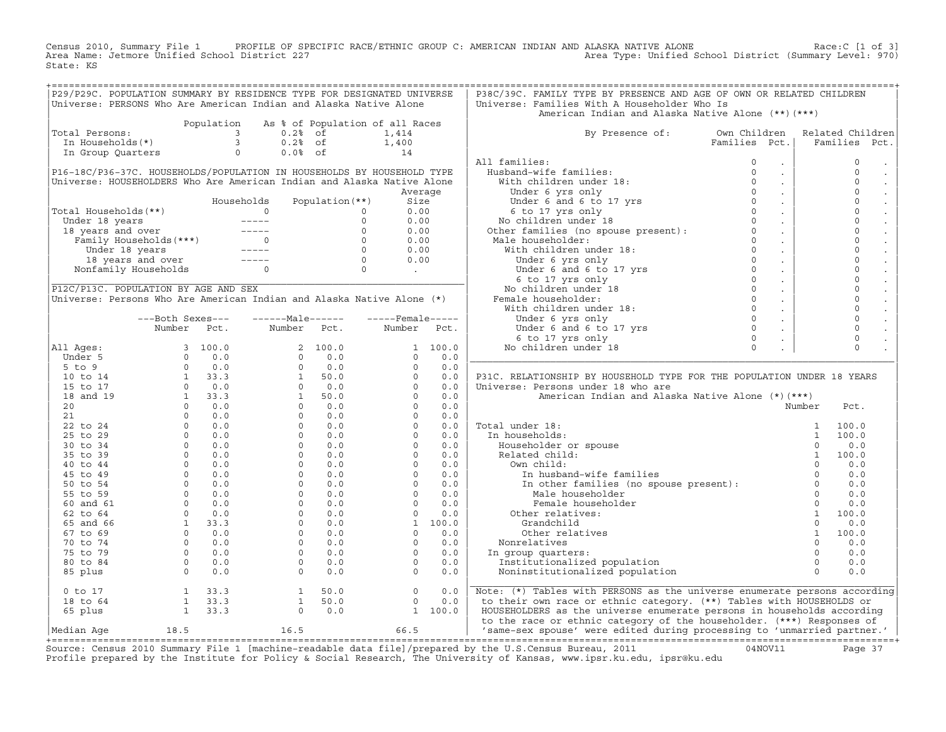Census 2010, Summary File 1 PROFILE OF SPECIFIC RACE/ETHNIC GROUP C: AMERICAN INDIAN AND ALASKA NATIVE ALONE<br>Area Name: Jetmore Unified School District 227 Area Type: Unified School Dist State: KS

| P29/P29C. POPULATION SUMMARY BY RESIDENCE TYPE FOR DESIGNATED UNIVERSE<br>Universe: PERSONS Who Are American Indian and Alaska Native Alone |                                                      |            |                                                              |                                 |                                                                                                                                                  |            | P38C/39C. FAMILY TYPE BY PRESENCE AND AGE OF OWN OR RELATED CHILDREN<br>Universe: Families With A Householder Who Is                                                                                                                                |                     |                       |      |
|---------------------------------------------------------------------------------------------------------------------------------------------|------------------------------------------------------|------------|--------------------------------------------------------------|---------------------------------|--------------------------------------------------------------------------------------------------------------------------------------------------|------------|-----------------------------------------------------------------------------------------------------------------------------------------------------------------------------------------------------------------------------------------------------|---------------------|-----------------------|------|
|                                                                                                                                             |                                                      |            |                                                              |                                 |                                                                                                                                                  |            | American Indian and Alaska Native Alone (**) (***)                                                                                                                                                                                                  |                     |                       |      |
| Total Persons:<br>Juai rersons:<br>In Households(*)<br>-                                                                                    |                                                      | Population | $\overline{3}$<br>$0.2$ % of                                 | As % of Population of all Races | 1,414                                                                                                                                            |            | By Presence of:                                                                                                                                                                                                                                     | Own Children        | Related Children      |      |
|                                                                                                                                             |                                                      |            | $\overline{\mathbf{3}}$<br>$0.2%$ of<br>$\circ$<br>$0.0%$ of |                                 | 1,400<br>14                                                                                                                                      |            |                                                                                                                                                                                                                                                     | Families Pct.       | Families              | Pct. |
| In Group Quarters                                                                                                                           |                                                      |            |                                                              |                                 |                                                                                                                                                  |            | All families:                                                                                                                                                                                                                                       |                     | $\mathsf{O}$          |      |
| P16-18C/P36-37C. HOUSEHOLDS/POPULATION IN HOUSEHOLDS BY HOUSEHOLD TYPE                                                                      |                                                      |            |                                                              |                                 |                                                                                                                                                  |            |                                                                                                                                                                                                                                                     | $\bullet$<br>$\sim$ | $\mathsf{O}$          |      |
| Universe: HOUSEHOLDERS Who Are American Indian and Alaska Native Alone                                                                      |                                                      |            |                                                              |                                 |                                                                                                                                                  |            |                                                                                                                                                                                                                                                     | $\sim$              | $\mathsf{O}$          |      |
|                                                                                                                                             |                                                      |            |                                                              |                                 |                                                                                                                                                  | Average    |                                                                                                                                                                                                                                                     | $\sim$              | $\mathbf 0$           |      |
|                                                                                                                                             |                                                      |            | Households                                                   | Population (**)                 | Size                                                                                                                                             |            |                                                                                                                                                                                                                                                     | $\sim$              | $\mathbf 0$           |      |
| Total Households(**)                                                                                                                        |                                                      |            | $\Omega$                                                     | $\Omega$                        | 0.00                                                                                                                                             |            |                                                                                                                                                                                                                                                     | $\sim$              | $\mathbf 0$           |      |
|                                                                                                                                             |                                                      |            |                                                              |                                 | 0.00                                                                                                                                             |            |                                                                                                                                                                                                                                                     | $\sim$              | $\mathbf 0$           |      |
|                                                                                                                                             |                                                      |            |                                                              |                                 | 0.00                                                                                                                                             |            |                                                                                                                                                                                                                                                     | $\sim$              | $\mathsf{O}$          |      |
|                                                                                                                                             |                                                      |            |                                                              |                                 | 0.00                                                                                                                                             |            |                                                                                                                                                                                                                                                     | $\sim$              | $\mathbf 0$           |      |
|                                                                                                                                             |                                                      |            |                                                              |                                 | 0.00                                                                                                                                             |            |                                                                                                                                                                                                                                                     | $\sim$              | $\mathbf 0$           |      |
|                                                                                                                                             |                                                      |            |                                                              |                                 | 0.00                                                                                                                                             |            |                                                                                                                                                                                                                                                     | $\sim$              | $\circ$               |      |
|                                                                                                                                             |                                                      |            |                                                              |                                 |                                                                                                                                                  |            |                                                                                                                                                                                                                                                     | $\sim$              | $\mathbf 0$           |      |
|                                                                                                                                             |                                                      |            |                                                              |                                 | $\begin{array}{c c} & & & \text{0.00} \\ \hline & & & \text{0.00} \\ \hline & & & \text{0.00} \\ \hline & & & \text{0.00} \\ \hline \end{array}$ |            | All families:<br>With children under 18:<br>Under 6 yrs only<br>Under 6 and 6 to 17 yrs<br>6 to 17 yrs only<br>Wo children under 18<br>Other families (no spouse present):<br>Male householder:<br>Male householder:<br>With children under 18:<br> | $\sim$              | $\mathbb O$           |      |
| P12C/P13C. POPULATION BY AGE AND SEX                                                                                                        |                                                      |            |                                                              |                                 |                                                                                                                                                  |            |                                                                                                                                                                                                                                                     | $\sim$              | $\mathbf 0$           |      |
| Universe: Persons Who Are American Indian and Alaska Native Alone (*)                                                                       |                                                      |            |                                                              |                                 |                                                                                                                                                  |            |                                                                                                                                                                                                                                                     | $\sim$              | $\mathbf 0$           |      |
|                                                                                                                                             |                                                      |            |                                                              |                                 |                                                                                                                                                  |            |                                                                                                                                                                                                                                                     | $\sim$              | $\mathbf 0$           |      |
|                                                                                                                                             | ---Both Sexes---                                     |            | $---Male----$                                                |                                 | $---$ Female -----                                                                                                                               |            |                                                                                                                                                                                                                                                     | $\sim$              | $\mathbf 0$           |      |
|                                                                                                                                             | Number                                               | Pct.       | Number                                                       | Pct.                            | Number                                                                                                                                           | Pct.       |                                                                                                                                                                                                                                                     | $\sim$              | $\mathbf{0}$          |      |
|                                                                                                                                             |                                                      |            |                                                              |                                 |                                                                                                                                                  |            |                                                                                                                                                                                                                                                     |                     | $\mathsf{O}$          |      |
| All Ages:                                                                                                                                   |                                                      |            |                                                              | 2 100.0                         |                                                                                                                                                  | 1 100.0    |                                                                                                                                                                                                                                                     |                     | $\Omega$              |      |
| Under 5                                                                                                                                     |                                                      |            |                                                              | 0.0                             | $\circ$                                                                                                                                          | 0.0        |                                                                                                                                                                                                                                                     |                     |                       |      |
| $5$ to $9$                                                                                                                                  |                                                      |            |                                                              | 0.0                             | $\Omega$                                                                                                                                         | 0.0        |                                                                                                                                                                                                                                                     |                     |                       |      |
| 10 to 14                                                                                                                                    |                                                      |            |                                                              | 50.0                            | $\Omega$                                                                                                                                         | 0.0        | P31C. RELATIONSHIP BY HOUSEHOLD TYPE FOR THE POPULATION UNDER 18 YEARS                                                                                                                                                                              |                     |                       |      |
| 15 to 17                                                                                                                                    |                                                      |            |                                                              | $\Omega$<br>0.0<br>50.0         | $\Omega$<br>$\Omega$                                                                                                                             | 0.0<br>0.0 | Universe: Persons under 18 who are                                                                                                                                                                                                                  |                     |                       |      |
| 18 and 19<br>20                                                                                                                             |                                                      |            |                                                              | $0 \qquad \qquad$<br>0.0        | $\circ$                                                                                                                                          | 0.0        | American Indian and Alaska Native Alone (*) (***)                                                                                                                                                                                                   |                     | Number<br>Pct.        |      |
| 21                                                                                                                                          |                                                      |            |                                                              | 0.0                             | $\Omega$                                                                                                                                         | 0.0        |                                                                                                                                                                                                                                                     |                     |                       |      |
| 22 to 24                                                                                                                                    |                                                      |            |                                                              | 0.0                             | $\circ$                                                                                                                                          | 0.0        | Total under 18:<br>al under 18:<br>n households:<br>Householder or spouse<br>Pelated shild:                                                                                                                                                         |                     | 100.0<br>1            |      |
| 25 to 29                                                                                                                                    |                                                      |            |                                                              | 0.0                             | $\Omega$                                                                                                                                         | 0.0        | In households:                                                                                                                                                                                                                                      |                     | 100.0<br>$\mathbf{1}$ |      |
| $30 \text{ to } 34$                                                                                                                         |                                                      |            |                                                              | 0.0                             | $\Omega$                                                                                                                                         | 0.0        |                                                                                                                                                                                                                                                     |                     | $\Omega$<br>0.0       |      |
| 35 to 39                                                                                                                                    |                                                      |            |                                                              | 0.0                             | $\Omega$                                                                                                                                         | 0.0        |                                                                                                                                                                                                                                                     |                     | 100.0                 |      |
| 40 to 44                                                                                                                                    |                                                      |            |                                                              | 0.0                             | $\Omega$                                                                                                                                         | 0.0        | Own child:                                                                                                                                                                                                                                          |                     | 0.0                   |      |
| 45 to 49                                                                                                                                    |                                                      |            |                                                              | 0.0                             | $\circ$                                                                                                                                          | 0.0        | In husband-wife families                                                                                                                                                                                                                            |                     | 0.0                   |      |
| 50 to 54                                                                                                                                    |                                                      |            |                                                              | 0.0                             | $\circ$                                                                                                                                          | 0.0        | In other families (no spouse present):<br>Male_householder                                                                                                                                                                                          |                     | 0.0                   |      |
| 55 to 59                                                                                                                                    |                                                      |            |                                                              | 0.0                             | $\circ$                                                                                                                                          | 0.0        |                                                                                                                                                                                                                                                     |                     | $\Omega$<br>0.0       |      |
| 60 and 61                                                                                                                                   |                                                      |            |                                                              | 0.0                             | $\circ$                                                                                                                                          | 0.0        | Female householder                                                                                                                                                                                                                                  |                     | $\Omega$<br>0.0       |      |
| 62 to 64                                                                                                                                    |                                                      |            |                                                              | 0.0                             | $\circ$                                                                                                                                          | 0.0        | Other relatives:                                                                                                                                                                                                                                    |                     | $\mathbf{1}$<br>100.0 |      |
| 65 and 66                                                                                                                                   |                                                      |            |                                                              | 0.0                             |                                                                                                                                                  | 1 100.0    | Grandchild                                                                                                                                                                                                                                          |                     | $\Omega$<br>0.0       |      |
| 67 to 69                                                                                                                                    |                                                      |            |                                                              | 0.0                             | $\Omega$                                                                                                                                         | 0.0        | Other relatives                                                                                                                                                                                                                                     |                     | 100.0<br>$\mathbf{1}$ |      |
| 70 to 74                                                                                                                                    |                                                      |            |                                                              | 0.0                             | $\circ$                                                                                                                                          | 0.0        | Nonrelatives                                                                                                                                                                                                                                        |                     | 0.0                   |      |
| 75 to 79                                                                                                                                    |                                                      |            |                                                              | 0.0                             | $\Omega$                                                                                                                                         | 0.0        | In group quarters:                                                                                                                                                                                                                                  |                     | $\Omega$<br>0.0       |      |
| 80 to 84                                                                                                                                    |                                                      |            |                                                              | 0.0                             | $\Omega$                                                                                                                                         | 0.0        | Institutionalized population                                                                                                                                                                                                                        |                     | $\Omega$<br>0.0       |      |
| 85 plus                                                                                                                                     |                                                      |            |                                                              | 0.0                             | $\circ$                                                                                                                                          | 0.0        | Noninstitutionalized population                                                                                                                                                                                                                     |                     | $\Omega$<br>0.0       |      |
| $0$ to $17$                                                                                                                                 | $1 \t 33.3$                                          |            | 1                                                            | 50.0                            | $\circ$                                                                                                                                          | 0.0        | Note: (*) Tables with PERSONS as the universe enumerate persons according                                                                                                                                                                           |                     |                       |      |
| 18 to 64                                                                                                                                    |                                                      |            | 1                                                            | 50.0                            | $\Omega$                                                                                                                                         | 0.0        | to their own race or ethnic category. (**) Tables with HOUSEHOLDS or                                                                                                                                                                                |                     |                       |      |
| 65 plus                                                                                                                                     | $\begin{bmatrix} 1 & 33.3 \\ 1 & 33.3 \end{bmatrix}$ |            |                                                              | 0.0<br>$\Omega$                 |                                                                                                                                                  | 1 100.0    | HOUSEHOLDERS as the universe enumerate persons in households according<br>to the race or ethnic category of the householder. (***) Responses of                                                                                                     |                     |                       |      |
| Median Aqe                                                                                                                                  | 18.5                                                 |            | 16.5 66.5                                                    |                                 |                                                                                                                                                  |            | 'same-sex spouse' were edited during processing to 'unmarried partner.'                                                                                                                                                                             |                     |                       |      |
|                                                                                                                                             |                                                      |            |                                                              |                                 |                                                                                                                                                  |            | $P_{\text{CUMCO}}$ , Congus 2010 Summary File 1 [magbine readable data file] (prepared by the H S Congus Bureau 2011                                                                                                                                |                     |                       |      |

Source: Census 2010 Summary File 1 [machine-readable data file]/prepared by the U.S.Census Bureau, 2011 Page 37<br>Profile prepared by the Institute for Policy & Social Research, The University of Kansas, www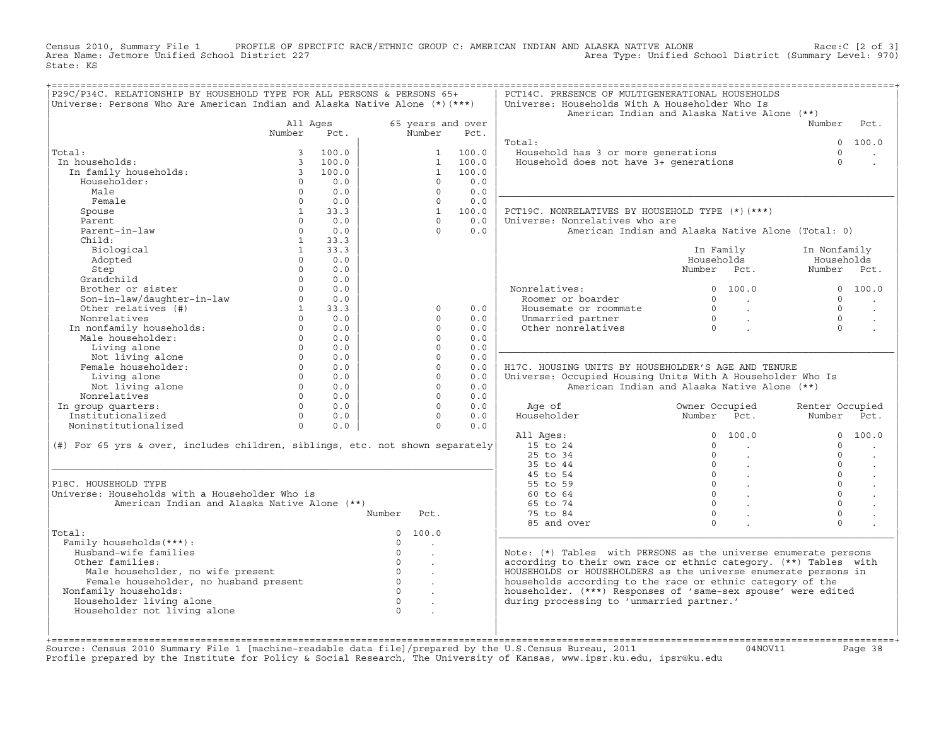Census 2010, Summary File 1 PROFILE OF SPECIFIC RACE/ETHNIC GROUP C: AMERICAN INDIAN AND ALASKA NATIVE ALONE Race:C [2 of 3]<br>Area Name: Jetmore Unified School District 227 Area Type: Unified School District (Summary Level: 970) State: KS

| 65 years and over<br>All Ages<br>Number<br>Number<br>Pct.<br>Pct.<br>Total:<br>Total:<br>100.0<br>100.0<br>Household has 3 or more generations<br>1<br>100.0<br>100.0<br>Household does not have 3+ qenerations<br>In households:<br>$\overline{3}$<br>$\mathbf{1}$<br>In family households:<br>$\overline{\mathbf{3}}$<br>100.0<br>$\mathbf{1}$<br>100.0<br>0.0<br>Householder:<br>$\Omega$<br>0.0<br>$\Omega$<br>0.0<br>Male<br>$\Omega$<br>0.0<br>$\Omega$<br>Female<br>$\Omega$<br>0.0<br>$\Omega$<br>0.0<br>100.0<br>Spouse<br>$\mathbf{1}$<br>33.3<br>1<br>PCT19C. NONRELATIVES BY HOUSEHOLD TYPE (*) (***)<br>0.0<br>0.0<br>Universe: Nonrelatives who are<br>Parent<br>$\Omega$<br>$\Omega$<br>Parent-in-law<br>$\Omega$<br>$\Omega$<br>0.0<br>0.0<br>American Indian and Alaska Native Alone (Total: 0) | Number<br>$\Omega$<br>$\Omega$<br>$\Omega$ | Pct.                 |
|------------------------------------------------------------------------------------------------------------------------------------------------------------------------------------------------------------------------------------------------------------------------------------------------------------------------------------------------------------------------------------------------------------------------------------------------------------------------------------------------------------------------------------------------------------------------------------------------------------------------------------------------------------------------------------------------------------------------------------------------------------------------------------------------------------------|--------------------------------------------|----------------------|
|                                                                                                                                                                                                                                                                                                                                                                                                                                                                                                                                                                                                                                                                                                                                                                                                                  |                                            |                      |
|                                                                                                                                                                                                                                                                                                                                                                                                                                                                                                                                                                                                                                                                                                                                                                                                                  |                                            |                      |
|                                                                                                                                                                                                                                                                                                                                                                                                                                                                                                                                                                                                                                                                                                                                                                                                                  |                                            | 100.0                |
|                                                                                                                                                                                                                                                                                                                                                                                                                                                                                                                                                                                                                                                                                                                                                                                                                  |                                            |                      |
|                                                                                                                                                                                                                                                                                                                                                                                                                                                                                                                                                                                                                                                                                                                                                                                                                  |                                            |                      |
|                                                                                                                                                                                                                                                                                                                                                                                                                                                                                                                                                                                                                                                                                                                                                                                                                  |                                            |                      |
|                                                                                                                                                                                                                                                                                                                                                                                                                                                                                                                                                                                                                                                                                                                                                                                                                  |                                            |                      |
|                                                                                                                                                                                                                                                                                                                                                                                                                                                                                                                                                                                                                                                                                                                                                                                                                  |                                            |                      |
|                                                                                                                                                                                                                                                                                                                                                                                                                                                                                                                                                                                                                                                                                                                                                                                                                  |                                            |                      |
|                                                                                                                                                                                                                                                                                                                                                                                                                                                                                                                                                                                                                                                                                                                                                                                                                  |                                            |                      |
|                                                                                                                                                                                                                                                                                                                                                                                                                                                                                                                                                                                                                                                                                                                                                                                                                  |                                            |                      |
|                                                                                                                                                                                                                                                                                                                                                                                                                                                                                                                                                                                                                                                                                                                                                                                                                  |                                            |                      |
| 33.3<br>Child:<br>$\mathbf{1}$<br>$\mathbf{1}$<br>33.3                                                                                                                                                                                                                                                                                                                                                                                                                                                                                                                                                                                                                                                                                                                                                           |                                            |                      |
| Biological<br>In Family<br>$\Omega$<br>0.0                                                                                                                                                                                                                                                                                                                                                                                                                                                                                                                                                                                                                                                                                                                                                                       | In Nonfamily<br>Households                 |                      |
| Adopted<br>Households<br>Number Pct.                                                                                                                                                                                                                                                                                                                                                                                                                                                                                                                                                                                                                                                                                                                                                                             | Number Pct.                                |                      |
| 0.0<br>Step<br>$\Omega$                                                                                                                                                                                                                                                                                                                                                                                                                                                                                                                                                                                                                                                                                                                                                                                          |                                            |                      |
| Grandchild<br>$\Omega$<br>0.0                                                                                                                                                                                                                                                                                                                                                                                                                                                                                                                                                                                                                                                                                                                                                                                    |                                            |                      |
| Brother or sister<br>$\cap$<br>0.0<br>Nonrelatives:<br>0, 100, 0                                                                                                                                                                                                                                                                                                                                                                                                                                                                                                                                                                                                                                                                                                                                                 |                                            | 0 100.0              |
| Son-in-law/daughter-in-law<br>$\Omega$<br>0.0<br>Roomer or boarder<br>$\Omega$<br><b>Contract Contract</b>                                                                                                                                                                                                                                                                                                                                                                                                                                                                                                                                                                                                                                                                                                       | $\Omega$                                   | $\ddot{\phantom{a}}$ |
| Other relatives (#)<br>$\mathbf{1}$<br>33.3<br>Housemate or roommate<br>$\Omega$<br>$\Omega$<br>0.0<br>$\sim 10^{11}$ km $^{-1}$                                                                                                                                                                                                                                                                                                                                                                                                                                                                                                                                                                                                                                                                                 | $\Omega$                                   | $\cdot$              |
| $\Omega$<br>Nonrelatives<br>$\Omega$<br>0.0<br>$\Omega$<br>0.0<br>Unmarried partner<br>$\sim 10^{-11}$<br>$\overline{0}$                                                                                                                                                                                                                                                                                                                                                                                                                                                                                                                                                                                                                                                                                         | $\Omega$                                   |                      |
| In nonfamily households:<br>$\Omega$<br>0.0<br>$\Omega$<br>0.0<br>Other nonrelatives                                                                                                                                                                                                                                                                                                                                                                                                                                                                                                                                                                                                                                                                                                                             | $\Omega$                                   |                      |
| Male householder:<br>$\Omega$<br>0.0<br>0.0<br>$\Omega$                                                                                                                                                                                                                                                                                                                                                                                                                                                                                                                                                                                                                                                                                                                                                          |                                            |                      |
| $\Omega$<br>Living alone<br>0.0<br>$\Omega$<br>0.0                                                                                                                                                                                                                                                                                                                                                                                                                                                                                                                                                                                                                                                                                                                                                               |                                            |                      |
| Not living alone<br>$\Omega$<br>0.0<br>$\Omega$<br>0.0                                                                                                                                                                                                                                                                                                                                                                                                                                                                                                                                                                                                                                                                                                                                                           |                                            |                      |
| Female householder:<br>$\Omega$<br>$\Omega$<br>0.0<br>0.0<br>H17C. HOUSING UNITS BY HOUSEHOLDER'S AGE AND TENURE                                                                                                                                                                                                                                                                                                                                                                                                                                                                                                                                                                                                                                                                                                 |                                            |                      |
| $\Omega$<br>$\Omega$<br>Living alone<br>0.0<br>0.0<br>Universe: Occupied Housing Units With A Householder Who Is                                                                                                                                                                                                                                                                                                                                                                                                                                                                                                                                                                                                                                                                                                 |                                            |                      |
| Not living alone<br>$\Omega$<br>$\Omega$<br>American Indian and Alaska Native Alone (**)<br>0.0<br>0.0                                                                                                                                                                                                                                                                                                                                                                                                                                                                                                                                                                                                                                                                                                           |                                            |                      |
| Nonrelatives<br>$\Omega$<br>0.0<br>$\Omega$<br>0.0                                                                                                                                                                                                                                                                                                                                                                                                                                                                                                                                                                                                                                                                                                                                                               |                                            |                      |
| $\Omega$<br>In group quarters:<br>$\Omega$<br>0.0<br>0.0<br>Age of<br>Owner Occupied                                                                                                                                                                                                                                                                                                                                                                                                                                                                                                                                                                                                                                                                                                                             | Renter Occupied                            |                      |
| Householder<br>Institutionalized<br>0.0<br>$\Omega$<br>0.0<br>Number Pct.<br>$\Omega$                                                                                                                                                                                                                                                                                                                                                                                                                                                                                                                                                                                                                                                                                                                            | Number                                     | Pct.                 |
| Noninstitutionalized<br>$\Omega$<br>$\Omega$<br>0.0<br>0.0                                                                                                                                                                                                                                                                                                                                                                                                                                                                                                                                                                                                                                                                                                                                                       |                                            |                      |
| All Ages:<br>$\Omega$<br>100.0                                                                                                                                                                                                                                                                                                                                                                                                                                                                                                                                                                                                                                                                                                                                                                                   | $\Omega$                                   | 100.0                |
| (#) For 65 yrs & over, includes children, siblings, etc. not shown separately<br>15 to 24<br>$\Omega$<br>$\sim$                                                                                                                                                                                                                                                                                                                                                                                                                                                                                                                                                                                                                                                                                                  | $\Omega$                                   |                      |
| 25 to 34<br>$\Omega$<br>$\mathbf{r}$                                                                                                                                                                                                                                                                                                                                                                                                                                                                                                                                                                                                                                                                                                                                                                             | $\Omega$                                   | $\ddot{\phantom{a}}$ |
| 35 to 44<br>$\Omega$<br>$\mathcal{L}$                                                                                                                                                                                                                                                                                                                                                                                                                                                                                                                                                                                                                                                                                                                                                                            | $\Omega$                                   | $\ddot{\phantom{a}}$ |
| $0 \qquad \qquad .$<br>45 to 54                                                                                                                                                                                                                                                                                                                                                                                                                                                                                                                                                                                                                                                                                                                                                                                  | $\Omega$                                   |                      |
| $\overline{0}$<br>P18C. HOUSEHOLD TYPE<br>55 to 59                                                                                                                                                                                                                                                                                                                                                                                                                                                                                                                                                                                                                                                                                                                                                               | $\Omega$                                   | $\sim$               |
| Universe: Households with a Householder Who is<br>$0 \qquad \qquad$<br>60 to 64                                                                                                                                                                                                                                                                                                                                                                                                                                                                                                                                                                                                                                                                                                                                  | $\Omega$                                   |                      |
| $\circ$<br>American Indian and Alaska Native Alone (**)<br>65 to 74                                                                                                                                                                                                                                                                                                                                                                                                                                                                                                                                                                                                                                                                                                                                              | $\mathbf 0$                                |                      |
| $\Omega$<br>75 to 84<br>Number<br>Pct.                                                                                                                                                                                                                                                                                                                                                                                                                                                                                                                                                                                                                                                                                                                                                                           | $\Omega$                                   |                      |
| $\Omega$<br>85 and over                                                                                                                                                                                                                                                                                                                                                                                                                                                                                                                                                                                                                                                                                                                                                                                          | $\Omega$                                   |                      |
| Total:<br>$\mathbf{0}$<br>100.0                                                                                                                                                                                                                                                                                                                                                                                                                                                                                                                                                                                                                                                                                                                                                                                  |                                            |                      |
| Family households (***) :<br>$\circ$<br>$\sim$                                                                                                                                                                                                                                                                                                                                                                                                                                                                                                                                                                                                                                                                                                                                                                   |                                            |                      |
| Husband-wife families<br>$\circ$<br>Note: $(*)$ Tables with PERSONS as the universe enumerate persons<br>$\mathbf{r}$                                                                                                                                                                                                                                                                                                                                                                                                                                                                                                                                                                                                                                                                                            |                                            |                      |
| $\Omega$<br>according to their own race or ethnic category. (**) Tables with<br>Other families:<br>$\ddot{\phantom{a}}$                                                                                                                                                                                                                                                                                                                                                                                                                                                                                                                                                                                                                                                                                          |                                            |                      |
| $\circ$<br>HOUSEHOLDS or HOUSEHOLDERS as the universe enumerate persons in<br>Male householder, no wife present<br>$\ddot{\phantom{a}}$                                                                                                                                                                                                                                                                                                                                                                                                                                                                                                                                                                                                                                                                          |                                            |                      |
| Female householder, no husband present<br>$\overline{0}$<br>households according to the race or ethnic category of the                                                                                                                                                                                                                                                                                                                                                                                                                                                                                                                                                                                                                                                                                           |                                            |                      |
| $\circ$<br>householder. (***) Responses of 'same-sex spouse' were edited<br>Nonfamily households:<br>$\sim$                                                                                                                                                                                                                                                                                                                                                                                                                                                                                                                                                                                                                                                                                                      |                                            |                      |
| Householder living alone<br>$\overline{0}$<br>during processing to 'unmarried partner.'<br>$\bullet$                                                                                                                                                                                                                                                                                                                                                                                                                                                                                                                                                                                                                                                                                                             |                                            |                      |
| Householder not living alone<br>$\cap$                                                                                                                                                                                                                                                                                                                                                                                                                                                                                                                                                                                                                                                                                                                                                                           |                                            |                      |
|                                                                                                                                                                                                                                                                                                                                                                                                                                                                                                                                                                                                                                                                                                                                                                                                                  |                                            |                      |
|                                                                                                                                                                                                                                                                                                                                                                                                                                                                                                                                                                                                                                                                                                                                                                                                                  |                                            |                      |

+===================================================================================================================================================+Source: Census 2010 Summary File 1 [machine−readable data file]/prepared by the U.S.Census Bureau, 2011 04NOV11 Page 38 Profile prepared by the Institute for Policy & Social Research, The University of Kansas, www.ipsr.ku.edu, ipsr@ku.edu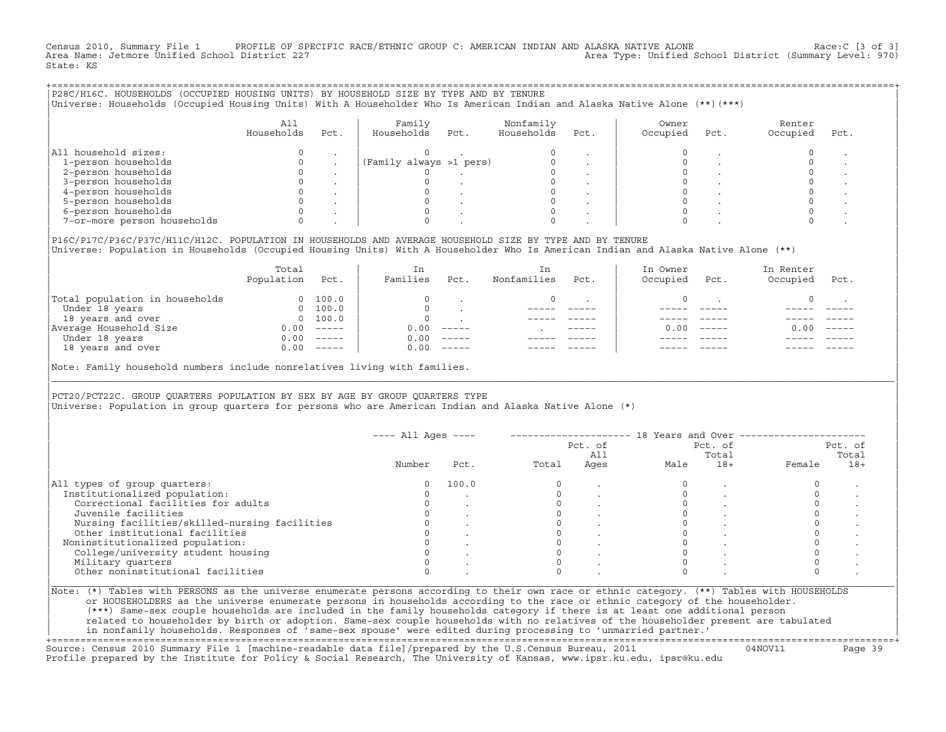Census 2010, Summary File 1 PROFILE OF SPECIFIC RACE/ETHNIC GROUP C: AMERICAN INDIAN AND ALASKA NATIVE ALONE Race:C [3 of 3]<br>Area Name: Jetmore Unified School District 227 Area Type: Unified School District (Summary Level: 970) State: KS

| P28C/H16C. HOUSEHOLDS (OCCUPIED HOUSING UNITS) BY HOUSEHOLD SIZE BY TYPE AND BY TENURE<br>Universe: Households (Occupied Housing Units) With A Householder Who Is American Indian and Alaska Native Alone (**) (***) |                   |      |                         |      |                         |         |                   |      |                    |      |
|----------------------------------------------------------------------------------------------------------------------------------------------------------------------------------------------------------------------|-------------------|------|-------------------------|------|-------------------------|---------|-------------------|------|--------------------|------|
|                                                                                                                                                                                                                      | All<br>Households | Pct. | Family<br>Households    | Pct. | Nonfamily<br>Households | Pct.    | Owner<br>Occupied | Pct. | Renter<br>Occupied | Pct. |
| All household sizes:                                                                                                                                                                                                 |                   |      |                         |      |                         |         |                   |      |                    |      |
| 1-person households                                                                                                                                                                                                  |                   |      | (Family always >1 pers) |      |                         | $\cdot$ |                   |      |                    |      |
| 2-person households                                                                                                                                                                                                  |                   |      |                         |      |                         |         |                   |      |                    |      |
| 3-person households                                                                                                                                                                                                  |                   |      |                         |      |                         |         |                   |      |                    |      |
| 4-person households                                                                                                                                                                                                  |                   |      |                         |      |                         |         |                   |      |                    |      |
| 5-person households                                                                                                                                                                                                  |                   |      |                         |      |                         |         |                   |      |                    |      |
| 6-person households                                                                                                                                                                                                  |                   |      |                         |      |                         |         |                   |      |                    |      |
| 7-or-more person households                                                                                                                                                                                          |                   |      |                         |      |                         |         |                   |      |                    |      |
|                                                                                                                                                                                                                      |                   |      |                         |      |                         |         |                   |      |                    |      |

|P16C/P17C/P36C/P37C/H11C/H12C. POPULATION IN HOUSEHOLDS AND AVERAGE HOUSEHOLD SIZE BY TYPE AND BY TENURE | |Universe: Population in Households (Occupied Housing Units) With A Householder Who Is American Indian and Alaska Native Alone (\*\*) |

|                                | Total<br>Population | Pct.                                                                                                                                                                                                                                                                                                                                                                                                                                                                                 | In<br>Families | Pct.     | In.<br>Nonfamilies | Pct.          | In Owner<br>Occupied | Pct.          | In Renter<br>Occupied | Pct.     |  |
|--------------------------------|---------------------|--------------------------------------------------------------------------------------------------------------------------------------------------------------------------------------------------------------------------------------------------------------------------------------------------------------------------------------------------------------------------------------------------------------------------------------------------------------------------------------|----------------|----------|--------------------|---------------|----------------------|---------------|-----------------------|----------|--|
| Total population in households | $\Omega$            | 100.0                                                                                                                                                                                                                                                                                                                                                                                                                                                                                |                |          |                    |               |                      |               |                       |          |  |
| Under 18 years                 | $\Omega$            | 100.0                                                                                                                                                                                                                                                                                                                                                                                                                                                                                |                |          |                    |               |                      |               |                       |          |  |
| 18 years and over              |                     | 0 100.0                                                                                                                                                                                                                                                                                                                                                                                                                                                                              |                |          |                    |               |                      |               |                       |          |  |
| Average Household Size         | 0.00                | $------$                                                                                                                                                                                                                                                                                                                                                                                                                                                                             | 0.00           | $------$ |                    | $- - - - - -$ | 0. OO -              | $\frac{1}{2}$ | 0.00                  | $------$ |  |
| Under 18 years                 | 0.00                | $------$                                                                                                                                                                                                                                                                                                                                                                                                                                                                             | 0.00           | $------$ |                    |               |                      |               |                       |          |  |
| 18 years and over              | 0.00                | $\begin{tabular}{cccccc} \multicolumn{2}{c}{} & \multicolumn{2}{c}{} & \multicolumn{2}{c}{} & \multicolumn{2}{c}{} & \multicolumn{2}{c}{} & \multicolumn{2}{c}{} & \multicolumn{2}{c}{} & \multicolumn{2}{c}{} & \multicolumn{2}{c}{} & \multicolumn{2}{c}{} & \multicolumn{2}{c}{} & \multicolumn{2}{c}{} & \multicolumn{2}{c}{} & \multicolumn{2}{c}{} & \multicolumn{2}{c}{} & \multicolumn{2}{c}{} & \multicolumn{2}{c}{} & \multicolumn{2}{c}{} & \multicolumn{2}{c}{} & \mult$ | 0.00           | $------$ |                    |               |                      |               |                       | ------   |  |
|                                |                     |                                                                                                                                                                                                                                                                                                                                                                                                                                                                                      |                |          |                    |               |                      |               |                       |          |  |

|Note: Family household numbers include nonrelatives living with families. |

| | PCT20/PCT22C. GROUP OUARTERS POPULATION BY SEX BY AGE BY GROUP OUARTERS TYPE Universe: Population in group quarters for persons who are American Indian and Alaska Native Alone (\*)

|                                               |        |       |       | Pct. of<br>All |      | Pct. of<br>Total |        | Pct. of<br>Total |
|-----------------------------------------------|--------|-------|-------|----------------|------|------------------|--------|------------------|
|                                               | Number | Pct.  | Total | Ages           | Male | $18+$            | Female | $18+$            |
| All types of group quarters:                  |        | 100.0 |       |                |      |                  |        |                  |
| Institutionalized population:                 |        |       |       |                |      |                  |        |                  |
| Correctional facilities for adults            |        |       |       |                |      |                  |        |                  |
| Juvenile facilities                           |        |       |       |                |      |                  |        |                  |
| Nursing facilities/skilled-nursing facilities |        |       |       |                |      |                  |        |                  |
| Other institutional facilities                |        |       |       |                |      |                  |        |                  |
| Noninstitutionalized population:              |        |       |       |                |      |                  |        |                  |
| College/university student housing            |        |       |       |                |      |                  |        |                  |
| Military quarters                             |        |       |       |                |      |                  |        |                  |
| Other noninstitutional facilities             |        |       |       |                |      |                  |        |                  |

|\_\_\_\_\_\_\_\_\_\_\_\_\_\_\_\_\_\_\_\_\_\_\_\_\_\_\_\_\_\_\_\_\_\_\_\_\_\_\_\_\_\_\_\_\_\_\_\_\_\_\_\_\_\_\_\_\_\_\_\_\_\_\_\_\_\_\_\_\_\_\_\_\_\_\_\_\_\_\_\_\_\_\_\_\_\_\_\_\_\_\_\_\_\_\_\_\_\_\_\_\_\_\_\_\_\_\_\_\_\_\_\_\_\_\_\_\_\_\_\_\_\_\_\_\_\_\_\_\_\_\_\_\_\_\_\_\_\_\_\_\_\_\_\_\_\_\_|

| |

| (\*\*\*) Same−sex couple households are included in the family households category if there is at least one additional person | | related to householder by birth or adoption. Same−sex couple households with no relatives of the householder present are tabulated | | in nonfamily households. Responses of 'same−sex spouse' were edited during processing to 'unmarried partner.' | +===================================================================================================================================================+

Source: Census 2010 Summary File 1 [machine−readable data file]/prepared by the U.S.Census Bureau, 2011 04NOV11 Page 39 Profile prepared by the Institute for Policy & Social Research, The University of Kansas, www.ipsr.ku.edu, ipsr@ku.edu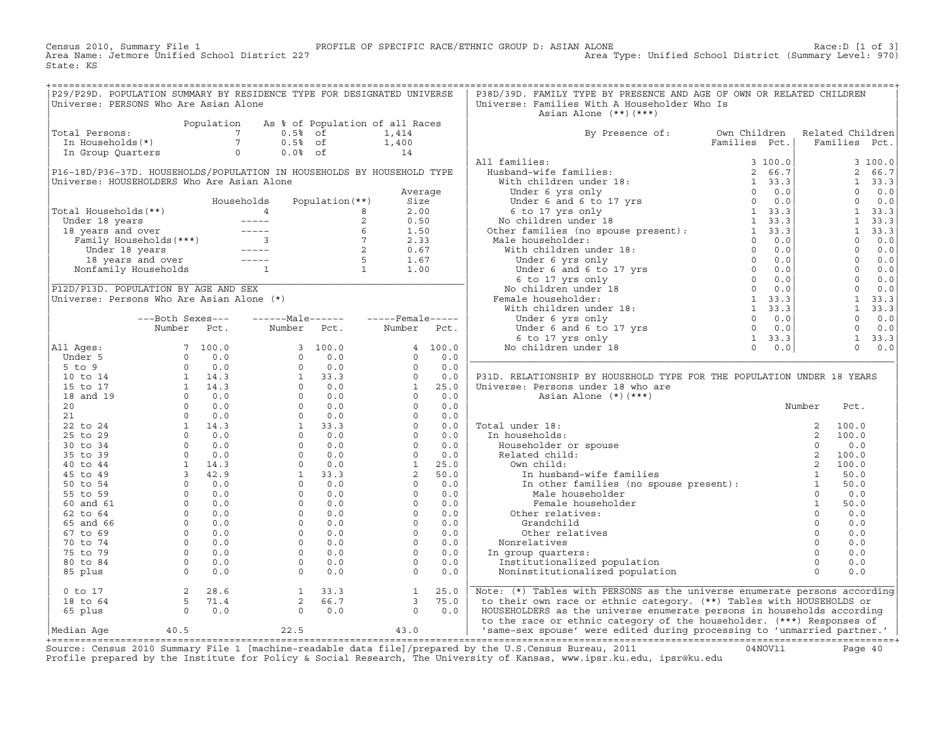Census 2010, Summary File 1 PROFILE OF SPECIFIC RACE/ETHNIC GROUP D: ASIAN ALONE Race:D [1 of 3]<br>Area Name: Jetmore Unified School District 227 Area Type: Unified School District (Summary Level: 970) Area Type: Unified School District (Summary Level: 970) State: KS

| Universe: PERSONS Who Are Asian Alone<br>Asian Alone (**)(***)<br>Total Persons:<br>Total Persons:<br>Total Persons:<br>Total Persons:<br>Total Persons:<br>Total Persons:<br>Total Persons:<br>Total Persons:<br>Total Persons:<br>Total Persons:<br>Total Persons:<br>Total Persons:<br>Total Persons:<br>Total Persons:<br>By Presence of: Own Children Related Children<br>Families Pct.   Families Pct.<br>P31D. RELATIONSHIP BY HOUSEHOLD TYPE FOR THE POPULATION UNDER 18 YEARS<br>0 to 17 2 28.6 1 33.3 1 25.0 Note: (*) Tables with PERSONS as the universe enumerate persons according<br>18 to 64 5 71.4 2 66.7 3 75.0 to their own race or ethnic category. (**) Tables with HOUSEHOLDS or<br>65 plus 0 0.0 0 0.0 | P29/P29D. POPULATION SUMMARY BY RESIDENCE TYPE FOR DESIGNATED UNIVERSE |  |  |  | P38D/39D. FAMILY TYPE BY PRESENCE AND AGE OF OWN OR RELATED CHILDREN |  |  |
|-------------------------------------------------------------------------------------------------------------------------------------------------------------------------------------------------------------------------------------------------------------------------------------------------------------------------------------------------------------------------------------------------------------------------------------------------------------------------------------------------------------------------------------------------------------------------------------------------------------------------------------------------------------------------------------------------------------------------------|------------------------------------------------------------------------|--|--|--|----------------------------------------------------------------------|--|--|
|                                                                                                                                                                                                                                                                                                                                                                                                                                                                                                                                                                                                                                                                                                                               |                                                                        |  |  |  | Universe: Families With A Householder Who Is                         |  |  |
|                                                                                                                                                                                                                                                                                                                                                                                                                                                                                                                                                                                                                                                                                                                               |                                                                        |  |  |  |                                                                      |  |  |
|                                                                                                                                                                                                                                                                                                                                                                                                                                                                                                                                                                                                                                                                                                                               |                                                                        |  |  |  |                                                                      |  |  |
|                                                                                                                                                                                                                                                                                                                                                                                                                                                                                                                                                                                                                                                                                                                               |                                                                        |  |  |  |                                                                      |  |  |
|                                                                                                                                                                                                                                                                                                                                                                                                                                                                                                                                                                                                                                                                                                                               |                                                                        |  |  |  |                                                                      |  |  |
|                                                                                                                                                                                                                                                                                                                                                                                                                                                                                                                                                                                                                                                                                                                               |                                                                        |  |  |  |                                                                      |  |  |
|                                                                                                                                                                                                                                                                                                                                                                                                                                                                                                                                                                                                                                                                                                                               |                                                                        |  |  |  |                                                                      |  |  |
|                                                                                                                                                                                                                                                                                                                                                                                                                                                                                                                                                                                                                                                                                                                               |                                                                        |  |  |  |                                                                      |  |  |
|                                                                                                                                                                                                                                                                                                                                                                                                                                                                                                                                                                                                                                                                                                                               |                                                                        |  |  |  |                                                                      |  |  |
|                                                                                                                                                                                                                                                                                                                                                                                                                                                                                                                                                                                                                                                                                                                               |                                                                        |  |  |  |                                                                      |  |  |
|                                                                                                                                                                                                                                                                                                                                                                                                                                                                                                                                                                                                                                                                                                                               |                                                                        |  |  |  |                                                                      |  |  |
|                                                                                                                                                                                                                                                                                                                                                                                                                                                                                                                                                                                                                                                                                                                               |                                                                        |  |  |  |                                                                      |  |  |
|                                                                                                                                                                                                                                                                                                                                                                                                                                                                                                                                                                                                                                                                                                                               |                                                                        |  |  |  |                                                                      |  |  |
|                                                                                                                                                                                                                                                                                                                                                                                                                                                                                                                                                                                                                                                                                                                               |                                                                        |  |  |  |                                                                      |  |  |
|                                                                                                                                                                                                                                                                                                                                                                                                                                                                                                                                                                                                                                                                                                                               |                                                                        |  |  |  |                                                                      |  |  |
|                                                                                                                                                                                                                                                                                                                                                                                                                                                                                                                                                                                                                                                                                                                               |                                                                        |  |  |  |                                                                      |  |  |
|                                                                                                                                                                                                                                                                                                                                                                                                                                                                                                                                                                                                                                                                                                                               |                                                                        |  |  |  |                                                                      |  |  |
|                                                                                                                                                                                                                                                                                                                                                                                                                                                                                                                                                                                                                                                                                                                               |                                                                        |  |  |  |                                                                      |  |  |
|                                                                                                                                                                                                                                                                                                                                                                                                                                                                                                                                                                                                                                                                                                                               |                                                                        |  |  |  |                                                                      |  |  |
|                                                                                                                                                                                                                                                                                                                                                                                                                                                                                                                                                                                                                                                                                                                               |                                                                        |  |  |  |                                                                      |  |  |
|                                                                                                                                                                                                                                                                                                                                                                                                                                                                                                                                                                                                                                                                                                                               |                                                                        |  |  |  |                                                                      |  |  |
|                                                                                                                                                                                                                                                                                                                                                                                                                                                                                                                                                                                                                                                                                                                               |                                                                        |  |  |  |                                                                      |  |  |
|                                                                                                                                                                                                                                                                                                                                                                                                                                                                                                                                                                                                                                                                                                                               |                                                                        |  |  |  |                                                                      |  |  |
|                                                                                                                                                                                                                                                                                                                                                                                                                                                                                                                                                                                                                                                                                                                               |                                                                        |  |  |  |                                                                      |  |  |
|                                                                                                                                                                                                                                                                                                                                                                                                                                                                                                                                                                                                                                                                                                                               |                                                                        |  |  |  |                                                                      |  |  |
|                                                                                                                                                                                                                                                                                                                                                                                                                                                                                                                                                                                                                                                                                                                               |                                                                        |  |  |  |                                                                      |  |  |
|                                                                                                                                                                                                                                                                                                                                                                                                                                                                                                                                                                                                                                                                                                                               |                                                                        |  |  |  |                                                                      |  |  |
|                                                                                                                                                                                                                                                                                                                                                                                                                                                                                                                                                                                                                                                                                                                               |                                                                        |  |  |  |                                                                      |  |  |
|                                                                                                                                                                                                                                                                                                                                                                                                                                                                                                                                                                                                                                                                                                                               |                                                                        |  |  |  |                                                                      |  |  |
|                                                                                                                                                                                                                                                                                                                                                                                                                                                                                                                                                                                                                                                                                                                               |                                                                        |  |  |  |                                                                      |  |  |
|                                                                                                                                                                                                                                                                                                                                                                                                                                                                                                                                                                                                                                                                                                                               |                                                                        |  |  |  |                                                                      |  |  |
|                                                                                                                                                                                                                                                                                                                                                                                                                                                                                                                                                                                                                                                                                                                               |                                                                        |  |  |  |                                                                      |  |  |
|                                                                                                                                                                                                                                                                                                                                                                                                                                                                                                                                                                                                                                                                                                                               |                                                                        |  |  |  |                                                                      |  |  |
|                                                                                                                                                                                                                                                                                                                                                                                                                                                                                                                                                                                                                                                                                                                               |                                                                        |  |  |  |                                                                      |  |  |
|                                                                                                                                                                                                                                                                                                                                                                                                                                                                                                                                                                                                                                                                                                                               |                                                                        |  |  |  |                                                                      |  |  |
|                                                                                                                                                                                                                                                                                                                                                                                                                                                                                                                                                                                                                                                                                                                               |                                                                        |  |  |  |                                                                      |  |  |
|                                                                                                                                                                                                                                                                                                                                                                                                                                                                                                                                                                                                                                                                                                                               |                                                                        |  |  |  |                                                                      |  |  |
|                                                                                                                                                                                                                                                                                                                                                                                                                                                                                                                                                                                                                                                                                                                               |                                                                        |  |  |  |                                                                      |  |  |
|                                                                                                                                                                                                                                                                                                                                                                                                                                                                                                                                                                                                                                                                                                                               |                                                                        |  |  |  |                                                                      |  |  |
|                                                                                                                                                                                                                                                                                                                                                                                                                                                                                                                                                                                                                                                                                                                               |                                                                        |  |  |  |                                                                      |  |  |
|                                                                                                                                                                                                                                                                                                                                                                                                                                                                                                                                                                                                                                                                                                                               |                                                                        |  |  |  |                                                                      |  |  |
|                                                                                                                                                                                                                                                                                                                                                                                                                                                                                                                                                                                                                                                                                                                               |                                                                        |  |  |  |                                                                      |  |  |
|                                                                                                                                                                                                                                                                                                                                                                                                                                                                                                                                                                                                                                                                                                                               |                                                                        |  |  |  |                                                                      |  |  |
|                                                                                                                                                                                                                                                                                                                                                                                                                                                                                                                                                                                                                                                                                                                               |                                                                        |  |  |  |                                                                      |  |  |
|                                                                                                                                                                                                                                                                                                                                                                                                                                                                                                                                                                                                                                                                                                                               |                                                                        |  |  |  |                                                                      |  |  |
|                                                                                                                                                                                                                                                                                                                                                                                                                                                                                                                                                                                                                                                                                                                               |                                                                        |  |  |  |                                                                      |  |  |
|                                                                                                                                                                                                                                                                                                                                                                                                                                                                                                                                                                                                                                                                                                                               |                                                                        |  |  |  |                                                                      |  |  |

Source: Census 2010 Summary File 1 [machine-readable data file]/prepared by the U.S.Census Bureau, 2011 Page 40<br>Profile prepared by the Institute for Policy & Social Research, The University of Kansas, www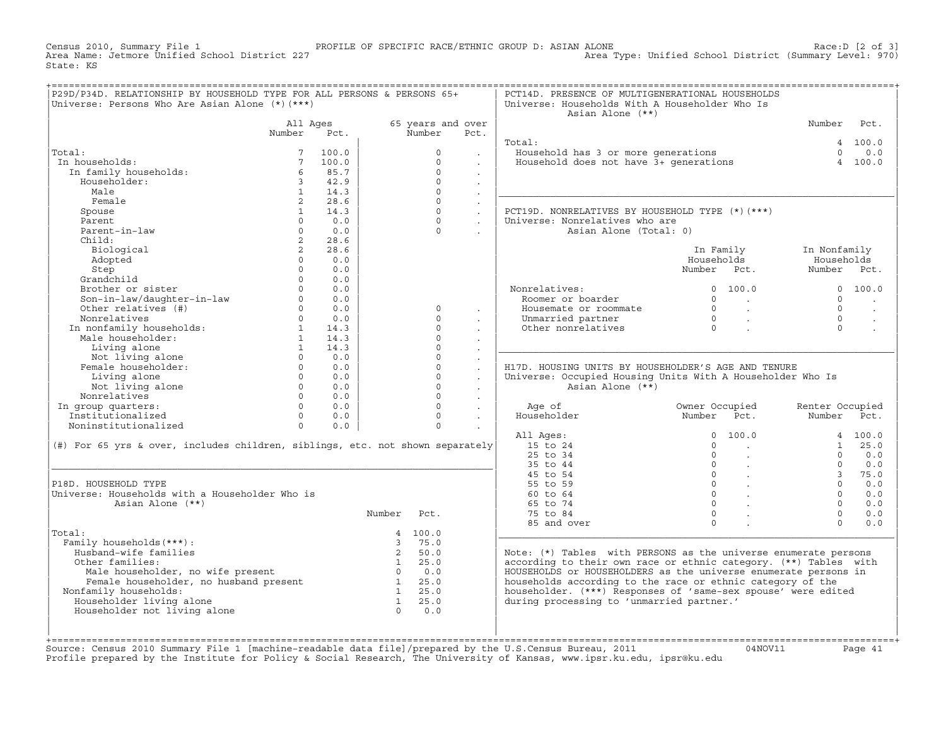Census 2010, Summary File 1 PROFILE OF SPECIFIC RACE/ETHNIC GROUP D: ASIAN ALONE Race:D [2 of 3] Area Type: Unified School District (Summary Level: 970) State: KS

| P29D/P34D. RELATIONSHIP BY HOUSEHOLD TYPE FOR ALL PERSONS & PERSONS 65+<br>Universe: Persons Who Are Asian Alone (*) (***)                                                                                             |                                  |                          |                |                      |                                | PCT14D. PRESENCE OF MULTIGENERATIONAL HOUSEHOLDS<br>Universe: Households With A Householder Who Is<br>Asian Alone (**) |                                                    |                                                       |                            |                          |
|------------------------------------------------------------------------------------------------------------------------------------------------------------------------------------------------------------------------|----------------------------------|--------------------------|----------------|----------------------|--------------------------------|------------------------------------------------------------------------------------------------------------------------|----------------------------------------------------|-------------------------------------------------------|----------------------------|--------------------------|
|                                                                                                                                                                                                                        | All Ages                         |                          |                | 65 years and over    |                                |                                                                                                                        |                                                    |                                                       | Number                     | Pct.                     |
|                                                                                                                                                                                                                        | Number                           | Pct.                     |                | Number               | Pct.                           |                                                                                                                        |                                                    |                                                       |                            |                          |
|                                                                                                                                                                                                                        |                                  |                          |                |                      |                                | Total:                                                                                                                 |                                                    |                                                       |                            | 4 100.0                  |
| Total:                                                                                                                                                                                                                 |                                  | 100.0                    |                | $\circ$              | $\sim$                         | Household has 3 or more generations<br>Household does not have 3+ generations                                          |                                                    |                                                       | $\Omega$                   | 0.0                      |
| In households:                                                                                                                                                                                                         | $7\overline{ }$                  | 100.0                    |                | $\Omega$             |                                |                                                                                                                        |                                                    |                                                       |                            | 4 100.0                  |
| In family households:                                                                                                                                                                                                  | 6                                | 85.7                     |                | $\Omega$             | $\ddot{\phantom{a}}$           |                                                                                                                        |                                                    |                                                       |                            |                          |
| Householder:                                                                                                                                                                                                           | $3^{\circ}$                      | 42.9                     |                | $\Omega$             | $\sim$                         |                                                                                                                        |                                                    |                                                       |                            |                          |
| Male                                                                                                                                                                                                                   | 1                                | 14.3                     |                | $\cap$               | $\mathbf{r}$                   |                                                                                                                        |                                                    |                                                       |                            |                          |
| Female                                                                                                                                                                                                                 | $2^{\circ}$                      | 28.6                     |                | $\Omega$<br>$\Omega$ | $\mathbb{Z}^2$                 |                                                                                                                        |                                                    |                                                       |                            |                          |
| Spouse                                                                                                                                                                                                                 | 1<br>$\Omega$                    | 14.3<br>0.0              |                | $\Omega$             | $\ddot{\phantom{0}}$           | PCT19D. NONRELATIVES BY HOUSEHOLD TYPE (*)(***)                                                                        |                                                    |                                                       |                            |                          |
| Parent<br>Parent-in-law                                                                                                                                                                                                |                                  | 0.0                      |                | $\Omega$             | $\ddot{\phantom{a}}$           | Universe: Nonrelatives who are                                                                                         |                                                    |                                                       |                            |                          |
| Child:                                                                                                                                                                                                                 | $\circ$                          |                          |                |                      |                                | Asian Alone (Total: 0)                                                                                                 |                                                    |                                                       |                            |                          |
|                                                                                                                                                                                                                        | $\overline{2}$<br>$\overline{2}$ | 28.6<br>28.6             |                |                      |                                |                                                                                                                        |                                                    |                                                       |                            |                          |
| Biological                                                                                                                                                                                                             | $\Omega$                         | 0.0                      |                |                      |                                |                                                                                                                        | Households                                         | In Family                                             | In Nonfamily<br>Households |                          |
| Adopted                                                                                                                                                                                                                | $\Omega$                         |                          |                |                      |                                |                                                                                                                        | Number Pct.                                        |                                                       | Number Pct.                |                          |
| Step<br>Grandchild                                                                                                                                                                                                     | $0 \qquad \qquad$                | 0.0<br>0.0               |                |                      |                                |                                                                                                                        |                                                    |                                                       |                            |                          |
| Brother or sister                                                                                                                                                                                                      | $\Omega$                         | 0.0                      |                |                      |                                | Nonrelatives:                                                                                                          |                                                    | 0 100.0                                               |                            | 0 100.0                  |
|                                                                                                                                                                                                                        |                                  | $0 \qquad \qquad$<br>0.0 |                |                      |                                | Roomer or boarder                                                                                                      | $\Omega$                                           | $\sim$ $\sim$ $\sim$                                  | $\Omega$                   |                          |
| Son-in-law/daughter-in-law<br>Other relatives (#)                                                                                                                                                                      |                                  | $0 \qquad \qquad$<br>0.0 |                | $\Omega$             |                                | Housemate or roommate                                                                                                  |                                                    | $\begin{array}{ccccccccccccc}\n0 & & & \end{array}$ . | $\Omega$                   | $\overline{\phantom{a}}$ |
| Nonrelatives                                                                                                                                                                                                           |                                  | $0 \t 0.0$               |                | $\cap$               |                                |                                                                                                                        |                                                    |                                                       | $\cap$                     | $\ddot{\phantom{a}}$     |
| Nonrelatives<br>In nonfamily households:<br>Male householder:                                                                                                                                                          |                                  | 1 14.3                   |                | $\Omega$             |                                | Unmarried partner<br>Other nonrelatives                                                                                | $\begin{matrix} 0 & & \cdot \\ & & 0 \end{matrix}$ |                                                       | $\Omega$                   |                          |
|                                                                                                                                                                                                                        | $\mathbf{1}$                     | 14.3                     |                | $\Omega$             | $\sim$                         |                                                                                                                        |                                                    |                                                       |                            |                          |
| Living alone                                                                                                                                                                                                           | 1                                | 14.3                     |                | $\Omega$             | $\sim$<br>$\ddot{\phantom{0}}$ |                                                                                                                        |                                                    |                                                       |                            |                          |
| Not living alone                                                                                                                                                                                                       | $\Omega$                         | 0.0                      |                | $\Omega$             |                                |                                                                                                                        |                                                    |                                                       |                            |                          |
| Female householder:                                                                                                                                                                                                    | $\Omega$                         | 0.0                      |                | $\Omega$             | $\ddot{\phantom{a}}$           | H17D. HOUSING UNITS BY HOUSEHOLDER'S AGE AND TENURE                                                                    |                                                    |                                                       |                            |                          |
| Living alone                                                                                                                                                                                                           |                                  | $0 \qquad \qquad$<br>0.0 |                | $\Omega$             | $\ddot{\phantom{0}}$           | Universe: Occupied Housing Units With A Householder Who Is                                                             |                                                    |                                                       |                            |                          |
| Not living alone                                                                                                                                                                                                       |                                  | $0 \t 0.0$               |                | $\Omega$             | $\mathbf{r}$                   | Asian Alone (**)                                                                                                       |                                                    |                                                       |                            |                          |
| Nonrelatives                                                                                                                                                                                                           |                                  | $\Omega$<br>0.0          |                | $\Omega$             |                                |                                                                                                                        |                                                    |                                                       |                            |                          |
| In group quarters:                                                                                                                                                                                                     |                                  | $\Omega$<br>0.0          |                | $\Omega$             | $\sim$<br>$\mathcal{L}^{\pm}$  | Age of                                                                                                                 |                                                    | Owner Occupied                                        | Renter Occupied            |                          |
| Institutionalized                                                                                                                                                                                                      | $\Omega$                         | 0.0                      |                | $\Omega$             | $\ddot{\phantom{a}}$           | Householder                                                                                                            | Number                                             | Pct.                                                  | Number Pct.                |                          |
| Noninstitutionalized                                                                                                                                                                                                   | $0 \qquad \qquad$                | 0.0                      |                | $\Omega$             |                                |                                                                                                                        |                                                    |                                                       |                            |                          |
|                                                                                                                                                                                                                        |                                  |                          |                |                      |                                | All Ages:                                                                                                              | $\Omega$                                           | 100.0                                                 |                            | 4 100.0                  |
| (#) For 65 yrs & over, includes children, siblings, etc. not shown separately                                                                                                                                          |                                  |                          |                |                      |                                | 15 to 24                                                                                                               | $\Omega$                                           | $\sim 100$ km s $^{-1}$                               |                            | 1 25.0                   |
|                                                                                                                                                                                                                        |                                  |                          |                |                      |                                | 25 to 34                                                                                                               | $\mathbb O$                                        |                                                       | $\Omega$                   | 0.0                      |
|                                                                                                                                                                                                                        |                                  |                          |                |                      |                                | 35 to 44                                                                                                               | $\overline{0}$                                     |                                                       | $\cap$                     | 0.0                      |
|                                                                                                                                                                                                                        |                                  |                          |                |                      |                                | 45 to 54                                                                                                               |                                                    | $\overline{0}$ .                                      | 3 <sup>7</sup>             | 75.0                     |
| P18D. HOUSEHOLD TYPE                                                                                                                                                                                                   |                                  |                          |                |                      |                                | 55 to 59                                                                                                               |                                                    | $\overline{0}$ .                                      | $\cap$                     | 0.0                      |
| Universe: Households with a Householder Who is                                                                                                                                                                         |                                  |                          |                |                      |                                | $60 \text{ to } 64$                                                                                                    |                                                    | $\begin{matrix} 0 & 0 \\ 0 & 0 \\ 0 & 0 \end{matrix}$ | $\Omega$                   | 0.0                      |
| Asian Alone (**)                                                                                                                                                                                                       |                                  |                          |                |                      |                                | 65 to 74                                                                                                               | $\Omega$                                           |                                                       | $\Omega$                   | 0.0                      |
|                                                                                                                                                                                                                        |                                  |                          | Number         | Pct.                 |                                | 75 to 84                                                                                                               | $\Omega$                                           |                                                       | $\cap$                     | 0.0                      |
|                                                                                                                                                                                                                        |                                  |                          |                |                      |                                | 85 and over                                                                                                            | $\Omega$                                           |                                                       | $\Omega$                   | 0.0                      |
| Total:                                                                                                                                                                                                                 |                                  |                          |                | 4 100.0              |                                |                                                                                                                        |                                                    |                                                       |                            |                          |
| Family households (***) :                                                                                                                                                                                              |                                  |                          | $\overline{3}$ | 75.0                 |                                |                                                                                                                        |                                                    |                                                       |                            |                          |
| Husband-wife families                                                                                                                                                                                                  |                                  |                          | $\overline{2}$ | 50.0                 |                                | Note: $(*)$ Tables with PERSONS as the universe enumerate persons                                                      |                                                    |                                                       |                            |                          |
| Other families:                                                                                                                                                                                                        |                                  |                          |                | $1 \t 25.0$          |                                | according to their own race or ethnic category. (**) Tables with                                                       |                                                    |                                                       |                            |                          |
|                                                                                                                                                                                                                        |                                  |                          |                |                      |                                | HOUSEHOLDS or HOUSEHOLDERS as the universe enumerate persons in                                                        |                                                    |                                                       |                            |                          |
|                                                                                                                                                                                                                        |                                  |                          |                |                      |                                | households according to the race or ethnic category of the                                                             |                                                    |                                                       |                            |                          |
| Nonfamily households:                                                                                                                                                                                                  |                                  |                          |                |                      |                                | householder. (***) Responses of 'same-sex spouse' were edited                                                          |                                                    |                                                       |                            |                          |
| $\frac{1}{25.0}$<br>Female householder, no husband present<br>$\frac{1}{25.0}$<br>$\frac{1}{1}$ 25.0<br>$\frac{1}{25.0}$<br>$\frac{1}{1}$ 25.0<br>$\frac{1}{1}$ 25.0<br>$\frac{1}{1}$ 25.0<br>Householder living alone |                                  |                          |                |                      |                                | during processing to 'unmarried partner.'                                                                              |                                                    |                                                       |                            |                          |
| Householder not living alone                                                                                                                                                                                           |                                  |                          | $\bigcap$      | 0.0                  |                                |                                                                                                                        |                                                    |                                                       |                            |                          |
|                                                                                                                                                                                                                        |                                  |                          |                |                      |                                |                                                                                                                        |                                                    |                                                       |                            |                          |
|                                                                                                                                                                                                                        |                                  |                          |                |                      |                                |                                                                                                                        |                                                    |                                                       |                            |                          |

Source: Census 2010 Summary File 1 [machine-readable data file]/prepared by the U.S.Census Bureau, 2011 Page 41<br>Profile prepared by the Institute for Policy & Social Research, The University of Kansas, www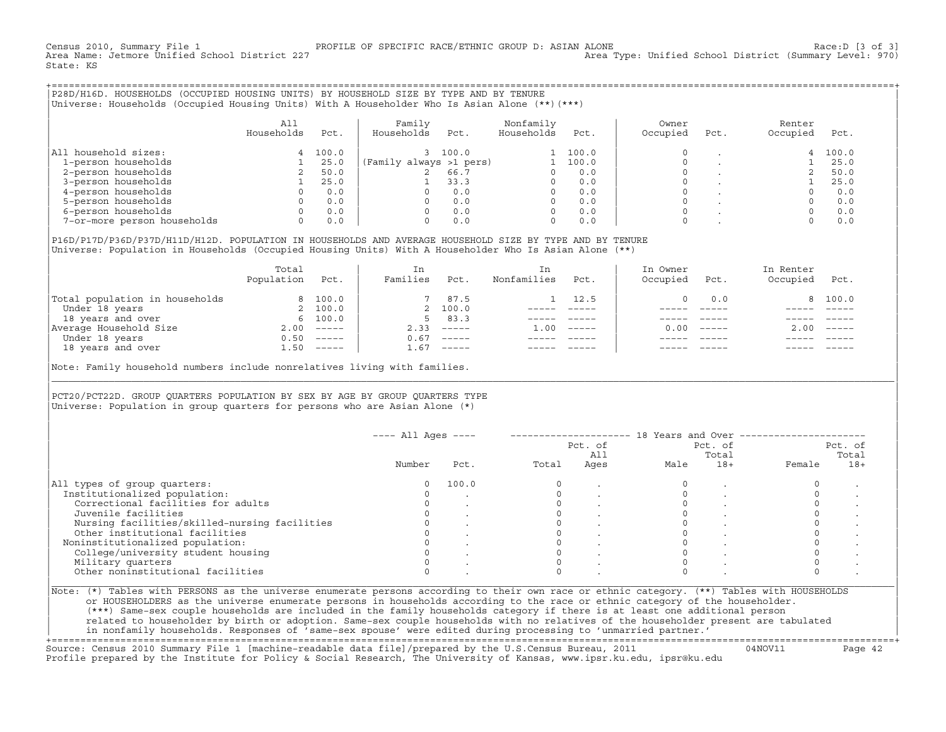Census 2010, Summary File 1 [3 of 3] PROFILE OF SPECIFIC RACE/ETHNIC GROUP D: ASIAN ALONE RACE: D [3 of 3]<br>Area Name: Jetmore Unified School District 227 Area Type: Unified School District (Summary Level: 970) State: KS

+===================================================================================================================================================+|P28D/H16D. HOUSEHOLDS (OCCUPIED HOUSING UNITS) BY HOUSEHOLD SIZE BY TYPE AND BY TENURE | |Universe: Households (Occupied Housing Units) With A Householder Who Is Asian Alone (\*\*)(\*\*\*) |

|                             | All<br>Households | Pct.  | Family<br>Households    | Pct.  | Nonfamily<br>Households | Pct.  | Owner<br>Occupied | Pct. | Renter<br>Occupied | Pct.  |  |
|-----------------------------|-------------------|-------|-------------------------|-------|-------------------------|-------|-------------------|------|--------------------|-------|--|
| All household sizes:        |                   | 100.0 |                         | 100.0 |                         | 100.0 |                   |      |                    | 100.0 |  |
| 1-person households         |                   | 25.0  | (Family always >1 pers) |       |                         | 100.0 |                   |      |                    | 25.0  |  |
| 2-person households         |                   | 50.0  |                         | 66.7  |                         | 0.0   |                   |      |                    | 50.0  |  |
| 3-person households         |                   | 25.0  |                         | 33.3  |                         | 0.0   |                   |      |                    | 25.0  |  |
| 4-person households         |                   | 0.0   |                         | 0.0   |                         | 0.0   |                   |      |                    | 0.0   |  |
| 5-person households         |                   | 0.0   |                         | 0.0   |                         | 0.0   |                   |      |                    | 0.0   |  |
| 6-person households         |                   | 0.0   |                         | 0.0   |                         | 0.0   |                   |      |                    | 0.0   |  |
| 7-or-more person households |                   | 0.0   |                         | 0.0   |                         | 0.0   |                   |      |                    | 0.0   |  |

| | |P16D/P17D/P36D/P37D/H11D/H12D. POPULATION IN HOUSEHOLDS AND AVERAGE HOUSEHOLD SIZE BY TYPE AND BY TENURE | Universe: Population in Households (Occupied Housing Units) With A Householder Who Is Asian Alone (\*\*)

|                                | Total<br>Population | Pct.     | In<br>Families | Pct.     | In<br>Nonfamilies | Pct.     | In Owner<br>Occupied | Pct.          | In Renter<br>Occupied | Pct.     |  |
|--------------------------------|---------------------|----------|----------------|----------|-------------------|----------|----------------------|---------------|-----------------------|----------|--|
| Total population in households |                     | 8 100.0  |                | 7 87.5   |                   | 12.5     |                      | 0.0           |                       | 8 100.0  |  |
| Under 18 years                 |                     | 2 100.0  |                | 2 100.0  |                   |          |                      |               |                       |          |  |
| 18 years and over              |                     | 6 100.0  | 5.             | 83.3     |                   |          |                      |               |                       |          |  |
| Average Household Size         | 2.00                | $------$ | 2.33           | $------$ | 1.00              | $------$ | 0.00                 | $- - - - - -$ | 2.00                  | $------$ |  |
| Under 18 years                 | 0.50                | $------$ | 0.67           | $------$ |                   |          |                      |               |                       |          |  |
| 18 years and over              | 1.50                | ------   | 1.67           | $------$ |                   |          |                      |               |                       | $------$ |  |
|                                |                     |          |                |          |                   |          |                      |               |                       |          |  |

Note: Family household numbers include nonrelatives living with families.

| | PCT20/PCT22D. GROUP OUARTERS POPULATION BY SEX BY AGE BY GROUP OUARTERS TYPE Universe: Population in group quarters for persons who are Asian Alone  $(*)$ 

|                                               |        |       |       | Pct. of<br>All |      | Pct. of<br>Total |        | Pct. of<br>Total |
|-----------------------------------------------|--------|-------|-------|----------------|------|------------------|--------|------------------|
|                                               | Number | Pct.  | Total | Ages           | Male | $18+$            | Female | $18+$            |
| All types of group quarters:                  | 0      | 100.0 |       |                |      |                  |        |                  |
| Institutionalized population:                 |        |       |       |                |      |                  |        |                  |
| Correctional facilities for adults            |        |       |       |                |      |                  |        |                  |
| Juvenile facilities                           |        |       |       |                |      |                  |        |                  |
| Nursing facilities/skilled-nursing facilities |        |       |       |                |      |                  |        |                  |
| Other institutional facilities                |        |       |       |                |      |                  |        |                  |
| Noninstitutionalized population:              |        |       |       |                |      |                  |        |                  |
| College/university student housing            |        |       |       |                |      |                  |        |                  |
| Military quarters                             |        |       |       |                |      |                  |        |                  |
| Other noninstitutional facilities             |        |       |       |                |      |                  |        |                  |

|\_\_\_\_\_\_\_\_\_\_\_\_\_\_\_\_\_\_\_\_\_\_\_\_\_\_\_\_\_\_\_\_\_\_\_\_\_\_\_\_\_\_\_\_\_\_\_\_\_\_\_\_\_\_\_\_\_\_\_\_\_\_\_\_\_\_\_\_\_\_\_\_\_\_\_\_\_\_\_\_\_\_\_\_\_\_\_\_\_\_\_\_\_\_\_\_\_\_\_\_\_\_\_\_\_\_\_\_\_\_\_\_\_\_\_\_\_\_\_\_\_\_\_\_\_\_\_\_\_\_\_\_\_\_\_\_\_\_\_\_\_\_\_\_\_\_\_|

| |

or HOUSEHOLDERS as the universe enumerate persons in households according to the race or ethnic category of the householder. | (\*\*\*) Same−sex couple households are included in the family households category if there is at least one additional person | | related to householder by birth or adoption. Same−sex couple households with no relatives of the householder present are tabulated | | in nonfamily households. Responses of 'same−sex spouse' were edited during processing to 'unmarried partner.' |

+===================================================================================================================================================+ Source: Census 2010 Summary File 1 [machine−readable data file]/prepared by the U.S.Census Bureau, 2011 04NOV11 Page 42 Profile prepared by the Institute for Policy & Social Research, The University of Kansas, www.ipsr.ku.edu, ipsr@ku.edu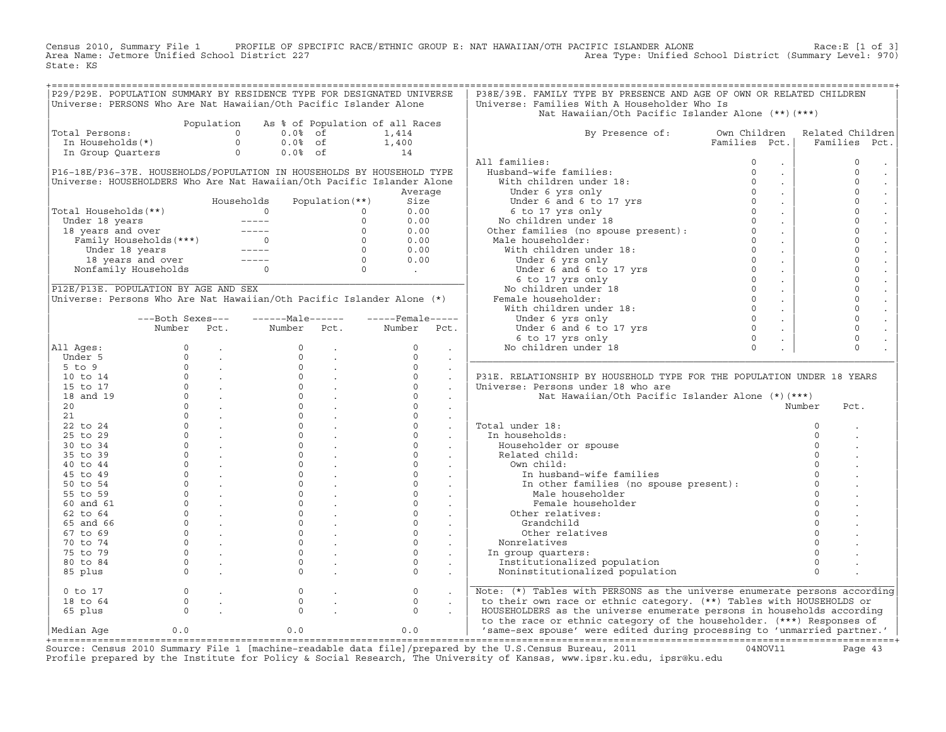Census 2010, Summary File 1 PROFILE OF SPECIFIC RACE/ETHNIC GROUP E: NAT HAWAIIAN/OTH PACIFIC ISLANDER ALONE<br>Area Name: Jetmore Unified School District 227 Area Type: Unified School Dist State: KS

|                                                                       |                            |            |                                                                                                                                                                                                                            |                                                                         | P29/P29E. POPULATION SUMMARY BY RESIDENCE TYPE FOR DESIGNATED UNIVERSE                  | P38E/39E. FAMILY TYPE BY PRESENCE AND AGE OF OWN OR RELATED CHILDREN                                                                                                                                                                               |                             |                  |
|-----------------------------------------------------------------------|----------------------------|------------|----------------------------------------------------------------------------------------------------------------------------------------------------------------------------------------------------------------------------|-------------------------------------------------------------------------|-----------------------------------------------------------------------------------------|----------------------------------------------------------------------------------------------------------------------------------------------------------------------------------------------------------------------------------------------------|-----------------------------|------------------|
| Universe: PERSONS Who Are Nat Hawaiian/Oth Pacific Islander Alone     |                            |            |                                                                                                                                                                                                                            |                                                                         |                                                                                         | Universe: Families With A Householder Who Is                                                                                                                                                                                                       |                             |                  |
|                                                                       |                            |            |                                                                                                                                                                                                                            |                                                                         |                                                                                         | Nat Hawaiian/Oth Pacific Islander Alone (**) (***)                                                                                                                                                                                                 |                             |                  |
|                                                                       |                            | Population |                                                                                                                                                                                                                            |                                                                         | As % of Population of all Races                                                         |                                                                                                                                                                                                                                                    |                             |                  |
| Total Persons:                                                        |                            |            | $\circ$<br>$0.0%$ of                                                                                                                                                                                                       |                                                                         | 1,414                                                                                   | By Presence of: Own Children                                                                                                                                                                                                                       |                             | Related Children |
| In Households(*)                                                      |                            |            | $\Omega$<br>$0.0%$ of                                                                                                                                                                                                      |                                                                         |                                                                                         |                                                                                                                                                                                                                                                    | Families Pct.               | Families<br>Pct. |
| In Group Quarters                                                     |                            |            | $\circ$<br>$0.0%$ of                                                                                                                                                                                                       |                                                                         | $1,400$<br>$14$                                                                         |                                                                                                                                                                                                                                                    |                             |                  |
|                                                                       |                            |            |                                                                                                                                                                                                                            |                                                                         |                                                                                         | All families:                                                                                                                                                                                                                                      | $\mathbf 0$<br>$\bullet$    | $\circ$          |
|                                                                       |                            |            |                                                                                                                                                                                                                            |                                                                         | P16-18E/P36-37E. HOUSEHOLDS/POPULATION IN HOUSEHOLDS BY HOUSEHOLD TYPE                  | Husband-wife families:<br>what<br>band-wife families:<br>ith children under 18:<br>Under 6 yrs only<br>Under 6 and 6 to 17 yrs<br>6 to 17 yrs only                                                                                                 | $\circ$<br>$\sim$           | $\circ$          |
|                                                                       |                            |            |                                                                                                                                                                                                                            |                                                                         | Universe: HOUSEHOLDERS Who Are Nat Hawaiian/Oth Pacific Islander Alone                  | With children under 18:                                                                                                                                                                                                                            | $\Omega$<br>$\sim$          | $\circ$          |
|                                                                       |                            |            |                                                                                                                                                                                                                            |                                                                         | Average                                                                                 |                                                                                                                                                                                                                                                    | $\Omega$<br>$\sim$          | $\circ$          |
|                                                                       |                            |            | Households                                                                                                                                                                                                                 | Population $(**)$                                                       | Size                                                                                    |                                                                                                                                                                                                                                                    | $\Omega$<br>$\sim$          | $\mathsf{O}$     |
| Total Households(**)                                                  |                            |            | $\overline{0}$                                                                                                                                                                                                             | $\circ$                                                                 | 0.00                                                                                    |                                                                                                                                                                                                                                                    | $\sim 100$                  | $\mathsf{O}$     |
|                                                                       |                            |            |                                                                                                                                                                                                                            | $\circ$                                                                 | 0.00                                                                                    |                                                                                                                                                                                                                                                    | $\sim$                      | $\circ$          |
|                                                                       |                            |            |                                                                                                                                                                                                                            |                                                                         | 0.00                                                                                    |                                                                                                                                                                                                                                                    | $\sim 10$                   | $\circ$          |
|                                                                       |                            |            |                                                                                                                                                                                                                            |                                                                         | 0.00                                                                                    |                                                                                                                                                                                                                                                    | $\sim 10^{-1}$              | $\circ$          |
|                                                                       |                            |            |                                                                                                                                                                                                                            |                                                                         | 0.00                                                                                    |                                                                                                                                                                                                                                                    | $\sim 100$                  | $\Omega$         |
|                                                                       |                            |            | otal Households(**)<br>Under 18 years and over<br>Tamily Households(***)<br>Tamily Households(***)<br>Under 18 years<br>Tamily Households(***)<br>Tamily Households(***)<br>Tamily Households(**)<br>Tamily Households(**) | $\begin{array}{c} 0 \\ 0 \\ 0 \\ 0 \\ 0 \\ 0 \end{array}$               | 0.00                                                                                    | Under 6 and 5 to 17 yrs only<br>6 to 17 yrs only<br>8 contideren under 18<br>Other families (no spouse present):<br>0<br>Male householder:<br>With children under 18:<br>Under 6 and 6 to 17 yrs<br>6 to 17 yrs only<br>8 contiderent 18<br>Pemale | $\sim 10$                   | $\circ$          |
|                                                                       | Nonfamily Households 0     |            |                                                                                                                                                                                                                            |                                                                         |                                                                                         |                                                                                                                                                                                                                                                    | $\sim$                      | $\mathbf 0$      |
|                                                                       |                            |            |                                                                                                                                                                                                                            |                                                                         | $\mathcal{L}^{\text{max}}_{\text{max}}$ , where $\mathcal{L}^{\text{max}}_{\text{max}}$ |                                                                                                                                                                                                                                                    | $\sim$                      | $\circ$          |
| P12E/P13E. POPULATION BY AGE AND SEX                                  |                            |            |                                                                                                                                                                                                                            |                                                                         |                                                                                         |                                                                                                                                                                                                                                                    | $\sim$                      | $\circ$          |
| Universe: Persons Who Are Nat Hawaiian/Oth Pacific Islander Alone (*) |                            |            |                                                                                                                                                                                                                            |                                                                         |                                                                                         |                                                                                                                                                                                                                                                    | $\sim$                      | $\circ$          |
|                                                                       |                            |            |                                                                                                                                                                                                                            |                                                                         |                                                                                         |                                                                                                                                                                                                                                                    | $\sim$                      | $\mathsf{O}$     |
|                                                                       |                            |            | ------Male------                                                                                                                                                                                                           |                                                                         | $---$ Female -----                                                                      |                                                                                                                                                                                                                                                    |                             | $\mathbf 0$      |
|                                                                       | ---Both Sexes---<br>Number | Pct.       | Number                                                                                                                                                                                                                     | Pct.                                                                    | Number<br>Pct.                                                                          |                                                                                                                                                                                                                                                    | $\sim$                      | $\circ$          |
|                                                                       |                            |            |                                                                                                                                                                                                                            |                                                                         |                                                                                         | Under 6 and 6 to 17 yrs<br>6 to 17 yrs<br>6 to 17 yrs only                                                                                                                                                                                         | $\mathcal{L}^{\mathcal{L}}$ | $\circ$          |
|                                                                       |                            |            | $\Omega$                                                                                                                                                                                                                   |                                                                         | $\Omega$                                                                                |                                                                                                                                                                                                                                                    | $\Omega$                    | $\Omega$         |
| All Ages:                                                             |                            |            |                                                                                                                                                                                                                            |                                                                         |                                                                                         | No children under 18                                                                                                                                                                                                                               |                             |                  |
| Under 5                                                               |                            |            | $\Omega$                                                                                                                                                                                                                   | $\sim$                                                                  | $\Omega$<br>$\sim$                                                                      |                                                                                                                                                                                                                                                    |                             |                  |
| $5$ to $9$                                                            |                            |            | $\circ$                                                                                                                                                                                                                    |                                                                         | $\circ$                                                                                 |                                                                                                                                                                                                                                                    |                             |                  |
| 10 to 14                                                              |                            |            |                                                                                                                                                                                                                            | $\begin{matrix} 0 & & \cdot \\ 0 & & \cdot \\ 0 & & \cdot \end{matrix}$ | $\circ$<br>$\blacksquare$                                                               | P31E. RELATIONSHIP BY HOUSEHOLD TYPE FOR THE POPULATION UNDER 18 YEARS                                                                                                                                                                             |                             |                  |
| 15 to 17                                                              |                            |            |                                                                                                                                                                                                                            |                                                                         | $\circ$                                                                                 | Universe: Persons under 18 who are                                                                                                                                                                                                                 |                             |                  |
| 18 and 19                                                             |                            |            | $\Omega$                                                                                                                                                                                                                   |                                                                         | $\Omega$                                                                                | Nat Hawaiian/Oth Pacific Islander Alone (*)(***)                                                                                                                                                                                                   |                             |                  |
| 20                                                                    |                            |            | $\overline{0}$                                                                                                                                                                                                             |                                                                         | $\circ$                                                                                 |                                                                                                                                                                                                                                                    |                             | Number<br>Pct.   |
| 21                                                                    |                            |            |                                                                                                                                                                                                                            | $\Omega$                                                                | $\Omega$<br>$\cdot$                                                                     |                                                                                                                                                                                                                                                    |                             |                  |
| 22 to 24                                                              |                            |            | $\circ$                                                                                                                                                                                                                    |                                                                         | $\circ$<br>$\ddot{\phantom{a}}$                                                         | Total under 18:                                                                                                                                                                                                                                    |                             | $\circ$          |
| 25 to 29                                                              |                            |            | $\circ$                                                                                                                                                                                                                    |                                                                         | $\circ$<br>$\sim$                                                                       | In households:                                                                                                                                                                                                                                     |                             |                  |
| 30 to 34                                                              |                            |            | $\Omega$                                                                                                                                                                                                                   | $\frac{1}{2}$ .                                                         | $\Omega$                                                                                | Householder or spouse                                                                                                                                                                                                                              |                             |                  |
| 35 to 39                                                              |                            |            | $\circ$                                                                                                                                                                                                                    |                                                                         | $\circ$<br>$\sim$                                                                       | Related child:                                                                                                                                                                                                                                     |                             |                  |
| $40$ to $44$                                                          |                            |            | $\Omega$                                                                                                                                                                                                                   |                                                                         | $\Omega$                                                                                | Own child:                                                                                                                                                                                                                                         |                             |                  |
| 45 to 49                                                              |                            |            | $\mathsf{O}$                                                                                                                                                                                                               |                                                                         | $\circ$                                                                                 | In husband-wife families                                                                                                                                                                                                                           |                             |                  |
| 50 to 54                                                              |                            |            | $\overline{0}$                                                                                                                                                                                                             |                                                                         | $\circ$<br>$\sim$ $-$                                                                   | In other families (no spouse present):                                                                                                                                                                                                             |                             | $\Omega$         |
| 55 to 59                                                              |                            |            | $\circ$                                                                                                                                                                                                                    |                                                                         | $\circ$<br>$\sim 100$ km s $^{-1}$                                                      | Male householder                                                                                                                                                                                                                                   |                             | $\Omega$         |
| 60 and 61                                                             |                            |            | $\circ$                                                                                                                                                                                                                    |                                                                         | $\circ$<br>$\sim$ $-$                                                                   | Female householder                                                                                                                                                                                                                                 |                             |                  |
| $62$ to $64$                                                          |                            |            | $\Omega$                                                                                                                                                                                                                   | $\sim$                                                                  | $\Omega$<br>$\sim$                                                                      | Other relatives:                                                                                                                                                                                                                                   |                             |                  |
| 65 and 66                                                             |                            |            | $\Omega$                                                                                                                                                                                                                   | $\sim 10^{-10}$                                                         | $\Omega$<br>$\sim$                                                                      | Grandchild                                                                                                                                                                                                                                         |                             |                  |
| 67 to 69                                                              |                            |            | $\circ$                                                                                                                                                                                                                    |                                                                         | $\circ$                                                                                 | Other relatives                                                                                                                                                                                                                                    |                             |                  |
| 70 to 74                                                              |                            |            | $\circ$                                                                                                                                                                                                                    |                                                                         | $\circ$                                                                                 | Nonrelatives                                                                                                                                                                                                                                       |                             |                  |
| 75 to 79                                                              |                            |            | $\Omega$                                                                                                                                                                                                                   |                                                                         | $\circ$                                                                                 | In group quarters:                                                                                                                                                                                                                                 |                             |                  |
| 80 to 84                                                              |                            |            | $\Omega$                                                                                                                                                                                                                   |                                                                         | $\circ$<br>$\ddot{\phantom{a}}$                                                         | Institutionalized population                                                                                                                                                                                                                       |                             | $\Omega$         |
| 85 plus                                                               |                            |            | $\Omega$                                                                                                                                                                                                                   |                                                                         | $\Omega$                                                                                | Noninstitutionalized population                                                                                                                                                                                                                    |                             | $\Omega$         |
| $0$ to $17$                                                           | $\circ$                    |            | $\mathbb O$                                                                                                                                                                                                                |                                                                         | $\circ$                                                                                 | Note: (*) Tables with PERSONS as the universe enumerate persons according                                                                                                                                                                          |                             |                  |
| 18 to 64                                                              | $\Omega$                   |            | $\Omega$                                                                                                                                                                                                                   |                                                                         | $\Omega$                                                                                | to their own race or ethnic category. (**) Tables with HOUSEHOLDS or                                                                                                                                                                               |                             |                  |
| 65 plus                                                               | $\Omega$                   |            | $\Omega$                                                                                                                                                                                                                   |                                                                         | $\Omega$                                                                                | HOUSEHOLDERS as the universe enumerate persons in households according                                                                                                                                                                             |                             |                  |
|                                                                       |                            |            |                                                                                                                                                                                                                            |                                                                         |                                                                                         | to the race or ethnic category of the householder. (***) Responses of                                                                                                                                                                              |                             |                  |
| Median Age                                                            | 0.0                        |            | 0.0                                                                                                                                                                                                                        |                                                                         | 0.0                                                                                     | 'same-sex spouse' were edited during processing to 'unmarried partner.'                                                                                                                                                                            |                             |                  |
|                                                                       |                            |            |                                                                                                                                                                                                                            |                                                                         |                                                                                         | Courge, Congue 2010 Summary File 1 [magbine readable data file] (prepared by the H S Congue Bureau 2011                                                                                                                                            |                             |                  |

Source: Census 2010 Summary File 1 [machine-readable data file]/prepared by the U.S.Census Bureau, 2011 Page 43<br>Profile prepared by the Institute for Policy & Social Research, The University of Kansas, www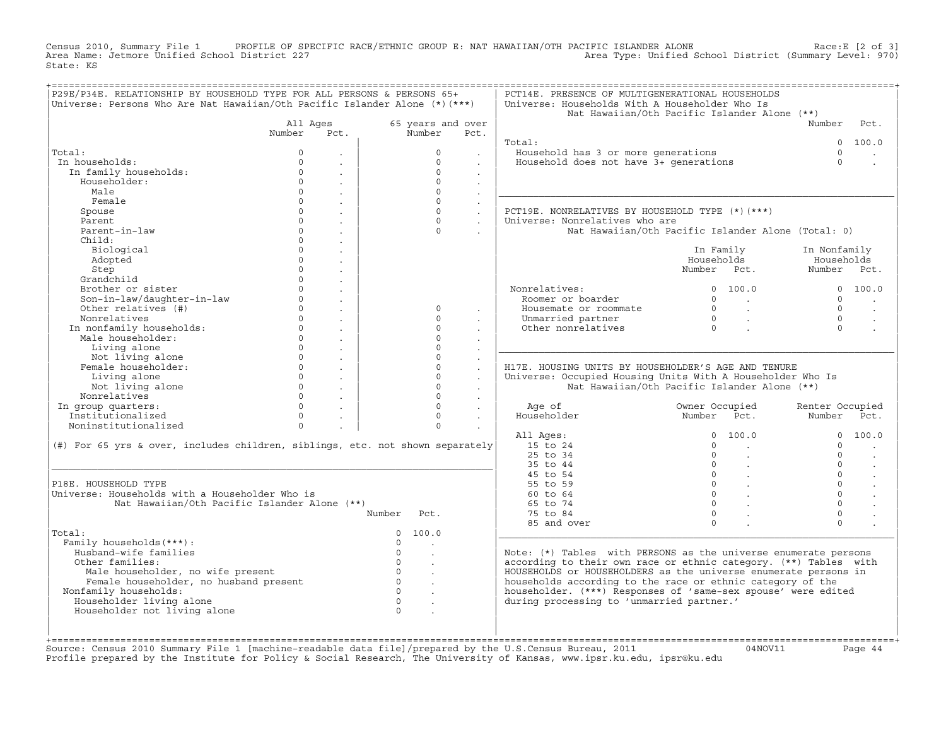Census 2010, Summary File 1 PROFILE OF SPECIFIC RACE/ETHNIC GROUP E: NAT HAWAIIAN/OTH PACIFIC ISLANDER ALONE<br>Area Name: Jetmore Unified School District 227 Area Type: Unified School Distri State: KS

| 65 years and over<br>Number<br>$\Omega$<br>$\Omega$<br>$\Omega$<br>$\Omega$<br>$\Omega$<br>$\Omega$<br>$\Omega$<br>$\Omega$<br>$\Omega$<br>$\Omega$<br>$\Omega$<br>$\Omega$<br>$\Omega$ | Pct.<br>$\sim$<br>$\sim$<br>$\ddot{\phantom{a}}$<br>$\sim$<br>$\sim$<br>$\ddot{\phantom{a}}$<br>$\sim$<br>$\sim$<br>$\sim$<br>$\mathbf{r}$ | Total:<br>Household has 3 or more generations<br>Household does not have 3+ generations<br>PCT19E. NONRELATIVES BY HOUSEHOLD TYPE (*)(***)<br>Universe: Nonrelatives who are<br>Nonrelatives:<br>Roomer or boarder<br>Housemate or roommate<br>Unmarried partner<br>Other nonrelatives | Nat Hawaiian/Oth Pacific Islander Alone (**)<br>Nat Hawaiian/Oth Pacific Islander Alone (Total: 0)<br>In Family<br>Households<br>Number Pct.<br>0 100.0<br>$\begin{array}{ccc} 0 & & \end{array}$<br>$\begin{matrix}0&\ &\ \cdot\ &0&\ \end{matrix}$ | Number<br>$\cap$<br>$\Omega$<br>In Nonfamily<br>Households<br>Number Pct.<br>$\cap$<br>$\Omega$<br>$\Omega$<br>$\Omega$ | Pct.<br>0 100.0<br>0 100.0                                                                                                                                                                                                                                                                                                              |
|-----------------------------------------------------------------------------------------------------------------------------------------------------------------------------------------|--------------------------------------------------------------------------------------------------------------------------------------------|----------------------------------------------------------------------------------------------------------------------------------------------------------------------------------------------------------------------------------------------------------------------------------------|------------------------------------------------------------------------------------------------------------------------------------------------------------------------------------------------------------------------------------------------------|-------------------------------------------------------------------------------------------------------------------------|-----------------------------------------------------------------------------------------------------------------------------------------------------------------------------------------------------------------------------------------------------------------------------------------------------------------------------------------|
|                                                                                                                                                                                         |                                                                                                                                            |                                                                                                                                                                                                                                                                                        |                                                                                                                                                                                                                                                      |                                                                                                                         |                                                                                                                                                                                                                                                                                                                                         |
|                                                                                                                                                                                         |                                                                                                                                            |                                                                                                                                                                                                                                                                                        |                                                                                                                                                                                                                                                      |                                                                                                                         |                                                                                                                                                                                                                                                                                                                                         |
|                                                                                                                                                                                         |                                                                                                                                            |                                                                                                                                                                                                                                                                                        |                                                                                                                                                                                                                                                      |                                                                                                                         |                                                                                                                                                                                                                                                                                                                                         |
|                                                                                                                                                                                         |                                                                                                                                            |                                                                                                                                                                                                                                                                                        |                                                                                                                                                                                                                                                      |                                                                                                                         |                                                                                                                                                                                                                                                                                                                                         |
|                                                                                                                                                                                         |                                                                                                                                            |                                                                                                                                                                                                                                                                                        |                                                                                                                                                                                                                                                      |                                                                                                                         |                                                                                                                                                                                                                                                                                                                                         |
|                                                                                                                                                                                         |                                                                                                                                            |                                                                                                                                                                                                                                                                                        |                                                                                                                                                                                                                                                      |                                                                                                                         |                                                                                                                                                                                                                                                                                                                                         |
|                                                                                                                                                                                         |                                                                                                                                            |                                                                                                                                                                                                                                                                                        |                                                                                                                                                                                                                                                      |                                                                                                                         |                                                                                                                                                                                                                                                                                                                                         |
|                                                                                                                                                                                         |                                                                                                                                            |                                                                                                                                                                                                                                                                                        |                                                                                                                                                                                                                                                      |                                                                                                                         |                                                                                                                                                                                                                                                                                                                                         |
|                                                                                                                                                                                         |                                                                                                                                            |                                                                                                                                                                                                                                                                                        |                                                                                                                                                                                                                                                      |                                                                                                                         |                                                                                                                                                                                                                                                                                                                                         |
|                                                                                                                                                                                         |                                                                                                                                            |                                                                                                                                                                                                                                                                                        |                                                                                                                                                                                                                                                      |                                                                                                                         |                                                                                                                                                                                                                                                                                                                                         |
|                                                                                                                                                                                         |                                                                                                                                            |                                                                                                                                                                                                                                                                                        |                                                                                                                                                                                                                                                      |                                                                                                                         |                                                                                                                                                                                                                                                                                                                                         |
|                                                                                                                                                                                         |                                                                                                                                            |                                                                                                                                                                                                                                                                                        |                                                                                                                                                                                                                                                      |                                                                                                                         |                                                                                                                                                                                                                                                                                                                                         |
|                                                                                                                                                                                         |                                                                                                                                            |                                                                                                                                                                                                                                                                                        |                                                                                                                                                                                                                                                      |                                                                                                                         |                                                                                                                                                                                                                                                                                                                                         |
|                                                                                                                                                                                         |                                                                                                                                            |                                                                                                                                                                                                                                                                                        |                                                                                                                                                                                                                                                      |                                                                                                                         |                                                                                                                                                                                                                                                                                                                                         |
|                                                                                                                                                                                         |                                                                                                                                            |                                                                                                                                                                                                                                                                                        |                                                                                                                                                                                                                                                      |                                                                                                                         |                                                                                                                                                                                                                                                                                                                                         |
|                                                                                                                                                                                         |                                                                                                                                            |                                                                                                                                                                                                                                                                                        |                                                                                                                                                                                                                                                      |                                                                                                                         |                                                                                                                                                                                                                                                                                                                                         |
|                                                                                                                                                                                         |                                                                                                                                            |                                                                                                                                                                                                                                                                                        |                                                                                                                                                                                                                                                      |                                                                                                                         |                                                                                                                                                                                                                                                                                                                                         |
|                                                                                                                                                                                         |                                                                                                                                            |                                                                                                                                                                                                                                                                                        |                                                                                                                                                                                                                                                      |                                                                                                                         |                                                                                                                                                                                                                                                                                                                                         |
|                                                                                                                                                                                         |                                                                                                                                            |                                                                                                                                                                                                                                                                                        |                                                                                                                                                                                                                                                      |                                                                                                                         |                                                                                                                                                                                                                                                                                                                                         |
|                                                                                                                                                                                         |                                                                                                                                            |                                                                                                                                                                                                                                                                                        |                                                                                                                                                                                                                                                      |                                                                                                                         | $\sim$                                                                                                                                                                                                                                                                                                                                  |
|                                                                                                                                                                                         |                                                                                                                                            |                                                                                                                                                                                                                                                                                        |                                                                                                                                                                                                                                                      |                                                                                                                         |                                                                                                                                                                                                                                                                                                                                         |
|                                                                                                                                                                                         |                                                                                                                                            |                                                                                                                                                                                                                                                                                        |                                                                                                                                                                                                                                                      |                                                                                                                         |                                                                                                                                                                                                                                                                                                                                         |
| $\Omega$                                                                                                                                                                                |                                                                                                                                            |                                                                                                                                                                                                                                                                                        |                                                                                                                                                                                                                                                      |                                                                                                                         |                                                                                                                                                                                                                                                                                                                                         |
| $\Omega$                                                                                                                                                                                |                                                                                                                                            |                                                                                                                                                                                                                                                                                        |                                                                                                                                                                                                                                                      |                                                                                                                         |                                                                                                                                                                                                                                                                                                                                         |
| $\Omega$                                                                                                                                                                                |                                                                                                                                            | H17E. HOUSING UNITS BY HOUSEHOLDER'S AGE AND TENURE                                                                                                                                                                                                                                    |                                                                                                                                                                                                                                                      |                                                                                                                         |                                                                                                                                                                                                                                                                                                                                         |
| $\Omega$                                                                                                                                                                                | $\mathbf{r}$<br>$\ddot{\phantom{a}}$                                                                                                       | Universe: Occupied Housing Units With A Householder Who Is                                                                                                                                                                                                                             |                                                                                                                                                                                                                                                      |                                                                                                                         |                                                                                                                                                                                                                                                                                                                                         |
| $\Omega$                                                                                                                                                                                | $\sim$                                                                                                                                     |                                                                                                                                                                                                                                                                                        | Nat Hawaiian/Oth Pacific Islander Alone (**)                                                                                                                                                                                                         |                                                                                                                         |                                                                                                                                                                                                                                                                                                                                         |
| $\Omega$                                                                                                                                                                                | $\ddot{\phantom{0}}$                                                                                                                       |                                                                                                                                                                                                                                                                                        |                                                                                                                                                                                                                                                      |                                                                                                                         |                                                                                                                                                                                                                                                                                                                                         |
| $\Omega$                                                                                                                                                                                | $\sim$                                                                                                                                     | Age of                                                                                                                                                                                                                                                                                 | Owner Occupied                                                                                                                                                                                                                                       | Renter Occupied                                                                                                         |                                                                                                                                                                                                                                                                                                                                         |
| $\Omega$                                                                                                                                                                                | $\sim$                                                                                                                                     | Householder                                                                                                                                                                                                                                                                            | Number Pct.                                                                                                                                                                                                                                          | Number Pct.                                                                                                             |                                                                                                                                                                                                                                                                                                                                         |
| $\Omega$                                                                                                                                                                                |                                                                                                                                            |                                                                                                                                                                                                                                                                                        |                                                                                                                                                                                                                                                      |                                                                                                                         |                                                                                                                                                                                                                                                                                                                                         |
|                                                                                                                                                                                         |                                                                                                                                            | All Ages:                                                                                                                                                                                                                                                                              | 0 100.0                                                                                                                                                                                                                                              |                                                                                                                         | 0 100.0                                                                                                                                                                                                                                                                                                                                 |
| (#) For 65 yrs & over, includes children, siblings, etc. not shown separately                                                                                                           |                                                                                                                                            | 15 to 24                                                                                                                                                                                                                                                                               | $\Omega$<br><b>Contract Contract</b>                                                                                                                                                                                                                 | $\cap$                                                                                                                  |                                                                                                                                                                                                                                                                                                                                         |
|                                                                                                                                                                                         |                                                                                                                                            | 25 to 34                                                                                                                                                                                                                                                                               | $\Omega$                                                                                                                                                                                                                                             | $\cap$                                                                                                                  |                                                                                                                                                                                                                                                                                                                                         |
|                                                                                                                                                                                         |                                                                                                                                            | 35 to 44                                                                                                                                                                                                                                                                               | $0 \qquad \qquad .$                                                                                                                                                                                                                                  | $\cap$                                                                                                                  | $\ddot{\phantom{a}}$                                                                                                                                                                                                                                                                                                                    |
|                                                                                                                                                                                         |                                                                                                                                            | 45 to 54                                                                                                                                                                                                                                                                               | $\begin{matrix} 0 & \cdots & \cdots \end{matrix}$                                                                                                                                                                                                    | $\Omega$                                                                                                                | $\ddot{\phantom{a}}$                                                                                                                                                                                                                                                                                                                    |
|                                                                                                                                                                                         |                                                                                                                                            | 55 to 59                                                                                                                                                                                                                                                                               | $\begin{array}{ccc} & & & \\ & & & \end{array}$                                                                                                                                                                                                      | $\Omega$                                                                                                                |                                                                                                                                                                                                                                                                                                                                         |
|                                                                                                                                                                                         |                                                                                                                                            | 60 to 64                                                                                                                                                                                                                                                                               | $\begin{matrix} 0 & \cdots & \cdots \end{matrix}$                                                                                                                                                                                                    | $\Omega$                                                                                                                |                                                                                                                                                                                                                                                                                                                                         |
|                                                                                                                                                                                         |                                                                                                                                            | 65 to 74                                                                                                                                                                                                                                                                               | $0 \qquad \qquad$                                                                                                                                                                                                                                    | $\Omega$                                                                                                                |                                                                                                                                                                                                                                                                                                                                         |
| Number<br>Pct.                                                                                                                                                                          |                                                                                                                                            | 75 to 84                                                                                                                                                                                                                                                                               | $\Omega$                                                                                                                                                                                                                                             | $\Omega$                                                                                                                |                                                                                                                                                                                                                                                                                                                                         |
|                                                                                                                                                                                         |                                                                                                                                            | 85 and over                                                                                                                                                                                                                                                                            | $\Omega$                                                                                                                                                                                                                                             | $\Omega$                                                                                                                |                                                                                                                                                                                                                                                                                                                                         |
| 100.0<br>$\Omega$                                                                                                                                                                       |                                                                                                                                            |                                                                                                                                                                                                                                                                                        |                                                                                                                                                                                                                                                      |                                                                                                                         |                                                                                                                                                                                                                                                                                                                                         |
|                                                                                                                                                                                         |                                                                                                                                            |                                                                                                                                                                                                                                                                                        |                                                                                                                                                                                                                                                      |                                                                                                                         |                                                                                                                                                                                                                                                                                                                                         |
| $\Omega$<br><b>Contract</b>                                                                                                                                                             |                                                                                                                                            |                                                                                                                                                                                                                                                                                        |                                                                                                                                                                                                                                                      |                                                                                                                         |                                                                                                                                                                                                                                                                                                                                         |
| $\sim$                                                                                                                                                                                  |                                                                                                                                            |                                                                                                                                                                                                                                                                                        |                                                                                                                                                                                                                                                      |                                                                                                                         |                                                                                                                                                                                                                                                                                                                                         |
|                                                                                                                                                                                         |                                                                                                                                            |                                                                                                                                                                                                                                                                                        |                                                                                                                                                                                                                                                      |                                                                                                                         |                                                                                                                                                                                                                                                                                                                                         |
|                                                                                                                                                                                         |                                                                                                                                            |                                                                                                                                                                                                                                                                                        |                                                                                                                                                                                                                                                      |                                                                                                                         |                                                                                                                                                                                                                                                                                                                                         |
|                                                                                                                                                                                         |                                                                                                                                            |                                                                                                                                                                                                                                                                                        |                                                                                                                                                                                                                                                      |                                                                                                                         |                                                                                                                                                                                                                                                                                                                                         |
| $\sim$                                                                                                                                                                                  |                                                                                                                                            |                                                                                                                                                                                                                                                                                        |                                                                                                                                                                                                                                                      |                                                                                                                         |                                                                                                                                                                                                                                                                                                                                         |
| $\mathcal{L}^{\mathcal{L}}$                                                                                                                                                             |                                                                                                                                            |                                                                                                                                                                                                                                                                                        |                                                                                                                                                                                                                                                      |                                                                                                                         |                                                                                                                                                                                                                                                                                                                                         |
|                                                                                                                                                                                         |                                                                                                                                            |                                                                                                                                                                                                                                                                                        |                                                                                                                                                                                                                                                      |                                                                                                                         |                                                                                                                                                                                                                                                                                                                                         |
|                                                                                                                                                                                         | $\circ$<br>$\begin{array}{ccccccc}\n0 & & & \end{array}$<br>$\begin{array}{ccc} & & & \\ & & & \end{array}$<br>$\Omega$                    |                                                                                                                                                                                                                                                                                        |                                                                                                                                                                                                                                                      | $\Omega$<br>during processing to 'unmarried partner.'<br>$\overline{a}$                                                 | Note: $(*)$ Tables with PERSONS as the universe enumerate persons<br>according to their own race or ethnic category. (**) Tables with<br>HOUSEHOLDS or HOUSEHOLDERS as the universe enumerate persons in<br>households according to the race or ethnic category of the<br>householder. (***) Responses of 'same-sex spouse' were edited |

+===================================================================================================================================================+Source: Census 2010 Summary File 1 [machine−readable data file]/prepared by the U.S.Census Bureau, 2011 04NOV11 Page 44 Profile prepared by the Institute for Policy & Social Research, The University of Kansas, www.ipsr.ku.edu, ipsr@ku.edu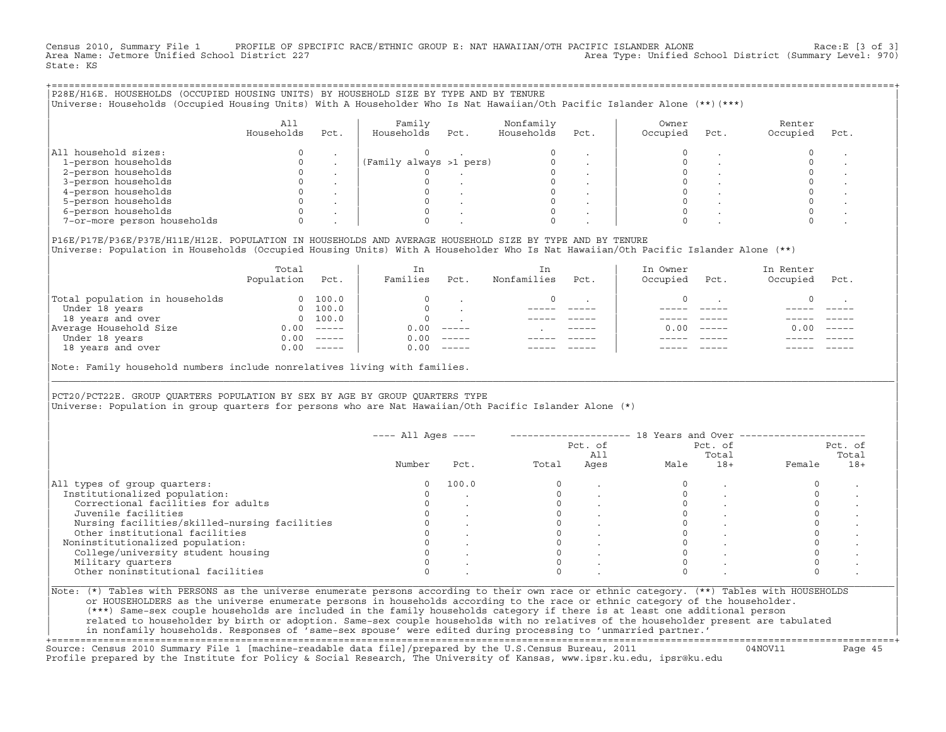Census 2010, Summary File 1 PROFILE OF SPECIFIC RACE/ETHNIC GROUP E: NAT HAWAIIAN/OTH PACIFIC ISLANDER ALONE Race:E [3 of 3]<br>Area Name: Jetmore Unified School District 227 Area Type: Unified School District (Summary Level: 970) State: KS

| P28E/H16E. HOUSEHOLDS (OCCUPIED HOUSING UNITS) BY HOUSEHOLD SIZE BY TYPE AND BY TENURE<br>Universe: Households (Occupied Housing Units) With A Householder Who Is Nat Hawaiian/Oth Pacific Islander Alone (**)(***) |                   |      |                         |      |                         |      |                   |      |                    |      |  |
|---------------------------------------------------------------------------------------------------------------------------------------------------------------------------------------------------------------------|-------------------|------|-------------------------|------|-------------------------|------|-------------------|------|--------------------|------|--|
|                                                                                                                                                                                                                     | All<br>Households | Pct. | Family<br>Households    | Pct. | Nonfamily<br>Households | Pct. | Owner<br>Occupied | Pct. | Renter<br>Occupied | Pct. |  |
| All household sizes:                                                                                                                                                                                                |                   |      |                         |      |                         |      |                   |      |                    |      |  |
| 1-person households                                                                                                                                                                                                 |                   |      | (Family always >1 pers) |      |                         |      |                   |      |                    |      |  |
| 2-person households                                                                                                                                                                                                 |                   |      |                         |      |                         |      |                   |      |                    |      |  |
| 3-person households                                                                                                                                                                                                 |                   |      |                         |      |                         |      |                   |      |                    |      |  |
| 4-person households                                                                                                                                                                                                 |                   |      |                         |      |                         |      |                   |      |                    |      |  |
| 5-person households                                                                                                                                                                                                 |                   |      |                         |      |                         |      |                   |      |                    |      |  |
| 6-person households                                                                                                                                                                                                 |                   |      |                         |      |                         |      |                   |      |                    |      |  |
| 7-or-more person households                                                                                                                                                                                         |                   |      |                         |      |                         |      |                   |      |                    |      |  |
|                                                                                                                                                                                                                     |                   |      |                         |      |                         |      |                   |      |                    |      |  |

|P16E/P17E/P36E/P37E/H11E/H12E. POPULATION IN HOUSEHOLDS AND AVERAGE HOUSEHOLD SIZE BY TYPE AND BY TENURE | |Universe: Population in Households (Occupied Housing Units) With A Householder Who Is Nat Hawaiian/Oth Pacific Islander Alone (\*\*) |

|                                | Total<br>Population | Pct.                                                                                                                                                                                                                                                                                                                                                                                                                                                                                 | In<br>Families | Pct.     | In.<br>Nonfamilies | Pct.          | In Owner<br>Occupied | Pct.          | In Renter<br>Occupied | Pct.     |  |
|--------------------------------|---------------------|--------------------------------------------------------------------------------------------------------------------------------------------------------------------------------------------------------------------------------------------------------------------------------------------------------------------------------------------------------------------------------------------------------------------------------------------------------------------------------------|----------------|----------|--------------------|---------------|----------------------|---------------|-----------------------|----------|--|
| Total population in households | $\Omega$            | 100.0                                                                                                                                                                                                                                                                                                                                                                                                                                                                                |                |          |                    |               |                      |               |                       |          |  |
| Under 18 years                 | $\Omega$            | 100.0                                                                                                                                                                                                                                                                                                                                                                                                                                                                                |                |          |                    |               |                      |               |                       |          |  |
| 18 years and over              |                     | 0 100.0                                                                                                                                                                                                                                                                                                                                                                                                                                                                              |                |          |                    |               |                      |               |                       |          |  |
| Average Household Size         | 0.00                | $------$                                                                                                                                                                                                                                                                                                                                                                                                                                                                             | 0.00           | $------$ |                    | $- - - - - -$ | 0. OO -              | $\frac{1}{2}$ | 0.00                  | $------$ |  |
| Under 18 years                 | 0.00                | $------$                                                                                                                                                                                                                                                                                                                                                                                                                                                                             | 0.00           | $------$ |                    |               |                      |               |                       |          |  |
| 18 years and over              | 0.00                | $\begin{tabular}{cccccc} \multicolumn{2}{c}{} & \multicolumn{2}{c}{} & \multicolumn{2}{c}{} & \multicolumn{2}{c}{} & \multicolumn{2}{c}{} & \multicolumn{2}{c}{} & \multicolumn{2}{c}{} & \multicolumn{2}{c}{} & \multicolumn{2}{c}{} & \multicolumn{2}{c}{} & \multicolumn{2}{c}{} & \multicolumn{2}{c}{} & \multicolumn{2}{c}{} & \multicolumn{2}{c}{} & \multicolumn{2}{c}{} & \multicolumn{2}{c}{} & \multicolumn{2}{c}{} & \multicolumn{2}{c}{} & \multicolumn{2}{c}{} & \mult$ | 0.00           | $------$ |                    |               |                      |               |                       | ------   |  |
|                                |                     |                                                                                                                                                                                                                                                                                                                                                                                                                                                                                      |                |          |                    |               |                      |               |                       |          |  |

|Note: Family household numbers include nonrelatives living with families. |

| | PCT20/PCT22E. GROUP OUARTERS POPULATION BY SEX BY AGE BY GROUP OUARTERS TYPE |Universe: Population in group quarters for persons who are Nat Hawaiian/Oth Pacific Islander Alone (\*) |

|                                               |        |       |       | Pct. of<br>All |      | Pct. of<br>Total |        | Pct. of<br>Total |
|-----------------------------------------------|--------|-------|-------|----------------|------|------------------|--------|------------------|
|                                               | Number | Pct.  | Total | Ages           | Male | $18+$            | Female | $18+$            |
| All types of group quarters:                  |        | 100.0 |       |                |      |                  |        |                  |
| Institutionalized population:                 |        |       |       |                |      |                  |        |                  |
| Correctional facilities for adults            |        |       |       |                |      |                  |        |                  |
| Juvenile facilities                           |        |       |       |                |      |                  |        |                  |
| Nursing facilities/skilled-nursing facilities |        |       |       |                |      |                  |        |                  |
| Other institutional facilities                |        |       |       |                |      |                  |        |                  |
| Noninstitutionalized population:              |        |       |       |                |      |                  |        |                  |
| College/university student housing            |        |       |       |                |      |                  |        |                  |
| Military quarters                             |        |       |       |                |      |                  |        |                  |
| Other noninstitutional facilities             |        |       |       |                |      |                  |        |                  |

|\_\_\_\_\_\_\_\_\_\_\_\_\_\_\_\_\_\_\_\_\_\_\_\_\_\_\_\_\_\_\_\_\_\_\_\_\_\_\_\_\_\_\_\_\_\_\_\_\_\_\_\_\_\_\_\_\_\_\_\_\_\_\_\_\_\_\_\_\_\_\_\_\_\_\_\_\_\_\_\_\_\_\_\_\_\_\_\_\_\_\_\_\_\_\_\_\_\_\_\_\_\_\_\_\_\_\_\_\_\_\_\_\_\_\_\_\_\_\_\_\_\_\_\_\_\_\_\_\_\_\_\_\_\_\_\_\_\_\_\_\_\_\_\_\_\_\_|

| |

| (\*\*\*) Same−sex couple households are included in the family households category if there is at least one additional person | | related to householder by birth or adoption. Same−sex couple households with no relatives of the householder present are tabulated | | in nonfamily households. Responses of 'same−sex spouse' were edited during processing to 'unmarried partner.' |

+===================================================================================================================================================+ Source: Census 2010 Summary File 1 [machine−readable data file]/prepared by the U.S.Census Bureau, 2011 04NOV11 Page 45 Profile prepared by the Institute for Policy & Social Research, The University of Kansas, www.ipsr.ku.edu, ipsr@ku.edu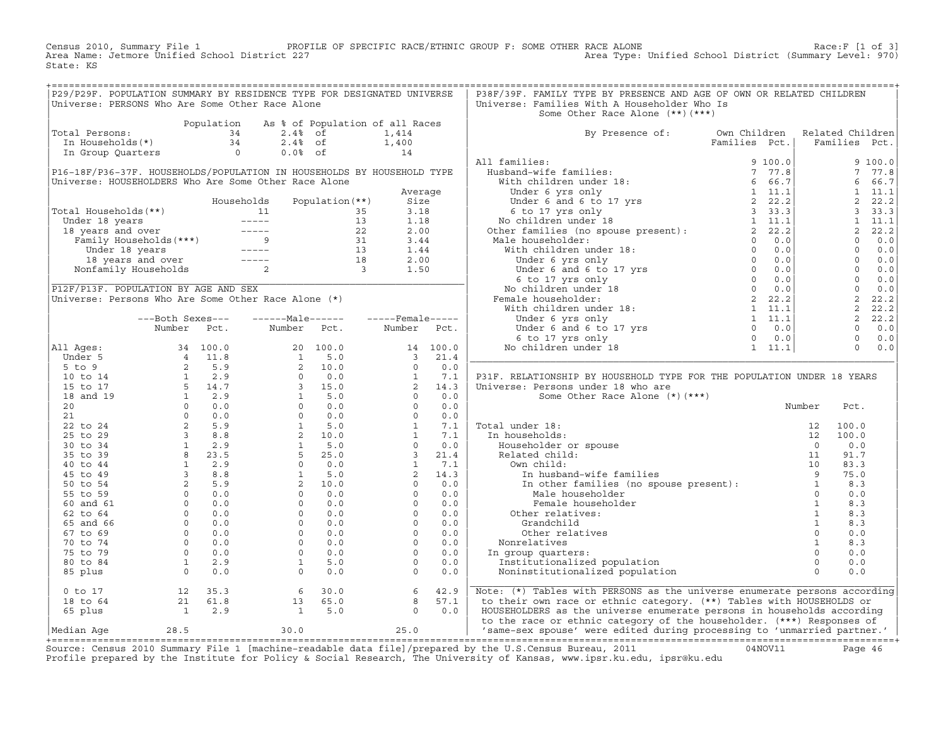Census 2010, Summary File 1 PROFILE OF SPECIFIC RACE/ETHNIC GROUP F: SOME OTHER RACE ALONE RACE OF SPECIFIC RACE ALONE<br>Area Name: Jetmore Unified School District 227 Area Type: Unified School District (Summary Level: 970) State: KS

| P29/P29F. POPULATION SUMMARY BY RESIDENCE TYPE FOR DESIGNATED UNIVERSE                                                                                                        |  |                                                                                                |  |  | P38F/39F. FAMILY TYPE BY PRESENCE AND AGE OF OWN OR RELATED CHILDREN                                                                                                                                                                                                                                                                                                                                                                                                                    |        |  |  |
|-------------------------------------------------------------------------------------------------------------------------------------------------------------------------------|--|------------------------------------------------------------------------------------------------|--|--|-----------------------------------------------------------------------------------------------------------------------------------------------------------------------------------------------------------------------------------------------------------------------------------------------------------------------------------------------------------------------------------------------------------------------------------------------------------------------------------------|--------|--|--|
| Universe: PERSONS Who Are Some Other Race Alone                                                                                                                               |  |                                                                                                |  |  | Universe: Families With A Householder Who Is                                                                                                                                                                                                                                                                                                                                                                                                                                            |        |  |  |
|                                                                                                                                                                               |  |                                                                                                |  |  | Some Other Race Alone (**) (***)                                                                                                                                                                                                                                                                                                                                                                                                                                                        |        |  |  |
| Population As % of Population of all Races<br>1,414<br>In Households(*)<br>1,414<br>In Group Quarters<br>2.4% of<br>1,400<br>14<br>2.4% of<br>1,400<br>14<br>2.4% of<br>1,414 |  |                                                                                                |  |  |                                                                                                                                                                                                                                                                                                                                                                                                                                                                                         |        |  |  |
| Total Persons:                                                                                                                                                                |  |                                                                                                |  |  | By Presence of: Own Children Related Children<br>Families Pct.   Families Pct.                                                                                                                                                                                                                                                                                                                                                                                                          |        |  |  |
|                                                                                                                                                                               |  |                                                                                                |  |  |                                                                                                                                                                                                                                                                                                                                                                                                                                                                                         |        |  |  |
|                                                                                                                                                                               |  |                                                                                                |  |  |                                                                                                                                                                                                                                                                                                                                                                                                                                                                                         |        |  |  |
|                                                                                                                                                                               |  |                                                                                                |  |  |                                                                                                                                                                                                                                                                                                                                                                                                                                                                                         |        |  |  |
|                                                                                                                                                                               |  |                                                                                                |  |  |                                                                                                                                                                                                                                                                                                                                                                                                                                                                                         |        |  |  |
|                                                                                                                                                                               |  |                                                                                                |  |  |                                                                                                                                                                                                                                                                                                                                                                                                                                                                                         |        |  |  |
|                                                                                                                                                                               |  |                                                                                                |  |  |                                                                                                                                                                                                                                                                                                                                                                                                                                                                                         |        |  |  |
|                                                                                                                                                                               |  |                                                                                                |  |  |                                                                                                                                                                                                                                                                                                                                                                                                                                                                                         |        |  |  |
|                                                                                                                                                                               |  |                                                                                                |  |  |                                                                                                                                                                                                                                                                                                                                                                                                                                                                                         |        |  |  |
|                                                                                                                                                                               |  |                                                                                                |  |  |                                                                                                                                                                                                                                                                                                                                                                                                                                                                                         |        |  |  |
|                                                                                                                                                                               |  |                                                                                                |  |  |                                                                                                                                                                                                                                                                                                                                                                                                                                                                                         |        |  |  |
|                                                                                                                                                                               |  |                                                                                                |  |  |                                                                                                                                                                                                                                                                                                                                                                                                                                                                                         |        |  |  |
|                                                                                                                                                                               |  |                                                                                                |  |  |                                                                                                                                                                                                                                                                                                                                                                                                                                                                                         |        |  |  |
|                                                                                                                                                                               |  |                                                                                                |  |  |                                                                                                                                                                                                                                                                                                                                                                                                                                                                                         |        |  |  |
|                                                                                                                                                                               |  |                                                                                                |  |  |                                                                                                                                                                                                                                                                                                                                                                                                                                                                                         |        |  |  |
|                                                                                                                                                                               |  |                                                                                                |  |  |                                                                                                                                                                                                                                                                                                                                                                                                                                                                                         |        |  |  |
|                                                                                                                                                                               |  |                                                                                                |  |  |                                                                                                                                                                                                                                                                                                                                                                                                                                                                                         |        |  |  |
|                                                                                                                                                                               |  |                                                                                                |  |  |                                                                                                                                                                                                                                                                                                                                                                                                                                                                                         |        |  |  |
|                                                                                                                                                                               |  |                                                                                                |  |  |                                                                                                                                                                                                                                                                                                                                                                                                                                                                                         |        |  |  |
|                                                                                                                                                                               |  |                                                                                                |  |  |                                                                                                                                                                                                                                                                                                                                                                                                                                                                                         |        |  |  |
|                                                                                                                                                                               |  |                                                                                                |  |  |                                                                                                                                                                                                                                                                                                                                                                                                                                                                                         |        |  |  |
|                                                                                                                                                                               |  |                                                                                                |  |  |                                                                                                                                                                                                                                                                                                                                                                                                                                                                                         |        |  |  |
|                                                                                                                                                                               |  |                                                                                                |  |  |                                                                                                                                                                                                                                                                                                                                                                                                                                                                                         |        |  |  |
|                                                                                                                                                                               |  |                                                                                                |  |  |                                                                                                                                                                                                                                                                                                                                                                                                                                                                                         |        |  |  |
|                                                                                                                                                                               |  |                                                                                                |  |  | P31F. RELATIONSHIP BY HOUSEHOLD TYPE FOR THE POPULATION UNDER 18 YEARS                                                                                                                                                                                                                                                                                                                                                                                                                  |        |  |  |
|                                                                                                                                                                               |  |                                                                                                |  |  | Universe: Persons under 18 who are                                                                                                                                                                                                                                                                                                                                                                                                                                                      |        |  |  |
|                                                                                                                                                                               |  |                                                                                                |  |  | Some Other Race Alone (*) (***)                                                                                                                                                                                                                                                                                                                                                                                                                                                         |        |  |  |
|                                                                                                                                                                               |  |                                                                                                |  |  |                                                                                                                                                                                                                                                                                                                                                                                                                                                                                         | Number |  |  |
|                                                                                                                                                                               |  |                                                                                                |  |  |                                                                                                                                                                                                                                                                                                                                                                                                                                                                                         |        |  |  |
|                                                                                                                                                                               |  |                                                                                                |  |  |                                                                                                                                                                                                                                                                                                                                                                                                                                                                                         |        |  |  |
|                                                                                                                                                                               |  |                                                                                                |  |  |                                                                                                                                                                                                                                                                                                                                                                                                                                                                                         |        |  |  |
|                                                                                                                                                                               |  |                                                                                                |  |  |                                                                                                                                                                                                                                                                                                                                                                                                                                                                                         |        |  |  |
|                                                                                                                                                                               |  |                                                                                                |  |  |                                                                                                                                                                                                                                                                                                                                                                                                                                                                                         |        |  |  |
|                                                                                                                                                                               |  |                                                                                                |  |  |                                                                                                                                                                                                                                                                                                                                                                                                                                                                                         |        |  |  |
|                                                                                                                                                                               |  |                                                                                                |  |  | $\begin{tabular}{lllllllllllll} \multicolumn{3}{c}{\begin{tabular}{l} \multicolumn{3}{c}{\begin{tabular}{l} \multicolumn{3}{c}{\begin{tabular}{l} \multicolumn{3}{c}{\begin{tabular}{l} \multicolumn{3}{c}{\begin{tabular}{l} \multicolumn{3}{c}{\begin{tabular}{c} \multicolumn{3}{c}{\rule{0.3cm}{.1cm} \multicolumn{3}{c}{\rule{0.3cm}{.1cm} \multicolumn{3}{c}{\rule{0.3cm}{.1cm} \multicolumn{3}{c}{\end{tabular}}}} \end{tabular} & $\multicolumn{3}{c}{\begin{tabular}{l} \mult$ |        |  |  |
|                                                                                                                                                                               |  |                                                                                                |  |  |                                                                                                                                                                                                                                                                                                                                                                                                                                                                                         |        |  |  |
|                                                                                                                                                                               |  |                                                                                                |  |  |                                                                                                                                                                                                                                                                                                                                                                                                                                                                                         |        |  |  |
|                                                                                                                                                                               |  |                                                                                                |  |  |                                                                                                                                                                                                                                                                                                                                                                                                                                                                                         |        |  |  |
|                                                                                                                                                                               |  |                                                                                                |  |  |                                                                                                                                                                                                                                                                                                                                                                                                                                                                                         |        |  |  |
|                                                                                                                                                                               |  |                                                                                                |  |  |                                                                                                                                                                                                                                                                                                                                                                                                                                                                                         |        |  |  |
|                                                                                                                                                                               |  |                                                                                                |  |  |                                                                                                                                                                                                                                                                                                                                                                                                                                                                                         |        |  |  |
|                                                                                                                                                                               |  |                                                                                                |  |  |                                                                                                                                                                                                                                                                                                                                                                                                                                                                                         |        |  |  |
|                                                                                                                                                                               |  |                                                                                                |  |  |                                                                                                                                                                                                                                                                                                                                                                                                                                                                                         |        |  |  |
|                                                                                                                                                                               |  |                                                                                                |  |  |                                                                                                                                                                                                                                                                                                                                                                                                                                                                                         |        |  |  |
|                                                                                                                                                                               |  |                                                                                                |  |  | Male householder<br>Male householder<br>Female householder<br>Temale householder<br>Temale householder<br>Other relatives:<br>Characteristics:<br>Characteristics<br>Strangform of the state of the state<br>Nonrelatives<br>In group quarters:<br>I                                                                                                                                                                                                                                    |        |  |  |
|                                                                                                                                                                               |  | 0 to 17<br>18 to 64<br>18 to 64<br>18 to 64<br>12 35.3<br>13 65.0<br>13 65.0<br>15.0<br>10 0.0 |  |  |                                                                                                                                                                                                                                                                                                                                                                                                                                                                                         |        |  |  |
|                                                                                                                                                                               |  |                                                                                                |  |  | Note: (*) Tables with PERSONS as the universe enumerate persons according                                                                                                                                                                                                                                                                                                                                                                                                               |        |  |  |
|                                                                                                                                                                               |  |                                                                                                |  |  | to their own race or ethnic category. (**) Tables with HOUSEHOLDS or                                                                                                                                                                                                                                                                                                                                                                                                                    |        |  |  |
|                                                                                                                                                                               |  |                                                                                                |  |  | HOUSEHOLDERS as the universe enumerate persons in households according                                                                                                                                                                                                                                                                                                                                                                                                                  |        |  |  |
|                                                                                                                                                                               |  |                                                                                                |  |  | to the race or ethnic category of the householder. (***) Responses of<br>Median Age 28.5 30.0 25.0 200 same-sex spouse' were edited during processing to 'unmarried partner.'                                                                                                                                                                                                                                                                                                           |        |  |  |
|                                                                                                                                                                               |  |                                                                                                |  |  |                                                                                                                                                                                                                                                                                                                                                                                                                                                                                         |        |  |  |

+===================================================================================================================================================+Source: Census 2010 Summary File 1 [machine−readable data file]/prepared by the U.S.Census Bureau, 2011 04NOV11 Page 46 Profile prepared by the Institute for Policy & Social Research, The University of Kansas, www.ipsr.ku.edu, ipsr@ku.edu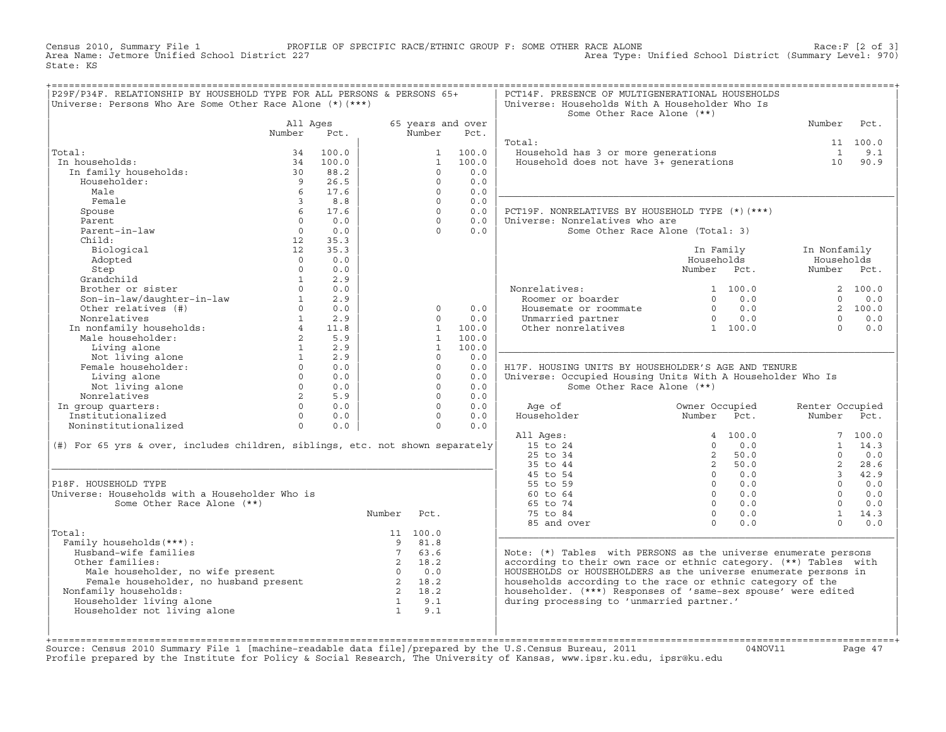Census 2010, Summary File 1 PROFILE OF SPECIFIC RACE/ETHNIC GROUP F: SOME OTHER RACE ALONE Race:F [2 of 3]<br>Area Name: Jetmore Unified School District 227 Area Type: Unified School District (Summary Level: 970) Area Type: Unified School District (Summary Level: 970) State: KS

| P29F/P34F. RELATIONSHIP BY HOUSEHOLD TYPE FOR ALL PERSONS & PERSONS 65+<br>Universe: Persons Who Are Some Other Race Alone $(*)$ (***)                                                                                                                                                  |                                       |                 |                                                                 |              |                   | PCT14F. PRESENCE OF MULTIGENERATIONAL HOUSEHOLDS<br>Universe: Households With A Householder Who Is<br>Some Other Race Alone (**) |                     |                 |            |
|-----------------------------------------------------------------------------------------------------------------------------------------------------------------------------------------------------------------------------------------------------------------------------------------|---------------------------------------|-----------------|-----------------------------------------------------------------|--------------|-------------------|----------------------------------------------------------------------------------------------------------------------------------|---------------------|-----------------|------------|
|                                                                                                                                                                                                                                                                                         | All Ages                              |                 |                                                                 |              | 65 years and over |                                                                                                                                  |                     | Number          | Pct.       |
|                                                                                                                                                                                                                                                                                         | Number                                | Pct.            |                                                                 | Number       | Pct.              |                                                                                                                                  |                     |                 |            |
|                                                                                                                                                                                                                                                                                         |                                       |                 |                                                                 |              |                   | Total:                                                                                                                           |                     |                 | 11 100.0   |
| Total:                                                                                                                                                                                                                                                                                  | 34                                    | 100.0           |                                                                 | $\mathbf{1}$ | 100.0             | Household has 3 or more generations<br>Household does not have 3+ generations                                                    |                     | $\mathbf{1}$    | 9.1        |
| In households:                                                                                                                                                                                                                                                                          | 34                                    | 100.0           |                                                                 | $\mathbf{1}$ | 100.0             |                                                                                                                                  |                     | 10              | 90.9       |
| In family households:                                                                                                                                                                                                                                                                   | 30                                    | 88.2            |                                                                 | $\Omega$     | 0.0               |                                                                                                                                  |                     |                 |            |
| Householder:                                                                                                                                                                                                                                                                            | $\overline{9}$                        | 26.5            |                                                                 | $\Omega$     | 0.0               |                                                                                                                                  |                     |                 |            |
| Male                                                                                                                                                                                                                                                                                    | 6                                     | 17.6            |                                                                 | $\Omega$     | 0.0               |                                                                                                                                  |                     |                 |            |
| Female                                                                                                                                                                                                                                                                                  | $\overline{3}$                        | 8.8             |                                                                 | $\Omega$     | 0.0               |                                                                                                                                  |                     |                 |            |
| Spouse                                                                                                                                                                                                                                                                                  | 6                                     | 17.6            |                                                                 | $\Omega$     | 0.0               | PCT19F. NONRELATIVES BY HOUSEHOLD TYPE (*) (***)                                                                                 |                     |                 |            |
| Parent                                                                                                                                                                                                                                                                                  | $\Omega$                              | 0.0             |                                                                 | $\Omega$     | 0.0               | Universe: Nonrelatives who are                                                                                                   |                     |                 |            |
| Parent-in-law                                                                                                                                                                                                                                                                           | $\Omega$                              | 0.0             |                                                                 | $\Omega$     | 0.0               | Some Other Race Alone (Total: 3)                                                                                                 |                     |                 |            |
| Child:                                                                                                                                                                                                                                                                                  | 12                                    | 35.3            |                                                                 |              |                   |                                                                                                                                  |                     |                 |            |
| Biological                                                                                                                                                                                                                                                                              | 12                                    | 35.3            |                                                                 |              |                   |                                                                                                                                  | In Family           | In Nonfamily    |            |
| Adopted                                                                                                                                                                                                                                                                                 | $\Omega$                              | 0.0             |                                                                 |              |                   |                                                                                                                                  | Households          | Households      |            |
| Step                                                                                                                                                                                                                                                                                    | $\Omega$                              | 0.0             |                                                                 |              |                   |                                                                                                                                  | Number Pct.         | Number Pct.     |            |
| Grandchild                                                                                                                                                                                                                                                                              | 1                                     | 2.9             |                                                                 |              |                   |                                                                                                                                  |                     |                 |            |
| Brother or sister                                                                                                                                                                                                                                                                       | $\Omega$                              | 0.0             |                                                                 |              |                   | Nonrelatives:                                                                                                                    | 1 100.0             |                 | 2 100.0    |
|                                                                                                                                                                                                                                                                                         |                                       | 2.9             |                                                                 |              |                   | Roomer or boarder                                                                                                                | $0 \qquad 0.0$      | $\Omega$        | 0.0        |
| Son-in-law/daughter-in-law 1<br>Other relatives (#) 0                                                                                                                                                                                                                                   |                                       | 0.0             |                                                                 | $\Omega$     | 0.0               |                                                                                                                                  |                     |                 | 2 100.0    |
| Nonrelatives                                                                                                                                                                                                                                                                            |                                       | $1 \t 2.9$      |                                                                 | $\Omega$     | 0.0               | Housemate or roommate $0$ 0.0<br>Unmarried partner 0 0.0<br>Other nonrelatives 1 100.0                                           |                     | $\Omega$        | 0.0        |
|                                                                                                                                                                                                                                                                                         |                                       |                 |                                                                 | $\mathbf{1}$ | 100.0             |                                                                                                                                  |                     | $\Omega$        | 0.0        |
| Nonrelatives<br>In nonfamily households:<br>Male householder:<br>Living alone<br>1 2.9                                                                                                                                                                                                  |                                       |                 |                                                                 | $\mathbf{1}$ | 100.0             |                                                                                                                                  |                     |                 |            |
|                                                                                                                                                                                                                                                                                         |                                       |                 |                                                                 | $\mathbf{1}$ | 100.0             |                                                                                                                                  |                     |                 |            |
| Not living alone<br>Female householder:                                                                                                                                                                                                                                                 | $\begin{array}{c} 1 \\ 0 \end{array}$ | 2.9             |                                                                 | $\Omega$     | 0.0               |                                                                                                                                  |                     |                 |            |
|                                                                                                                                                                                                                                                                                         |                                       | 0.0             |                                                                 | $\Omega$     | 0.0               | H17F. HOUSING UNITS BY HOUSEHOLDER'S AGE AND TENURE                                                                              |                     |                 |            |
| Living alone                                                                                                                                                                                                                                                                            | $\overline{0}$                        | 0.0             |                                                                 | $\circ$      | 0.0               | Universe: Occupied Housing Units With A Householder Who Is                                                                       |                     |                 |            |
| Not living alone                                                                                                                                                                                                                                                                        |                                       | $0 \qquad 0.0$  |                                                                 | $\Omega$     | 0.0               | Some Other Race Alone (**)                                                                                                       |                     |                 |            |
| Nonrelatives                                                                                                                                                                                                                                                                            | $\overline{2}$                        | 5.9             |                                                                 | $\Omega$     | 0.0               |                                                                                                                                  |                     |                 |            |
| In group quarters:                                                                                                                                                                                                                                                                      |                                       | $\Omega$<br>0.0 |                                                                 | $\Omega$     | 0.0               | Age of                                                                                                                           | Owner Occupied      | Renter Occupied |            |
| Institutionalized                                                                                                                                                                                                                                                                       |                                       | $0 \t 0.0$      |                                                                 | $\Omega$     | 0.0               | Householder                                                                                                                      | Number<br>Pct.      | Number Pct.     |            |
| Noninstitutionalized                                                                                                                                                                                                                                                                    | $\Omega$                              | 0.0             |                                                                 | $\Omega$     | 0.0               |                                                                                                                                  |                     |                 |            |
|                                                                                                                                                                                                                                                                                         |                                       |                 |                                                                 |              |                   | All Ages:                                                                                                                        | 4, 100, 0           |                 | 7, 100.0   |
| (#) For 65 yrs & over, includes children, siblings, etc. not shown separately                                                                                                                                                                                                           |                                       |                 |                                                                 |              |                   | 15 to 24                                                                                                                         | $\Omega$<br>0.0     |                 | $1 \t14.3$ |
|                                                                                                                                                                                                                                                                                         |                                       |                 |                                                                 |              |                   | 25 to 34                                                                                                                         | $2^{\circ}$<br>50.0 | $\Omega$        | 0.0        |
|                                                                                                                                                                                                                                                                                         |                                       |                 |                                                                 |              |                   | 35 to 44                                                                                                                         | 2, 50.0             | $2^{\circ}$     | 28.6       |
|                                                                                                                                                                                                                                                                                         |                                       |                 |                                                                 |              |                   | 45 to 54                                                                                                                         | $0 \qquad 0.0$      |                 | 3, 42.9    |
| P18F. HOUSEHOLD TYPE                                                                                                                                                                                                                                                                    |                                       |                 |                                                                 |              |                   | 55 to 59                                                                                                                         | $0 \qquad 0.0$      | $\Omega$        | 0.0        |
| Universe: Households with a Householder Who is                                                                                                                                                                                                                                          |                                       |                 |                                                                 |              |                   | 60 to 64                                                                                                                         | $0 \t 0.0$          | $\Omega$        | 0.0        |
| Some Other Race Alone (**)                                                                                                                                                                                                                                                              |                                       |                 |                                                                 |              |                   | 65 to 74                                                                                                                         | $0 \t 0.0$          | $\Omega$        | 0.0        |
|                                                                                                                                                                                                                                                                                         |                                       |                 | Number                                                          | Pct.         |                   | 75 to 84                                                                                                                         | $0 \qquad 0.0$      | 1               | 14.3       |
|                                                                                                                                                                                                                                                                                         |                                       |                 |                                                                 |              |                   | 85 and over                                                                                                                      | $\Omega$<br>0.0     | $\Omega$        | 0.0        |
| Total:                                                                                                                                                                                                                                                                                  |                                       |                 |                                                                 | 11 100.0     |                   |                                                                                                                                  |                     |                 |            |
| Family households (***) :                                                                                                                                                                                                                                                               |                                       |                 |                                                                 | 9 81.8       |                   |                                                                                                                                  |                     |                 |            |
| Husband-wife families                                                                                                                                                                                                                                                                   |                                       |                 | 7                                                               | 63.6         |                   | Note: (*) Tables with PERSONS as the universe enumerate persons                                                                  |                     |                 |            |
| Other families:                                                                                                                                                                                                                                                                         |                                       |                 |                                                                 | 2 18.2       |                   | according to their own race or ethnic category. (**) Tables with                                                                 |                     |                 |            |
|                                                                                                                                                                                                                                                                                         |                                       |                 |                                                                 |              |                   | HOUSEHOLDS or HOUSEHOLDERS as the universe enumerate persons in                                                                  |                     |                 |            |
|                                                                                                                                                                                                                                                                                         |                                       |                 |                                                                 |              |                   | households according to the race or ethnic category of the                                                                       |                     |                 |            |
| male householder, no wife present<br>Female householder, no husband present<br>$\begin{array}{ccc}\n2 & 18.2 \\ 0 & 0.0 \\ 2 & 18.2 \\ 2 & 18.2\n\end{array}$<br>$\begin{array}{ccc}\n\text{18.2} \\ \text{20.0} \\ \text{218.2} \\ \text{218.2}\n\end{array}$<br>Nonfamily households: |                                       |                 |                                                                 |              |                   | householder. (***) Responses of 'same-sex spouse' were edited                                                                    |                     |                 |            |
| Householder living alone                                                                                                                                                                                                                                                                |                                       |                 |                                                                 |              |                   | during processing to 'unmarried partner.'                                                                                        |                     |                 |            |
| Householder not living alone                                                                                                                                                                                                                                                            |                                       |                 | $\begin{array}{ccc} 2 & 18.2 \\ 1 & 9.1 \\ 1 & 9.1 \end{array}$ |              |                   |                                                                                                                                  |                     |                 |            |
|                                                                                                                                                                                                                                                                                         |                                       |                 |                                                                 |              |                   |                                                                                                                                  |                     |                 |            |
|                                                                                                                                                                                                                                                                                         |                                       |                 |                                                                 |              |                   |                                                                                                                                  |                     |                 |            |
|                                                                                                                                                                                                                                                                                         |                                       |                 |                                                                 |              |                   |                                                                                                                                  |                     |                 |            |

+===================================================================================================================================================+Source: Census 2010 Summary File 1 [machine−readable data file]/prepared by the U.S.Census Bureau, 2011 04NOV11 Page 47 Profile prepared by the Institute for Policy & Social Research, The University of Kansas, www.ipsr.ku.edu, ipsr@ku.edu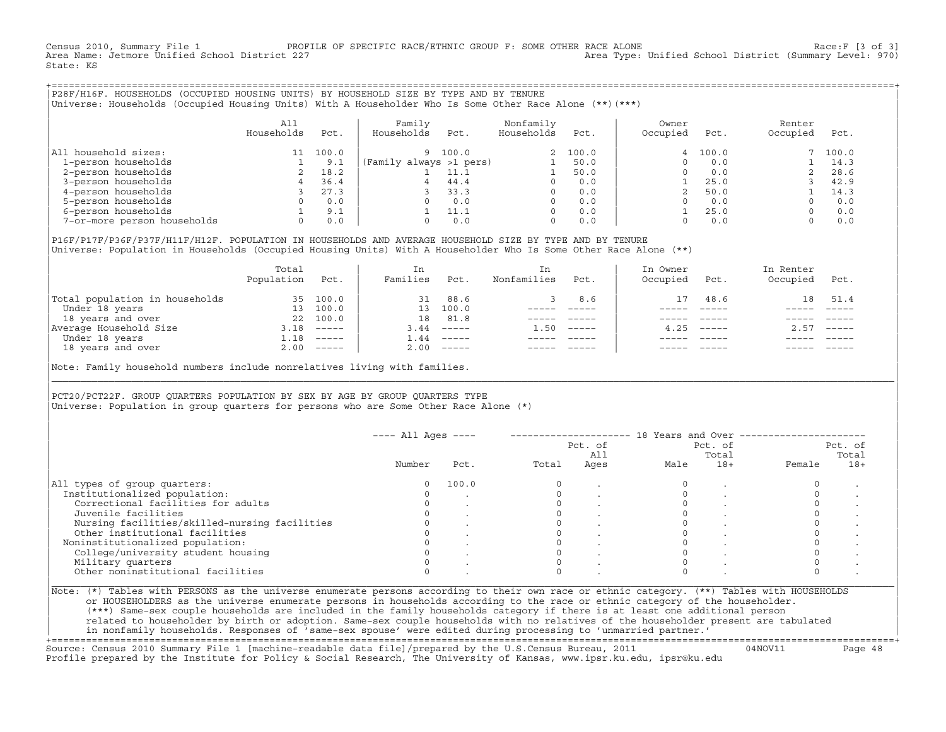Census 2010, Summary File 1 PROFILE OF SPECIFIC RACE/ETHNIC GROUP F: SOME OTHER RACE ALONE Race:F [3 of 3]<br>Area Name: Jetmore Unified School District 227 Area Type: Unified School District (Summary Level: 970) State: KS

+===================================================================================================================================================+|P28F/H16F. HOUSEHOLDS (OCCUPIED HOUSING UNITS) BY HOUSEHOLD SIZE BY TYPE AND BY TENURE | |Universe: Households (Occupied Housing Units) With A Householder Who Is Some Other Race Alone (\*\*)(\*\*\*) |

|                             | All<br>Households | Pct.  | Family<br>Households    | Pct.  | Nonfamily<br>Households | Pct.     | Owner<br>Occupied | Pct.    | Renter<br>Occupied | Pct.  |
|-----------------------------|-------------------|-------|-------------------------|-------|-------------------------|----------|-------------------|---------|--------------------|-------|
| household sizes:<br>All     |                   | 100.0 | 9.                      | 100.0 |                         | 2, 100.0 |                   | 4 100.0 |                    | 100.0 |
| 1-person households         |                   | 9.1   | (Family always >1 pers) |       |                         | 50.0     |                   | 0.0     |                    | 14.3  |
| 2-person households         |                   | 18.2  |                         | 11.1  |                         | 50.0     |                   | 0.0     |                    | 28.6  |
| 3-person households         |                   | 36.4  |                         | 44.4  | $\Omega$                | 0.0      |                   | 25.0    |                    | 42.9  |
| 4-person households         |                   | 27.3  |                         | 33.3  | $\Omega$                | 0.0      |                   | 50.0    |                    | 14.3  |
| 5-person households         |                   | 0.0   |                         | 0.0   | $\Omega$                | 0.0      |                   | 0.0     |                    | 0.0   |
| 6-person households         |                   | 9.1   |                         | 11.1  | $\Omega$                | 0.0      |                   | 25.0    |                    | 0.0   |
| 7-or-more person households | $\Omega$          | 0.0   |                         | 0.0   | 0                       | 0.0      |                   | 0.0     |                    | 0.0   |

|P16F/P17F/P36F/P37F/H11F/H12F. POPULATION IN HOUSEHOLDS AND AVERAGE HOUSEHOLD SIZE BY TYPE AND BY TENURE | Universe: Population in Households (Occupied Housing Units) With A Householder Who Is Some Other Race Alone (\*\*)

|                                | Total<br>Population | Pct.                      | In<br>Families  | Pct.     | In.<br>Nonfamilies | Pct.     | In Owner<br>Occupied | Pct.   | In Renter<br>Occupied | Pct.        |
|--------------------------------|---------------------|---------------------------|-----------------|----------|--------------------|----------|----------------------|--------|-----------------------|-------------|
| Total population in households | 35                  | 100.0                     | 31              | 88.6     |                    | 8.6      | 17                   | 48.6   | 18                    | 51.4        |
| Under 18 years                 | 13                  | 100.0                     | 13 <sup>7</sup> | 100.0    |                    |          |                      |        |                       |             |
| 18 years and over              | 22                  | 100.0                     | 18              | 81.8     |                    |          |                      |        |                       |             |
| Average Household Size         | 3.18                | $\qquad \qquad - - - - -$ | 3.44            | $------$ | 1.50               | $------$ | 4.25                 | ______ | 2.57                  | $------$    |
| Under 18 years                 | ⊥.18                | $------$                  | 1.44            | $------$ |                    |          |                      |        |                       |             |
| 18 years and over              |                     | $2.00$ -----              | 2.00            |          |                    |          |                      |        |                       | $- - - - -$ |
|                                |                     |                           |                 |          |                    |          |                      |        |                       |             |

Note: Family household numbers include nonrelatives living with families.

| | PCT20/PCT22F. GROUP OUARTERS POPULATION BY SEX BY AGE BY GROUP OUARTERS TYPE Universe: Population in group quarters for persons who are Some Other Race Alone (\*)

|                                               |        |       |       | Pct. of<br>All |      | Pct. of<br>Total |        | Pct. of<br>Total |
|-----------------------------------------------|--------|-------|-------|----------------|------|------------------|--------|------------------|
|                                               | Number | Pct.  | Total | Ages           | Male | $18+$            | Female | $18+$            |
| All types of group quarters:                  |        | 100.0 |       |                |      |                  |        |                  |
| Institutionalized population:                 |        |       |       |                |      |                  |        |                  |
| Correctional facilities for adults            |        |       |       |                |      |                  |        |                  |
| Juvenile facilities                           |        |       |       |                |      |                  |        |                  |
| Nursing facilities/skilled-nursing facilities |        |       |       |                |      |                  |        |                  |
| Other institutional facilities                |        |       |       |                |      |                  |        |                  |
| Noninstitutionalized population:              |        |       |       |                |      |                  |        |                  |
| College/university student housing            |        |       |       |                |      |                  |        |                  |
| Military quarters                             |        |       |       |                |      |                  |        |                  |
| Other noninstitutional facilities             |        |       |       |                |      |                  |        |                  |

|\_\_\_\_\_\_\_\_\_\_\_\_\_\_\_\_\_\_\_\_\_\_\_\_\_\_\_\_\_\_\_\_\_\_\_\_\_\_\_\_\_\_\_\_\_\_\_\_\_\_\_\_\_\_\_\_\_\_\_\_\_\_\_\_\_\_\_\_\_\_\_\_\_\_\_\_\_\_\_\_\_\_\_\_\_\_\_\_\_\_\_\_\_\_\_\_\_\_\_\_\_\_\_\_\_\_\_\_\_\_\_\_\_\_\_\_\_\_\_\_\_\_\_\_\_\_\_\_\_\_\_\_\_\_\_\_\_\_\_\_\_\_\_\_\_\_\_|

| |

or HOUSEHOLDERS as the universe enumerate persons in households according to the race or ethnic category of the householder. | (\*\*\*) Same−sex couple households are included in the family households category if there is at least one additional person | | related to householder by birth or adoption. Same−sex couple households with no relatives of the householder present are tabulated | | in nonfamily households. Responses of 'same−sex spouse' were edited during processing to 'unmarried partner.' |

+===================================================================================================================================================+ Source: Census 2010 Summary File 1 [machine−readable data file]/prepared by the U.S.Census Bureau, 2011 04NOV11 Page 48 Profile prepared by the Institute for Policy & Social Research, The University of Kansas, www.ipsr.ku.edu, ipsr@ku.edu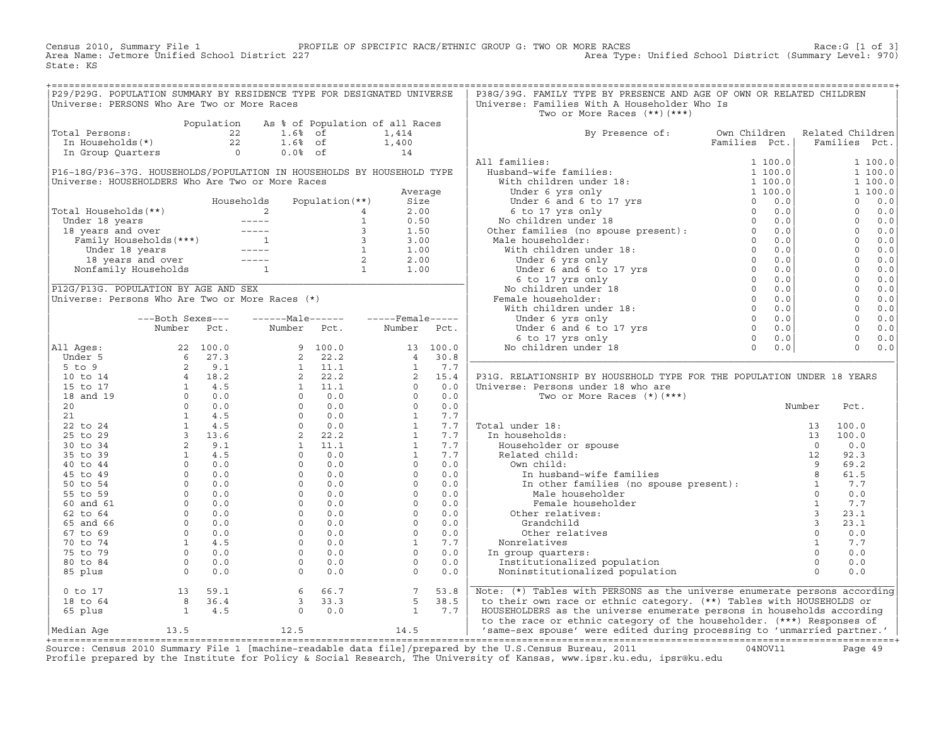Census 2010, Summary File 1 PROFILE OF SPECIFIC RACE/ETHNIC GROUP G: TWO OR MORE RACES Race:G [1 of 3] Area Name: Jetmore Unified School District 227 Area Type: Unified School District (Summary Level: 970) State: KS

+===================================================================================================================================================+

| P29/P29G. POPULATION SUMMARY BY RESIDENCE TYPE FOR DESIGNATED UNIVERSE                      |                                                                    |                                                          |                                                                  |         | P38G/39G. FAMILY TYPE BY PRESENCE AND AGE OF OWN OR RELATED CHILDREN                                                                                                                                                                                                                                                            |               |                  |         |
|---------------------------------------------------------------------------------------------|--------------------------------------------------------------------|----------------------------------------------------------|------------------------------------------------------------------|---------|---------------------------------------------------------------------------------------------------------------------------------------------------------------------------------------------------------------------------------------------------------------------------------------------------------------------------------|---------------|------------------|---------|
| Universe: PERSONS Who Are Two or More Races                                                 |                                                                    |                                                          |                                                                  |         | Universe: Families With A Householder Who Is                                                                                                                                                                                                                                                                                    |               |                  |         |
|                                                                                             |                                                                    |                                                          |                                                                  |         | Two or More Races (**) (***)                                                                                                                                                                                                                                                                                                    |               |                  |         |
|                                                                                             |                                                                    | Population As % of Population of all Races               |                                                                  |         |                                                                                                                                                                                                                                                                                                                                 |               |                  |         |
| Total Persons:                                                                              |                                                                    |                                                          | 1,414                                                            |         | By Presence of:                                                                                                                                                                                                                                                                                                                 | Own Children  | Related Children |         |
| otal Persons: $22$ 1.6% of<br>In Households (*) $22$ 1.6% of<br>In Group Quarters 0 0.0% of |                                                                    |                                                          | 1,400                                                            |         |                                                                                                                                                                                                                                                                                                                                 | Families Pct. | Families Pct.    |         |
|                                                                                             |                                                                    |                                                          | 14                                                               |         |                                                                                                                                                                                                                                                                                                                                 |               |                  |         |
|                                                                                             |                                                                    |                                                          |                                                                  |         | All families:                                                                                                                                                                                                                                                                                                                   |               |                  | 1 100.0 |
| P16-18G/P36-37G. HOUSEHOLDS/POPULATION IN HOUSEHOLDS BY HOUSEHOLD TYPE                      |                                                                    |                                                          |                                                                  |         |                                                                                                                                                                                                                                                                                                                                 |               |                  | 1 100.0 |
| Universe: HOUSEHOLDERS Who Are Two or More Races                                            |                                                                    |                                                          |                                                                  |         |                                                                                                                                                                                                                                                                                                                                 |               |                  | 1 100.0 |
|                                                                                             |                                                                    |                                                          |                                                                  | Average |                                                                                                                                                                                                                                                                                                                                 |               |                  | 1 100.0 |
|                                                                                             |                                                                    | Households                                               | Size                                                             |         |                                                                                                                                                                                                                                                                                                                                 |               |                  |         |
|                                                                                             |                                                                    |                                                          |                                                                  |         |                                                                                                                                                                                                                                                                                                                                 |               |                  |         |
|                                                                                             |                                                                    |                                                          |                                                                  |         |                                                                                                                                                                                                                                                                                                                                 |               |                  |         |
|                                                                                             |                                                                    |                                                          |                                                                  |         | Male householder:                                                                                                                                                                                                                                                                                                               |               |                  |         |
|                                                                                             |                                                                    |                                                          |                                                                  |         |                                                                                                                                                                                                                                                                                                                                 |               |                  |         |
|                                                                                             |                                                                    |                                                          |                                                                  |         |                                                                                                                                                                                                                                                                                                                                 |               |                  |         |
|                                                                                             |                                                                    |                                                          |                                                                  |         |                                                                                                                                                                                                                                                                                                                                 |               |                  |         |
|                                                                                             |                                                                    |                                                          | $\frac{1}{2}$<br>35 (*)                                          |         |                                                                                                                                                                                                                                                                                                                                 |               |                  |         |
| P12G/P13G. POPULATION BY AGE AND SEX                                                        |                                                                    |                                                          |                                                                  |         |                                                                                                                                                                                                                                                                                                                                 |               |                  |         |
| Universe: Persons Who Are Two or More Races (*)                                             |                                                                    |                                                          |                                                                  |         |                                                                                                                                                                                                                                                                                                                                 |               |                  |         |
|                                                                                             |                                                                    |                                                          |                                                                  |         |                                                                                                                                                                                                                                                                                                                                 |               |                  |         |
|                                                                                             |                                                                    | ---Both Sexes---    ------Male------    -----Female----- |                                                                  |         |                                                                                                                                                                                                                                                                                                                                 |               |                  |         |
|                                                                                             | Number Pct.                                                        | Number Pct.                                              | Number Pct.                                                      |         |                                                                                                                                                                                                                                                                                                                                 |               |                  |         |
|                                                                                             |                                                                    |                                                          |                                                                  |         |                                                                                                                                                                                                                                                                                                                                 |               |                  |         |
|                                                                                             |                                                                    |                                                          |                                                                  |         |                                                                                                                                                                                                                                                                                                                                 |               | $\overline{0}$   | 0.0     |
|                                                                                             |                                                                    |                                                          |                                                                  |         |                                                                                                                                                                                                                                                                                                                                 |               |                  |         |
|                                                                                             |                                                                    |                                                          |                                                                  |         |                                                                                                                                                                                                                                                                                                                                 |               |                  |         |
|                                                                                             |                                                                    |                                                          |                                                                  |         | P31G. RELATIONSHIP BY HOUSEHOLD TYPE FOR THE POPULATION UNDER 18 YEARS                                                                                                                                                                                                                                                          |               |                  |         |
|                                                                                             |                                                                    |                                                          |                                                                  |         | Universe: Persons under 18 who are                                                                                                                                                                                                                                                                                              |               |                  |         |
|                                                                                             |                                                                    |                                                          |                                                                  |         |                                                                                                                                                                                                                                                                                                                                 |               |                  |         |
|                                                                                             |                                                                    |                                                          |                                                                  |         |                                                                                                                                                                                                                                                                                                                                 |               | Pct.             |         |
|                                                                                             |                                                                    |                                                          |                                                                  |         |                                                                                                                                                                                                                                                                                                                                 |               |                  |         |
|                                                                                             |                                                                    |                                                          |                                                                  |         | Total under 18:                                                                                                                                                                                                                                                                                                                 |               | 100.0            |         |
|                                                                                             |                                                                    |                                                          |                                                                  |         |                                                                                                                                                                                                                                                                                                                                 |               | 100.0            |         |
|                                                                                             |                                                                    |                                                          |                                                                  |         |                                                                                                                                                                                                                                                                                                                                 |               | 0.0              |         |
|                                                                                             |                                                                    |                                                          |                                                                  |         |                                                                                                                                                                                                                                                                                                                                 |               | 92.3             |         |
|                                                                                             |                                                                    |                                                          |                                                                  |         |                                                                                                                                                                                                                                                                                                                                 |               | 69.2             |         |
|                                                                                             |                                                                    |                                                          |                                                                  |         |                                                                                                                                                                                                                                                                                                                                 |               | 61.5             |         |
|                                                                                             |                                                                    |                                                          |                                                                  |         |                                                                                                                                                                                                                                                                                                                                 |               | 7.7              |         |
|                                                                                             |                                                                    |                                                          |                                                                  |         | rse: Ferror:<br>Two or More Races ,<br>al under 18:<br>n households:<br>Householder or spouse<br>Related child:<br>Own child:<br>In husband-wife families<br>In other families<br>In other families<br>In other families<br>Male householder<br>Male h                                                                          |               | 0.0              |         |
|                                                                                             |                                                                    |                                                          |                                                                  |         |                                                                                                                                                                                                                                                                                                                                 |               | 7.7              |         |
|                                                                                             |                                                                    |                                                          |                                                                  |         | Other relatives:                                                                                                                                                                                                                                                                                                                |               | 23.1             |         |
|                                                                                             |                                                                    |                                                          |                                                                  |         |                                                                                                                                                                                                                                                                                                                                 |               | 23.1             |         |
|                                                                                             |                                                                    |                                                          |                                                                  |         |                                                                                                                                                                                                                                                                                                                                 |               | 0.0              |         |
|                                                                                             |                                                                    |                                                          |                                                                  |         | Nonrelatives                                                                                                                                                                                                                                                                                                                    |               | 7.7              |         |
|                                                                                             |                                                                    |                                                          |                                                                  |         | In group quarters:                                                                                                                                                                                                                                                                                                              |               | 0.0              |         |
|                                                                                             |                                                                    |                                                          |                                                                  |         | Institutionalized population                                                                                                                                                                                                                                                                                                    |               | 0.0              |         |
|                                                                                             |                                                                    |                                                          |                                                                  |         | Noninstitutionalized population                                                                                                                                                                                                                                                                                                 |               | 0.0              |         |
| $0$ to $17$                                                                                 |                                                                    |                                                          |                                                                  |         | other<br>Male householder<br>Female householder<br>ner relatives:<br>Grandchild<br>Other relatives<br>are discussed<br>in the matter of population<br>are discussed by the computation<br>Contained by the computation<br>Computed by the computat<br>Note: (*) Tables with PERSONS as the universe enumerate persons according |               |                  |         |
| 18 to 64                                                                                    |                                                                    |                                                          |                                                                  |         | to their own race or ethnic category. (**) Tables with HOUSEHOLDS or                                                                                                                                                                                                                                                            |               |                  |         |
| 65 plus                                                                                     | $\begin{array}{rrrr} 13 & 59.1 \\ 8 & 36.4 \\ 1 & 4.5 \end{array}$ | $6$ $66.7$<br>3 33.3<br>0 0.0                            | $\begin{array}{ccc} 7 & 53.8 \\ 5 & 38.5 \\ 1 & 7.7 \end{array}$ |         | HOUSEHOLDERS as the universe enumerate persons in households according                                                                                                                                                                                                                                                          |               |                  |         |
|                                                                                             |                                                                    |                                                          |                                                                  |         | to the race or ethnic category of the householder. (***) Responses of<br>'same-sex spouse' were edited during processing to 'unmarried partner.'                                                                                                                                                                                |               |                  |         |
|                                                                                             |                                                                    |                                                          |                                                                  |         |                                                                                                                                                                                                                                                                                                                                 |               |                  |         |

+===================================================================================================================================================+Source: Census 2010 Summary File 1 [machine−readable data file]/prepared by the U.S.Census Bureau, 2011 04NOV11 Page 49 Profile prepared by the Institute for Policy & Social Research, The University of Kansas, www.ipsr.ku.edu, ipsr@ku.edu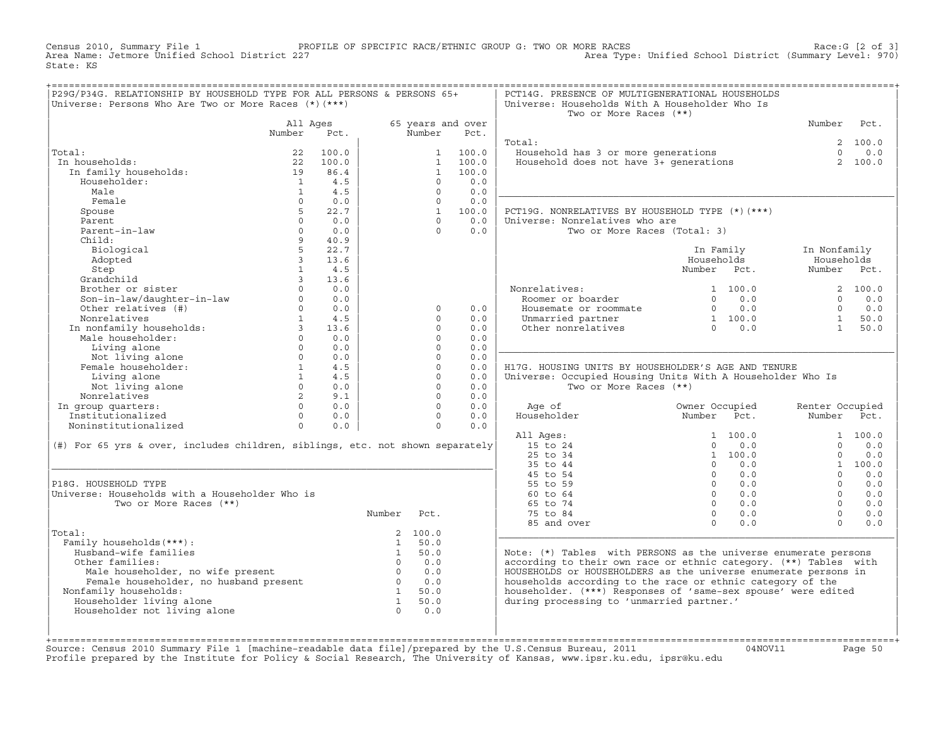Census 2010, Summary File 1 PROFILE OF SPECIFIC RACE/ETHNIC GROUP G: TWO OR MORE RACES Race:G [2 of 3]<br>Area Name: Jetmore Unified School District 227 Area Type: Unified School District (Summary Level: 970) Area Type: Unified School District (Summary Level: 970) State: KS

| P29G/P34G. RELATIONSHIP BY HOUSEHOLD TYPE FOR ALL PERSONS & PERSONS 65+<br>Universe: Persons Who Are Two or More Races (*) (***)                                                                                                                             |                |          |                                                     |            |                   | PCT14G. PRESENCE OF MULTIGENERATIONAL HOUSEHOLDS<br>Universe: Households With A Householder Who Is<br>Two or More Races (**)                                                                          |                                                            |                       |                 |            |
|--------------------------------------------------------------------------------------------------------------------------------------------------------------------------------------------------------------------------------------------------------------|----------------|----------|-----------------------------------------------------|------------|-------------------|-------------------------------------------------------------------------------------------------------------------------------------------------------------------------------------------------------|------------------------------------------------------------|-----------------------|-----------------|------------|
|                                                                                                                                                                                                                                                              |                | All Ages |                                                     |            | 65 years and over |                                                                                                                                                                                                       |                                                            |                       | Number Pct.     |            |
|                                                                                                                                                                                                                                                              | Number         | Pct.     |                                                     | Number     | Pct.              |                                                                                                                                                                                                       |                                                            |                       |                 |            |
|                                                                                                                                                                                                                                                              |                |          |                                                     |            |                   | Total:                                                                                                                                                                                                |                                                            |                       |                 | 2 100.0    |
| Total:                                                                                                                                                                                                                                                       |                | 22 100.0 |                                                     |            | 1 100.0           | Jousehold has 3 or more generations<br>Household does not have 3+ generations                                                                                                                         |                                                            |                       | $\Omega$        | 0.0        |
| In households:                                                                                                                                                                                                                                               |                |          |                                                     |            | 1 100.0           |                                                                                                                                                                                                       |                                                            |                       |                 | 2 100.0    |
| a households:<br>In family households:<br>19 86.4<br>14.5                                                                                                                                                                                                    |                |          |                                                     |            | 1 100.0           |                                                                                                                                                                                                       |                                                            |                       |                 |            |
| Householder:                                                                                                                                                                                                                                                 |                | 1 4.5    |                                                     | $\Omega$   | 0.0               |                                                                                                                                                                                                       |                                                            |                       |                 |            |
| Male                                                                                                                                                                                                                                                         | $\overline{1}$ | 4.5      |                                                     | $\Omega$   | 0.0               |                                                                                                                                                                                                       |                                                            |                       |                 |            |
| Female                                                                                                                                                                                                                                                       | $\Omega$       | 0.0      |                                                     | $\Omega$   | 0.0               |                                                                                                                                                                                                       |                                                            |                       |                 |            |
| Spouse                                                                                                                                                                                                                                                       | $5 -$          | 22.7     |                                                     |            | 1 100.0           | PCT19G. NONRELATIVES BY HOUSEHOLD TYPE (*) (***)                                                                                                                                                      |                                                            |                       |                 |            |
| Parent                                                                                                                                                                                                                                                       | $\Omega$       | 0.0      |                                                     | $\cap$     | 0.0               | Universe: Nonrelatives who are                                                                                                                                                                        |                                                            |                       |                 |            |
| Parent-in-law                                                                                                                                                                                                                                                | $\Omega$       | 0.0      |                                                     | $\Omega$   | 0.0               | Two or More Races (Total: 3)                                                                                                                                                                          |                                                            |                       |                 |            |
| Child:                                                                                                                                                                                                                                                       |                | 9 40.9   |                                                     |            |                   |                                                                                                                                                                                                       |                                                            |                       |                 |            |
| Biological                                                                                                                                                                                                                                                   | $5^{\circ}$    | 22.7     |                                                     |            |                   |                                                                                                                                                                                                       |                                                            | In Family             | In Nonfamily    |            |
| Adopted                                                                                                                                                                                                                                                      | $\overline{3}$ | 13.6     |                                                     |            |                   |                                                                                                                                                                                                       | Households                                                 |                       | Households      |            |
|                                                                                                                                                                                                                                                              |                |          |                                                     |            |                   |                                                                                                                                                                                                       | Number Pct.                                                |                       | Number Pct.     |            |
|                                                                                                                                                                                                                                                              |                |          |                                                     |            |                   |                                                                                                                                                                                                       |                                                            |                       |                 |            |
| Adopted<br>Step<br>Grandchild<br>Brother or sister<br>Son-in-law/daughter-in-law<br>Other relatives (#)<br>Completions<br>Complete (#)<br>Completions<br>Complete (#)<br>Completions<br>Complete (#)<br>Completions<br>Complete (#)<br>Completions<br>Comple |                |          |                                                     |            |                   | Nonrelatives:<br>Roomer or boarder<br>01 100.0 2 100.0<br>0 1 100.0 2 100.0<br>0 0.0 0 0.0<br>Housemate or roommate 0 0 0.0 0 0.0<br>Unmarried partner 1 100.0 1 50.0<br>0 0.0 1 50.0<br>0 0.0 1 50.0 |                                                            |                       |                 |            |
|                                                                                                                                                                                                                                                              |                |          |                                                     |            |                   |                                                                                                                                                                                                       |                                                            |                       |                 |            |
|                                                                                                                                                                                                                                                              |                |          |                                                     | $\circ$    | 0.0               |                                                                                                                                                                                                       |                                                            |                       |                 |            |
|                                                                                                                                                                                                                                                              |                |          |                                                     | $\Omega$   | 0.0               |                                                                                                                                                                                                       |                                                            |                       |                 |            |
|                                                                                                                                                                                                                                                              |                |          |                                                     | $\Omega$   | 0.0               |                                                                                                                                                                                                       |                                                            |                       |                 |            |
|                                                                                                                                                                                                                                                              |                |          |                                                     | $\Omega$   | 0.0               |                                                                                                                                                                                                       |                                                            |                       |                 |            |
|                                                                                                                                                                                                                                                              |                |          |                                                     | $\Omega$   | 0.0               |                                                                                                                                                                                                       |                                                            |                       |                 |            |
|                                                                                                                                                                                                                                                              |                |          |                                                     | $\circ$    | 0.0               |                                                                                                                                                                                                       |                                                            |                       |                 |            |
|                                                                                                                                                                                                                                                              |                |          |                                                     | $\circ$    | 0.0               | H17G. HOUSING UNITS BY HOUSEHOLDER'S AGE AND TENURE                                                                                                                                                   |                                                            |                       |                 |            |
|                                                                                                                                                                                                                                                              |                |          |                                                     | $\Omega$   | 0.0               | Universe: Occupied Housing Units With A Householder Who Is                                                                                                                                            |                                                            |                       |                 |            |
|                                                                                                                                                                                                                                                              |                |          |                                                     | $\Omega$   | 0.0               | Two or More Races (**)                                                                                                                                                                                |                                                            |                       |                 |            |
|                                                                                                                                                                                                                                                              |                |          |                                                     | $\Omega$   | 0.0               |                                                                                                                                                                                                       |                                                            |                       |                 |            |
|                                                                                                                                                                                                                                                              |                |          |                                                     | $\Omega$   | 0.0               | Age of                                                                                                                                                                                                | Owner Occupied                                             |                       | Renter Occupied |            |
|                                                                                                                                                                                                                                                              |                |          |                                                     | $\Omega$   | 0.0               |                                                                                                                                                                                                       |                                                            |                       | Number Pct.     |            |
|                                                                                                                                                                                                                                                              |                |          |                                                     | $\Omega$   | 0.0               |                                                                                                                                                                                                       |                                                            |                       |                 |            |
|                                                                                                                                                                                                                                                              |                |          |                                                     |            |                   | All Ages:<br>15 to 24                                                                                                                                                                                 |                                                            | 1 100.0               | $\Omega$        | 1 100.0    |
| (#) For 65 yrs & over, includes children, siblings, etc. not shown separately                                                                                                                                                                                |                |          |                                                     |            |                   | 25 to 34                                                                                                                                                                                              |                                                            | $0 \t 0.0$<br>1 100.0 | $\Omega$        | 0.0<br>0.0 |
|                                                                                                                                                                                                                                                              |                |          |                                                     |            |                   | 35 to 44                                                                                                                                                                                              |                                                            | $0 \t 0.0$            |                 | 1 100.0    |
|                                                                                                                                                                                                                                                              |                |          |                                                     |            |                   | 45 to 54                                                                                                                                                                                              | $0 \t 0.0$                                                 |                       | $\Omega$        | 0.0        |
| P18G. HOUSEHOLD TYPE                                                                                                                                                                                                                                         |                |          |                                                     |            |                   | 55 to 59                                                                                                                                                                                              |                                                            | $0 \qquad 0.0$        | $\Omega$        | 0.0        |
| Universe: Households with a Householder Who is                                                                                                                                                                                                               |                |          |                                                     |            |                   | 60 to 64                                                                                                                                                                                              |                                                            | $0 \qquad 0.0$        | $\Omega$        | 0.0        |
| Two or More Races (**)                                                                                                                                                                                                                                       |                |          |                                                     |            |                   | 65 to 74                                                                                                                                                                                              | $0 \t 0.0$                                                 |                       | $\Omega$        | 0.0        |
|                                                                                                                                                                                                                                                              |                |          | Number Pct.                                         |            |                   | 75 to 84                                                                                                                                                                                              |                                                            |                       | $\Omega$        | 0.0        |
|                                                                                                                                                                                                                                                              |                |          |                                                     |            |                   | 85 and over                                                                                                                                                                                           | $\begin{matrix} 0 && 0 \\ 0 && 0 \end{matrix}$<br>$\Omega$ | 0.0                   | $\Omega$        | 0.0        |
| Total:                                                                                                                                                                                                                                                       |                |          |                                                     | 2, 100.0   |                   |                                                                                                                                                                                                       |                                                            |                       |                 |            |
| Family households (***) :                                                                                                                                                                                                                                    |                |          |                                                     | 1 50.0     |                   |                                                                                                                                                                                                       |                                                            |                       |                 |            |
| Husband-wife families                                                                                                                                                                                                                                        |                |          |                                                     |            |                   | Note: $(*)$ Tables with PERSONS as the universe enumerate persons                                                                                                                                     |                                                            |                       |                 |            |
| Other families:                                                                                                                                                                                                                                              |                |          | $\begin{array}{cc} 1 & 50.0 \\ 0 & 0.0 \end{array}$ |            |                   | according to their own race or ethnic category. (**) Tables with                                                                                                                                      |                                                            |                       |                 |            |
|                                                                                                                                                                                                                                                              |                |          |                                                     |            |                   | HOUSEHOLDS or HOUSEHOLDERS as the universe enumerate persons in                                                                                                                                       |                                                            |                       |                 |            |
|                                                                                                                                                                                                                                                              |                |          |                                                     |            |                   | households according to the race or ethnic category of the                                                                                                                                            |                                                            |                       |                 |            |
| Nonfamily households:                                                                                                                                                                                                                                        |                |          |                                                     |            |                   | householder. (***) Responses of 'same-sex spouse' were edited                                                                                                                                         |                                                            |                       |                 |            |
| Householder living alone                                                                                                                                                                                                                                     |                |          |                                                     |            |                   | during processing to 'unmarried partner.'                                                                                                                                                             |                                                            |                       |                 |            |
| Householder not living alone                                                                                                                                                                                                                                 |                |          |                                                     | $0 \t 0.0$ |                   |                                                                                                                                                                                                       |                                                            |                       |                 |            |
|                                                                                                                                                                                                                                                              |                |          |                                                     |            |                   |                                                                                                                                                                                                       |                                                            |                       |                 |            |
|                                                                                                                                                                                                                                                              |                |          |                                                     |            |                   |                                                                                                                                                                                                       |                                                            |                       |                 |            |
|                                                                                                                                                                                                                                                              |                |          |                                                     |            |                   |                                                                                                                                                                                                       |                                                            |                       |                 |            |

+===================================================================================================================================================+Source: Census 2010 Summary File 1 [machine−readable data file]/prepared by the U.S.Census Bureau, 2011 04NOV11 Page 50 Profile prepared by the Institute for Policy & Social Research, The University of Kansas, www.ipsr.ku.edu, ipsr@ku.edu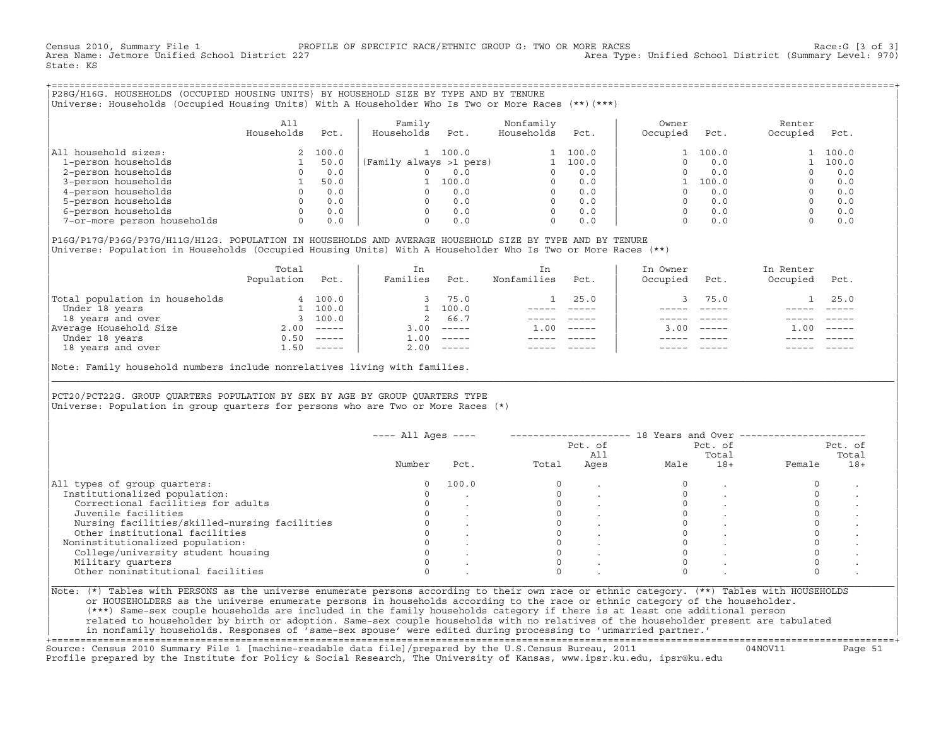Census 2010, Summary File 1 PROFILE OF SPECIFIC RACE/ETHNIC GROUP G: TWO OR MORE RACES Race:G [3 of 3]<br>Area Name: Jetmore Unified School District 227 Area Type: Unified School District (Summary Level: 970) State: KS

+===================================================================================================================================================+|P28G/H16G. HOUSEHOLDS (OCCUPIED HOUSING UNITS) BY HOUSEHOLD SIZE BY TYPE AND BY TENURE | |Universe: Households (Occupied Housing Units) With A Householder Who Is Two or More Races (\*\*)(\*\*\*) |

|                             | All<br>Households | Pct.    | Family<br>Households<br>Pct. | Nonfamily<br>Households | Pct.  | Owner<br>Occupied | Pct.  | Renter<br>Occupied | Pct.  |
|-----------------------------|-------------------|---------|------------------------------|-------------------------|-------|-------------------|-------|--------------------|-------|
| household sizes:<br>All     |                   | 2 100.0 | 100.0                        |                         | 100.0 |                   | 100.0 |                    | 100.0 |
| 1-person households         |                   | 50.0    | (Family always >1 pers)      |                         | 100.0 |                   | 0.0   |                    | 100.0 |
| 2-person households         |                   | 0.0     | 0.0                          |                         | 0.0   |                   | 0.0   |                    | 0.0   |
| 3-person households         |                   | 50.0    | 100.0                        | $\Omega$                | 0.0   |                   | 100.0 |                    | 0.0   |
| 4-person households         |                   | 0.0     | 0.0                          | $\Omega$                | 0.0   |                   | 0.0   |                    | 0.0   |
| 5-person households         |                   | 0.0     | 0.0                          | $\Omega$                | 0.0   |                   | 0.0   |                    | 0.0   |
| 6-person households         |                   | 0.0     | 0.0                          | $\Omega$                | 0.0   |                   | 0.0   |                    | 0.0   |
| 7-or-more person households | $\Omega$          | 0.0     | 0.0                          | 0                       | 0.0   |                   | 0.0   |                    | 0.0   |

|P16G/P17G/P36G/P37G/H11G/H12G. POPULATION IN HOUSEHOLDS AND AVERAGE HOUSEHOLD SIZE BY TYPE AND BY TENURE | Universe: Population in Households (Occupied Housing Units) With A Householder Who Is Two or More Races (\*\*)

|                                | Total<br>Population | Pct.         | In<br>Families     | Pct.     | In.<br>Nonfamilies | Pct.     | In Owner<br>Occupied | Pct.         | In Renter<br>Occupied | Pct.     |  |
|--------------------------------|---------------------|--------------|--------------------|----------|--------------------|----------|----------------------|--------------|-----------------------|----------|--|
| Total population in households |                     | 4 100.0      |                    | 75.0     |                    | 25.0     |                      | 75.0         |                       | 25.0     |  |
| Under 18 years                 |                     | 100.0        |                    | 100.0    |                    |          |                      |              |                       |          |  |
| 18 years and over              |                     | 3 100.0      | 2                  | 66.7     |                    |          |                      |              |                       |          |  |
| Average Household Size         | 2.00                | $------$     | 3.00               | $------$ | 1.00               | $------$ |                      | $3.00$ ----- | .00                   | $------$ |  |
| Under 18 years                 | 0.50                | $------$     | $\overline{1}$ .00 | $------$ |                    |          |                      |              |                       |          |  |
| 18 years and over              |                     | $1.50$ ----- | 2.00               |          |                    |          |                      | $- - - - -$  |                       | $------$ |  |
|                                |                     |              |                    |          |                    |          |                      |              |                       |          |  |

Note: Family household numbers include nonrelatives living with families.

| | PCT20/PCT22G. GROUP OUARTERS POPULATION BY SEX BY AGE BY GROUP OUARTERS TYPE Universe: Population in group quarters for persons who are Two or More Races  $(*)$ 

|                                               |        | $---$ All Ages $---$ |       | Pct. of<br>All |      | Pct. of<br>Total |        | Pct. of<br>Total |
|-----------------------------------------------|--------|----------------------|-------|----------------|------|------------------|--------|------------------|
|                                               | Number | Pct.                 | Total | Ages           | Male | $18+$            | Female | $18+$            |
| All types of group quarters:                  |        | 100.0                |       |                |      |                  |        |                  |
| Institutionalized population:                 |        |                      |       |                |      |                  |        |                  |
| Correctional facilities for adults            |        |                      |       |                |      |                  |        |                  |
| Juvenile facilities                           |        |                      |       |                |      |                  |        |                  |
| Nursing facilities/skilled-nursing facilities |        |                      |       |                |      |                  |        |                  |
| Other institutional facilities                |        |                      |       |                |      |                  |        |                  |
| Noninstitutionalized population:              |        |                      |       |                |      |                  |        |                  |
| College/university student housing            |        |                      |       |                |      |                  |        |                  |
| Military quarters                             |        |                      |       |                |      |                  |        |                  |
| Other noninstitutional facilities             |        |                      |       |                |      |                  |        |                  |

|\_\_\_\_\_\_\_\_\_\_\_\_\_\_\_\_\_\_\_\_\_\_\_\_\_\_\_\_\_\_\_\_\_\_\_\_\_\_\_\_\_\_\_\_\_\_\_\_\_\_\_\_\_\_\_\_\_\_\_\_\_\_\_\_\_\_\_\_\_\_\_\_\_\_\_\_\_\_\_\_\_\_\_\_\_\_\_\_\_\_\_\_\_\_\_\_\_\_\_\_\_\_\_\_\_\_\_\_\_\_\_\_\_\_\_\_\_\_\_\_\_\_\_\_\_\_\_\_\_\_\_\_\_\_\_\_\_\_\_\_\_\_\_\_\_\_\_|

| |

or HOUSEHOLDERS as the universe enumerate persons in households according to the race or ethnic category of the householder. | (\*\*\*) Same−sex couple households are included in the family households category if there is at least one additional person | | related to householder by birth or adoption. Same−sex couple households with no relatives of the householder present are tabulated | | in nonfamily households. Responses of 'same−sex spouse' were edited during processing to 'unmarried partner.' |

+===================================================================================================================================================+ Source: Census 2010 Summary File 1 [machine−readable data file]/prepared by the U.S.Census Bureau, 2011 04NOV11 Page 51 Profile prepared by the Institute for Policy & Social Research, The University of Kansas, www.ipsr.ku.edu, ipsr@ku.edu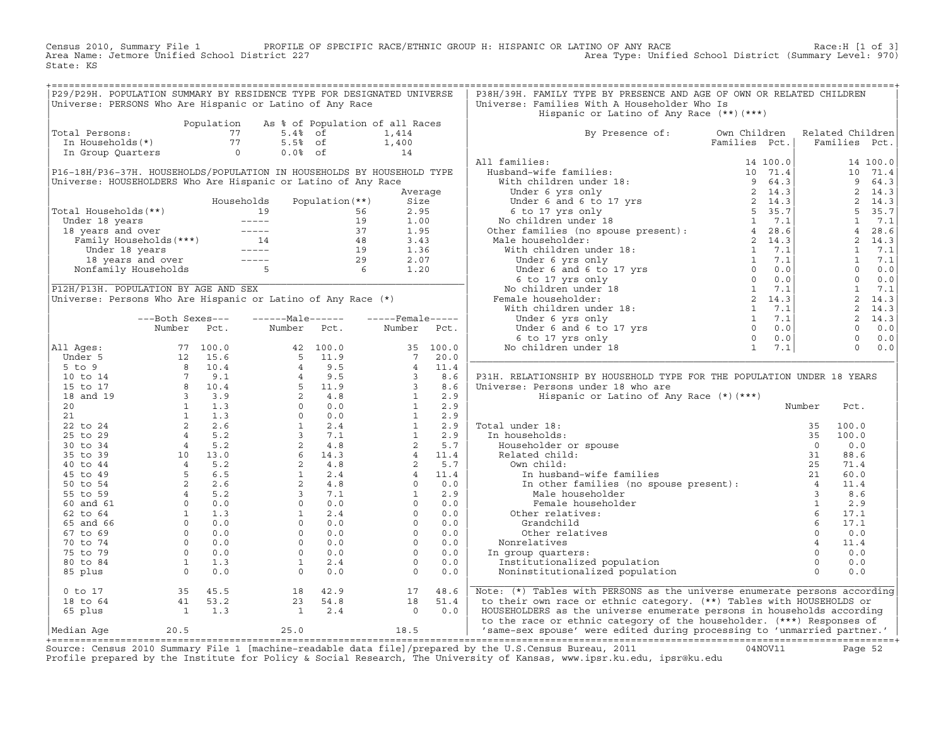Census 2010, Summary File 1 PROFILE OF SPECIFIC RACE/ETHNIC GROUP H: HISPANIC OR LATINO OF ANY RACE Race:H [1 of 3]<br>Area Name: Jetmore Unified School District 227 Area Type: Unified School District (Summary Level: 970) Area Type: Unified School District (Summary Level: 970) State: KS

| P29/P29H. POPULATION SUMMARY BY RESIDENCE TYPE FOR DESIGNATED UNIVERSE                                                                           |                                                                                     |                                            |  | P38H/39H. FAMILY TYPE BY PRESENCE AND AGE OF OWN OR RELATED CHILDREN                                                                                                                                                                |  |  |
|--------------------------------------------------------------------------------------------------------------------------------------------------|-------------------------------------------------------------------------------------|--------------------------------------------|--|-------------------------------------------------------------------------------------------------------------------------------------------------------------------------------------------------------------------------------------|--|--|
| Universe: PERSONS Who Are Hispanic or Latino of Any Race                                                                                         |                                                                                     |                                            |  | Universe: Families With A Householder Who Is                                                                                                                                                                                        |  |  |
|                                                                                                                                                  |                                                                                     |                                            |  | Hispanic or Latino of Any Race (**)(***)                                                                                                                                                                                            |  |  |
| Population As % of Population of all R<br>Total Persons: 77 5.4% of 1,414<br>In Households(*) 77 5.5% of 1,400<br>In Group Quarters 0 0.0% of 14 |                                                                                     | Population As % of Population of all Races |  |                                                                                                                                                                                                                                     |  |  |
| Total Persons:                                                                                                                                   |                                                                                     |                                            |  | By Presence of: Own Children Related Children<br>Families Pct.   Families Pct.                                                                                                                                                      |  |  |
|                                                                                                                                                  |                                                                                     |                                            |  |                                                                                                                                                                                                                                     |  |  |
|                                                                                                                                                  |                                                                                     |                                            |  |                                                                                                                                                                                                                                     |  |  |
|                                                                                                                                                  |                                                                                     |                                            |  |                                                                                                                                                                                                                                     |  |  |
|                                                                                                                                                  |                                                                                     |                                            |  |                                                                                                                                                                                                                                     |  |  |
|                                                                                                                                                  |                                                                                     |                                            |  |                                                                                                                                                                                                                                     |  |  |
|                                                                                                                                                  |                                                                                     |                                            |  |                                                                                                                                                                                                                                     |  |  |
|                                                                                                                                                  |                                                                                     |                                            |  |                                                                                                                                                                                                                                     |  |  |
|                                                                                                                                                  |                                                                                     |                                            |  |                                                                                                                                                                                                                                     |  |  |
|                                                                                                                                                  |                                                                                     |                                            |  |                                                                                                                                                                                                                                     |  |  |
|                                                                                                                                                  |                                                                                     |                                            |  |                                                                                                                                                                                                                                     |  |  |
|                                                                                                                                                  |                                                                                     |                                            |  |                                                                                                                                                                                                                                     |  |  |
|                                                                                                                                                  |                                                                                     |                                            |  |                                                                                                                                                                                                                                     |  |  |
|                                                                                                                                                  |                                                                                     |                                            |  |                                                                                                                                                                                                                                     |  |  |
|                                                                                                                                                  |                                                                                     |                                            |  |                                                                                                                                                                                                                                     |  |  |
|                                                                                                                                                  |                                                                                     |                                            |  |                                                                                                                                                                                                                                     |  |  |
|                                                                                                                                                  |                                                                                     |                                            |  |                                                                                                                                                                                                                                     |  |  |
|                                                                                                                                                  |                                                                                     |                                            |  |                                                                                                                                                                                                                                     |  |  |
|                                                                                                                                                  |                                                                                     |                                            |  |                                                                                                                                                                                                                                     |  |  |
|                                                                                                                                                  |                                                                                     |                                            |  |                                                                                                                                                                                                                                     |  |  |
|                                                                                                                                                  |                                                                                     |                                            |  |                                                                                                                                                                                                                                     |  |  |
|                                                                                                                                                  |                                                                                     |                                            |  |                                                                                                                                                                                                                                     |  |  |
|                                                                                                                                                  |                                                                                     |                                            |  |                                                                                                                                                                                                                                     |  |  |
|                                                                                                                                                  |                                                                                     |                                            |  |                                                                                                                                                                                                                                     |  |  |
|                                                                                                                                                  |                                                                                     |                                            |  |                                                                                                                                                                                                                                     |  |  |
|                                                                                                                                                  |                                                                                     |                                            |  |                                                                                                                                                                                                                                     |  |  |
|                                                                                                                                                  |                                                                                     |                                            |  |                                                                                                                                                                                                                                     |  |  |
|                                                                                                                                                  |                                                                                     |                                            |  | P31H. RELATIONSHIP BY HOUSEHOLD TYPE FOR THE POPULATION UNDER 18 YEARS                                                                                                                                                              |  |  |
|                                                                                                                                                  |                                                                                     |                                            |  |                                                                                                                                                                                                                                     |  |  |
|                                                                                                                                                  |                                                                                     |                                            |  |                                                                                                                                                                                                                                     |  |  |
|                                                                                                                                                  |                                                                                     |                                            |  |                                                                                                                                                                                                                                     |  |  |
|                                                                                                                                                  |                                                                                     |                                            |  |                                                                                                                                                                                                                                     |  |  |
|                                                                                                                                                  |                                                                                     |                                            |  |                                                                                                                                                                                                                                     |  |  |
|                                                                                                                                                  |                                                                                     |                                            |  |                                                                                                                                                                                                                                     |  |  |
|                                                                                                                                                  |                                                                                     |                                            |  |                                                                                                                                                                                                                                     |  |  |
|                                                                                                                                                  |                                                                                     |                                            |  |                                                                                                                                                                                                                                     |  |  |
|                                                                                                                                                  |                                                                                     |                                            |  |                                                                                                                                                                                                                                     |  |  |
|                                                                                                                                                  |                                                                                     |                                            |  |                                                                                                                                                                                                                                     |  |  |
|                                                                                                                                                  |                                                                                     |                                            |  |                                                                                                                                                                                                                                     |  |  |
|                                                                                                                                                  |                                                                                     |                                            |  |                                                                                                                                                                                                                                     |  |  |
|                                                                                                                                                  |                                                                                     |                                            |  |                                                                                                                                                                                                                                     |  |  |
|                                                                                                                                                  |                                                                                     |                                            |  |                                                                                                                                                                                                                                     |  |  |
|                                                                                                                                                  |                                                                                     |                                            |  |                                                                                                                                                                                                                                     |  |  |
|                                                                                                                                                  |                                                                                     |                                            |  |                                                                                                                                                                                                                                     |  |  |
|                                                                                                                                                  |                                                                                     |                                            |  |                                                                                                                                                                                                                                     |  |  |
|                                                                                                                                                  |                                                                                     |                                            |  |                                                                                                                                                                                                                                     |  |  |
|                                                                                                                                                  |                                                                                     |                                            |  |                                                                                                                                                                                                                                     |  |  |
|                                                                                                                                                  |                                                                                     |                                            |  |                                                                                                                                                                                                                                     |  |  |
|                                                                                                                                                  |                                                                                     |                                            |  |                                                                                                                                                                                                                                     |  |  |
|                                                                                                                                                  |                                                                                     |                                            |  |                                                                                                                                                                                                                                     |  |  |
|                                                                                                                                                  |                                                                                     |                                            |  |                                                                                                                                                                                                                                     |  |  |
|                                                                                                                                                  |                                                                                     |                                            |  |                                                                                                                                                                                                                                     |  |  |
|                                                                                                                                                  |                                                                                     |                                            |  | Note: (*) Tables with PERSONS as the universe enumerate persons according                                                                                                                                                           |  |  |
|                                                                                                                                                  |                                                                                     |                                            |  | to their own race or ethnic category. (**) Tables with HOUSEHOLDS or                                                                                                                                                                |  |  |
|                                                                                                                                                  |                                                                                     |                                            |  | HOUSEHOLDERS as the universe enumerate persons in households according                                                                                                                                                              |  |  |
|                                                                                                                                                  | 0 to 17<br>18 to 64<br>65 plus 1 2.3<br>1 1.3<br>1 2.4<br>1 2.4<br>1 2.4<br>1 0 0.0 |                                            |  | to the race or ethnic category of the householder. (***) Responses of                                                                                                                                                               |  |  |
|                                                                                                                                                  |                                                                                     |                                            |  | Median Age 20.5 25.0 (1990) 2011 - 18.5 (2011 - 1990) 2012 - 18.5 (2011 - 1990) 2012 - 18.5 (2012 - 1990) 201<br> - Heliam Age 20.5 25.0 25.0 17.0 2018 2012 2012 - 2012 - 1990 2012 - 1990 2012 - 1990 2012 - 1990 2012 - 1990<br> |  |  |

+===================================================================================================================================================+Source: Census 2010 Summary File 1 [machine−readable data file]/prepared by the U.S.Census Bureau, 2011 04NOV11 Page 52 Profile prepared by the Institute for Policy & Social Research, The University of Kansas, www.ipsr.ku.edu, ipsr@ku.edu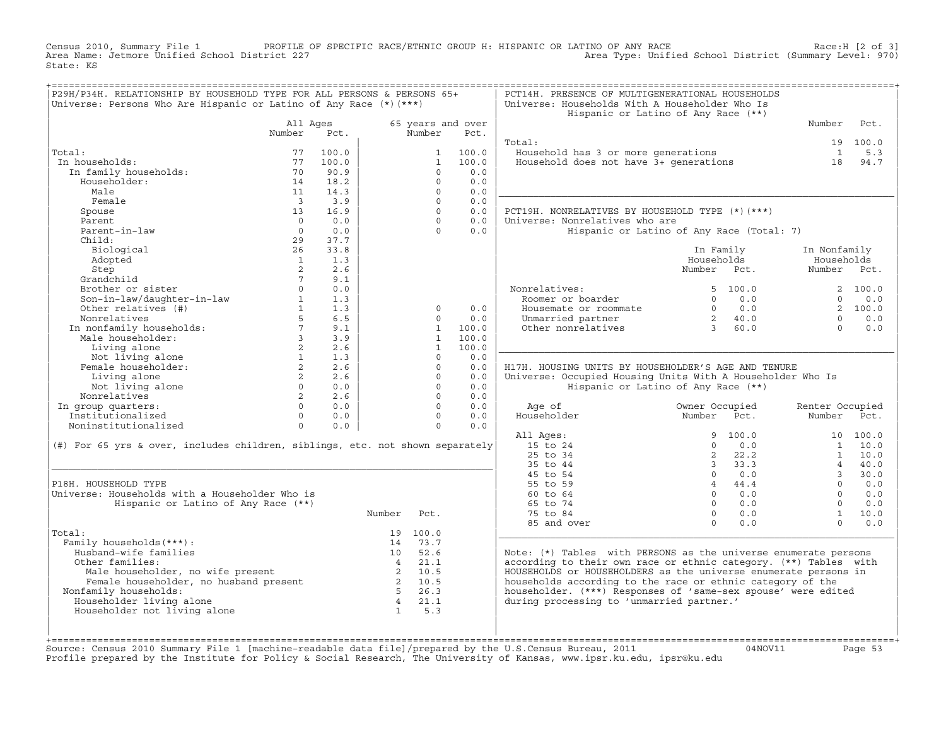Census 2010, Summary File 1 PROFILE OF SPECIFIC RACE/ETHNIC GROUP H: HISPANIC OR LATINO OF ANY RACE Race:H [2 of 3]<br>Area Name: Jetmore Unified School District 227 Area Type: Unified School District (Summary Level: 970) Area Type: Unified School District (Summary Level: 970) State: KS

| P29H/P34H. RELATIONSHIP BY HOUSEHOLD TYPE FOR ALL PERSONS & PERSONS 65+<br>Universe: Persons Who Are Hispanic or Latino of Any Race (*) (***)                                                                                |                         |                                       |                 |              |                   | PCT14H. PRESENCE OF MULTIGENERATIONAL HOUSEHOLDS<br>Universe: Households With A Householder Who Is |                                                      |                                                      |                 |            |
|------------------------------------------------------------------------------------------------------------------------------------------------------------------------------------------------------------------------------|-------------------------|---------------------------------------|-----------------|--------------|-------------------|----------------------------------------------------------------------------------------------------|------------------------------------------------------|------------------------------------------------------|-----------------|------------|
|                                                                                                                                                                                                                              |                         |                                       |                 |              |                   | Hispanic or Latino of Any Race (**)                                                                |                                                      |                                                      |                 |            |
|                                                                                                                                                                                                                              | All Ages                |                                       |                 |              | 65 years and over |                                                                                                    |                                                      |                                                      | Number          | Pct.       |
|                                                                                                                                                                                                                              | Number                  | Pct.                                  |                 | Number       | Pct.              |                                                                                                    |                                                      |                                                      |                 |            |
|                                                                                                                                                                                                                              |                         |                                       |                 |              |                   | Total:                                                                                             |                                                      |                                                      |                 | 19 100.0   |
| Total:                                                                                                                                                                                                                       | 77                      | 100.0                                 |                 | $\mathbf{1}$ | 100.0             | Household has 3 or more generations                                                                |                                                      |                                                      | $\mathbf{1}$    | 5.3        |
| In households:                                                                                                                                                                                                               | 77                      | 100.0                                 |                 | $\mathbf{1}$ | 100.0             | Housenoid has 3 or more generations<br>Household does not have 3+ generations                      |                                                      |                                                      | 18              | 94.7       |
| In family households:                                                                                                                                                                                                        | 70                      | 90.9                                  |                 | $\Omega$     | 0.0               |                                                                                                    |                                                      |                                                      |                 |            |
| Householder:                                                                                                                                                                                                                 | 14                      | 18.2                                  |                 | $\circ$      | 0.0               |                                                                                                    |                                                      |                                                      |                 |            |
| Male                                                                                                                                                                                                                         | 11                      | 14.3                                  |                 | $\Omega$     | 0.0               |                                                                                                    |                                                      |                                                      |                 |            |
| Female                                                                                                                                                                                                                       | $\overline{\mathbf{3}}$ | 3.9                                   |                 | $\Omega$     | 0.0               |                                                                                                    |                                                      |                                                      |                 |            |
| Spouse                                                                                                                                                                                                                       | 13                      | 16.9                                  |                 | $\Omega$     | 0.0               | PCT19H. NONRELATIVES BY HOUSEHOLD TYPE (*)(***)                                                    |                                                      |                                                      |                 |            |
| Parent                                                                                                                                                                                                                       | $\bigcap$               | 0.0                                   |                 | $\Omega$     | 0.0               | Universe: Nonrelatives who are                                                                     |                                                      |                                                      |                 |            |
| Parent-in-law                                                                                                                                                                                                                | $\Omega$                | 0.0                                   |                 | $\Omega$     | 0.0               | Hispanic or Latino of Any Race (Total: 7)                                                          |                                                      |                                                      |                 |            |
| Child:                                                                                                                                                                                                                       | 29                      | 37.7                                  |                 |              |                   |                                                                                                    |                                                      |                                                      |                 |            |
| Biological                                                                                                                                                                                                                   | 26                      | 33.8                                  |                 |              |                   |                                                                                                    | In Family                                            |                                                      | In Nonfamily    |            |
| Adopted                                                                                                                                                                                                                      | $\overline{1}$          | 1.3                                   |                 |              |                   |                                                                                                    | Households                                           |                                                      | Households      |            |
| Step                                                                                                                                                                                                                         | 2                       | 2.6                                   |                 |              |                   |                                                                                                    | Number Pct.                                          |                                                      | Number Pct.     |            |
| Grandchild                                                                                                                                                                                                                   | $7^{\circ}$             | 9.1                                   |                 |              |                   |                                                                                                    |                                                      |                                                      |                 |            |
| Brother or sister                                                                                                                                                                                                            | $\Omega$                | 0.0                                   |                 |              |                   | Nonrelatives:                                                                                      |                                                      | 5, 100.0                                             |                 | 2 100.0    |
| Son-in-law/daughter-in-law                                                                                                                                                                                                   | 1                       | 1.3                                   |                 |              |                   | Roomer or boarder                                                                                  |                                                      | $0 \t 0.0$                                           | $\Omega$        | 0.0        |
| Other relatives (#)                                                                                                                                                                                                          |                         | $1 \t 1.3$                            |                 | $\Omega$     | 0.0               | Housemate or roommate                                                                              |                                                      | $\begin{array}{ccc} 0 & 0.0 \\ 2 & 40.0 \end{array}$ |                 | 2 100.0    |
| Nonrelatives                                                                                                                                                                                                                 | $5 -$                   | 6.5                                   |                 | $\Omega$     | 0.0               | Unmarried partner                                                                                  | $\begin{array}{cc} 2 & 40.0 \\ 3 & 60.0 \end{array}$ |                                                      | $\Omega$        | 0.0        |
| In nonfamily households:                                                                                                                                                                                                     | 7                       | 9.1                                   |                 | $\mathbf{1}$ | 100.0             | Other nonrelatives                                                                                 |                                                      |                                                      | $\Omega$        | 0.0        |
| Male householder:                                                                                                                                                                                                            | $3^{\circ}$             | 3.9                                   |                 | $\mathbf{1}$ | 100.0             |                                                                                                    |                                                      |                                                      |                 |            |
| Living alone                                                                                                                                                                                                                 | $2^{\circ}$             | 2.6                                   |                 | $\mathbf{1}$ | 100.0             |                                                                                                    |                                                      |                                                      |                 |            |
| Not living alone                                                                                                                                                                                                             | 1                       | 1.3                                   |                 | $\Omega$     | 0.0               |                                                                                                    |                                                      |                                                      |                 |            |
| Female householder:                                                                                                                                                                                                          | $2^{\circ}$             | 2.6                                   |                 | $\circ$      | 0.0               | H17H. HOUSING UNITS BY HOUSEHOLDER'S AGE AND TENURE                                                |                                                      |                                                      |                 |            |
| Living alone                                                                                                                                                                                                                 |                         | $2 \left( \frac{1}{2} \right)$<br>2.6 |                 | $\circ$      | 0.0               | Universe: Occupied Housing Units With A Householder Who Is                                         |                                                      |                                                      |                 |            |
| Not living alone                                                                                                                                                                                                             |                         | $0 \qquad \qquad$<br>0.0              |                 | $\Omega$     | 0.0               | Hispanic or Latino of Any Race (**)                                                                |                                                      |                                                      |                 |            |
| Nonrelatives                                                                                                                                                                                                                 | $2^{\circ}$             | 2.6                                   |                 | $\Omega$     | 0.0               |                                                                                                    |                                                      |                                                      |                 |            |
| In group quarters:                                                                                                                                                                                                           | $0 \qquad \qquad$       | 0.0                                   |                 | $\Omega$     | 0.0               | Age of                                                                                             | Owner Occupied                                       |                                                      | Renter Occupied |            |
| Institutionalized                                                                                                                                                                                                            | $\Omega$                | 0.0                                   |                 | $\Omega$     | 0.0               | Householder                                                                                        | Number                                               | Pct.                                                 | Number          | Pct.       |
| Noninstitutionalized                                                                                                                                                                                                         | $\Omega$                | 0.0                                   |                 | $\Omega$     | 0.0               |                                                                                                    |                                                      |                                                      |                 |            |
|                                                                                                                                                                                                                              |                         |                                       |                 |              |                   | All Ages:                                                                                          |                                                      | 9, 100.0                                             |                 | 10, 100, 0 |
| (#) For 65 yrs & over, includes children, siblings, etc. not shown separately                                                                                                                                                |                         |                                       |                 |              |                   | 15 to 24                                                                                           | $\Omega$                                             | 0.0                                                  | $\mathbf{1}$    | 10.0       |
|                                                                                                                                                                                                                              |                         |                                       |                 |              |                   | 25 to 34                                                                                           | $\overline{2}$                                       | 22.2                                                 | $\mathbf{1}$    | 10.0       |
|                                                                                                                                                                                                                              |                         |                                       |                 |              |                   | 35 to 44                                                                                           | $\overline{3}$                                       | 33.3                                                 | $\overline{4}$  | 40.0       |
|                                                                                                                                                                                                                              |                         |                                       |                 |              |                   | 45 to 54                                                                                           | $\Omega$                                             | 0.0                                                  | $\overline{3}$  | 30.0       |
| P18H. HOUSEHOLD TYPE                                                                                                                                                                                                         |                         |                                       |                 |              |                   | 55 to 59                                                                                           |                                                      | 44.4                                                 | $\Omega$        | 0.0        |
| Universe: Households with a Householder Who is                                                                                                                                                                               |                         |                                       |                 |              |                   | 60 to 64                                                                                           | $\Omega$                                             | 0.0                                                  | $\Omega$        | 0.0        |
| Hispanic or Latino of Any Race (**)                                                                                                                                                                                          |                         |                                       |                 |              |                   | 65 to 74                                                                                           |                                                      | $0 \t 0.0$                                           | $\Omega$        | 0.0        |
|                                                                                                                                                                                                                              |                         |                                       | Number          | Pct.         |                   | 75 to 84                                                                                           |                                                      | $0 \t 0.0$                                           | $\mathbf{1}$    | 10.0       |
|                                                                                                                                                                                                                              |                         |                                       |                 |              |                   | 85 and over                                                                                        | $\Omega$                                             | 0.0                                                  | $\Omega$        | 0.0        |
| Total:                                                                                                                                                                                                                       |                         |                                       |                 | 19 100.0     |                   |                                                                                                    |                                                      |                                                      |                 |            |
| Family households (***) :                                                                                                                                                                                                    |                         |                                       |                 | 14 73.7      |                   |                                                                                                    |                                                      |                                                      |                 |            |
| Husband-wife families                                                                                                                                                                                                        |                         |                                       |                 | 10 52.6      |                   | Note: (*) Tables with PERSONS as the universe enumerate persons                                    |                                                      |                                                      |                 |            |
| Other families:                                                                                                                                                                                                              |                         |                                       |                 | 4 21.1       |                   | according to their own race or ethnic category. (**) Tables with                                   |                                                      |                                                      |                 |            |
| $F$ and $F$ and $F$ are increased by the present that the set of $F$ and $F$ and $F$ are $F$ and $F$ are $F$ and $F$ are $F$ and $F$ are $F$ and $F$ are $F$ and $F$ are $F$ and $F$ are $F$ and $F$ are $F$ and $F$ are $F$ |                         |                                       |                 |              |                   | HOUSEHOLDS or HOUSEHOLDERS as the universe enumerate persons in                                    |                                                      |                                                      |                 |            |
|                                                                                                                                                                                                                              |                         |                                       |                 |              |                   | households according to the race or ethnic category of the                                         |                                                      |                                                      |                 |            |
| Nonfamily households:                                                                                                                                                                                                        |                         |                                       |                 |              |                   | householder. (***) Responses of 'same-sex spouse' were edited                                      |                                                      |                                                      |                 |            |
| Householder living alone                                                                                                                                                                                                     |                         |                                       | $4\overline{4}$ | 21.1         |                   | during processing to 'unmarried partner.'                                                          |                                                      |                                                      |                 |            |
| Householder not living alone                                                                                                                                                                                                 |                         |                                       | $\mathbf{1}$    | 5.3          |                   |                                                                                                    |                                                      |                                                      |                 |            |
|                                                                                                                                                                                                                              |                         |                                       |                 |              |                   |                                                                                                    |                                                      |                                                      |                 |            |
|                                                                                                                                                                                                                              |                         |                                       |                 |              |                   |                                                                                                    |                                                      |                                                      |                 |            |
|                                                                                                                                                                                                                              |                         |                                       |                 |              |                   |                                                                                                    |                                                      |                                                      |                 |            |

+===================================================================================================================================================+Source: Census 2010 Summary File 1 [machine−readable data file]/prepared by the U.S.Census Bureau, 2011 04NOV11 Page 53 Profile prepared by the Institute for Policy & Social Research, The University of Kansas, www.ipsr.ku.edu, ipsr@ku.edu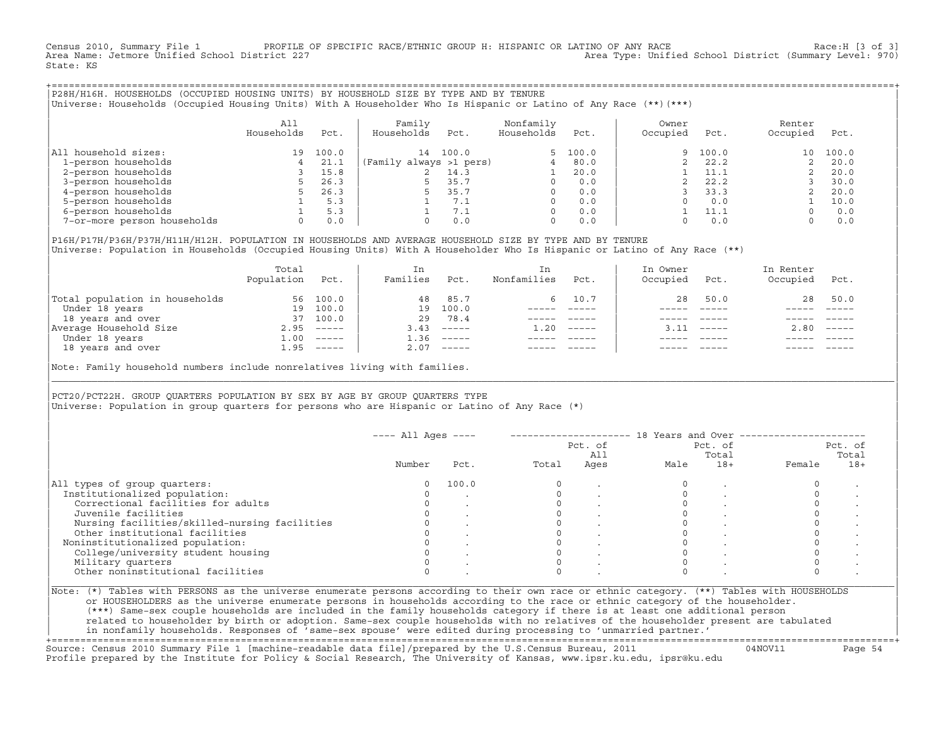Census 2010, Summary File 1 PROFILE OF SPECIFIC RACE/ETHNIC GROUP H: HISPANIC OR LATINO OF ANY RACE RACE Race:H [3 of 3]<br>Area Name: Jetmore Unified School District 227 Area Type: Unified School District (Summary Level: 970) State: KS

+===================================================================================================================================================+|P28H/H16H. HOUSEHOLDS (OCCUPIED HOUSING UNITS) BY HOUSEHOLD SIZE BY TYPE AND BY TENURE | |Universe: Households (Occupied Housing Units) With A Householder Who Is Hispanic or Latino of Any Race (\*\*)(\*\*\*) |

|                             | All<br>Households | Pct.  | Family<br>Households    | Pct.  | Nonfamily<br>Households | Pct.     | Owner<br>Occupied | Pct.  | Renter<br>Occupied | Pct.  |
|-----------------------------|-------------------|-------|-------------------------|-------|-------------------------|----------|-------------------|-------|--------------------|-------|
| household sizes:<br>All     | 19                | 100.0 | 14                      | 100.0 |                         | 5, 100.0 | 9                 | 100.0 | 10                 | 100.0 |
| 1-person households         |                   | 21.1  | (Family always >1 pers) |       |                         | 80.0     |                   | 22.2  |                    | 20.0  |
| 2-person households         |                   | 15.8  |                         | 14.3  |                         | 20.0     |                   | 11.1  |                    | 20.0  |
| 3-person households         |                   | 26.3  |                         | 35.7  | $\Omega$                | 0.0      |                   | 22.2  |                    | 30.0  |
| 4-person households         |                   | 26.3  |                         | 35.7  | $\Omega$                | 0.0      |                   | 33.3  |                    | 20.0  |
| 5-person households         |                   | 5.3   |                         | 7.1   | $\Omega$                | 0.0      |                   | 0.0   |                    | 10.0  |
| 6-person households         |                   | 5.3   |                         | 7.1   | $\Omega$                | 0.0      |                   | 11.1  |                    | 0.0   |
| 7-or-more person households | $\Omega$          | 0.0   |                         | 0.0   | 0                       | 0.0      |                   | 0.0   |                    | 0.0   |

|P16H/P17H/P36H/P37H/H11H/H12H. POPULATION IN HOUSEHOLDS AND AVERAGE HOUSEHOLD SIZE BY TYPE AND BY TENURE | Universe: Population in Households (Occupied Housing Units) With A Householder Who Is Hispanic or Latino of Any Race (\*\*)

|                                | Total<br>Population | Pct.     | In<br>Families | Pct.     | In.<br>Nonfamilies | Pct.     | In Owner<br>Occupied | Pct.                      | In Renter<br>Occupied | Pct.                      |
|--------------------------------|---------------------|----------|----------------|----------|--------------------|----------|----------------------|---------------------------|-----------------------|---------------------------|
| Total population in households |                     | 56 100.0 | 48             | 85.7     |                    | 6 10.7   | 28                   | 50.0                      | 28                    | 50.0                      |
| Under 18 years                 | 19                  | 100.0    | 19             | 100.0    |                    |          |                      |                           |                       |                           |
| 18 years and over              | 37                  | 100.0    | 29             | 78.4     |                    |          |                      |                           |                       |                           |
| Average Household Size         | 2.95                |          | 3.43           | $------$ | 1.20               | $------$ | 311                  | $\qquad \qquad - - - - -$ | 2.80                  | $\qquad \qquad - - - - -$ |
| Under 18 years                 | $\pm 00$            | $------$ | 1.36           | $------$ |                    |          |                      |                           |                       |                           |
| 18 years and over              | 1.95                | ------   | 2.07           |          |                    |          |                      |                           |                       | $- - - - -$               |
|                                |                     |          |                |          |                    |          |                      |                           |                       |                           |

Note: Family household numbers include nonrelatives living with families.

| | PCT20/PCT22H. GROUP OUARTERS POPULATION BY SEX BY AGE BY GROUP OUARTERS TYPE Universe: Population in group quarters for persons who are Hispanic or Latino of Any Race (\*)

|                                               |        |       |       | Pct. of<br>All |      | Pct. of<br>Total |        | Pct. of<br>Total |
|-----------------------------------------------|--------|-------|-------|----------------|------|------------------|--------|------------------|
|                                               | Number | Pct.  | Total | Ages           | Male | $18+$            | Female | $18+$            |
| All types of group quarters:                  | 0      | 100.0 |       |                |      |                  |        |                  |
| Institutionalized population:                 |        |       |       |                |      |                  |        |                  |
| Correctional facilities for adults            |        |       |       |                |      |                  |        |                  |
| Juvenile facilities                           |        |       |       |                |      |                  |        |                  |
| Nursing facilities/skilled-nursing facilities |        |       |       |                |      |                  |        |                  |
| Other institutional facilities                |        |       |       |                |      |                  |        |                  |
| Noninstitutionalized population:              |        |       |       |                |      |                  |        |                  |
| College/university student housing            |        |       |       |                |      |                  |        |                  |
| Military quarters                             |        |       |       |                |      |                  |        |                  |
| Other noninstitutional facilities             |        |       |       |                |      |                  |        |                  |

|\_\_\_\_\_\_\_\_\_\_\_\_\_\_\_\_\_\_\_\_\_\_\_\_\_\_\_\_\_\_\_\_\_\_\_\_\_\_\_\_\_\_\_\_\_\_\_\_\_\_\_\_\_\_\_\_\_\_\_\_\_\_\_\_\_\_\_\_\_\_\_\_\_\_\_\_\_\_\_\_\_\_\_\_\_\_\_\_\_\_\_\_\_\_\_\_\_\_\_\_\_\_\_\_\_\_\_\_\_\_\_\_\_\_\_\_\_\_\_\_\_\_\_\_\_\_\_\_\_\_\_\_\_\_\_\_\_\_\_\_\_\_\_\_\_\_\_|

| |

or HOUSEHOLDERS as the universe enumerate persons in households according to the race or ethnic category of the householder. | (\*\*\*) Same−sex couple households are included in the family households category if there is at least one additional person | | related to householder by birth or adoption. Same−sex couple households with no relatives of the householder present are tabulated | | in nonfamily households. Responses of 'same−sex spouse' were edited during processing to 'unmarried partner.' |

+===================================================================================================================================================+ Source: Census 2010 Summary File 1 [machine−readable data file]/prepared by the U.S.Census Bureau, 2011 04NOV11 Page 54 Profile prepared by the Institute for Policy & Social Research, The University of Kansas, www.ipsr.ku.edu, ipsr@ku.edu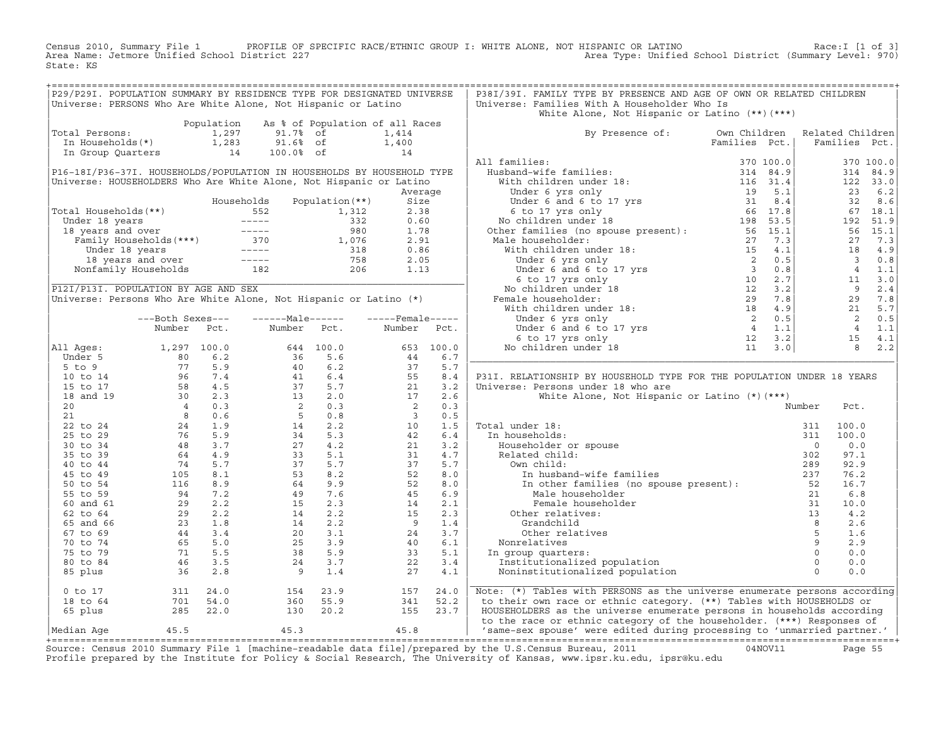Census 2010, Summary File 1 PROFILE OF SPECIFIC RACE/ETHNIC GROUP I: WHITE ALONE, NOT HISPANIC OR LATINO Race:I [1 of 3] Area Name: Jetmore Unified School District 227 Area Type: Unified School District (Summary Level: 970) State: KS

| P29/P29I. POPULATION SUMMARY BY RESIDENCE TYPE FOR DESIGNATED UNIVERSE<br>P38I/39I. FAMILY TYPE BY PRESENCE AND AGE OF OWN OR RELATED CHILDREN<br>Universe: PERSONS Who Are White Alone, Not Hispanic or Latino<br>Universe: Families With A Householder Who Is<br>White Alone, Not Hispanic or Latino (**) (***)<br>Population<br>As % of Population of all Races<br>Total Persons:<br>1,297<br>91.7% of<br>1,414<br>By Presence of: Own Children<br>Related Children<br>In Households(*) 1,283<br>In Group Quarters 14<br>91.6% of<br>Families Pct.<br>Families Pct.<br>$1,400$<br>$14$<br>100.0% of<br>All families:<br>370 100.0<br>P16-18I/P36-37I. HOUSEHOLDS/POPULATION IN HOUSEHOLDS BY HOUSEHOLD TYPE<br>314 84.9<br>Universe: HOUSEHOLDERS Who Are White Alone, Not Hispanic or Latino<br>122 33.0<br>23 6.2<br>Average<br>Households<br>Population (**)<br>32 8.6<br>Size<br>Total Households (**)<br>Votal Households (**)<br>The Households Population (**)<br>52.38<br>Under 18 years<br>18 years and over<br>Family Households (***)<br>Under 18 years<br>18 years<br>18 years<br>18 years<br>18 years<br>18 years<br>18 years<br>18 years<br>18 years<br>18 y<br>67 18.1<br>192 51.9<br>56 15.1<br>27 7.3<br>18 4.9<br>$\overline{\mathbf{3}}$<br>4 1.1<br>$\begin{array}{c c}\n\cdot & & & 11 \\ \hline\n\cdot & & & 9 \\ \hline\n29 & & & 29\n\end{array}$<br>$11 \t 3.0$<br>P12I/P13I. POPULATION BY AGE AND SEX<br>2.4<br>Universe: Persons Who Are White Alone, Not Hispanic or Latino (*)<br>29 7.8<br>21 5.7<br>2 0.5<br>------Male------<br>$---$ Female -----<br>---Both Sexes---<br>4 1.1<br>Number<br>Pct.<br>Number Pct.<br>Number Pct.<br>15 4.1<br>653 100.0<br>$8 \t 2.2$<br>All Ages:<br>1, 297 100.0<br>Under 5 1, 297 100.0<br>5 to 9 77 5.9<br>10 to 14 96 7.4<br>15 to 17 58 4.5<br>20 4 0.3<br>21 8 0.6<br>22 to 24 24 1.9<br>25 to 29 76 5.9<br>35 to 39 48 3.7<br>46 5.7<br>45 to 49 105 8.1<br>55 to 59 94 7.2<br>60 and 61 29 2.2<br>$\begin{array}{cccccc} 644 & 100.0 & 0 \\ 36 & 5.6 & 2 \\ 40 & 6.2 & 4 \\ 41 & 6.4 & 3 \\ 2 & 0.3 & 2 \\ 2 & 0.3 & 4 \\ 2 & 3 & 4 \\ 3 & 4 & 5.3 \\ 2 & 4 & 2.2 \\ 3 & 4 & 5.3 \\ 2 & 4 & 2.2 \\ 3 & 3 & 5.1 \\ 4 & 2.2 & 2 \\ 4 & 9 & 7.6 & 3 \\ 4 & 2 & 2.2 \\ 14 & 2 & 2.2 \\ 2 & 3 & 3.9 \\ 25 & 3.3 & 5.9 \\ 2$<br>6.7<br>44<br>$\frac{37}{37}$<br>55<br>21<br>17<br>5.7<br>P31I. RELATIONSHIP BY HOUSEHOLD TYPE FOR THE POPULATION UNDER 18 YEARS<br>8.4<br>3.2<br>Universe: Persons under 18 who are<br>White Alone, Not Hispanic or Latino (*) (***)<br>2.6<br>$\begin{array}{c} 2 \\ 2 \\ 3 \\ 10 \\ 42 \\ 21 \\ 31 \\ 37 \\ \end{array}$<br>0.3<br>Number<br>Pct.<br>0.5<br>al under 18:<br>n households:<br>Householder or spouse<br>Related child:<br>Own child:<br>In husband-wife families<br>1.5<br>Total under 18:<br>100.0<br>311<br>6.4<br>In households:<br>100.0<br>311<br>3.2<br>$\overline{0}$<br>0.0<br>31<br>4.7<br>302<br>97.1<br>5.7<br>289<br>92.9<br>EXAMPLE TRILLIES<br>In other families (no spouse present):<br>Male householder<br>Female householder<br>Female household<br>52<br>8.0<br>76.2<br>52<br>8.0<br>16.7<br>45<br>6.9<br>6.8<br>der and the speaker problem (a) and the speaker of the speaker of the speaker of the speaker of the speaker of the speaker of the speaker of the speaker of the speaker of the speaker of the speaker of the speaker of the sp<br>$\begin{array}{ccc} 24 & 7.2 \\ 29 & 2.2 \\ 23 & 1.8 \\ 44 & 3.4 \\ 65 & 5.0 \\ 71 & 5.5 \\ 46 & 3.5 \\ 36 & 2.8 \end{array}$<br>2.1<br>60 and 61<br>14<br>Female householder<br>10.0<br>$\begin{array}{r} 14 \\ 15 \\ 9 \\ 24 \\ 40 \\ 33 \\ 22 \end{array}$<br>2.3<br>62 to 64<br>Other relatives:<br>4.2<br>65 and 66<br>1.4<br>2.6<br>Grandchild<br>67 to 69<br>3.7<br>Other relatives<br>1.6<br>70 to 74<br>6.1<br>Nonrelatives<br>2.9<br>5.1<br>75 to 79<br>0.0<br>In group quarters:<br>Institutionalized population<br>80 to 84<br>3.4<br>0.0<br>0.0<br>85 plus<br>$\overline{9}$<br>1.4<br>27<br>4.1<br>Noninstitutionalized population<br>311 24.0<br>701 54.0<br>285 22.0<br>154 23.9<br>360 55.9<br>24.0<br>Note: (*) Tables with PERSONS as the universe enumerate persons according<br>$0$ to $17$<br>157<br>to their own race or ethnic category. (**) Tables with HOUSEHOLDS or<br>18 to 64<br>341<br>52.2<br>130 20.2<br>155 23.7<br>HOUSEHOLDERS as the universe enumerate persons in households according |         |  |  |  |  |  |     |
|-------------------------------------------------------------------------------------------------------------------------------------------------------------------------------------------------------------------------------------------------------------------------------------------------------------------------------------------------------------------------------------------------------------------------------------------------------------------------------------------------------------------------------------------------------------------------------------------------------------------------------------------------------------------------------------------------------------------------------------------------------------------------------------------------------------------------------------------------------------------------------------------------------------------------------------------------------------------------------------------------------------------------------------------------------------------------------------------------------------------------------------------------------------------------------------------------------------------------------------------------------------------------------------------------------------------------------------------------------------------------------------------------------------------------------------------------------------------------------------------------------------------------------------------------------------------------------------------------------------------------------------------------------------------------------------------------------------------------------------------------------------------------------------------------------------------------------------------------------------------------------------------------------------------------------------------------------------------------------------------------------------------------------------------------------------------------------------------------------------------------------------------------------------------------------------------------------------------------------------------------------------------------------------------------------------------------------------------------------------------------------------------------------------------------------------------------------------------------------------------------------------------------------------------------------------------------------------------------------------------------------------------------------------------------------------------------------------------------------------------------------------------------------------------------------------------------------------------------------------------------------------------------------------------------------------------------------------------------------------------------------------------------------------------------------------------------------------------------------------------------------------------------------------------------------------------------------------------------------------------------------------------------------------------------------------------------------------------------------------------------------------------------------------------------------------------------------------------------------------------------------------------------------------------------------------------------------------------------------------------------------------------------------------------------------------------------------------------------------------------------------------------------------------------------------------------------------------------------------------------------------------------------------------------------------------------------------------------------------------------------------------------------------------------------------------------------------------------------------------------------------------------------------------------------------------------------------------------------------------------------------------------------------------------------------------------------------------------------------------------------------------------------------------------------|---------|--|--|--|--|--|-----|
|                                                                                                                                                                                                                                                                                                                                                                                                                                                                                                                                                                                                                                                                                                                                                                                                                                                                                                                                                                                                                                                                                                                                                                                                                                                                                                                                                                                                                                                                                                                                                                                                                                                                                                                                                                                                                                                                                                                                                                                                                                                                                                                                                                                                                                                                                                                                                                                                                                                                                                                                                                                                                                                                                                                                                                                                                                                                                                                                                                                                                                                                                                                                                                                                                                                                                                                                                                                                                                                                                                                                                                                                                                                                                                                                                                                                                                                                                                                                                                                                                                                                                                                                                                                                                                                                                                                                                                                                                         |         |  |  |  |  |  |     |
|                                                                                                                                                                                                                                                                                                                                                                                                                                                                                                                                                                                                                                                                                                                                                                                                                                                                                                                                                                                                                                                                                                                                                                                                                                                                                                                                                                                                                                                                                                                                                                                                                                                                                                                                                                                                                                                                                                                                                                                                                                                                                                                                                                                                                                                                                                                                                                                                                                                                                                                                                                                                                                                                                                                                                                                                                                                                                                                                                                                                                                                                                                                                                                                                                                                                                                                                                                                                                                                                                                                                                                                                                                                                                                                                                                                                                                                                                                                                                                                                                                                                                                                                                                                                                                                                                                                                                                                                                         |         |  |  |  |  |  |     |
|                                                                                                                                                                                                                                                                                                                                                                                                                                                                                                                                                                                                                                                                                                                                                                                                                                                                                                                                                                                                                                                                                                                                                                                                                                                                                                                                                                                                                                                                                                                                                                                                                                                                                                                                                                                                                                                                                                                                                                                                                                                                                                                                                                                                                                                                                                                                                                                                                                                                                                                                                                                                                                                                                                                                                                                                                                                                                                                                                                                                                                                                                                                                                                                                                                                                                                                                                                                                                                                                                                                                                                                                                                                                                                                                                                                                                                                                                                                                                                                                                                                                                                                                                                                                                                                                                                                                                                                                                         |         |  |  |  |  |  |     |
|                                                                                                                                                                                                                                                                                                                                                                                                                                                                                                                                                                                                                                                                                                                                                                                                                                                                                                                                                                                                                                                                                                                                                                                                                                                                                                                                                                                                                                                                                                                                                                                                                                                                                                                                                                                                                                                                                                                                                                                                                                                                                                                                                                                                                                                                                                                                                                                                                                                                                                                                                                                                                                                                                                                                                                                                                                                                                                                                                                                                                                                                                                                                                                                                                                                                                                                                                                                                                                                                                                                                                                                                                                                                                                                                                                                                                                                                                                                                                                                                                                                                                                                                                                                                                                                                                                                                                                                                                         |         |  |  |  |  |  |     |
|                                                                                                                                                                                                                                                                                                                                                                                                                                                                                                                                                                                                                                                                                                                                                                                                                                                                                                                                                                                                                                                                                                                                                                                                                                                                                                                                                                                                                                                                                                                                                                                                                                                                                                                                                                                                                                                                                                                                                                                                                                                                                                                                                                                                                                                                                                                                                                                                                                                                                                                                                                                                                                                                                                                                                                                                                                                                                                                                                                                                                                                                                                                                                                                                                                                                                                                                                                                                                                                                                                                                                                                                                                                                                                                                                                                                                                                                                                                                                                                                                                                                                                                                                                                                                                                                                                                                                                                                                         |         |  |  |  |  |  |     |
|                                                                                                                                                                                                                                                                                                                                                                                                                                                                                                                                                                                                                                                                                                                                                                                                                                                                                                                                                                                                                                                                                                                                                                                                                                                                                                                                                                                                                                                                                                                                                                                                                                                                                                                                                                                                                                                                                                                                                                                                                                                                                                                                                                                                                                                                                                                                                                                                                                                                                                                                                                                                                                                                                                                                                                                                                                                                                                                                                                                                                                                                                                                                                                                                                                                                                                                                                                                                                                                                                                                                                                                                                                                                                                                                                                                                                                                                                                                                                                                                                                                                                                                                                                                                                                                                                                                                                                                                                         |         |  |  |  |  |  |     |
|                                                                                                                                                                                                                                                                                                                                                                                                                                                                                                                                                                                                                                                                                                                                                                                                                                                                                                                                                                                                                                                                                                                                                                                                                                                                                                                                                                                                                                                                                                                                                                                                                                                                                                                                                                                                                                                                                                                                                                                                                                                                                                                                                                                                                                                                                                                                                                                                                                                                                                                                                                                                                                                                                                                                                                                                                                                                                                                                                                                                                                                                                                                                                                                                                                                                                                                                                                                                                                                                                                                                                                                                                                                                                                                                                                                                                                                                                                                                                                                                                                                                                                                                                                                                                                                                                                                                                                                                                         |         |  |  |  |  |  |     |
|                                                                                                                                                                                                                                                                                                                                                                                                                                                                                                                                                                                                                                                                                                                                                                                                                                                                                                                                                                                                                                                                                                                                                                                                                                                                                                                                                                                                                                                                                                                                                                                                                                                                                                                                                                                                                                                                                                                                                                                                                                                                                                                                                                                                                                                                                                                                                                                                                                                                                                                                                                                                                                                                                                                                                                                                                                                                                                                                                                                                                                                                                                                                                                                                                                                                                                                                                                                                                                                                                                                                                                                                                                                                                                                                                                                                                                                                                                                                                                                                                                                                                                                                                                                                                                                                                                                                                                                                                         |         |  |  |  |  |  |     |
|                                                                                                                                                                                                                                                                                                                                                                                                                                                                                                                                                                                                                                                                                                                                                                                                                                                                                                                                                                                                                                                                                                                                                                                                                                                                                                                                                                                                                                                                                                                                                                                                                                                                                                                                                                                                                                                                                                                                                                                                                                                                                                                                                                                                                                                                                                                                                                                                                                                                                                                                                                                                                                                                                                                                                                                                                                                                                                                                                                                                                                                                                                                                                                                                                                                                                                                                                                                                                                                                                                                                                                                                                                                                                                                                                                                                                                                                                                                                                                                                                                                                                                                                                                                                                                                                                                                                                                                                                         |         |  |  |  |  |  |     |
|                                                                                                                                                                                                                                                                                                                                                                                                                                                                                                                                                                                                                                                                                                                                                                                                                                                                                                                                                                                                                                                                                                                                                                                                                                                                                                                                                                                                                                                                                                                                                                                                                                                                                                                                                                                                                                                                                                                                                                                                                                                                                                                                                                                                                                                                                                                                                                                                                                                                                                                                                                                                                                                                                                                                                                                                                                                                                                                                                                                                                                                                                                                                                                                                                                                                                                                                                                                                                                                                                                                                                                                                                                                                                                                                                                                                                                                                                                                                                                                                                                                                                                                                                                                                                                                                                                                                                                                                                         |         |  |  |  |  |  |     |
|                                                                                                                                                                                                                                                                                                                                                                                                                                                                                                                                                                                                                                                                                                                                                                                                                                                                                                                                                                                                                                                                                                                                                                                                                                                                                                                                                                                                                                                                                                                                                                                                                                                                                                                                                                                                                                                                                                                                                                                                                                                                                                                                                                                                                                                                                                                                                                                                                                                                                                                                                                                                                                                                                                                                                                                                                                                                                                                                                                                                                                                                                                                                                                                                                                                                                                                                                                                                                                                                                                                                                                                                                                                                                                                                                                                                                                                                                                                                                                                                                                                                                                                                                                                                                                                                                                                                                                                                                         |         |  |  |  |  |  |     |
|                                                                                                                                                                                                                                                                                                                                                                                                                                                                                                                                                                                                                                                                                                                                                                                                                                                                                                                                                                                                                                                                                                                                                                                                                                                                                                                                                                                                                                                                                                                                                                                                                                                                                                                                                                                                                                                                                                                                                                                                                                                                                                                                                                                                                                                                                                                                                                                                                                                                                                                                                                                                                                                                                                                                                                                                                                                                                                                                                                                                                                                                                                                                                                                                                                                                                                                                                                                                                                                                                                                                                                                                                                                                                                                                                                                                                                                                                                                                                                                                                                                                                                                                                                                                                                                                                                                                                                                                                         |         |  |  |  |  |  |     |
|                                                                                                                                                                                                                                                                                                                                                                                                                                                                                                                                                                                                                                                                                                                                                                                                                                                                                                                                                                                                                                                                                                                                                                                                                                                                                                                                                                                                                                                                                                                                                                                                                                                                                                                                                                                                                                                                                                                                                                                                                                                                                                                                                                                                                                                                                                                                                                                                                                                                                                                                                                                                                                                                                                                                                                                                                                                                                                                                                                                                                                                                                                                                                                                                                                                                                                                                                                                                                                                                                                                                                                                                                                                                                                                                                                                                                                                                                                                                                                                                                                                                                                                                                                                                                                                                                                                                                                                                                         |         |  |  |  |  |  |     |
|                                                                                                                                                                                                                                                                                                                                                                                                                                                                                                                                                                                                                                                                                                                                                                                                                                                                                                                                                                                                                                                                                                                                                                                                                                                                                                                                                                                                                                                                                                                                                                                                                                                                                                                                                                                                                                                                                                                                                                                                                                                                                                                                                                                                                                                                                                                                                                                                                                                                                                                                                                                                                                                                                                                                                                                                                                                                                                                                                                                                                                                                                                                                                                                                                                                                                                                                                                                                                                                                                                                                                                                                                                                                                                                                                                                                                                                                                                                                                                                                                                                                                                                                                                                                                                                                                                                                                                                                                         |         |  |  |  |  |  |     |
|                                                                                                                                                                                                                                                                                                                                                                                                                                                                                                                                                                                                                                                                                                                                                                                                                                                                                                                                                                                                                                                                                                                                                                                                                                                                                                                                                                                                                                                                                                                                                                                                                                                                                                                                                                                                                                                                                                                                                                                                                                                                                                                                                                                                                                                                                                                                                                                                                                                                                                                                                                                                                                                                                                                                                                                                                                                                                                                                                                                                                                                                                                                                                                                                                                                                                                                                                                                                                                                                                                                                                                                                                                                                                                                                                                                                                                                                                                                                                                                                                                                                                                                                                                                                                                                                                                                                                                                                                         |         |  |  |  |  |  |     |
|                                                                                                                                                                                                                                                                                                                                                                                                                                                                                                                                                                                                                                                                                                                                                                                                                                                                                                                                                                                                                                                                                                                                                                                                                                                                                                                                                                                                                                                                                                                                                                                                                                                                                                                                                                                                                                                                                                                                                                                                                                                                                                                                                                                                                                                                                                                                                                                                                                                                                                                                                                                                                                                                                                                                                                                                                                                                                                                                                                                                                                                                                                                                                                                                                                                                                                                                                                                                                                                                                                                                                                                                                                                                                                                                                                                                                                                                                                                                                                                                                                                                                                                                                                                                                                                                                                                                                                                                                         |         |  |  |  |  |  |     |
|                                                                                                                                                                                                                                                                                                                                                                                                                                                                                                                                                                                                                                                                                                                                                                                                                                                                                                                                                                                                                                                                                                                                                                                                                                                                                                                                                                                                                                                                                                                                                                                                                                                                                                                                                                                                                                                                                                                                                                                                                                                                                                                                                                                                                                                                                                                                                                                                                                                                                                                                                                                                                                                                                                                                                                                                                                                                                                                                                                                                                                                                                                                                                                                                                                                                                                                                                                                                                                                                                                                                                                                                                                                                                                                                                                                                                                                                                                                                                                                                                                                                                                                                                                                                                                                                                                                                                                                                                         |         |  |  |  |  |  |     |
|                                                                                                                                                                                                                                                                                                                                                                                                                                                                                                                                                                                                                                                                                                                                                                                                                                                                                                                                                                                                                                                                                                                                                                                                                                                                                                                                                                                                                                                                                                                                                                                                                                                                                                                                                                                                                                                                                                                                                                                                                                                                                                                                                                                                                                                                                                                                                                                                                                                                                                                                                                                                                                                                                                                                                                                                                                                                                                                                                                                                                                                                                                                                                                                                                                                                                                                                                                                                                                                                                                                                                                                                                                                                                                                                                                                                                                                                                                                                                                                                                                                                                                                                                                                                                                                                                                                                                                                                                         |         |  |  |  |  |  |     |
|                                                                                                                                                                                                                                                                                                                                                                                                                                                                                                                                                                                                                                                                                                                                                                                                                                                                                                                                                                                                                                                                                                                                                                                                                                                                                                                                                                                                                                                                                                                                                                                                                                                                                                                                                                                                                                                                                                                                                                                                                                                                                                                                                                                                                                                                                                                                                                                                                                                                                                                                                                                                                                                                                                                                                                                                                                                                                                                                                                                                                                                                                                                                                                                                                                                                                                                                                                                                                                                                                                                                                                                                                                                                                                                                                                                                                                                                                                                                                                                                                                                                                                                                                                                                                                                                                                                                                                                                                         |         |  |  |  |  |  | 0.8 |
|                                                                                                                                                                                                                                                                                                                                                                                                                                                                                                                                                                                                                                                                                                                                                                                                                                                                                                                                                                                                                                                                                                                                                                                                                                                                                                                                                                                                                                                                                                                                                                                                                                                                                                                                                                                                                                                                                                                                                                                                                                                                                                                                                                                                                                                                                                                                                                                                                                                                                                                                                                                                                                                                                                                                                                                                                                                                                                                                                                                                                                                                                                                                                                                                                                                                                                                                                                                                                                                                                                                                                                                                                                                                                                                                                                                                                                                                                                                                                                                                                                                                                                                                                                                                                                                                                                                                                                                                                         |         |  |  |  |  |  |     |
|                                                                                                                                                                                                                                                                                                                                                                                                                                                                                                                                                                                                                                                                                                                                                                                                                                                                                                                                                                                                                                                                                                                                                                                                                                                                                                                                                                                                                                                                                                                                                                                                                                                                                                                                                                                                                                                                                                                                                                                                                                                                                                                                                                                                                                                                                                                                                                                                                                                                                                                                                                                                                                                                                                                                                                                                                                                                                                                                                                                                                                                                                                                                                                                                                                                                                                                                                                                                                                                                                                                                                                                                                                                                                                                                                                                                                                                                                                                                                                                                                                                                                                                                                                                                                                                                                                                                                                                                                         |         |  |  |  |  |  |     |
|                                                                                                                                                                                                                                                                                                                                                                                                                                                                                                                                                                                                                                                                                                                                                                                                                                                                                                                                                                                                                                                                                                                                                                                                                                                                                                                                                                                                                                                                                                                                                                                                                                                                                                                                                                                                                                                                                                                                                                                                                                                                                                                                                                                                                                                                                                                                                                                                                                                                                                                                                                                                                                                                                                                                                                                                                                                                                                                                                                                                                                                                                                                                                                                                                                                                                                                                                                                                                                                                                                                                                                                                                                                                                                                                                                                                                                                                                                                                                                                                                                                                                                                                                                                                                                                                                                                                                                                                                         |         |  |  |  |  |  |     |
|                                                                                                                                                                                                                                                                                                                                                                                                                                                                                                                                                                                                                                                                                                                                                                                                                                                                                                                                                                                                                                                                                                                                                                                                                                                                                                                                                                                                                                                                                                                                                                                                                                                                                                                                                                                                                                                                                                                                                                                                                                                                                                                                                                                                                                                                                                                                                                                                                                                                                                                                                                                                                                                                                                                                                                                                                                                                                                                                                                                                                                                                                                                                                                                                                                                                                                                                                                                                                                                                                                                                                                                                                                                                                                                                                                                                                                                                                                                                                                                                                                                                                                                                                                                                                                                                                                                                                                                                                         |         |  |  |  |  |  |     |
|                                                                                                                                                                                                                                                                                                                                                                                                                                                                                                                                                                                                                                                                                                                                                                                                                                                                                                                                                                                                                                                                                                                                                                                                                                                                                                                                                                                                                                                                                                                                                                                                                                                                                                                                                                                                                                                                                                                                                                                                                                                                                                                                                                                                                                                                                                                                                                                                                                                                                                                                                                                                                                                                                                                                                                                                                                                                                                                                                                                                                                                                                                                                                                                                                                                                                                                                                                                                                                                                                                                                                                                                                                                                                                                                                                                                                                                                                                                                                                                                                                                                                                                                                                                                                                                                                                                                                                                                                         |         |  |  |  |  |  |     |
|                                                                                                                                                                                                                                                                                                                                                                                                                                                                                                                                                                                                                                                                                                                                                                                                                                                                                                                                                                                                                                                                                                                                                                                                                                                                                                                                                                                                                                                                                                                                                                                                                                                                                                                                                                                                                                                                                                                                                                                                                                                                                                                                                                                                                                                                                                                                                                                                                                                                                                                                                                                                                                                                                                                                                                                                                                                                                                                                                                                                                                                                                                                                                                                                                                                                                                                                                                                                                                                                                                                                                                                                                                                                                                                                                                                                                                                                                                                                                                                                                                                                                                                                                                                                                                                                                                                                                                                                                         |         |  |  |  |  |  |     |
|                                                                                                                                                                                                                                                                                                                                                                                                                                                                                                                                                                                                                                                                                                                                                                                                                                                                                                                                                                                                                                                                                                                                                                                                                                                                                                                                                                                                                                                                                                                                                                                                                                                                                                                                                                                                                                                                                                                                                                                                                                                                                                                                                                                                                                                                                                                                                                                                                                                                                                                                                                                                                                                                                                                                                                                                                                                                                                                                                                                                                                                                                                                                                                                                                                                                                                                                                                                                                                                                                                                                                                                                                                                                                                                                                                                                                                                                                                                                                                                                                                                                                                                                                                                                                                                                                                                                                                                                                         |         |  |  |  |  |  |     |
|                                                                                                                                                                                                                                                                                                                                                                                                                                                                                                                                                                                                                                                                                                                                                                                                                                                                                                                                                                                                                                                                                                                                                                                                                                                                                                                                                                                                                                                                                                                                                                                                                                                                                                                                                                                                                                                                                                                                                                                                                                                                                                                                                                                                                                                                                                                                                                                                                                                                                                                                                                                                                                                                                                                                                                                                                                                                                                                                                                                                                                                                                                                                                                                                                                                                                                                                                                                                                                                                                                                                                                                                                                                                                                                                                                                                                                                                                                                                                                                                                                                                                                                                                                                                                                                                                                                                                                                                                         |         |  |  |  |  |  |     |
|                                                                                                                                                                                                                                                                                                                                                                                                                                                                                                                                                                                                                                                                                                                                                                                                                                                                                                                                                                                                                                                                                                                                                                                                                                                                                                                                                                                                                                                                                                                                                                                                                                                                                                                                                                                                                                                                                                                                                                                                                                                                                                                                                                                                                                                                                                                                                                                                                                                                                                                                                                                                                                                                                                                                                                                                                                                                                                                                                                                                                                                                                                                                                                                                                                                                                                                                                                                                                                                                                                                                                                                                                                                                                                                                                                                                                                                                                                                                                                                                                                                                                                                                                                                                                                                                                                                                                                                                                         |         |  |  |  |  |  |     |
|                                                                                                                                                                                                                                                                                                                                                                                                                                                                                                                                                                                                                                                                                                                                                                                                                                                                                                                                                                                                                                                                                                                                                                                                                                                                                                                                                                                                                                                                                                                                                                                                                                                                                                                                                                                                                                                                                                                                                                                                                                                                                                                                                                                                                                                                                                                                                                                                                                                                                                                                                                                                                                                                                                                                                                                                                                                                                                                                                                                                                                                                                                                                                                                                                                                                                                                                                                                                                                                                                                                                                                                                                                                                                                                                                                                                                                                                                                                                                                                                                                                                                                                                                                                                                                                                                                                                                                                                                         |         |  |  |  |  |  |     |
|                                                                                                                                                                                                                                                                                                                                                                                                                                                                                                                                                                                                                                                                                                                                                                                                                                                                                                                                                                                                                                                                                                                                                                                                                                                                                                                                                                                                                                                                                                                                                                                                                                                                                                                                                                                                                                                                                                                                                                                                                                                                                                                                                                                                                                                                                                                                                                                                                                                                                                                                                                                                                                                                                                                                                                                                                                                                                                                                                                                                                                                                                                                                                                                                                                                                                                                                                                                                                                                                                                                                                                                                                                                                                                                                                                                                                                                                                                                                                                                                                                                                                                                                                                                                                                                                                                                                                                                                                         |         |  |  |  |  |  |     |
|                                                                                                                                                                                                                                                                                                                                                                                                                                                                                                                                                                                                                                                                                                                                                                                                                                                                                                                                                                                                                                                                                                                                                                                                                                                                                                                                                                                                                                                                                                                                                                                                                                                                                                                                                                                                                                                                                                                                                                                                                                                                                                                                                                                                                                                                                                                                                                                                                                                                                                                                                                                                                                                                                                                                                                                                                                                                                                                                                                                                                                                                                                                                                                                                                                                                                                                                                                                                                                                                                                                                                                                                                                                                                                                                                                                                                                                                                                                                                                                                                                                                                                                                                                                                                                                                                                                                                                                                                         |         |  |  |  |  |  |     |
|                                                                                                                                                                                                                                                                                                                                                                                                                                                                                                                                                                                                                                                                                                                                                                                                                                                                                                                                                                                                                                                                                                                                                                                                                                                                                                                                                                                                                                                                                                                                                                                                                                                                                                                                                                                                                                                                                                                                                                                                                                                                                                                                                                                                                                                                                                                                                                                                                                                                                                                                                                                                                                                                                                                                                                                                                                                                                                                                                                                                                                                                                                                                                                                                                                                                                                                                                                                                                                                                                                                                                                                                                                                                                                                                                                                                                                                                                                                                                                                                                                                                                                                                                                                                                                                                                                                                                                                                                         |         |  |  |  |  |  |     |
|                                                                                                                                                                                                                                                                                                                                                                                                                                                                                                                                                                                                                                                                                                                                                                                                                                                                                                                                                                                                                                                                                                                                                                                                                                                                                                                                                                                                                                                                                                                                                                                                                                                                                                                                                                                                                                                                                                                                                                                                                                                                                                                                                                                                                                                                                                                                                                                                                                                                                                                                                                                                                                                                                                                                                                                                                                                                                                                                                                                                                                                                                                                                                                                                                                                                                                                                                                                                                                                                                                                                                                                                                                                                                                                                                                                                                                                                                                                                                                                                                                                                                                                                                                                                                                                                                                                                                                                                                         |         |  |  |  |  |  |     |
|                                                                                                                                                                                                                                                                                                                                                                                                                                                                                                                                                                                                                                                                                                                                                                                                                                                                                                                                                                                                                                                                                                                                                                                                                                                                                                                                                                                                                                                                                                                                                                                                                                                                                                                                                                                                                                                                                                                                                                                                                                                                                                                                                                                                                                                                                                                                                                                                                                                                                                                                                                                                                                                                                                                                                                                                                                                                                                                                                                                                                                                                                                                                                                                                                                                                                                                                                                                                                                                                                                                                                                                                                                                                                                                                                                                                                                                                                                                                                                                                                                                                                                                                                                                                                                                                                                                                                                                                                         |         |  |  |  |  |  |     |
|                                                                                                                                                                                                                                                                                                                                                                                                                                                                                                                                                                                                                                                                                                                                                                                                                                                                                                                                                                                                                                                                                                                                                                                                                                                                                                                                                                                                                                                                                                                                                                                                                                                                                                                                                                                                                                                                                                                                                                                                                                                                                                                                                                                                                                                                                                                                                                                                                                                                                                                                                                                                                                                                                                                                                                                                                                                                                                                                                                                                                                                                                                                                                                                                                                                                                                                                                                                                                                                                                                                                                                                                                                                                                                                                                                                                                                                                                                                                                                                                                                                                                                                                                                                                                                                                                                                                                                                                                         |         |  |  |  |  |  |     |
|                                                                                                                                                                                                                                                                                                                                                                                                                                                                                                                                                                                                                                                                                                                                                                                                                                                                                                                                                                                                                                                                                                                                                                                                                                                                                                                                                                                                                                                                                                                                                                                                                                                                                                                                                                                                                                                                                                                                                                                                                                                                                                                                                                                                                                                                                                                                                                                                                                                                                                                                                                                                                                                                                                                                                                                                                                                                                                                                                                                                                                                                                                                                                                                                                                                                                                                                                                                                                                                                                                                                                                                                                                                                                                                                                                                                                                                                                                                                                                                                                                                                                                                                                                                                                                                                                                                                                                                                                         |         |  |  |  |  |  |     |
|                                                                                                                                                                                                                                                                                                                                                                                                                                                                                                                                                                                                                                                                                                                                                                                                                                                                                                                                                                                                                                                                                                                                                                                                                                                                                                                                                                                                                                                                                                                                                                                                                                                                                                                                                                                                                                                                                                                                                                                                                                                                                                                                                                                                                                                                                                                                                                                                                                                                                                                                                                                                                                                                                                                                                                                                                                                                                                                                                                                                                                                                                                                                                                                                                                                                                                                                                                                                                                                                                                                                                                                                                                                                                                                                                                                                                                                                                                                                                                                                                                                                                                                                                                                                                                                                                                                                                                                                                         |         |  |  |  |  |  |     |
|                                                                                                                                                                                                                                                                                                                                                                                                                                                                                                                                                                                                                                                                                                                                                                                                                                                                                                                                                                                                                                                                                                                                                                                                                                                                                                                                                                                                                                                                                                                                                                                                                                                                                                                                                                                                                                                                                                                                                                                                                                                                                                                                                                                                                                                                                                                                                                                                                                                                                                                                                                                                                                                                                                                                                                                                                                                                                                                                                                                                                                                                                                                                                                                                                                                                                                                                                                                                                                                                                                                                                                                                                                                                                                                                                                                                                                                                                                                                                                                                                                                                                                                                                                                                                                                                                                                                                                                                                         |         |  |  |  |  |  |     |
|                                                                                                                                                                                                                                                                                                                                                                                                                                                                                                                                                                                                                                                                                                                                                                                                                                                                                                                                                                                                                                                                                                                                                                                                                                                                                                                                                                                                                                                                                                                                                                                                                                                                                                                                                                                                                                                                                                                                                                                                                                                                                                                                                                                                                                                                                                                                                                                                                                                                                                                                                                                                                                                                                                                                                                                                                                                                                                                                                                                                                                                                                                                                                                                                                                                                                                                                                                                                                                                                                                                                                                                                                                                                                                                                                                                                                                                                                                                                                                                                                                                                                                                                                                                                                                                                                                                                                                                                                         |         |  |  |  |  |  |     |
|                                                                                                                                                                                                                                                                                                                                                                                                                                                                                                                                                                                                                                                                                                                                                                                                                                                                                                                                                                                                                                                                                                                                                                                                                                                                                                                                                                                                                                                                                                                                                                                                                                                                                                                                                                                                                                                                                                                                                                                                                                                                                                                                                                                                                                                                                                                                                                                                                                                                                                                                                                                                                                                                                                                                                                                                                                                                                                                                                                                                                                                                                                                                                                                                                                                                                                                                                                                                                                                                                                                                                                                                                                                                                                                                                                                                                                                                                                                                                                                                                                                                                                                                                                                                                                                                                                                                                                                                                         |         |  |  |  |  |  |     |
|                                                                                                                                                                                                                                                                                                                                                                                                                                                                                                                                                                                                                                                                                                                                                                                                                                                                                                                                                                                                                                                                                                                                                                                                                                                                                                                                                                                                                                                                                                                                                                                                                                                                                                                                                                                                                                                                                                                                                                                                                                                                                                                                                                                                                                                                                                                                                                                                                                                                                                                                                                                                                                                                                                                                                                                                                                                                                                                                                                                                                                                                                                                                                                                                                                                                                                                                                                                                                                                                                                                                                                                                                                                                                                                                                                                                                                                                                                                                                                                                                                                                                                                                                                                                                                                                                                                                                                                                                         |         |  |  |  |  |  |     |
|                                                                                                                                                                                                                                                                                                                                                                                                                                                                                                                                                                                                                                                                                                                                                                                                                                                                                                                                                                                                                                                                                                                                                                                                                                                                                                                                                                                                                                                                                                                                                                                                                                                                                                                                                                                                                                                                                                                                                                                                                                                                                                                                                                                                                                                                                                                                                                                                                                                                                                                                                                                                                                                                                                                                                                                                                                                                                                                                                                                                                                                                                                                                                                                                                                                                                                                                                                                                                                                                                                                                                                                                                                                                                                                                                                                                                                                                                                                                                                                                                                                                                                                                                                                                                                                                                                                                                                                                                         |         |  |  |  |  |  |     |
|                                                                                                                                                                                                                                                                                                                                                                                                                                                                                                                                                                                                                                                                                                                                                                                                                                                                                                                                                                                                                                                                                                                                                                                                                                                                                                                                                                                                                                                                                                                                                                                                                                                                                                                                                                                                                                                                                                                                                                                                                                                                                                                                                                                                                                                                                                                                                                                                                                                                                                                                                                                                                                                                                                                                                                                                                                                                                                                                                                                                                                                                                                                                                                                                                                                                                                                                                                                                                                                                                                                                                                                                                                                                                                                                                                                                                                                                                                                                                                                                                                                                                                                                                                                                                                                                                                                                                                                                                         |         |  |  |  |  |  |     |
|                                                                                                                                                                                                                                                                                                                                                                                                                                                                                                                                                                                                                                                                                                                                                                                                                                                                                                                                                                                                                                                                                                                                                                                                                                                                                                                                                                                                                                                                                                                                                                                                                                                                                                                                                                                                                                                                                                                                                                                                                                                                                                                                                                                                                                                                                                                                                                                                                                                                                                                                                                                                                                                                                                                                                                                                                                                                                                                                                                                                                                                                                                                                                                                                                                                                                                                                                                                                                                                                                                                                                                                                                                                                                                                                                                                                                                                                                                                                                                                                                                                                                                                                                                                                                                                                                                                                                                                                                         |         |  |  |  |  |  |     |
|                                                                                                                                                                                                                                                                                                                                                                                                                                                                                                                                                                                                                                                                                                                                                                                                                                                                                                                                                                                                                                                                                                                                                                                                                                                                                                                                                                                                                                                                                                                                                                                                                                                                                                                                                                                                                                                                                                                                                                                                                                                                                                                                                                                                                                                                                                                                                                                                                                                                                                                                                                                                                                                                                                                                                                                                                                                                                                                                                                                                                                                                                                                                                                                                                                                                                                                                                                                                                                                                                                                                                                                                                                                                                                                                                                                                                                                                                                                                                                                                                                                                                                                                                                                                                                                                                                                                                                                                                         |         |  |  |  |  |  |     |
|                                                                                                                                                                                                                                                                                                                                                                                                                                                                                                                                                                                                                                                                                                                                                                                                                                                                                                                                                                                                                                                                                                                                                                                                                                                                                                                                                                                                                                                                                                                                                                                                                                                                                                                                                                                                                                                                                                                                                                                                                                                                                                                                                                                                                                                                                                                                                                                                                                                                                                                                                                                                                                                                                                                                                                                                                                                                                                                                                                                                                                                                                                                                                                                                                                                                                                                                                                                                                                                                                                                                                                                                                                                                                                                                                                                                                                                                                                                                                                                                                                                                                                                                                                                                                                                                                                                                                                                                                         |         |  |  |  |  |  |     |
|                                                                                                                                                                                                                                                                                                                                                                                                                                                                                                                                                                                                                                                                                                                                                                                                                                                                                                                                                                                                                                                                                                                                                                                                                                                                                                                                                                                                                                                                                                                                                                                                                                                                                                                                                                                                                                                                                                                                                                                                                                                                                                                                                                                                                                                                                                                                                                                                                                                                                                                                                                                                                                                                                                                                                                                                                                                                                                                                                                                                                                                                                                                                                                                                                                                                                                                                                                                                                                                                                                                                                                                                                                                                                                                                                                                                                                                                                                                                                                                                                                                                                                                                                                                                                                                                                                                                                                                                                         |         |  |  |  |  |  |     |
|                                                                                                                                                                                                                                                                                                                                                                                                                                                                                                                                                                                                                                                                                                                                                                                                                                                                                                                                                                                                                                                                                                                                                                                                                                                                                                                                                                                                                                                                                                                                                                                                                                                                                                                                                                                                                                                                                                                                                                                                                                                                                                                                                                                                                                                                                                                                                                                                                                                                                                                                                                                                                                                                                                                                                                                                                                                                                                                                                                                                                                                                                                                                                                                                                                                                                                                                                                                                                                                                                                                                                                                                                                                                                                                                                                                                                                                                                                                                                                                                                                                                                                                                                                                                                                                                                                                                                                                                                         |         |  |  |  |  |  |     |
|                                                                                                                                                                                                                                                                                                                                                                                                                                                                                                                                                                                                                                                                                                                                                                                                                                                                                                                                                                                                                                                                                                                                                                                                                                                                                                                                                                                                                                                                                                                                                                                                                                                                                                                                                                                                                                                                                                                                                                                                                                                                                                                                                                                                                                                                                                                                                                                                                                                                                                                                                                                                                                                                                                                                                                                                                                                                                                                                                                                                                                                                                                                                                                                                                                                                                                                                                                                                                                                                                                                                                                                                                                                                                                                                                                                                                                                                                                                                                                                                                                                                                                                                                                                                                                                                                                                                                                                                                         |         |  |  |  |  |  |     |
|                                                                                                                                                                                                                                                                                                                                                                                                                                                                                                                                                                                                                                                                                                                                                                                                                                                                                                                                                                                                                                                                                                                                                                                                                                                                                                                                                                                                                                                                                                                                                                                                                                                                                                                                                                                                                                                                                                                                                                                                                                                                                                                                                                                                                                                                                                                                                                                                                                                                                                                                                                                                                                                                                                                                                                                                                                                                                                                                                                                                                                                                                                                                                                                                                                                                                                                                                                                                                                                                                                                                                                                                                                                                                                                                                                                                                                                                                                                                                                                                                                                                                                                                                                                                                                                                                                                                                                                                                         |         |  |  |  |  |  |     |
|                                                                                                                                                                                                                                                                                                                                                                                                                                                                                                                                                                                                                                                                                                                                                                                                                                                                                                                                                                                                                                                                                                                                                                                                                                                                                                                                                                                                                                                                                                                                                                                                                                                                                                                                                                                                                                                                                                                                                                                                                                                                                                                                                                                                                                                                                                                                                                                                                                                                                                                                                                                                                                                                                                                                                                                                                                                                                                                                                                                                                                                                                                                                                                                                                                                                                                                                                                                                                                                                                                                                                                                                                                                                                                                                                                                                                                                                                                                                                                                                                                                                                                                                                                                                                                                                                                                                                                                                                         |         |  |  |  |  |  |     |
|                                                                                                                                                                                                                                                                                                                                                                                                                                                                                                                                                                                                                                                                                                                                                                                                                                                                                                                                                                                                                                                                                                                                                                                                                                                                                                                                                                                                                                                                                                                                                                                                                                                                                                                                                                                                                                                                                                                                                                                                                                                                                                                                                                                                                                                                                                                                                                                                                                                                                                                                                                                                                                                                                                                                                                                                                                                                                                                                                                                                                                                                                                                                                                                                                                                                                                                                                                                                                                                                                                                                                                                                                                                                                                                                                                                                                                                                                                                                                                                                                                                                                                                                                                                                                                                                                                                                                                                                                         |         |  |  |  |  |  |     |
|                                                                                                                                                                                                                                                                                                                                                                                                                                                                                                                                                                                                                                                                                                                                                                                                                                                                                                                                                                                                                                                                                                                                                                                                                                                                                                                                                                                                                                                                                                                                                                                                                                                                                                                                                                                                                                                                                                                                                                                                                                                                                                                                                                                                                                                                                                                                                                                                                                                                                                                                                                                                                                                                                                                                                                                                                                                                                                                                                                                                                                                                                                                                                                                                                                                                                                                                                                                                                                                                                                                                                                                                                                                                                                                                                                                                                                                                                                                                                                                                                                                                                                                                                                                                                                                                                                                                                                                                                         |         |  |  |  |  |  |     |
|                                                                                                                                                                                                                                                                                                                                                                                                                                                                                                                                                                                                                                                                                                                                                                                                                                                                                                                                                                                                                                                                                                                                                                                                                                                                                                                                                                                                                                                                                                                                                                                                                                                                                                                                                                                                                                                                                                                                                                                                                                                                                                                                                                                                                                                                                                                                                                                                                                                                                                                                                                                                                                                                                                                                                                                                                                                                                                                                                                                                                                                                                                                                                                                                                                                                                                                                                                                                                                                                                                                                                                                                                                                                                                                                                                                                                                                                                                                                                                                                                                                                                                                                                                                                                                                                                                                                                                                                                         |         |  |  |  |  |  |     |
|                                                                                                                                                                                                                                                                                                                                                                                                                                                                                                                                                                                                                                                                                                                                                                                                                                                                                                                                                                                                                                                                                                                                                                                                                                                                                                                                                                                                                                                                                                                                                                                                                                                                                                                                                                                                                                                                                                                                                                                                                                                                                                                                                                                                                                                                                                                                                                                                                                                                                                                                                                                                                                                                                                                                                                                                                                                                                                                                                                                                                                                                                                                                                                                                                                                                                                                                                                                                                                                                                                                                                                                                                                                                                                                                                                                                                                                                                                                                                                                                                                                                                                                                                                                                                                                                                                                                                                                                                         |         |  |  |  |  |  |     |
|                                                                                                                                                                                                                                                                                                                                                                                                                                                                                                                                                                                                                                                                                                                                                                                                                                                                                                                                                                                                                                                                                                                                                                                                                                                                                                                                                                                                                                                                                                                                                                                                                                                                                                                                                                                                                                                                                                                                                                                                                                                                                                                                                                                                                                                                                                                                                                                                                                                                                                                                                                                                                                                                                                                                                                                                                                                                                                                                                                                                                                                                                                                                                                                                                                                                                                                                                                                                                                                                                                                                                                                                                                                                                                                                                                                                                                                                                                                                                                                                                                                                                                                                                                                                                                                                                                                                                                                                                         | 65 plus |  |  |  |  |  |     |
| to the race or ethnic category of the householder. (***) Responses of                                                                                                                                                                                                                                                                                                                                                                                                                                                                                                                                                                                                                                                                                                                                                                                                                                                                                                                                                                                                                                                                                                                                                                                                                                                                                                                                                                                                                                                                                                                                                                                                                                                                                                                                                                                                                                                                                                                                                                                                                                                                                                                                                                                                                                                                                                                                                                                                                                                                                                                                                                                                                                                                                                                                                                                                                                                                                                                                                                                                                                                                                                                                                                                                                                                                                                                                                                                                                                                                                                                                                                                                                                                                                                                                                                                                                                                                                                                                                                                                                                                                                                                                                                                                                                                                                                                                                   |         |  |  |  |  |  |     |
| 45.3<br>45.5<br>$\vert$ 'same-sex spouse' were edited during processing to 'unmarried partner.' $\vert$<br>45.8<br>Median Aqe                                                                                                                                                                                                                                                                                                                                                                                                                                                                                                                                                                                                                                                                                                                                                                                                                                                                                                                                                                                                                                                                                                                                                                                                                                                                                                                                                                                                                                                                                                                                                                                                                                                                                                                                                                                                                                                                                                                                                                                                                                                                                                                                                                                                                                                                                                                                                                                                                                                                                                                                                                                                                                                                                                                                                                                                                                                                                                                                                                                                                                                                                                                                                                                                                                                                                                                                                                                                                                                                                                                                                                                                                                                                                                                                                                                                                                                                                                                                                                                                                                                                                                                                                                                                                                                                                           |         |  |  |  |  |  |     |
|                                                                                                                                                                                                                                                                                                                                                                                                                                                                                                                                                                                                                                                                                                                                                                                                                                                                                                                                                                                                                                                                                                                                                                                                                                                                                                                                                                                                                                                                                                                                                                                                                                                                                                                                                                                                                                                                                                                                                                                                                                                                                                                                                                                                                                                                                                                                                                                                                                                                                                                                                                                                                                                                                                                                                                                                                                                                                                                                                                                                                                                                                                                                                                                                                                                                                                                                                                                                                                                                                                                                                                                                                                                                                                                                                                                                                                                                                                                                                                                                                                                                                                                                                                                                                                                                                                                                                                                                                         |         |  |  |  |  |  |     |

Source: Census 2010 Summary File 1 [machine-readable data file]/prepared by the U.S.Census Bureau, 2011 Page 55<br>Profile prepared by the Institute for Policy & Social Research, The University of Kansas, www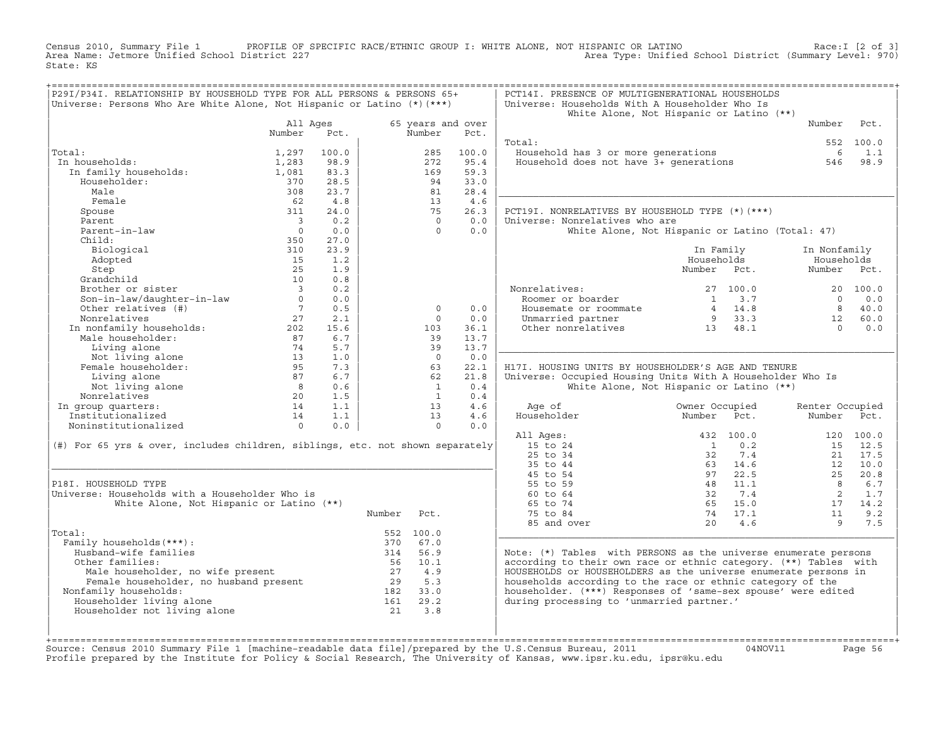Census 2010, Summary File 1 PROFILE OF SPECIFIC RACE/ETHNIC GROUP I: WHITE ALONE, NOT HISPANIC OR LATINO Race:I [2 of 3] Area Name: Jetmore Unified School District 227 Area Type: Unified School District (Summary Level: 970) State: KS

| P29I/P34I. RELATIONSHIP BY HOUSEHOLD TYPE FOR ALL PERSONS & PERSONS 65+<br>Universe: Persons Who Are White Alone, Not Hispanic or Latino (*) (***)                                                                |                                                    |       |            |                             |            | PCT14I. PRESENCE OF MULTIGENERATIONAL HOUSEHOLDS<br>Universe: Households With A Householder Who Is                   |                                                                    |                 |           |
|-------------------------------------------------------------------------------------------------------------------------------------------------------------------------------------------------------------------|----------------------------------------------------|-------|------------|-----------------------------|------------|----------------------------------------------------------------------------------------------------------------------|--------------------------------------------------------------------|-----------------|-----------|
|                                                                                                                                                                                                                   |                                                    |       |            |                             |            |                                                                                                                      | White Alone, Not Hispanic or Latino (**)                           |                 |           |
|                                                                                                                                                                                                                   | All Ages<br>Number                                 | Pct.  |            | 65 years and over<br>Number | Pct.       |                                                                                                                      |                                                                    | Number          | Pct.      |
|                                                                                                                                                                                                                   |                                                    |       |            |                             |            | Total:                                                                                                               |                                                                    |                 | 552 100.0 |
| Total:                                                                                                                                                                                                            | 1,297                                              | 100.0 |            | 285                         | 100.0      | Household has 3 or more generations<br>Household has 3 or more generations<br>Household does not have 3+ generations |                                                                    | 6               | 1.1       |
| In households:                                                                                                                                                                                                    | 1,283                                              | 98.9  |            | 272                         | 95.4       |                                                                                                                      |                                                                    | 546             | 98.9      |
| In family households:                                                                                                                                                                                             | 1,081                                              | 83.3  |            | 169                         | 59.3       |                                                                                                                      |                                                                    |                 |           |
| Householder:                                                                                                                                                                                                      | 370                                                | 28.5  |            | 94                          | 33.0       |                                                                                                                      |                                                                    |                 |           |
| Male                                                                                                                                                                                                              | 308                                                | 23.7  |            | 81                          | 28.4       |                                                                                                                      |                                                                    |                 |           |
| Female                                                                                                                                                                                                            | 62                                                 | 4.8   |            | 13                          | 4.6        |                                                                                                                      |                                                                    |                 |           |
| Spouse                                                                                                                                                                                                            | 311                                                | 24.0  |            | 75                          | 26.3       | PCT19I. NONRELATIVES BY HOUSEHOLD TYPE (*) (***)                                                                     |                                                                    |                 |           |
| Parent                                                                                                                                                                                                            | $\overline{\phantom{a}}$                           | 0.2   |            | $\circ$                     | 0.0        | Universe: Nonrelatives who are                                                                                       |                                                                    |                 |           |
| Parent-in-law                                                                                                                                                                                                     | $\overline{0}$                                     | 0.0   |            | $\Omega$                    | 0.0        |                                                                                                                      | White Alone, Not Hispanic or Latino (Total: 47)                    |                 |           |
| Child:                                                                                                                                                                                                            | 350                                                | 27.0  |            |                             |            |                                                                                                                      |                                                                    |                 |           |
| Biological                                                                                                                                                                                                        | 310                                                | 23.9  |            |                             |            |                                                                                                                      | In Family                                                          | In Nonfamily    |           |
| Adopted                                                                                                                                                                                                           | 15                                                 | 1.2   |            |                             |            |                                                                                                                      | Households                                                         | Households      |           |
| Step                                                                                                                                                                                                              | 25                                                 | 1.9   |            |                             |            |                                                                                                                      | Number Pct.                                                        | Number          | Pct.      |
| Grandchild                                                                                                                                                                                                        | 10                                                 | 0.8   |            |                             |            |                                                                                                                      |                                                                    |                 |           |
| Brother or sister                                                                                                                                                                                                 | $\overline{\mathbf{3}}$                            | 0.2   |            |                             |            | Nonrelatives:                                                                                                        | 27 100.0                                                           |                 | 20 100.0  |
|                                                                                                                                                                                                                   | $\Omega$                                           | 0.0   |            |                             |            | Roomer or boarder                                                                                                    | 3.7<br>$\mathbf{1}$                                                | $\cap$          | 0.0       |
| Son-in-law/daughter-in-law<br>Other relatives (#)                                                                                                                                                                 | $7\overline{7}$                                    | 0.5   |            | $\circ$                     | 0.0        | Housemate or roommate                                                                                                | $\begin{array}{ccc} 4 & 14.8 \\ 9 & 33.3 \\ 13 & 48.1 \end{array}$ | 8 <sup>1</sup>  | 40.0      |
| Nonrelatives                                                                                                                                                                                                      | 27                                                 | 2.1   |            | $\Omega$                    | 0.0        | Unmarried partner                                                                                                    |                                                                    | 12              | 60.0      |
|                                                                                                                                                                                                                   |                                                    | 15.6  |            | 103                         | 36.1       | Other nonrelatives 13 48.1                                                                                           |                                                                    | $\bigcap$       | 0.0       |
|                                                                                                                                                                                                                   |                                                    | 6.7   |            | 39                          | 13.7       |                                                                                                                      |                                                                    |                 |           |
|                                                                                                                                                                                                                   |                                                    | 5.7   |            | 39                          | 13.7       |                                                                                                                      |                                                                    |                 |           |
|                                                                                                                                                                                                                   |                                                    | 1.0   |            | $\overline{0}$              | 0.0        |                                                                                                                      |                                                                    |                 |           |
| Numeratives<br>In nonfamily households:<br>Male householder:<br>Male householder:<br>Not living alone<br>Temale householder:<br>Temale householder:<br>$\frac{13}{202}$<br>Female householder:<br>$\frac{95}{27}$ |                                                    | 7.3   |            | 63                          | 22.1       | H17I. HOUSING UNITS BY HOUSEHOLDER'S AGE AND TENURE                                                                  |                                                                    |                 |           |
| Living alone                                                                                                                                                                                                      | 87                                                 | 6.7   |            | 62                          | 21.8       | Universe: Occupied Housing Units With A Householder Who Is                                                           |                                                                    |                 |           |
| Not living alone                                                                                                                                                                                                  |                                                    | 0.6   |            | $\overline{1}$              | 0.4        |                                                                                                                      | White Alone, Not Hispanic or Latino (**)                           |                 |           |
| Nonrelatives                                                                                                                                                                                                      | $\begin{array}{c}\n 8 \\  20 \\  14\n \end{array}$ | 1.5   |            | $\mathbf{1}$                | 0.4        |                                                                                                                      |                                                                    |                 |           |
| In group quarters:                                                                                                                                                                                                |                                                    | 1.1   |            | 13                          | 4.6        | Age of                                                                                                               | Owner Occupied                                                     | Renter Occupied |           |
| Institutionalized                                                                                                                                                                                                 | 14                                                 | 1.1   |            | 13                          | 4.6<br>0.0 | Householder                                                                                                          | Number<br>Pct.                                                     | Number          | Pct.      |
| Noninstitutionalized                                                                                                                                                                                              | $\overline{0}$                                     | 0.0   |            | $\Omega$                    |            |                                                                                                                      | 432 100.0                                                          |                 | 120 100.0 |
| (#) For 65 yrs & over, includes children, siblings, etc. not shown separately                                                                                                                                     |                                                    |       |            |                             |            | All Ages:<br>15 to 24                                                                                                | $\frac{1}{2}$<br>0.2                                               |                 | 15 12.5   |
|                                                                                                                                                                                                                   |                                                    |       |            |                             |            | 25 to 34                                                                                                             | 7.4<br>32                                                          | 21              | 17.5      |
|                                                                                                                                                                                                                   |                                                    |       |            |                             |            | 35 to 44                                                                                                             | 63 14.6                                                            |                 | 12 10.0   |
|                                                                                                                                                                                                                   |                                                    |       |            |                             |            | 45 to 54                                                                                                             | 97 22.5                                                            | 25              | 20.8      |
| P18I. HOUSEHOLD TYPE                                                                                                                                                                                              |                                                    |       |            |                             |            | 55 to 59                                                                                                             |                                                                    | 8               | 6.7       |
| Universe: Households with a Householder Who is                                                                                                                                                                    |                                                    |       |            |                             |            | 60 to 64                                                                                                             | $\begin{array}{cc} 48 & 11.1 \\ 32 & 7.4 \end{array}$              | $\overline{2}$  | 1.7       |
| White Alone, Not Hispanic or Latino (**)                                                                                                                                                                          |                                                    |       |            |                             |            | 65 to 74                                                                                                             | 65 15.0                                                            | 17              | 14.2      |
|                                                                                                                                                                                                                   |                                                    |       | Number     | Pct.                        |            | 75 to 84                                                                                                             | 74 17.1                                                            | 11              | 9.2       |
|                                                                                                                                                                                                                   |                                                    |       |            |                             |            | 85 and over                                                                                                          | 4.6<br>20                                                          | 9               | 7.5       |
| Total:                                                                                                                                                                                                            |                                                    |       |            | 552 100.0                   |            |                                                                                                                      |                                                                    |                 |           |
| Family households (***) :                                                                                                                                                                                         |                                                    |       |            | 370 67.0                    |            |                                                                                                                      |                                                                    |                 |           |
| Husband-wife families                                                                                                                                                                                             |                                                    |       |            | 314 56.9                    |            | Note: $(*)$ Tables with PERSONS as the universe enumerate persons                                                    |                                                                    |                 |           |
| Other families:                                                                                                                                                                                                   |                                                    |       |            | 56 10.1                     |            | according to their own race or ethnic category. (**) Tables with                                                     |                                                                    |                 |           |
| And the communities:<br>Male householder, no wife present<br>Female householder, no husband present<br>Family households:<br>182 33.0                                                                             |                                                    |       |            |                             |            | HOUSEHOLDS or HOUSEHOLDERS as the universe enumerate persons in                                                      |                                                                    |                 |           |
|                                                                                                                                                                                                                   |                                                    |       |            |                             |            | households according to the race or ethnic category of the                                                           |                                                                    |                 |           |
| Nonfamily households:                                                                                                                                                                                             |                                                    |       |            |                             |            | householder. (***) Responses of 'same-sex spouse' were edited                                                        |                                                                    |                 |           |
| Householder living alone                                                                                                                                                                                          |                                                    |       |            | 29.2                        |            | during processing to 'unmarried partner.'                                                                            |                                                                    |                 |           |
| Householder not living alone                                                                                                                                                                                      |                                                    |       | 182<br>161 | 3.8                         |            |                                                                                                                      |                                                                    |                 |           |
|                                                                                                                                                                                                                   |                                                    |       |            |                             |            |                                                                                                                      |                                                                    |                 |           |
|                                                                                                                                                                                                                   |                                                    |       |            |                             |            |                                                                                                                      |                                                                    |                 |           |
|                                                                                                                                                                                                                   |                                                    |       |            |                             |            |                                                                                                                      |                                                                    |                 |           |

+===================================================================================================================================================+Source: Census 2010 Summary File 1 [machine−readable data file]/prepared by the U.S.Census Bureau, 2011 04NOV11 Page 56 Profile prepared by the Institute for Policy & Social Research, The University of Kansas, www.ipsr.ku.edu, ipsr@ku.edu